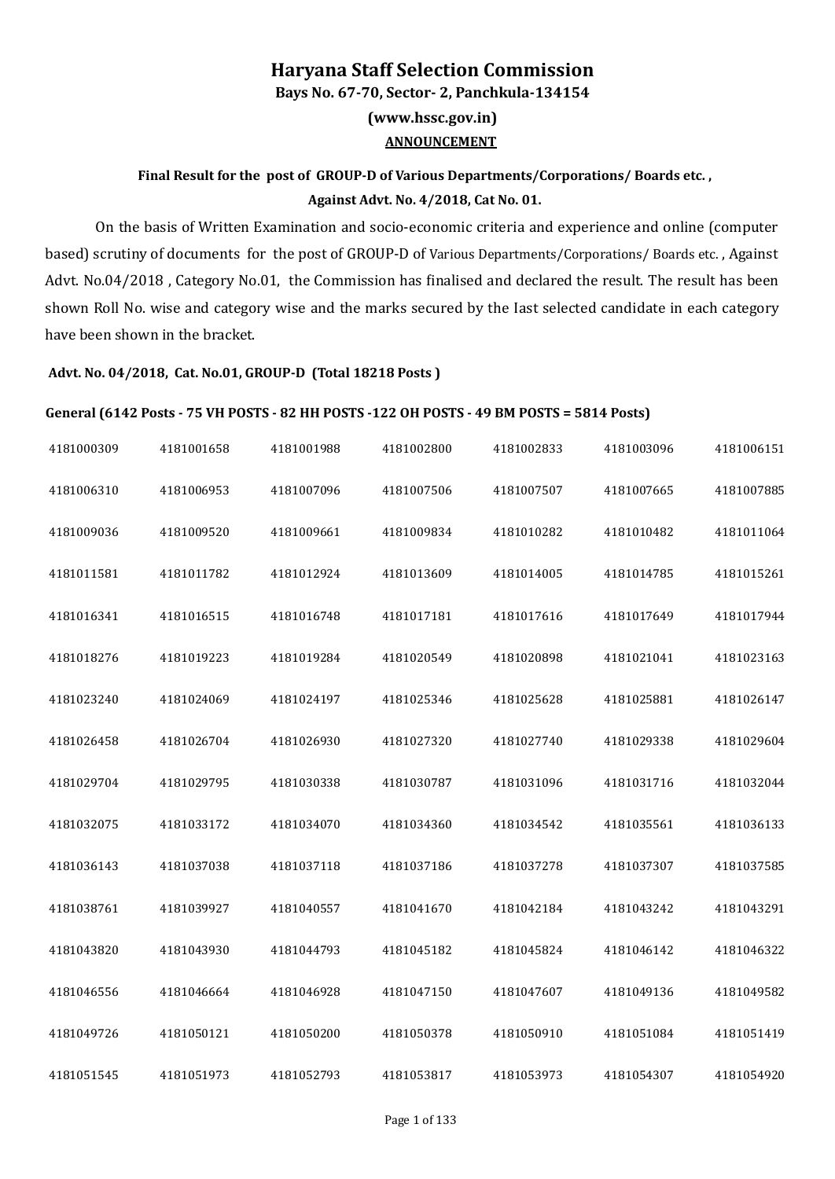## **Haryana Staff Selection Commission (www.hssc.gov.in) Bays No. 67-70, Sector- 2, Panchkula-134154 ANNOUNCEMENT**

## **Final Result for the post of GROUP-D of Various Departments/Corporations/ Boards etc. , Against Advt. No. 4/2018, Cat No. 01.**

On the basis of Written Examination and socio-economic criteria and experience and online (computer based) scrutiny of documents for the post of GROUP-D of Various Departments/Corporations/ Boards etc. , Against Advt. No.04/2018 , Category No.01, the Commission has finalised and declared the result. The result has been shown Roll No. wise and category wise and the marks secured by the Iast selected candidate in each category have been shown in the bracket.

## **Advt. No. 04/2018, Cat. No.01, GROUP-D (Total 18218 Posts )**

## **General (6142 Posts - 75 VH POSTS - 82 HH POSTS -122 OH POSTS - 49 BM POSTS = 5814 Posts)**

| 4181000309 | 4181001658 | 4181001988 | 4181002800 | 4181002833 | 4181003096 | 4181006151 |
|------------|------------|------------|------------|------------|------------|------------|
| 4181006310 | 4181006953 | 4181007096 | 4181007506 | 4181007507 | 4181007665 | 4181007885 |
| 4181009036 | 4181009520 | 4181009661 | 4181009834 | 4181010282 | 4181010482 | 4181011064 |
| 4181011581 | 4181011782 | 4181012924 | 4181013609 | 4181014005 | 4181014785 | 4181015261 |
| 4181016341 | 4181016515 | 4181016748 | 4181017181 | 4181017616 | 4181017649 | 4181017944 |
| 4181018276 | 4181019223 | 4181019284 | 4181020549 | 4181020898 | 4181021041 | 4181023163 |
| 4181023240 | 4181024069 | 4181024197 | 4181025346 | 4181025628 | 4181025881 | 4181026147 |
| 4181026458 | 4181026704 | 4181026930 | 4181027320 | 4181027740 | 4181029338 | 4181029604 |
| 4181029704 | 4181029795 | 4181030338 | 4181030787 | 4181031096 | 4181031716 | 4181032044 |
| 4181032075 | 4181033172 | 4181034070 | 4181034360 | 4181034542 | 4181035561 | 4181036133 |
| 4181036143 | 4181037038 | 4181037118 | 4181037186 | 4181037278 | 4181037307 | 4181037585 |
| 4181038761 | 4181039927 | 4181040557 | 4181041670 | 4181042184 | 4181043242 | 4181043291 |
| 4181043820 | 4181043930 | 4181044793 | 4181045182 | 4181045824 | 4181046142 | 4181046322 |
| 4181046556 | 4181046664 | 4181046928 | 4181047150 | 4181047607 | 4181049136 | 4181049582 |
| 4181049726 | 4181050121 | 4181050200 | 4181050378 | 4181050910 | 4181051084 | 4181051419 |
| 4181051545 | 4181051973 | 4181052793 | 4181053817 | 4181053973 | 4181054307 | 4181054920 |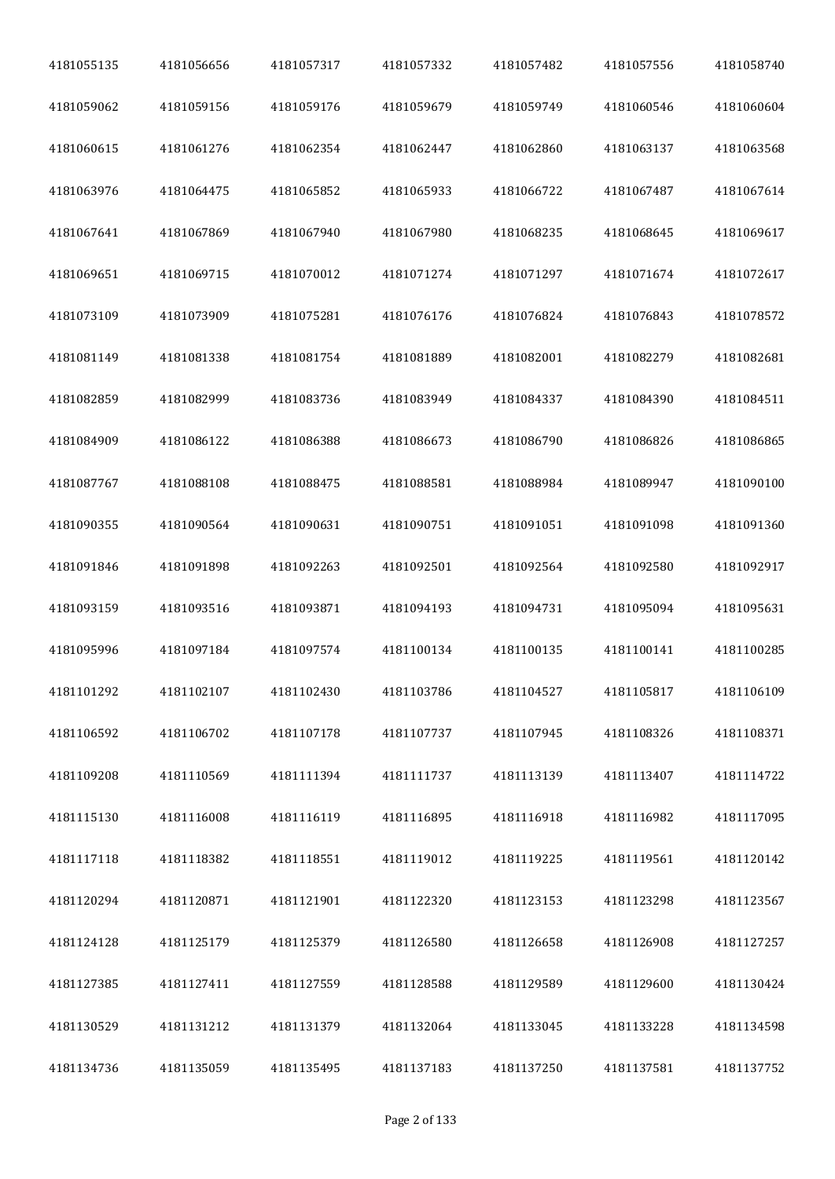| 4181055135 | 4181056656 | 4181057317 | 4181057332 | 4181057482 | 4181057556 | 4181058740 |
|------------|------------|------------|------------|------------|------------|------------|
| 4181059062 | 4181059156 | 4181059176 | 4181059679 | 4181059749 | 4181060546 | 4181060604 |
| 4181060615 | 4181061276 | 4181062354 | 4181062447 | 4181062860 | 4181063137 | 4181063568 |
| 4181063976 | 4181064475 | 4181065852 | 4181065933 | 4181066722 | 4181067487 | 4181067614 |
| 4181067641 | 4181067869 | 4181067940 | 4181067980 | 4181068235 | 4181068645 | 4181069617 |
| 4181069651 | 4181069715 | 4181070012 | 4181071274 | 4181071297 | 4181071674 | 4181072617 |
| 4181073109 | 4181073909 | 4181075281 | 4181076176 | 4181076824 | 4181076843 | 4181078572 |
| 4181081149 | 4181081338 | 4181081754 | 4181081889 | 4181082001 | 4181082279 | 4181082681 |
| 4181082859 | 4181082999 | 4181083736 | 4181083949 | 4181084337 | 4181084390 | 4181084511 |
| 4181084909 | 4181086122 | 4181086388 | 4181086673 | 4181086790 | 4181086826 | 4181086865 |
| 4181087767 | 4181088108 | 4181088475 | 4181088581 | 4181088984 | 4181089947 | 4181090100 |
| 4181090355 | 4181090564 | 4181090631 | 4181090751 | 4181091051 | 4181091098 | 4181091360 |
| 4181091846 | 4181091898 | 4181092263 | 4181092501 | 4181092564 | 4181092580 | 4181092917 |
| 4181093159 | 4181093516 | 4181093871 | 4181094193 | 4181094731 | 4181095094 | 4181095631 |
| 4181095996 | 4181097184 | 4181097574 | 4181100134 | 4181100135 | 4181100141 | 4181100285 |
| 4181101292 | 4181102107 | 4181102430 | 4181103786 | 4181104527 | 4181105817 | 4181106109 |
| 4181106592 | 4181106702 | 4181107178 | 4181107737 | 4181107945 | 4181108326 | 4181108371 |
| 4181109208 | 4181110569 | 4181111394 | 4181111737 | 4181113139 | 4181113407 | 4181114722 |
| 4181115130 | 4181116008 | 4181116119 | 4181116895 | 4181116918 | 4181116982 | 4181117095 |
| 4181117118 | 4181118382 | 4181118551 | 4181119012 | 4181119225 | 4181119561 | 4181120142 |
| 4181120294 | 4181120871 | 4181121901 | 4181122320 | 4181123153 | 4181123298 | 4181123567 |
| 4181124128 | 4181125179 | 4181125379 | 4181126580 | 4181126658 | 4181126908 | 4181127257 |
| 4181127385 | 4181127411 | 4181127559 | 4181128588 | 4181129589 | 4181129600 | 4181130424 |
| 4181130529 | 4181131212 | 4181131379 | 4181132064 | 4181133045 | 4181133228 | 4181134598 |
| 4181134736 | 4181135059 | 4181135495 | 4181137183 | 4181137250 | 4181137581 | 4181137752 |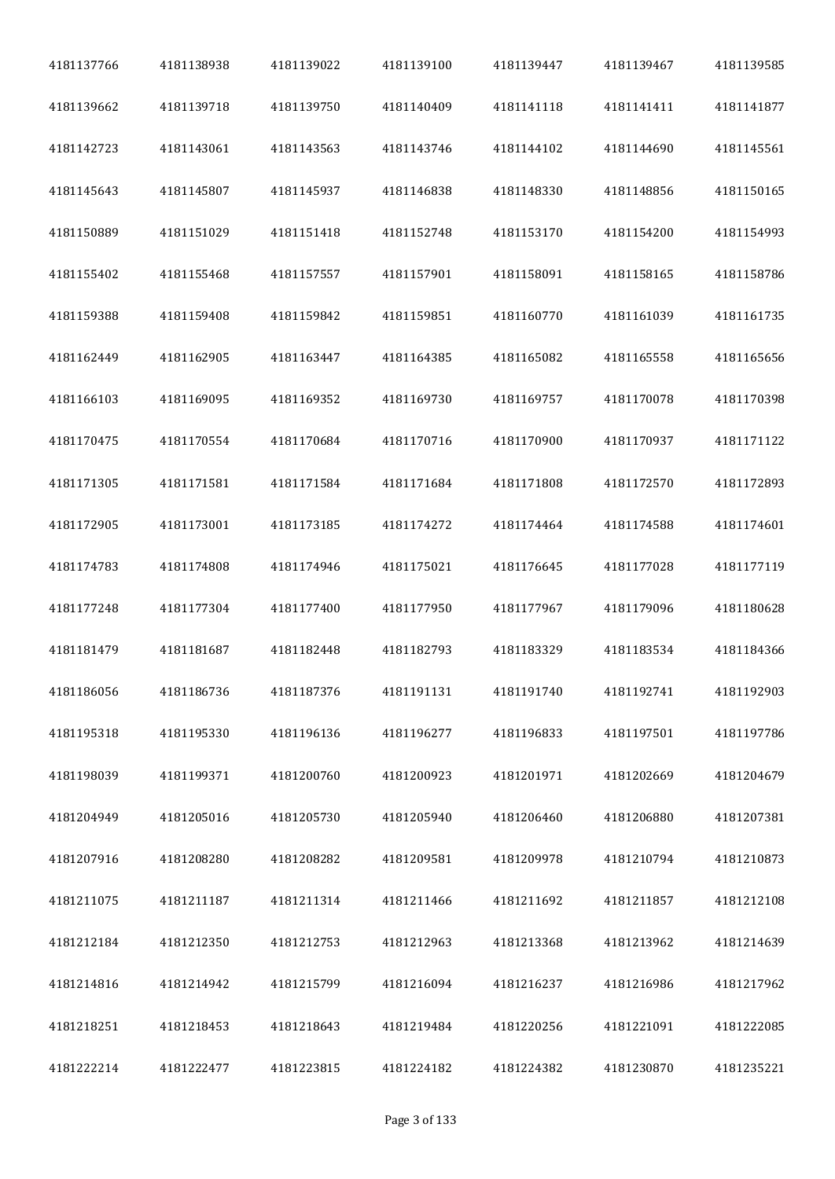| 4181137766 | 4181138938 | 4181139022 | 4181139100 | 4181139447 | 4181139467 | 4181139585 |
|------------|------------|------------|------------|------------|------------|------------|
| 4181139662 | 4181139718 | 4181139750 | 4181140409 | 4181141118 | 4181141411 | 4181141877 |
| 4181142723 | 4181143061 | 4181143563 | 4181143746 | 4181144102 | 4181144690 | 4181145561 |
| 4181145643 | 4181145807 | 4181145937 | 4181146838 | 4181148330 | 4181148856 | 4181150165 |
| 4181150889 | 4181151029 | 4181151418 | 4181152748 | 4181153170 | 4181154200 | 4181154993 |
| 4181155402 | 4181155468 | 4181157557 | 4181157901 | 4181158091 | 4181158165 | 4181158786 |
| 4181159388 | 4181159408 | 4181159842 | 4181159851 | 4181160770 | 4181161039 | 4181161735 |
| 4181162449 | 4181162905 | 4181163447 | 4181164385 | 4181165082 | 4181165558 | 4181165656 |
| 4181166103 | 4181169095 | 4181169352 | 4181169730 | 4181169757 | 4181170078 | 4181170398 |
| 4181170475 | 4181170554 | 4181170684 | 4181170716 | 4181170900 | 4181170937 | 4181171122 |
| 4181171305 | 4181171581 | 4181171584 | 4181171684 | 4181171808 | 4181172570 | 4181172893 |
| 4181172905 | 4181173001 | 4181173185 | 4181174272 | 4181174464 | 4181174588 | 4181174601 |
| 4181174783 | 4181174808 | 4181174946 | 4181175021 | 4181176645 | 4181177028 | 4181177119 |
| 4181177248 | 4181177304 | 4181177400 | 4181177950 | 4181177967 | 4181179096 | 4181180628 |
| 4181181479 | 4181181687 | 4181182448 | 4181182793 | 4181183329 | 4181183534 | 4181184366 |
| 4181186056 | 4181186736 | 4181187376 | 4181191131 | 4181191740 | 4181192741 | 4181192903 |
| 4181195318 | 4181195330 | 4181196136 | 4181196277 | 4181196833 | 4181197501 | 4181197786 |
| 4181198039 | 4181199371 | 4181200760 | 4181200923 | 4181201971 | 4181202669 | 4181204679 |
| 4181204949 | 4181205016 | 4181205730 | 4181205940 | 4181206460 | 4181206880 | 4181207381 |
| 4181207916 | 4181208280 | 4181208282 | 4181209581 | 4181209978 | 4181210794 | 4181210873 |
| 4181211075 | 4181211187 | 4181211314 | 4181211466 | 4181211692 | 4181211857 | 4181212108 |
| 4181212184 | 4181212350 | 4181212753 | 4181212963 | 4181213368 | 4181213962 | 4181214639 |
| 4181214816 | 4181214942 | 4181215799 | 4181216094 | 4181216237 | 4181216986 | 4181217962 |
| 4181218251 | 4181218453 | 4181218643 | 4181219484 | 4181220256 | 4181221091 | 4181222085 |
| 4181222214 | 4181222477 | 4181223815 | 4181224182 | 4181224382 | 4181230870 | 4181235221 |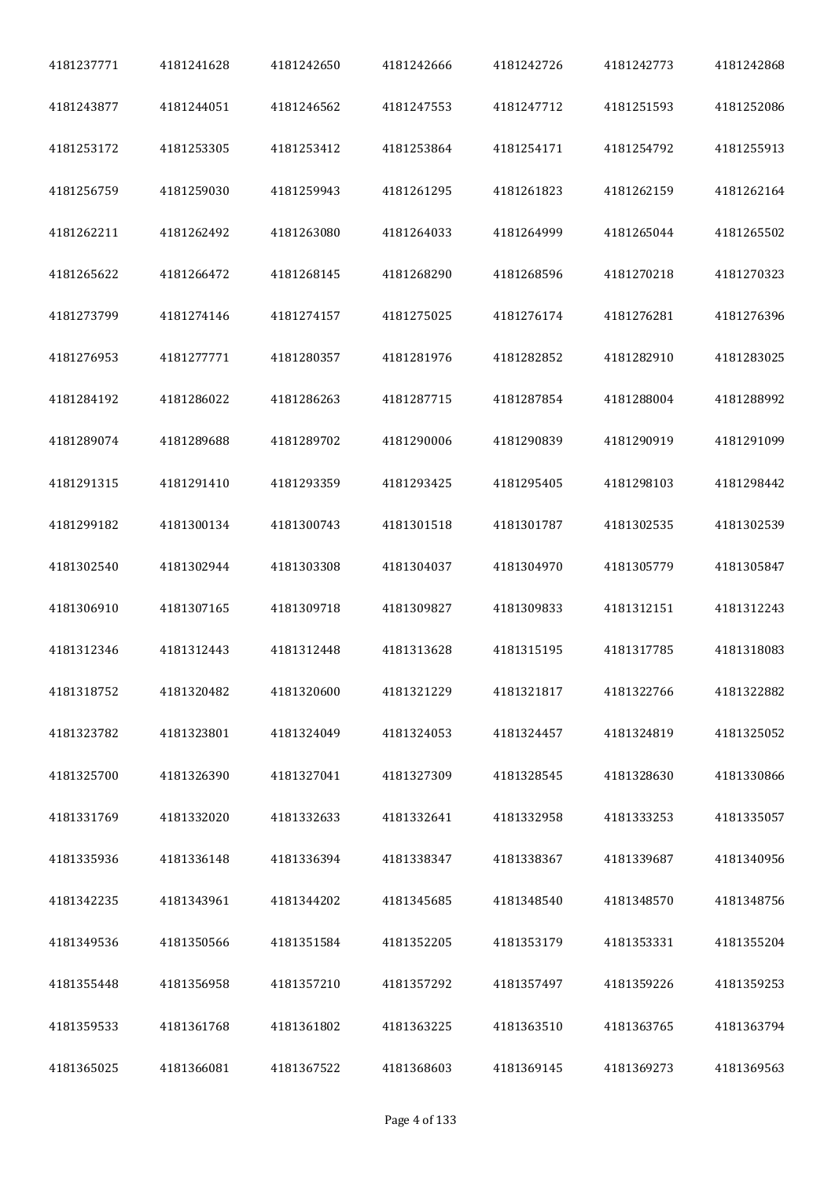| 4181237771 | 4181241628 | 4181242650 | 4181242666 | 4181242726 | 4181242773 | 4181242868 |
|------------|------------|------------|------------|------------|------------|------------|
| 4181243877 | 4181244051 | 4181246562 | 4181247553 | 4181247712 | 4181251593 | 4181252086 |
| 4181253172 | 4181253305 | 4181253412 | 4181253864 | 4181254171 | 4181254792 | 4181255913 |
| 4181256759 | 4181259030 | 4181259943 | 4181261295 | 4181261823 | 4181262159 | 4181262164 |
| 4181262211 | 4181262492 | 4181263080 | 4181264033 | 4181264999 | 4181265044 | 4181265502 |
| 4181265622 | 4181266472 | 4181268145 | 4181268290 | 4181268596 | 4181270218 | 4181270323 |
| 4181273799 | 4181274146 | 4181274157 | 4181275025 | 4181276174 | 4181276281 | 4181276396 |
| 4181276953 | 4181277771 | 4181280357 | 4181281976 | 4181282852 | 4181282910 | 4181283025 |
| 4181284192 | 4181286022 | 4181286263 | 4181287715 | 4181287854 | 4181288004 | 4181288992 |
| 4181289074 | 4181289688 | 4181289702 | 4181290006 | 4181290839 | 4181290919 | 4181291099 |
| 4181291315 | 4181291410 | 4181293359 | 4181293425 | 4181295405 | 4181298103 | 4181298442 |
| 4181299182 | 4181300134 | 4181300743 | 4181301518 | 4181301787 | 4181302535 | 4181302539 |
| 4181302540 | 4181302944 | 4181303308 | 4181304037 | 4181304970 | 4181305779 | 4181305847 |
| 4181306910 | 4181307165 | 4181309718 | 4181309827 | 4181309833 | 4181312151 | 4181312243 |
| 4181312346 | 4181312443 | 4181312448 | 4181313628 | 4181315195 | 4181317785 | 4181318083 |
| 4181318752 | 4181320482 | 4181320600 | 4181321229 | 4181321817 | 4181322766 | 4181322882 |
| 4181323782 | 4181323801 | 4181324049 | 4181324053 | 4181324457 | 4181324819 | 4181325052 |
| 4181325700 | 4181326390 | 4181327041 | 4181327309 | 4181328545 | 4181328630 | 4181330866 |
| 4181331769 | 4181332020 | 4181332633 | 4181332641 | 4181332958 | 4181333253 | 4181335057 |
| 4181335936 | 4181336148 | 4181336394 | 4181338347 | 4181338367 | 4181339687 | 4181340956 |
| 4181342235 | 4181343961 | 4181344202 | 4181345685 | 4181348540 | 4181348570 | 4181348756 |
| 4181349536 | 4181350566 | 4181351584 | 4181352205 | 4181353179 | 4181353331 | 4181355204 |
| 4181355448 | 4181356958 | 4181357210 | 4181357292 | 4181357497 | 4181359226 | 4181359253 |
| 4181359533 | 4181361768 | 4181361802 | 4181363225 | 4181363510 | 4181363765 | 4181363794 |
| 4181365025 | 4181366081 | 4181367522 | 4181368603 | 4181369145 | 4181369273 | 4181369563 |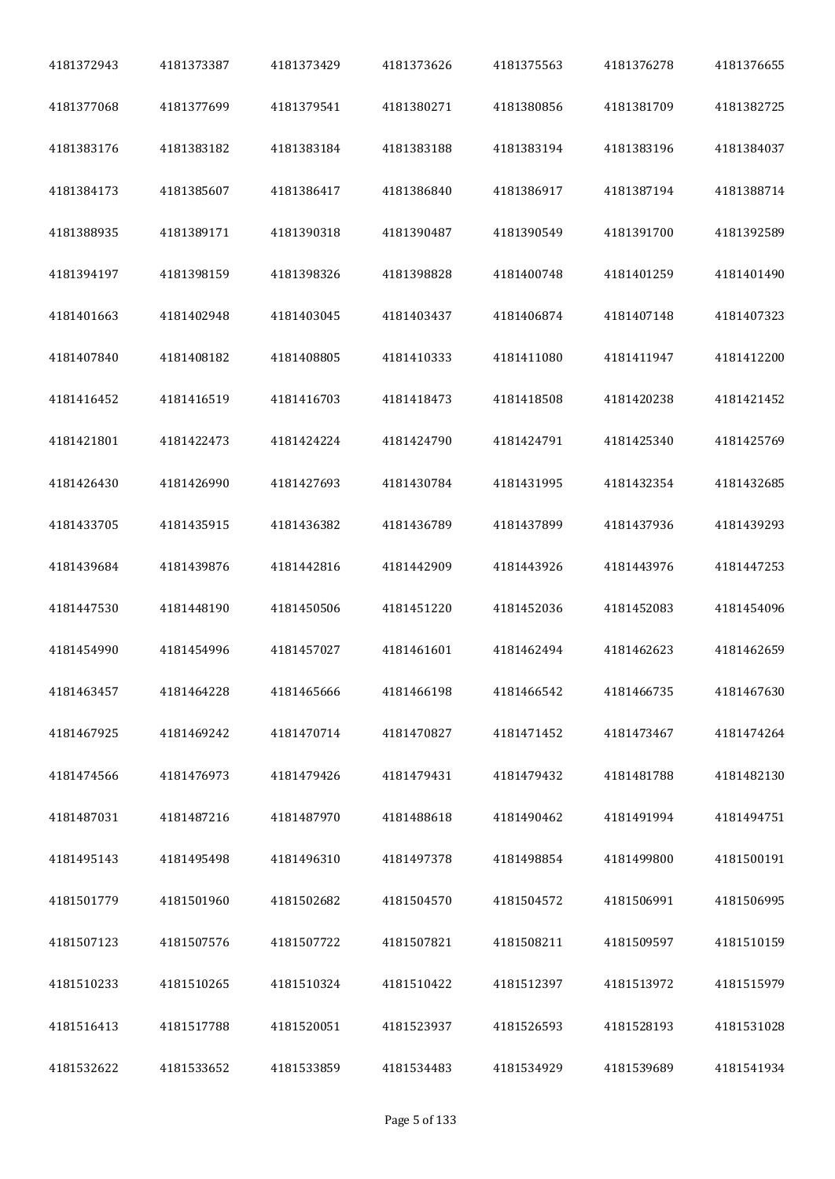| 4181372943 | 4181373387 | 4181373429 | 4181373626 | 4181375563 | 4181376278 | 4181376655 |
|------------|------------|------------|------------|------------|------------|------------|
| 4181377068 | 4181377699 | 4181379541 | 4181380271 | 4181380856 | 4181381709 | 4181382725 |
| 4181383176 | 4181383182 | 4181383184 | 4181383188 | 4181383194 | 4181383196 | 4181384037 |
| 4181384173 | 4181385607 | 4181386417 | 4181386840 | 4181386917 | 4181387194 | 4181388714 |
| 4181388935 | 4181389171 | 4181390318 | 4181390487 | 4181390549 | 4181391700 | 4181392589 |
| 4181394197 | 4181398159 | 4181398326 | 4181398828 | 4181400748 | 4181401259 | 4181401490 |
| 4181401663 | 4181402948 | 4181403045 | 4181403437 | 4181406874 | 4181407148 | 4181407323 |
| 4181407840 | 4181408182 | 4181408805 | 4181410333 | 4181411080 | 4181411947 | 4181412200 |
| 4181416452 | 4181416519 | 4181416703 | 4181418473 | 4181418508 | 4181420238 | 4181421452 |
| 4181421801 | 4181422473 | 4181424224 | 4181424790 | 4181424791 | 4181425340 | 4181425769 |
| 4181426430 | 4181426990 | 4181427693 | 4181430784 | 4181431995 | 4181432354 | 4181432685 |
| 4181433705 | 4181435915 | 4181436382 | 4181436789 | 4181437899 | 4181437936 | 4181439293 |
| 4181439684 | 4181439876 | 4181442816 | 4181442909 | 4181443926 | 4181443976 | 4181447253 |
| 4181447530 | 4181448190 | 4181450506 | 4181451220 | 4181452036 | 4181452083 | 4181454096 |
| 4181454990 | 4181454996 | 4181457027 | 4181461601 | 4181462494 | 4181462623 | 4181462659 |
| 4181463457 | 4181464228 | 4181465666 | 4181466198 | 4181466542 | 4181466735 | 4181467630 |
| 4181467925 | 4181469242 | 4181470714 | 4181470827 | 4181471452 | 4181473467 | 4181474264 |
| 4181474566 | 4181476973 | 4181479426 | 4181479431 | 4181479432 | 4181481788 | 4181482130 |
| 4181487031 | 4181487216 | 4181487970 | 4181488618 | 4181490462 | 4181491994 | 4181494751 |
| 4181495143 | 4181495498 | 4181496310 | 4181497378 | 4181498854 | 4181499800 | 4181500191 |
| 4181501779 | 4181501960 | 4181502682 | 4181504570 | 4181504572 | 4181506991 | 4181506995 |
| 4181507123 | 4181507576 | 4181507722 | 4181507821 | 4181508211 | 4181509597 | 4181510159 |
| 4181510233 | 4181510265 | 4181510324 | 4181510422 | 4181512397 | 4181513972 | 4181515979 |
| 4181516413 | 4181517788 | 4181520051 | 4181523937 | 4181526593 | 4181528193 | 4181531028 |
| 4181532622 | 4181533652 | 4181533859 | 4181534483 | 4181534929 | 4181539689 | 4181541934 |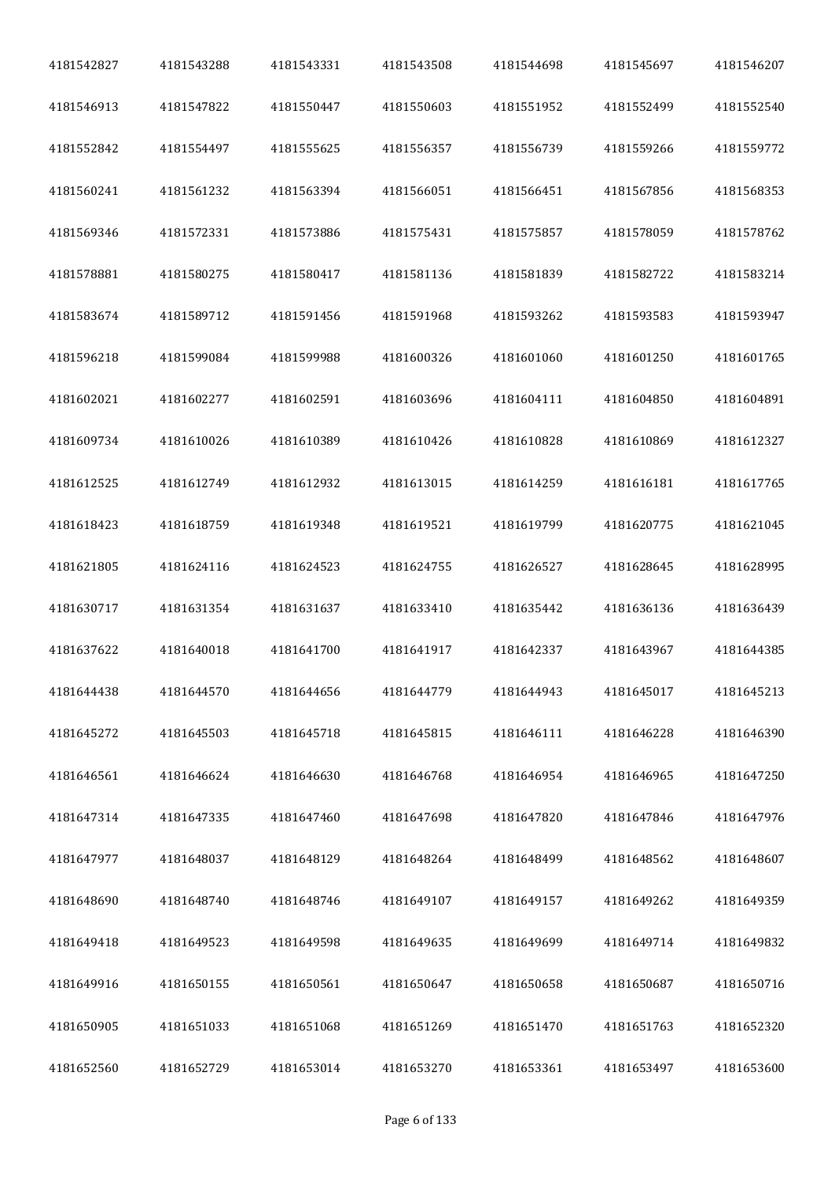| 4181542827 | 4181543288 | 4181543331 | 4181543508 | 4181544698 | 4181545697 | 4181546207 |
|------------|------------|------------|------------|------------|------------|------------|
| 4181546913 | 4181547822 | 4181550447 | 4181550603 | 4181551952 | 4181552499 | 4181552540 |
| 4181552842 | 4181554497 | 4181555625 | 4181556357 | 4181556739 | 4181559266 | 4181559772 |
| 4181560241 | 4181561232 | 4181563394 | 4181566051 | 4181566451 | 4181567856 | 4181568353 |
| 4181569346 | 4181572331 | 4181573886 | 4181575431 | 4181575857 | 4181578059 | 4181578762 |
| 4181578881 | 4181580275 | 4181580417 | 4181581136 | 4181581839 | 4181582722 | 4181583214 |
| 4181583674 | 4181589712 | 4181591456 | 4181591968 | 4181593262 | 4181593583 | 4181593947 |
| 4181596218 | 4181599084 | 4181599988 | 4181600326 | 4181601060 | 4181601250 | 4181601765 |
| 4181602021 | 4181602277 | 4181602591 | 4181603696 | 4181604111 | 4181604850 | 4181604891 |
| 4181609734 | 4181610026 | 4181610389 | 4181610426 | 4181610828 | 4181610869 | 4181612327 |
| 4181612525 | 4181612749 | 4181612932 | 4181613015 | 4181614259 | 4181616181 | 4181617765 |
| 4181618423 | 4181618759 | 4181619348 | 4181619521 | 4181619799 | 4181620775 | 4181621045 |
| 4181621805 | 4181624116 | 4181624523 | 4181624755 | 4181626527 | 4181628645 | 4181628995 |
| 4181630717 | 4181631354 | 4181631637 | 4181633410 | 4181635442 | 4181636136 | 4181636439 |
| 4181637622 | 4181640018 | 4181641700 | 4181641917 | 4181642337 | 4181643967 | 4181644385 |
| 4181644438 | 4181644570 | 4181644656 | 4181644779 | 4181644943 | 4181645017 | 4181645213 |
| 4181645272 | 4181645503 | 4181645718 | 4181645815 | 4181646111 | 4181646228 | 4181646390 |
| 4181646561 | 4181646624 | 4181646630 | 4181646768 | 4181646954 | 4181646965 | 4181647250 |
| 4181647314 | 4181647335 | 4181647460 | 4181647698 | 4181647820 | 4181647846 | 4181647976 |
| 4181647977 | 4181648037 | 4181648129 | 4181648264 | 4181648499 | 4181648562 | 4181648607 |
| 4181648690 | 4181648740 | 4181648746 | 4181649107 | 4181649157 | 4181649262 | 4181649359 |
| 4181649418 | 4181649523 | 4181649598 | 4181649635 | 4181649699 | 4181649714 | 4181649832 |
| 4181649916 | 4181650155 | 4181650561 | 4181650647 | 4181650658 | 4181650687 | 4181650716 |
| 4181650905 | 4181651033 | 4181651068 | 4181651269 | 4181651470 | 4181651763 | 4181652320 |
| 4181652560 | 4181652729 | 4181653014 | 4181653270 | 4181653361 | 4181653497 | 4181653600 |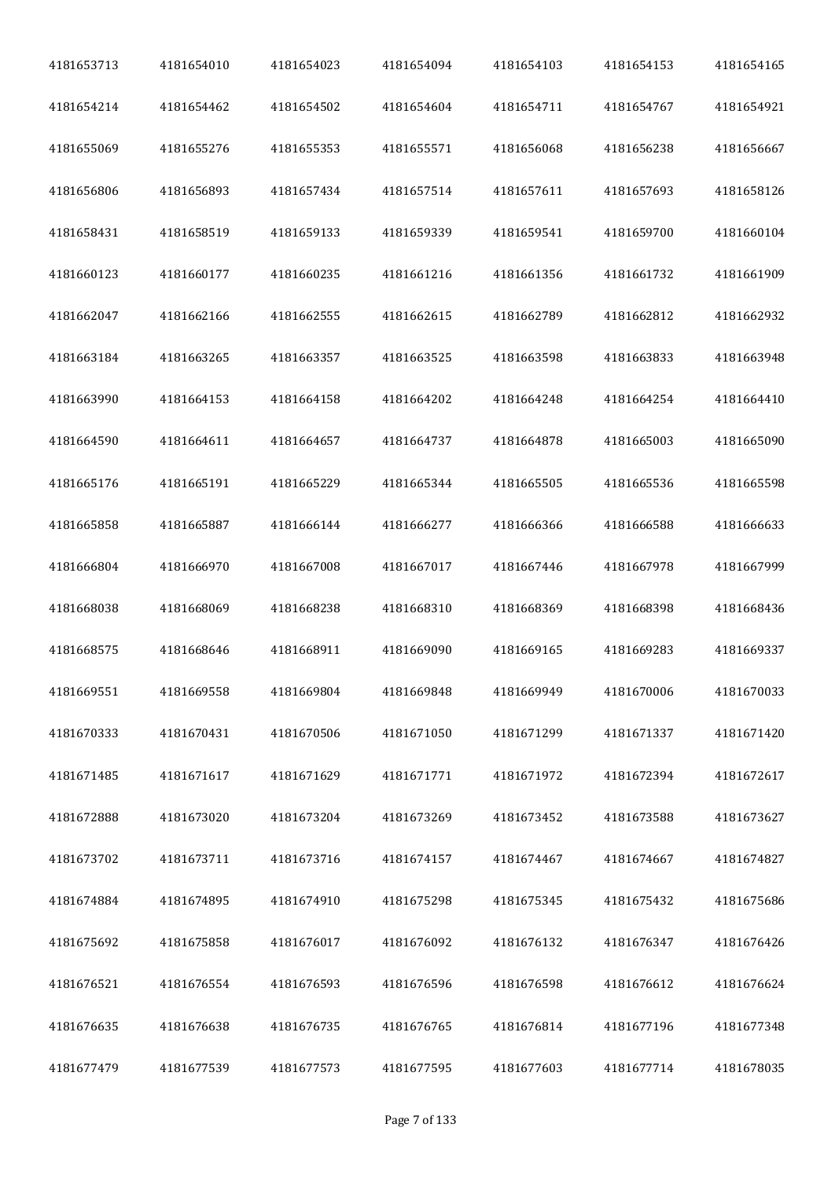| 4181653713 | 4181654010 | 4181654023 | 4181654094 | 4181654103 | 4181654153 | 4181654165 |
|------------|------------|------------|------------|------------|------------|------------|
| 4181654214 | 4181654462 | 4181654502 | 4181654604 | 4181654711 | 4181654767 | 4181654921 |
| 4181655069 | 4181655276 | 4181655353 | 4181655571 | 4181656068 | 4181656238 | 4181656667 |
| 4181656806 | 4181656893 | 4181657434 | 4181657514 | 4181657611 | 4181657693 | 4181658126 |
| 4181658431 | 4181658519 | 4181659133 | 4181659339 | 4181659541 | 4181659700 | 4181660104 |
| 4181660123 | 4181660177 | 4181660235 | 4181661216 | 4181661356 | 4181661732 | 4181661909 |
| 4181662047 | 4181662166 | 4181662555 | 4181662615 | 4181662789 | 4181662812 | 4181662932 |
| 4181663184 | 4181663265 | 4181663357 | 4181663525 | 4181663598 | 4181663833 | 4181663948 |
| 4181663990 | 4181664153 | 4181664158 | 4181664202 | 4181664248 | 4181664254 | 4181664410 |
| 4181664590 | 4181664611 | 4181664657 | 4181664737 | 4181664878 | 4181665003 | 4181665090 |
| 4181665176 | 4181665191 | 4181665229 | 4181665344 | 4181665505 | 4181665536 | 4181665598 |
| 4181665858 | 4181665887 | 4181666144 | 4181666277 | 4181666366 | 4181666588 | 4181666633 |
| 4181666804 | 4181666970 | 4181667008 | 4181667017 | 4181667446 | 4181667978 | 4181667999 |
| 4181668038 | 4181668069 | 4181668238 | 4181668310 | 4181668369 | 4181668398 | 4181668436 |
| 4181668575 | 4181668646 | 4181668911 | 4181669090 | 4181669165 | 4181669283 | 4181669337 |
| 4181669551 | 4181669558 | 4181669804 | 4181669848 | 4181669949 | 4181670006 | 4181670033 |
| 4181670333 | 4181670431 | 4181670506 | 4181671050 | 4181671299 | 4181671337 | 4181671420 |
| 4181671485 | 4181671617 | 4181671629 | 4181671771 | 4181671972 | 4181672394 | 4181672617 |
| 4181672888 | 4181673020 | 4181673204 | 4181673269 | 4181673452 | 4181673588 | 4181673627 |
| 4181673702 | 4181673711 | 4181673716 | 4181674157 | 4181674467 | 4181674667 | 4181674827 |
| 4181674884 | 4181674895 | 4181674910 | 4181675298 | 4181675345 | 4181675432 | 4181675686 |
| 4181675692 | 4181675858 | 4181676017 | 4181676092 | 4181676132 | 4181676347 | 4181676426 |
| 4181676521 | 4181676554 | 4181676593 | 4181676596 | 4181676598 | 4181676612 | 4181676624 |
| 4181676635 | 4181676638 | 4181676735 | 4181676765 | 4181676814 | 4181677196 | 4181677348 |
| 4181677479 | 4181677539 | 4181677573 | 4181677595 | 4181677603 | 4181677714 | 4181678035 |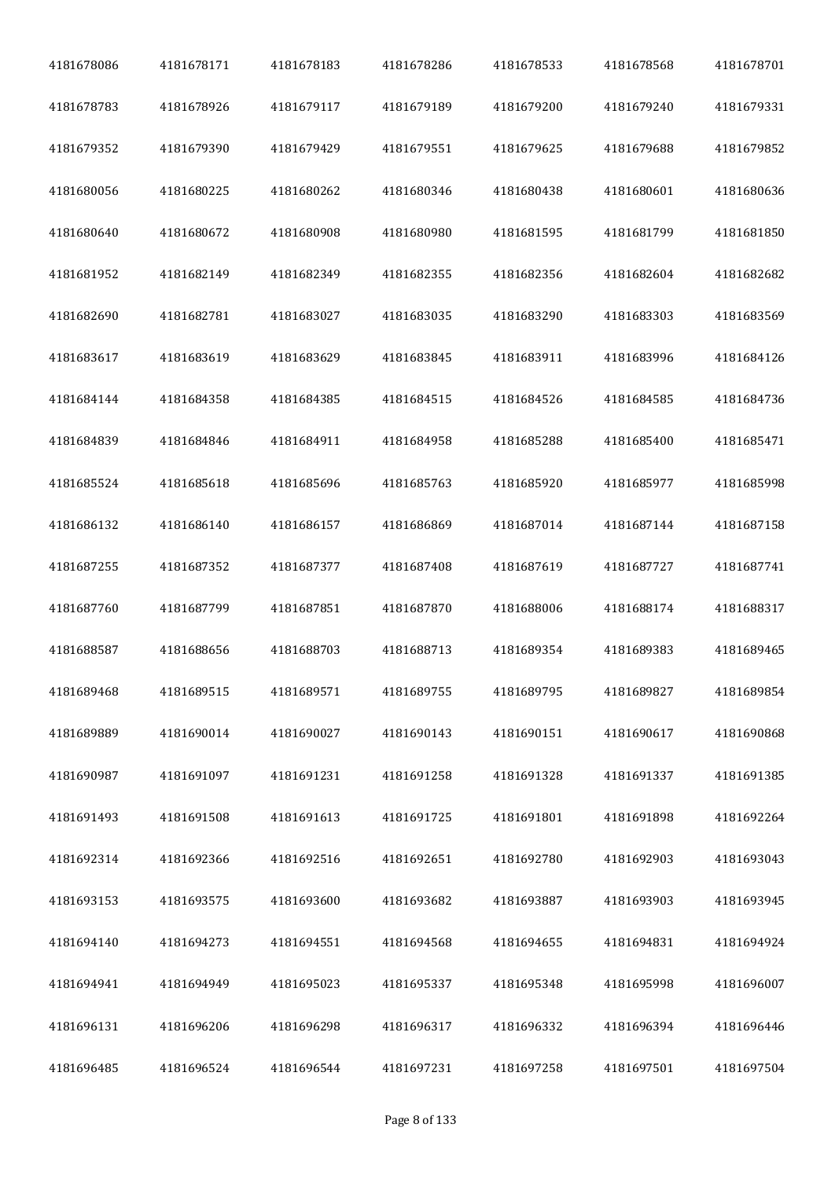| 4181678086 | 4181678171 | 4181678183 | 4181678286 | 4181678533 | 4181678568 | 4181678701 |
|------------|------------|------------|------------|------------|------------|------------|
| 4181678783 | 4181678926 | 4181679117 | 4181679189 | 4181679200 | 4181679240 | 4181679331 |
| 4181679352 | 4181679390 | 4181679429 | 4181679551 | 4181679625 | 4181679688 | 4181679852 |
| 4181680056 | 4181680225 | 4181680262 | 4181680346 | 4181680438 | 4181680601 | 4181680636 |
| 4181680640 | 4181680672 | 4181680908 | 4181680980 | 4181681595 | 4181681799 | 4181681850 |
| 4181681952 | 4181682149 | 4181682349 | 4181682355 | 4181682356 | 4181682604 | 4181682682 |
| 4181682690 | 4181682781 | 4181683027 | 4181683035 | 4181683290 | 4181683303 | 4181683569 |
| 4181683617 | 4181683619 | 4181683629 | 4181683845 | 4181683911 | 4181683996 | 4181684126 |
| 4181684144 | 4181684358 | 4181684385 | 4181684515 | 4181684526 | 4181684585 | 4181684736 |
| 4181684839 | 4181684846 | 4181684911 | 4181684958 | 4181685288 | 4181685400 | 4181685471 |
| 4181685524 | 4181685618 | 4181685696 | 4181685763 | 4181685920 | 4181685977 | 4181685998 |
| 4181686132 | 4181686140 | 4181686157 | 4181686869 | 4181687014 | 4181687144 | 4181687158 |
| 4181687255 | 4181687352 | 4181687377 | 4181687408 | 4181687619 | 4181687727 | 4181687741 |
| 4181687760 | 4181687799 | 4181687851 | 4181687870 | 4181688006 | 4181688174 | 4181688317 |
| 4181688587 | 4181688656 | 4181688703 | 4181688713 | 4181689354 | 4181689383 | 4181689465 |
| 4181689468 | 4181689515 | 4181689571 | 4181689755 | 4181689795 | 4181689827 | 4181689854 |
| 4181689889 | 4181690014 | 4181690027 | 4181690143 | 4181690151 | 4181690617 | 4181690868 |
| 4181690987 | 4181691097 | 4181691231 | 4181691258 | 4181691328 | 4181691337 | 4181691385 |
| 4181691493 | 4181691508 | 4181691613 | 4181691725 | 4181691801 | 4181691898 | 4181692264 |
| 4181692314 | 4181692366 | 4181692516 | 4181692651 | 4181692780 | 4181692903 | 4181693043 |
| 4181693153 | 4181693575 | 4181693600 | 4181693682 | 4181693887 | 4181693903 | 4181693945 |
| 4181694140 | 4181694273 | 4181694551 | 4181694568 | 4181694655 | 4181694831 | 4181694924 |
| 4181694941 | 4181694949 | 4181695023 | 4181695337 | 4181695348 | 4181695998 | 4181696007 |
| 4181696131 | 4181696206 | 4181696298 | 4181696317 | 4181696332 | 4181696394 | 4181696446 |
| 4181696485 | 4181696524 | 4181696544 | 4181697231 | 4181697258 | 4181697501 | 4181697504 |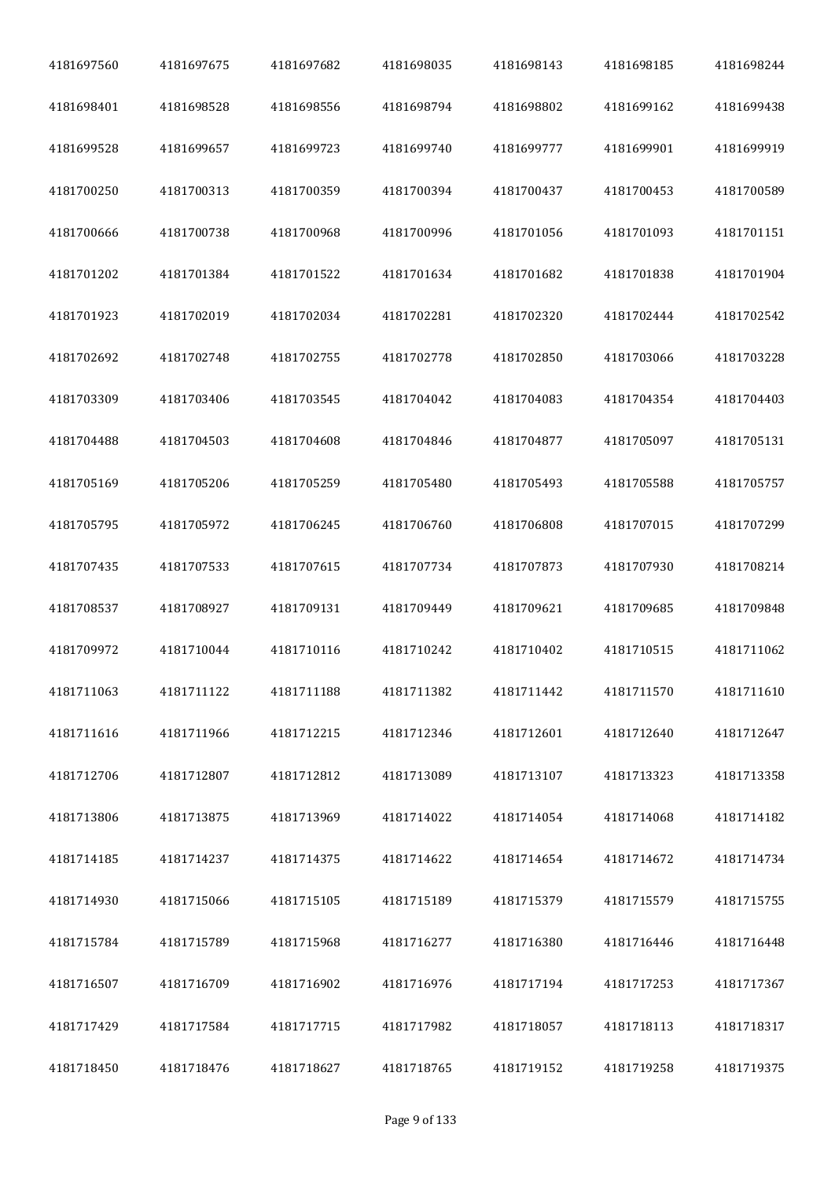| 4181697560 | 4181697675 | 4181697682 | 4181698035 | 4181698143 | 4181698185 | 4181698244 |
|------------|------------|------------|------------|------------|------------|------------|
| 4181698401 | 4181698528 | 4181698556 | 4181698794 | 4181698802 | 4181699162 | 4181699438 |
| 4181699528 | 4181699657 | 4181699723 | 4181699740 | 4181699777 | 4181699901 | 4181699919 |
| 4181700250 | 4181700313 | 4181700359 | 4181700394 | 4181700437 | 4181700453 | 4181700589 |
| 4181700666 | 4181700738 | 4181700968 | 4181700996 | 4181701056 | 4181701093 | 4181701151 |
| 4181701202 | 4181701384 | 4181701522 | 4181701634 | 4181701682 | 4181701838 | 4181701904 |
| 4181701923 | 4181702019 | 4181702034 | 4181702281 | 4181702320 | 4181702444 | 4181702542 |
| 4181702692 | 4181702748 | 4181702755 | 4181702778 | 4181702850 | 4181703066 | 4181703228 |
| 4181703309 | 4181703406 | 4181703545 | 4181704042 | 4181704083 | 4181704354 | 4181704403 |
| 4181704488 | 4181704503 | 4181704608 | 4181704846 | 4181704877 | 4181705097 | 4181705131 |
| 4181705169 | 4181705206 | 4181705259 | 4181705480 | 4181705493 | 4181705588 | 4181705757 |
| 4181705795 | 4181705972 | 4181706245 | 4181706760 | 4181706808 | 4181707015 | 4181707299 |
| 4181707435 | 4181707533 | 4181707615 | 4181707734 | 4181707873 | 4181707930 | 4181708214 |
| 4181708537 | 4181708927 | 4181709131 | 4181709449 | 4181709621 | 4181709685 | 4181709848 |
| 4181709972 | 4181710044 | 4181710116 | 4181710242 | 4181710402 | 4181710515 | 4181711062 |
| 4181711063 | 4181711122 | 4181711188 | 4181711382 | 4181711442 | 4181711570 | 4181711610 |
| 4181711616 | 4181711966 | 4181712215 | 4181712346 | 4181712601 | 4181712640 | 4181712647 |
| 4181712706 | 4181712807 | 4181712812 | 4181713089 | 4181713107 | 4181713323 | 4181713358 |
| 4181713806 | 4181713875 | 4181713969 | 4181714022 | 4181714054 | 4181714068 | 4181714182 |
| 4181714185 | 4181714237 | 4181714375 | 4181714622 | 4181714654 | 4181714672 | 4181714734 |
| 4181714930 | 4181715066 | 4181715105 | 4181715189 | 4181715379 | 4181715579 | 4181715755 |
| 4181715784 | 4181715789 | 4181715968 | 4181716277 | 4181716380 | 4181716446 | 4181716448 |
| 4181716507 | 4181716709 | 4181716902 | 4181716976 | 4181717194 | 4181717253 | 4181717367 |
| 4181717429 | 4181717584 | 4181717715 | 4181717982 | 4181718057 | 4181718113 | 4181718317 |
| 4181718450 | 4181718476 | 4181718627 | 4181718765 | 4181719152 | 4181719258 | 4181719375 |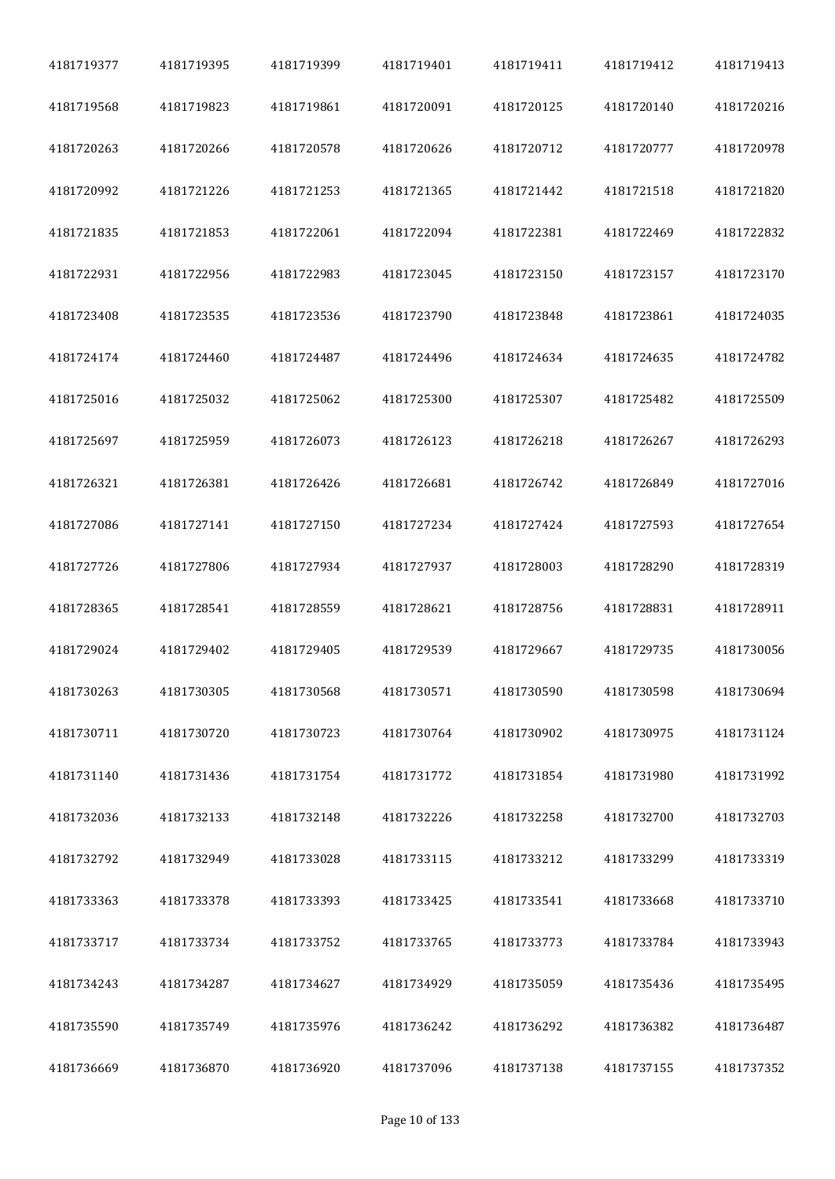| 4181719377 | 4181719395 | 4181719399 | 4181719401 | 4181719411 | 4181719412 | 4181719413 |
|------------|------------|------------|------------|------------|------------|------------|
| 4181719568 | 4181719823 | 4181719861 | 4181720091 | 4181720125 | 4181720140 | 4181720216 |
| 4181720263 | 4181720266 | 4181720578 | 4181720626 | 4181720712 | 4181720777 | 4181720978 |
| 4181720992 | 4181721226 | 4181721253 | 4181721365 | 4181721442 | 4181721518 | 4181721820 |
| 4181721835 | 4181721853 | 4181722061 | 4181722094 | 4181722381 | 4181722469 | 4181722832 |
| 4181722931 | 4181722956 | 4181722983 | 4181723045 | 4181723150 | 4181723157 | 4181723170 |
| 4181723408 | 4181723535 | 4181723536 | 4181723790 | 4181723848 | 4181723861 | 4181724035 |
| 4181724174 | 4181724460 | 4181724487 | 4181724496 | 4181724634 | 4181724635 | 4181724782 |
| 4181725016 | 4181725032 | 4181725062 | 4181725300 | 4181725307 | 4181725482 | 4181725509 |
| 4181725697 | 4181725959 | 4181726073 | 4181726123 | 4181726218 | 4181726267 | 4181726293 |
| 4181726321 | 4181726381 | 4181726426 | 4181726681 | 4181726742 | 4181726849 | 4181727016 |
| 4181727086 | 4181727141 | 4181727150 | 4181727234 | 4181727424 | 4181727593 | 4181727654 |
| 4181727726 | 4181727806 | 4181727934 | 4181727937 | 4181728003 | 4181728290 | 4181728319 |
| 4181728365 | 4181728541 | 4181728559 | 4181728621 | 4181728756 | 4181728831 | 4181728911 |
| 4181729024 | 4181729402 | 4181729405 | 4181729539 | 4181729667 | 4181729735 | 4181730056 |
| 4181730263 | 4181730305 | 4181730568 | 4181730571 | 4181730590 | 4181730598 | 4181730694 |
| 4181730711 | 4181730720 | 4181730723 | 4181730764 | 4181730902 | 4181730975 | 4181731124 |
| 4181731140 | 4181731436 | 4181731754 | 4181731772 | 4181731854 | 4181731980 | 4181731992 |
| 4181732036 | 4181732133 | 4181732148 | 4181732226 | 4181732258 | 4181732700 | 4181732703 |
| 4181732792 | 4181732949 | 4181733028 | 4181733115 | 4181733212 | 4181733299 | 4181733319 |
| 4181733363 | 4181733378 | 4181733393 | 4181733425 | 4181733541 | 4181733668 | 4181733710 |
| 4181733717 | 4181733734 | 4181733752 | 4181733765 | 4181733773 | 4181733784 | 4181733943 |
| 4181734243 | 4181734287 | 4181734627 | 4181734929 | 4181735059 | 4181735436 | 4181735495 |
| 4181735590 | 4181735749 | 4181735976 | 4181736242 | 4181736292 | 4181736382 | 4181736487 |
| 4181736669 | 4181736870 | 4181736920 | 4181737096 | 4181737138 | 4181737155 | 4181737352 |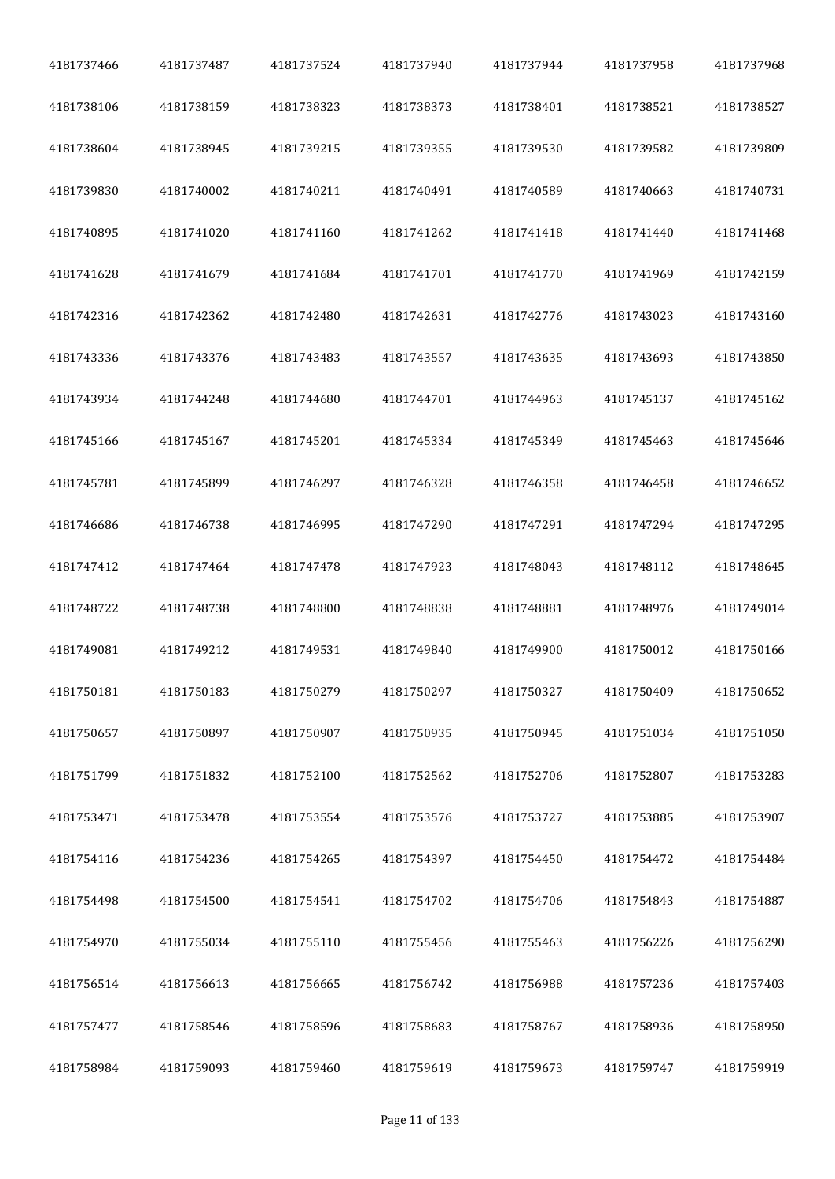| 4181737466 | 4181737487 | 4181737524 | 4181737940 | 4181737944 | 4181737958 | 4181737968 |
|------------|------------|------------|------------|------------|------------|------------|
| 4181738106 | 4181738159 | 4181738323 | 4181738373 | 4181738401 | 4181738521 | 4181738527 |
| 4181738604 | 4181738945 | 4181739215 | 4181739355 | 4181739530 | 4181739582 | 4181739809 |
| 4181739830 | 4181740002 | 4181740211 | 4181740491 | 4181740589 | 4181740663 | 4181740731 |
| 4181740895 | 4181741020 | 4181741160 | 4181741262 | 4181741418 | 4181741440 | 4181741468 |
| 4181741628 | 4181741679 | 4181741684 | 4181741701 | 4181741770 | 4181741969 | 4181742159 |
| 4181742316 | 4181742362 | 4181742480 | 4181742631 | 4181742776 | 4181743023 | 4181743160 |
| 4181743336 | 4181743376 | 4181743483 | 4181743557 | 4181743635 | 4181743693 | 4181743850 |
| 4181743934 | 4181744248 | 4181744680 | 4181744701 | 4181744963 | 4181745137 | 4181745162 |
| 4181745166 | 4181745167 | 4181745201 | 4181745334 | 4181745349 | 4181745463 | 4181745646 |
| 4181745781 | 4181745899 | 4181746297 | 4181746328 | 4181746358 | 4181746458 | 4181746652 |
| 4181746686 | 4181746738 | 4181746995 | 4181747290 | 4181747291 | 4181747294 | 4181747295 |
| 4181747412 | 4181747464 | 4181747478 | 4181747923 | 4181748043 | 4181748112 | 4181748645 |
| 4181748722 | 4181748738 | 4181748800 | 4181748838 | 4181748881 | 4181748976 | 4181749014 |
| 4181749081 | 4181749212 | 4181749531 | 4181749840 | 4181749900 | 4181750012 | 4181750166 |
| 4181750181 | 4181750183 | 4181750279 | 4181750297 | 4181750327 | 4181750409 | 4181750652 |
| 4181750657 | 4181750897 | 4181750907 | 4181750935 | 4181750945 | 4181751034 | 4181751050 |
| 4181751799 | 4181751832 | 4181752100 | 4181752562 | 4181752706 | 4181752807 | 4181753283 |
| 4181753471 | 4181753478 | 4181753554 | 4181753576 | 4181753727 | 4181753885 | 4181753907 |
| 4181754116 | 4181754236 | 4181754265 | 4181754397 | 4181754450 | 4181754472 | 4181754484 |
| 4181754498 | 4181754500 | 4181754541 | 4181754702 | 4181754706 | 4181754843 | 4181754887 |
| 4181754970 | 4181755034 | 4181755110 | 4181755456 | 4181755463 | 4181756226 | 4181756290 |
| 4181756514 | 4181756613 | 4181756665 | 4181756742 | 4181756988 | 4181757236 | 4181757403 |
| 4181757477 | 4181758546 | 4181758596 | 4181758683 | 4181758767 | 4181758936 | 4181758950 |
| 4181758984 | 4181759093 | 4181759460 | 4181759619 | 4181759673 | 4181759747 | 4181759919 |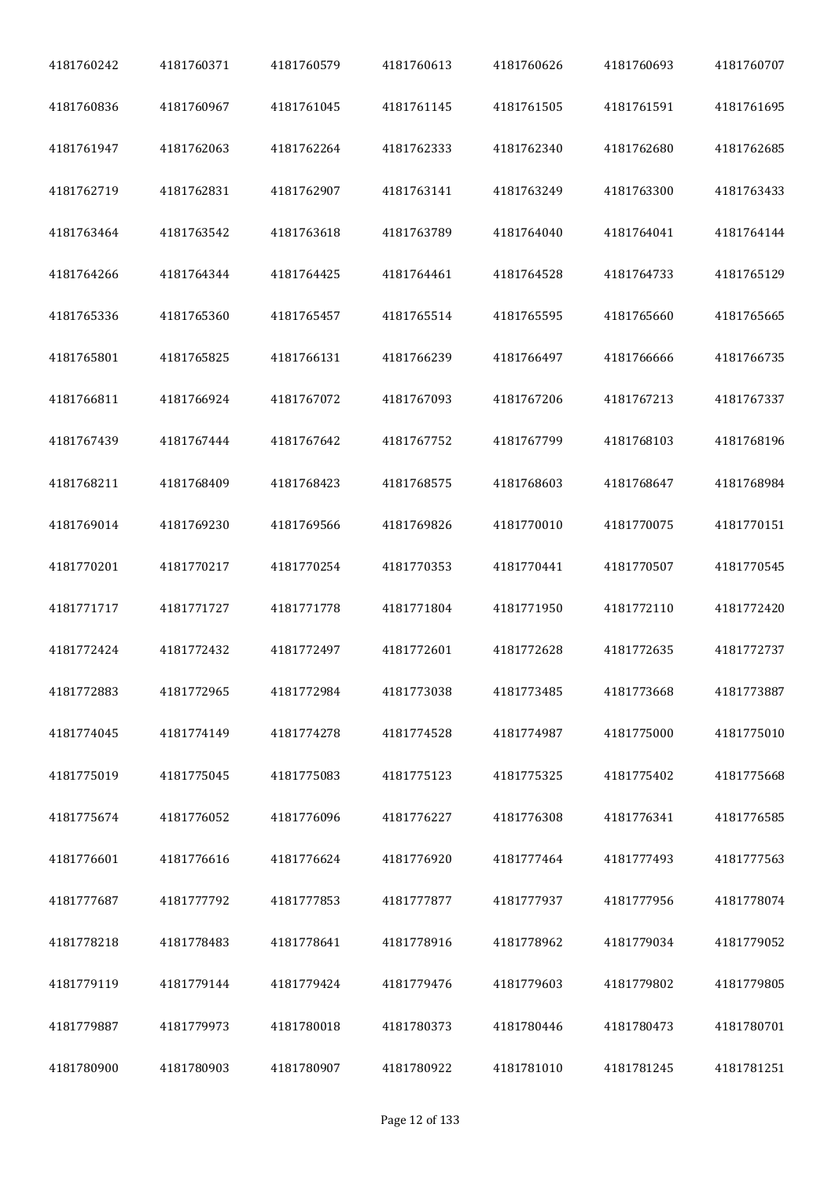| 4181760242 | 4181760371 | 4181760579 | 4181760613 | 4181760626 | 4181760693 | 4181760707 |
|------------|------------|------------|------------|------------|------------|------------|
| 4181760836 | 4181760967 | 4181761045 | 4181761145 | 4181761505 | 4181761591 | 4181761695 |
| 4181761947 | 4181762063 | 4181762264 | 4181762333 | 4181762340 | 4181762680 | 4181762685 |
| 4181762719 | 4181762831 | 4181762907 | 4181763141 | 4181763249 | 4181763300 | 4181763433 |
| 4181763464 | 4181763542 | 4181763618 | 4181763789 | 4181764040 | 4181764041 | 4181764144 |
| 4181764266 | 4181764344 | 4181764425 | 4181764461 | 4181764528 | 4181764733 | 4181765129 |
| 4181765336 | 4181765360 | 4181765457 | 4181765514 | 4181765595 | 4181765660 | 4181765665 |
| 4181765801 | 4181765825 | 4181766131 | 4181766239 | 4181766497 | 4181766666 | 4181766735 |
| 4181766811 | 4181766924 | 4181767072 | 4181767093 | 4181767206 | 4181767213 | 4181767337 |
| 4181767439 | 4181767444 | 4181767642 | 4181767752 | 4181767799 | 4181768103 | 4181768196 |
| 4181768211 | 4181768409 | 4181768423 | 4181768575 | 4181768603 | 4181768647 | 4181768984 |
| 4181769014 | 4181769230 | 4181769566 | 4181769826 | 4181770010 | 4181770075 | 4181770151 |
| 4181770201 | 4181770217 | 4181770254 | 4181770353 | 4181770441 | 4181770507 | 4181770545 |
| 4181771717 | 4181771727 | 4181771778 | 4181771804 | 4181771950 | 4181772110 | 4181772420 |
| 4181772424 | 4181772432 | 4181772497 | 4181772601 | 4181772628 | 4181772635 | 4181772737 |
| 4181772883 | 4181772965 | 4181772984 | 4181773038 | 4181773485 | 4181773668 | 4181773887 |
| 4181774045 | 4181774149 | 4181774278 | 4181774528 | 4181774987 | 4181775000 | 4181775010 |
| 4181775019 | 4181775045 | 4181775083 | 4181775123 | 4181775325 | 4181775402 | 4181775668 |
| 4181775674 | 4181776052 | 4181776096 | 4181776227 | 4181776308 | 4181776341 | 4181776585 |
| 4181776601 | 4181776616 | 4181776624 | 4181776920 | 4181777464 | 4181777493 | 4181777563 |
| 4181777687 | 4181777792 | 4181777853 | 4181777877 | 4181777937 | 4181777956 | 4181778074 |
| 4181778218 | 4181778483 | 4181778641 | 4181778916 | 4181778962 | 4181779034 | 4181779052 |
| 4181779119 | 4181779144 | 4181779424 | 4181779476 | 4181779603 | 4181779802 | 4181779805 |
| 4181779887 | 4181779973 | 4181780018 | 4181780373 | 4181780446 | 4181780473 | 4181780701 |
| 4181780900 | 4181780903 | 4181780907 | 4181780922 | 4181781010 | 4181781245 | 4181781251 |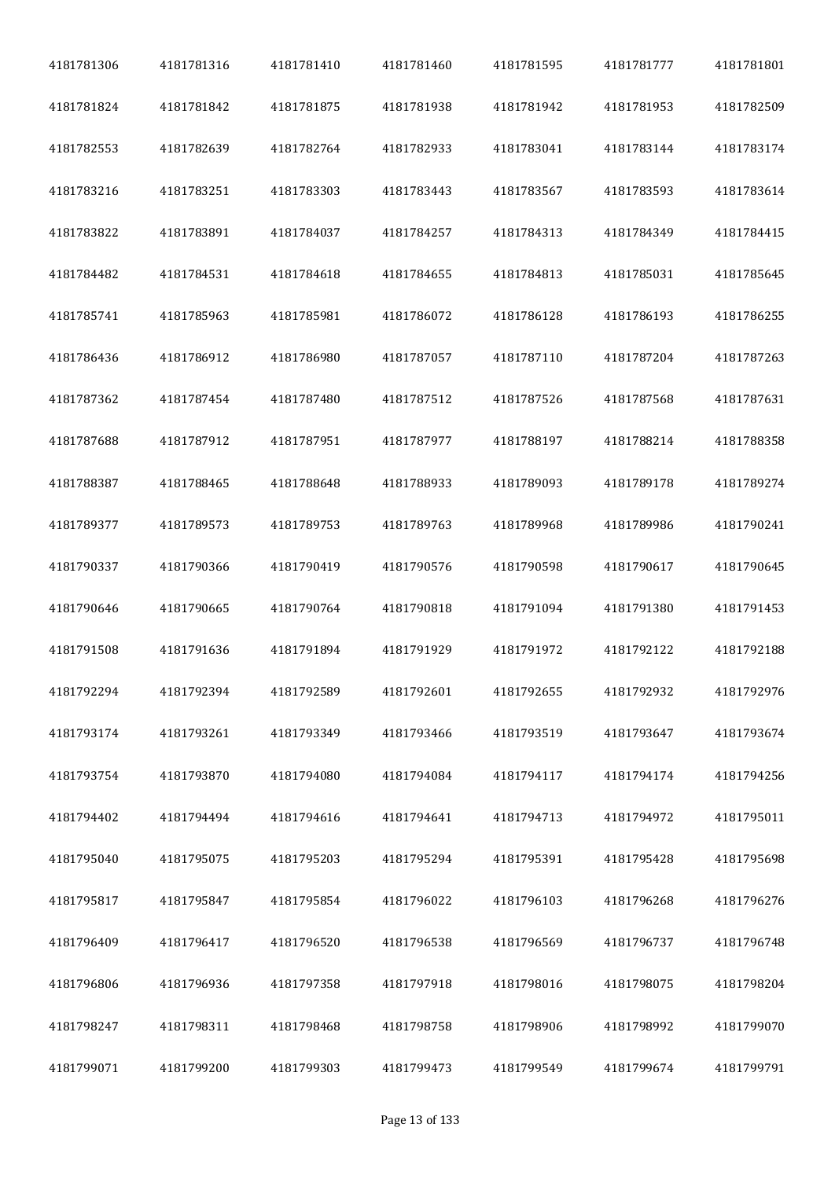| 4181781306 | 4181781316 | 4181781410 | 4181781460 | 4181781595 | 4181781777 | 4181781801 |
|------------|------------|------------|------------|------------|------------|------------|
| 4181781824 | 4181781842 | 4181781875 | 4181781938 | 4181781942 | 4181781953 | 4181782509 |
| 4181782553 | 4181782639 | 4181782764 | 4181782933 | 4181783041 | 4181783144 | 4181783174 |
| 4181783216 | 4181783251 | 4181783303 | 4181783443 | 4181783567 | 4181783593 | 4181783614 |
| 4181783822 | 4181783891 | 4181784037 | 4181784257 | 4181784313 | 4181784349 | 4181784415 |
| 4181784482 | 4181784531 | 4181784618 | 4181784655 | 4181784813 | 4181785031 | 4181785645 |
| 4181785741 | 4181785963 | 4181785981 | 4181786072 | 4181786128 | 4181786193 | 4181786255 |
| 4181786436 | 4181786912 | 4181786980 | 4181787057 | 4181787110 | 4181787204 | 4181787263 |
| 4181787362 | 4181787454 | 4181787480 | 4181787512 | 4181787526 | 4181787568 | 4181787631 |
| 4181787688 | 4181787912 | 4181787951 | 4181787977 | 4181788197 | 4181788214 | 4181788358 |
| 4181788387 | 4181788465 | 4181788648 | 4181788933 | 4181789093 | 4181789178 | 4181789274 |
| 4181789377 | 4181789573 | 4181789753 | 4181789763 | 4181789968 | 4181789986 | 4181790241 |
| 4181790337 | 4181790366 | 4181790419 | 4181790576 | 4181790598 | 4181790617 | 4181790645 |
| 4181790646 | 4181790665 | 4181790764 | 4181790818 | 4181791094 | 4181791380 | 4181791453 |
| 4181791508 | 4181791636 | 4181791894 | 4181791929 | 4181791972 | 4181792122 | 4181792188 |
| 4181792294 | 4181792394 | 4181792589 | 4181792601 | 4181792655 | 4181792932 | 4181792976 |
| 4181793174 | 4181793261 | 4181793349 | 4181793466 | 4181793519 | 4181793647 | 4181793674 |
| 4181793754 | 4181793870 | 4181794080 | 4181794084 | 4181794117 | 4181794174 | 4181794256 |
| 4181794402 | 4181794494 | 4181794616 | 4181794641 | 4181794713 | 4181794972 | 4181795011 |
| 4181795040 | 4181795075 | 4181795203 | 4181795294 | 4181795391 | 4181795428 | 4181795698 |
| 4181795817 | 4181795847 | 4181795854 | 4181796022 | 4181796103 | 4181796268 | 4181796276 |
| 4181796409 | 4181796417 | 4181796520 | 4181796538 | 4181796569 | 4181796737 | 4181796748 |
| 4181796806 | 4181796936 | 4181797358 | 4181797918 | 4181798016 | 4181798075 | 4181798204 |
| 4181798247 | 4181798311 | 4181798468 | 4181798758 | 4181798906 | 4181798992 | 4181799070 |
| 4181799071 | 4181799200 | 4181799303 | 4181799473 | 4181799549 | 4181799674 | 4181799791 |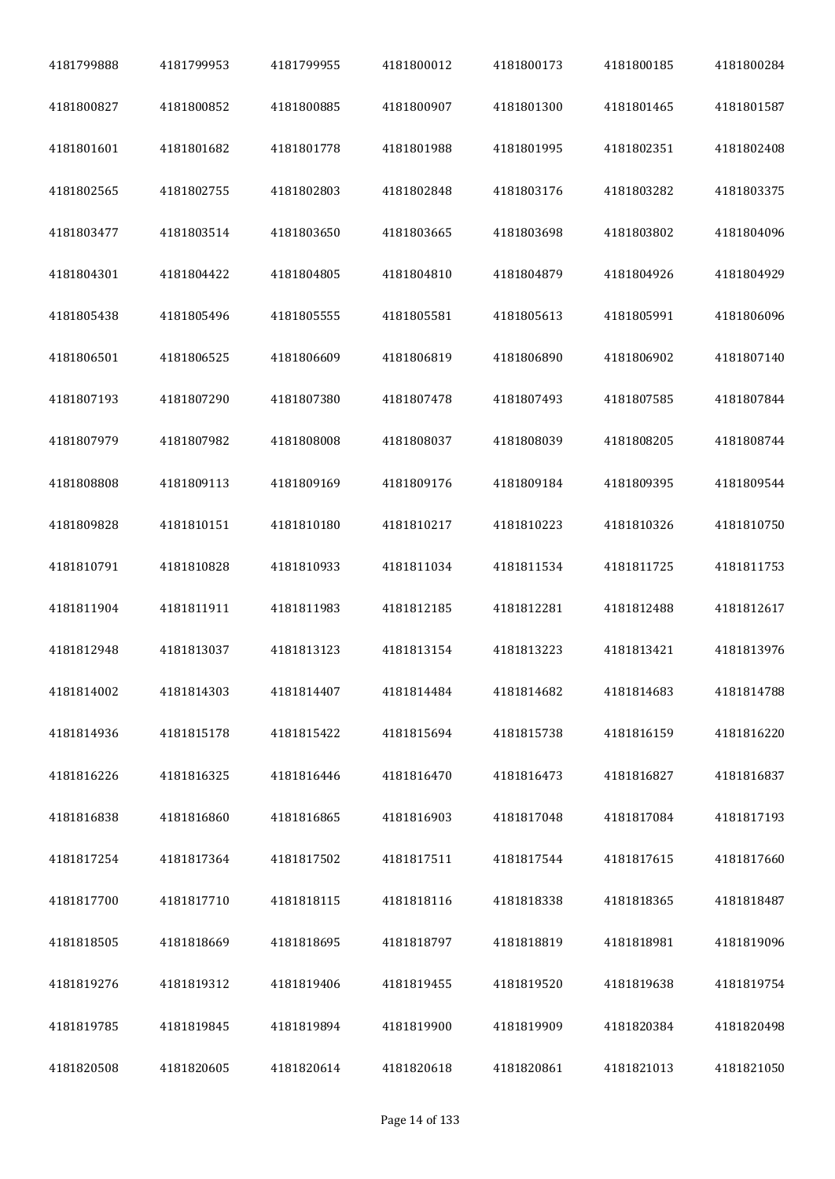| 4181799888 | 4181799953 | 4181799955 | 4181800012 | 4181800173 | 4181800185 | 4181800284 |
|------------|------------|------------|------------|------------|------------|------------|
| 4181800827 | 4181800852 | 4181800885 | 4181800907 | 4181801300 | 4181801465 | 4181801587 |
| 4181801601 | 4181801682 | 4181801778 | 4181801988 | 4181801995 | 4181802351 | 4181802408 |
| 4181802565 | 4181802755 | 4181802803 | 4181802848 | 4181803176 | 4181803282 | 4181803375 |
| 4181803477 | 4181803514 | 4181803650 | 4181803665 | 4181803698 | 4181803802 | 4181804096 |
| 4181804301 | 4181804422 | 4181804805 | 4181804810 | 4181804879 | 4181804926 | 4181804929 |
| 4181805438 | 4181805496 | 4181805555 | 4181805581 | 4181805613 | 4181805991 | 4181806096 |
| 4181806501 | 4181806525 | 4181806609 | 4181806819 | 4181806890 | 4181806902 | 4181807140 |
| 4181807193 | 4181807290 | 4181807380 | 4181807478 | 4181807493 | 4181807585 | 4181807844 |
| 4181807979 | 4181807982 | 4181808008 | 4181808037 | 4181808039 | 4181808205 | 4181808744 |
| 4181808808 | 4181809113 | 4181809169 | 4181809176 | 4181809184 | 4181809395 | 4181809544 |
| 4181809828 | 4181810151 | 4181810180 | 4181810217 | 4181810223 | 4181810326 | 4181810750 |
| 4181810791 | 4181810828 | 4181810933 | 4181811034 | 4181811534 | 4181811725 | 4181811753 |
| 4181811904 | 4181811911 | 4181811983 | 4181812185 | 4181812281 | 4181812488 | 4181812617 |
| 4181812948 | 4181813037 | 4181813123 | 4181813154 | 4181813223 | 4181813421 | 4181813976 |
| 4181814002 | 4181814303 | 4181814407 | 4181814484 | 4181814682 | 4181814683 | 4181814788 |
| 4181814936 | 4181815178 | 4181815422 | 4181815694 | 4181815738 | 4181816159 | 4181816220 |
| 4181816226 | 4181816325 | 4181816446 | 4181816470 | 4181816473 | 4181816827 | 4181816837 |
| 4181816838 | 4181816860 | 4181816865 | 4181816903 | 4181817048 | 4181817084 | 4181817193 |
| 4181817254 | 4181817364 | 4181817502 | 4181817511 | 4181817544 | 4181817615 | 4181817660 |
| 4181817700 | 4181817710 | 4181818115 | 4181818116 | 4181818338 | 4181818365 | 4181818487 |
| 4181818505 | 4181818669 | 4181818695 | 4181818797 | 4181818819 | 4181818981 | 4181819096 |
| 4181819276 | 4181819312 | 4181819406 | 4181819455 | 4181819520 | 4181819638 | 4181819754 |
| 4181819785 | 4181819845 | 4181819894 | 4181819900 | 4181819909 | 4181820384 | 4181820498 |
| 4181820508 | 4181820605 | 4181820614 | 4181820618 | 4181820861 | 4181821013 | 4181821050 |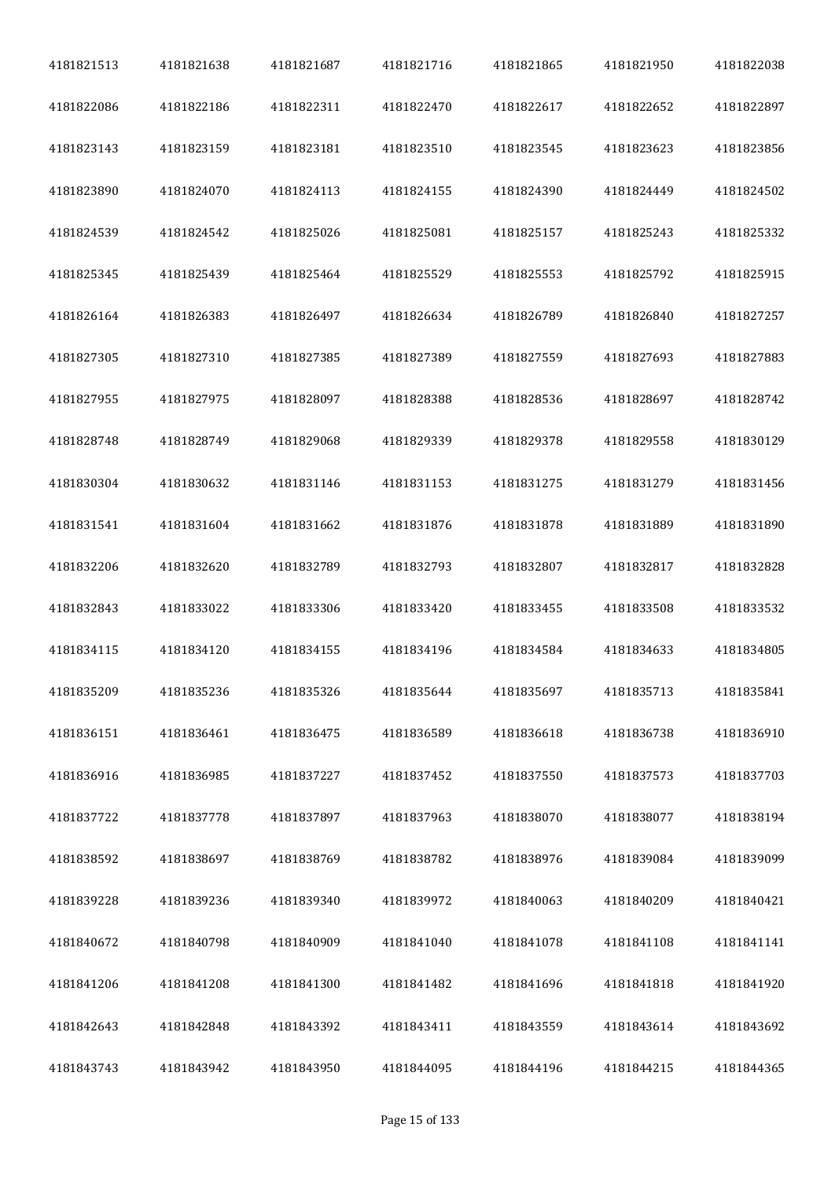| 4181821513 | 4181821638 | 4181821687 | 4181821716 | 4181821865 | 4181821950 | 4181822038 |
|------------|------------|------------|------------|------------|------------|------------|
| 4181822086 | 4181822186 | 4181822311 | 4181822470 | 4181822617 | 4181822652 | 4181822897 |
| 4181823143 | 4181823159 | 4181823181 | 4181823510 | 4181823545 | 4181823623 | 4181823856 |
| 4181823890 | 4181824070 | 4181824113 | 4181824155 | 4181824390 | 4181824449 | 4181824502 |
| 4181824539 | 4181824542 | 4181825026 | 4181825081 | 4181825157 | 4181825243 | 4181825332 |
| 4181825345 | 4181825439 | 4181825464 | 4181825529 | 4181825553 | 4181825792 | 4181825915 |
| 4181826164 | 4181826383 | 4181826497 | 4181826634 | 4181826789 | 4181826840 | 4181827257 |
| 4181827305 | 4181827310 | 4181827385 | 4181827389 | 4181827559 | 4181827693 | 4181827883 |
| 4181827955 | 4181827975 | 4181828097 | 4181828388 | 4181828536 | 4181828697 | 4181828742 |
| 4181828748 | 4181828749 | 4181829068 | 4181829339 | 4181829378 | 4181829558 | 4181830129 |
| 4181830304 | 4181830632 | 4181831146 | 4181831153 | 4181831275 | 4181831279 | 4181831456 |
| 4181831541 | 4181831604 | 4181831662 | 4181831876 | 4181831878 | 4181831889 | 4181831890 |
| 4181832206 | 4181832620 | 4181832789 | 4181832793 | 4181832807 | 4181832817 | 4181832828 |
| 4181832843 | 4181833022 | 4181833306 | 4181833420 | 4181833455 | 4181833508 | 4181833532 |
| 4181834115 | 4181834120 | 4181834155 | 4181834196 | 4181834584 | 4181834633 | 4181834805 |
| 4181835209 | 4181835236 | 4181835326 | 4181835644 | 4181835697 | 4181835713 | 4181835841 |
| 4181836151 | 4181836461 | 4181836475 | 4181836589 | 4181836618 | 4181836738 | 4181836910 |
| 4181836916 | 4181836985 | 4181837227 | 4181837452 | 4181837550 | 4181837573 | 4181837703 |
| 4181837722 | 4181837778 | 4181837897 | 4181837963 | 4181838070 | 4181838077 | 4181838194 |
| 4181838592 | 4181838697 | 4181838769 | 4181838782 | 4181838976 | 4181839084 | 4181839099 |
| 4181839228 | 4181839236 | 4181839340 | 4181839972 | 4181840063 | 4181840209 | 4181840421 |
| 4181840672 | 4181840798 | 4181840909 | 4181841040 | 4181841078 | 4181841108 | 4181841141 |
| 4181841206 | 4181841208 | 4181841300 | 4181841482 | 4181841696 | 4181841818 | 4181841920 |
| 4181842643 | 4181842848 | 4181843392 | 4181843411 | 4181843559 | 4181843614 | 4181843692 |
| 4181843743 | 4181843942 | 4181843950 | 4181844095 | 4181844196 | 4181844215 | 4181844365 |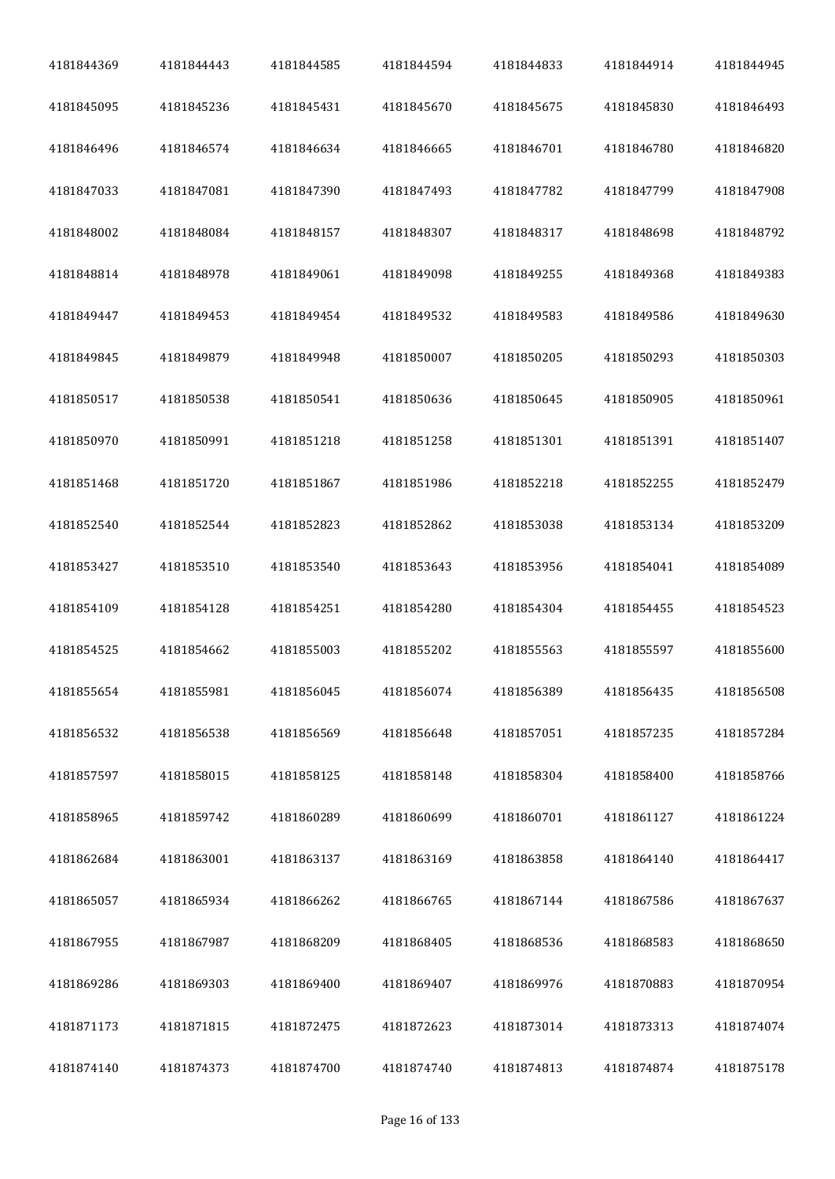| 4181844369 | 4181844443 | 4181844585 | 4181844594 | 4181844833 | 4181844914 | 4181844945 |
|------------|------------|------------|------------|------------|------------|------------|
| 4181845095 | 4181845236 | 4181845431 | 4181845670 | 4181845675 | 4181845830 | 4181846493 |
| 4181846496 | 4181846574 | 4181846634 | 4181846665 | 4181846701 | 4181846780 | 4181846820 |
| 4181847033 | 4181847081 | 4181847390 | 4181847493 | 4181847782 | 4181847799 | 4181847908 |
| 4181848002 | 4181848084 | 4181848157 | 4181848307 | 4181848317 | 4181848698 | 4181848792 |
| 4181848814 | 4181848978 | 4181849061 | 4181849098 | 4181849255 | 4181849368 | 4181849383 |
| 4181849447 | 4181849453 | 4181849454 | 4181849532 | 4181849583 | 4181849586 | 4181849630 |
| 4181849845 | 4181849879 | 4181849948 | 4181850007 | 4181850205 | 4181850293 | 4181850303 |
| 4181850517 | 4181850538 | 4181850541 | 4181850636 | 4181850645 | 4181850905 | 4181850961 |
| 4181850970 | 4181850991 | 4181851218 | 4181851258 | 4181851301 | 4181851391 | 4181851407 |
| 4181851468 | 4181851720 | 4181851867 | 4181851986 | 4181852218 | 4181852255 | 4181852479 |
| 4181852540 | 4181852544 | 4181852823 | 4181852862 | 4181853038 | 4181853134 | 4181853209 |
| 4181853427 | 4181853510 | 4181853540 | 4181853643 | 4181853956 | 4181854041 | 4181854089 |
| 4181854109 | 4181854128 | 4181854251 | 4181854280 | 4181854304 | 4181854455 | 4181854523 |
| 4181854525 | 4181854662 | 4181855003 | 4181855202 | 4181855563 | 4181855597 | 4181855600 |
| 4181855654 | 4181855981 | 4181856045 | 4181856074 | 4181856389 | 4181856435 | 4181856508 |
| 4181856532 | 4181856538 | 4181856569 | 4181856648 | 4181857051 | 4181857235 | 4181857284 |
| 4181857597 | 4181858015 | 4181858125 | 4181858148 | 4181858304 | 4181858400 | 4181858766 |
| 4181858965 | 4181859742 | 4181860289 | 4181860699 | 4181860701 | 4181861127 | 4181861224 |
| 4181862684 | 4181863001 | 4181863137 | 4181863169 | 4181863858 | 4181864140 | 4181864417 |
| 4181865057 | 4181865934 | 4181866262 | 4181866765 | 4181867144 | 4181867586 | 4181867637 |
| 4181867955 | 4181867987 | 4181868209 | 4181868405 | 4181868536 | 4181868583 | 4181868650 |
| 4181869286 | 4181869303 | 4181869400 | 4181869407 | 4181869976 | 4181870883 | 4181870954 |
| 4181871173 | 4181871815 | 4181872475 | 4181872623 | 4181873014 | 4181873313 | 4181874074 |
| 4181874140 | 4181874373 | 4181874700 | 4181874740 | 4181874813 | 4181874874 | 4181875178 |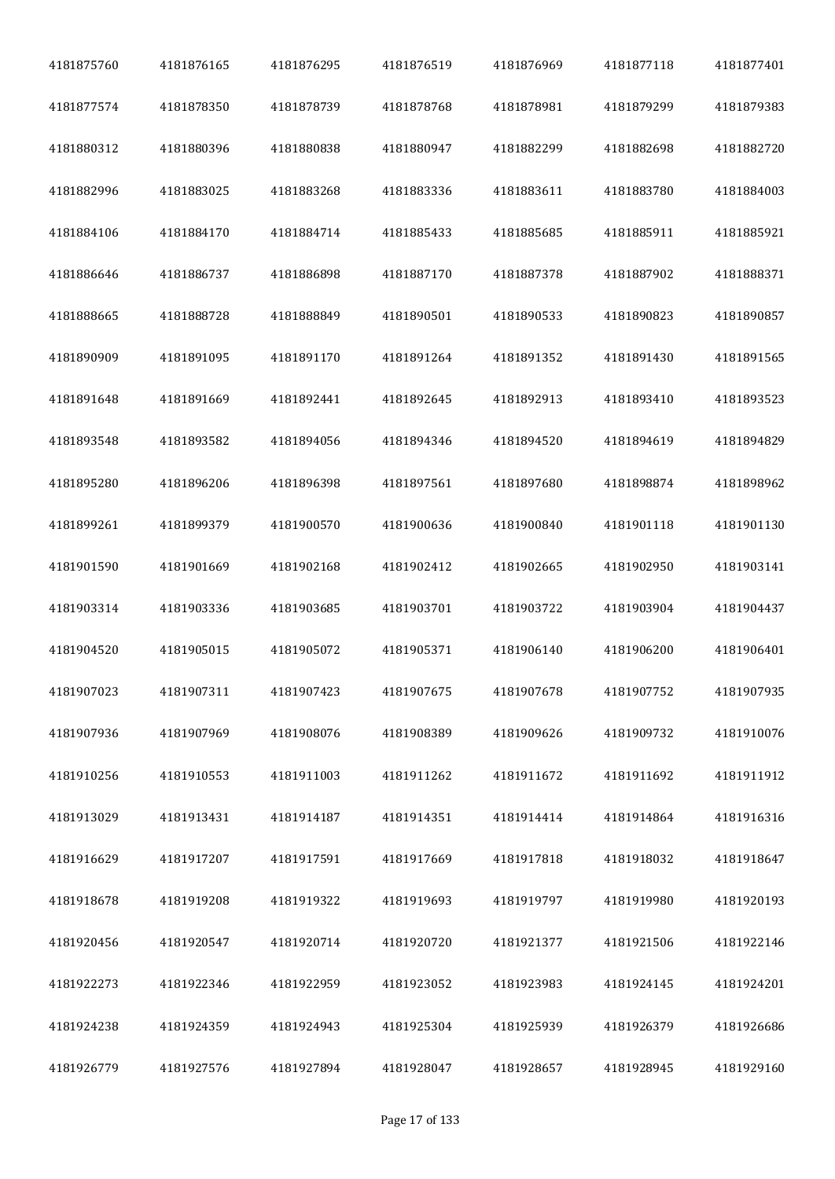| 4181875760 | 4181876165 | 4181876295 | 4181876519 | 4181876969 | 4181877118 | 4181877401 |
|------------|------------|------------|------------|------------|------------|------------|
| 4181877574 | 4181878350 | 4181878739 | 4181878768 | 4181878981 | 4181879299 | 4181879383 |
| 4181880312 | 4181880396 | 4181880838 | 4181880947 | 4181882299 | 4181882698 | 4181882720 |
| 4181882996 | 4181883025 | 4181883268 | 4181883336 | 4181883611 | 4181883780 | 4181884003 |
| 4181884106 | 4181884170 | 4181884714 | 4181885433 | 4181885685 | 4181885911 | 4181885921 |
| 4181886646 | 4181886737 | 4181886898 | 4181887170 | 4181887378 | 4181887902 | 4181888371 |
| 4181888665 | 4181888728 | 4181888849 | 4181890501 | 4181890533 | 4181890823 | 4181890857 |
| 4181890909 | 4181891095 | 4181891170 | 4181891264 | 4181891352 | 4181891430 | 4181891565 |
| 4181891648 | 4181891669 | 4181892441 | 4181892645 | 4181892913 | 4181893410 | 4181893523 |
| 4181893548 | 4181893582 | 4181894056 | 4181894346 | 4181894520 | 4181894619 | 4181894829 |
| 4181895280 | 4181896206 | 4181896398 | 4181897561 | 4181897680 | 4181898874 | 4181898962 |
| 4181899261 | 4181899379 | 4181900570 | 4181900636 | 4181900840 | 4181901118 | 4181901130 |
| 4181901590 | 4181901669 | 4181902168 | 4181902412 | 4181902665 | 4181902950 | 4181903141 |
| 4181903314 | 4181903336 | 4181903685 | 4181903701 | 4181903722 | 4181903904 | 4181904437 |
| 4181904520 | 4181905015 | 4181905072 | 4181905371 | 4181906140 | 4181906200 | 4181906401 |
| 4181907023 | 4181907311 | 4181907423 | 4181907675 | 4181907678 | 4181907752 | 4181907935 |
| 4181907936 | 4181907969 | 4181908076 | 4181908389 | 4181909626 | 4181909732 | 4181910076 |
| 4181910256 | 4181910553 | 4181911003 | 4181911262 | 4181911672 | 4181911692 | 4181911912 |
| 4181913029 | 4181913431 | 4181914187 | 4181914351 | 4181914414 | 4181914864 | 4181916316 |
| 4181916629 | 4181917207 | 4181917591 | 4181917669 | 4181917818 | 4181918032 | 4181918647 |
| 4181918678 | 4181919208 | 4181919322 | 4181919693 | 4181919797 | 4181919980 | 4181920193 |
| 4181920456 | 4181920547 | 4181920714 | 4181920720 | 4181921377 | 4181921506 | 4181922146 |
| 4181922273 | 4181922346 | 4181922959 | 4181923052 | 4181923983 | 4181924145 | 4181924201 |
| 4181924238 | 4181924359 | 4181924943 | 4181925304 | 4181925939 | 4181926379 | 4181926686 |
| 4181926779 | 4181927576 | 4181927894 | 4181928047 | 4181928657 | 4181928945 | 4181929160 |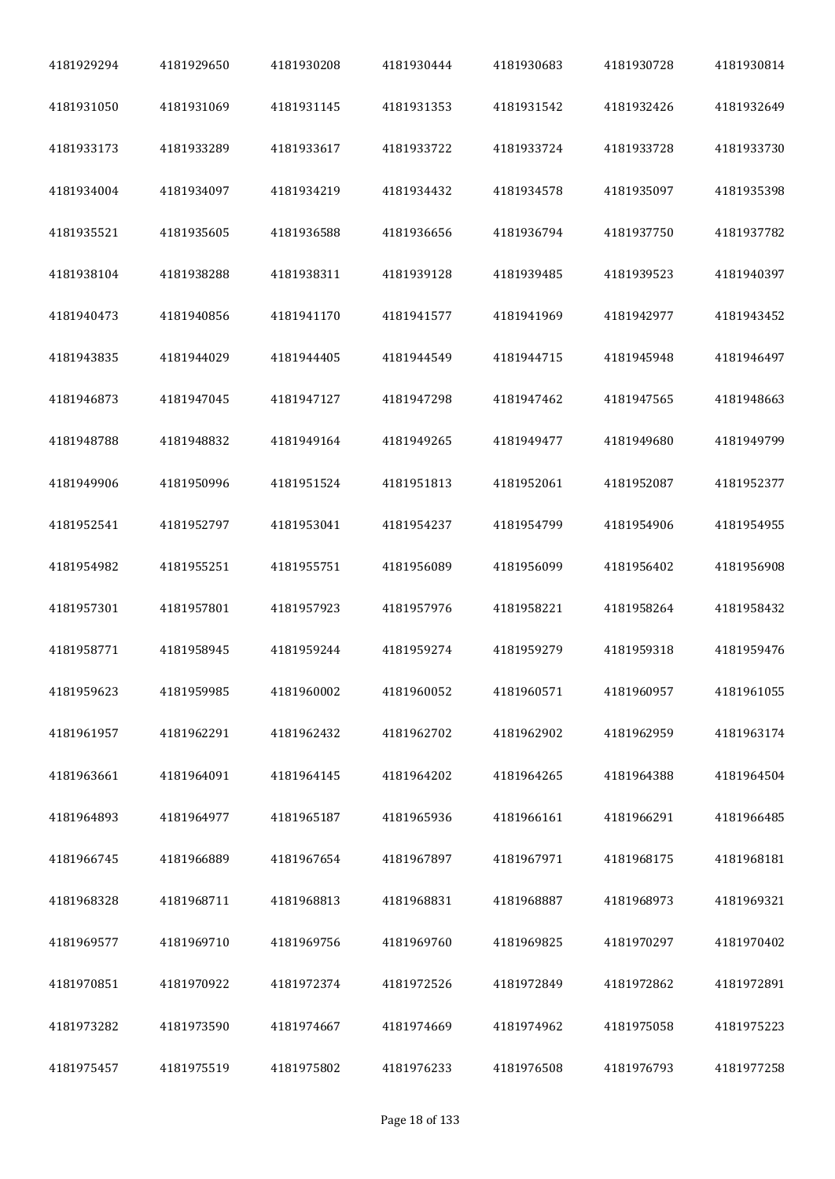| 4181929294 | 4181929650 | 4181930208 | 4181930444 | 4181930683 | 4181930728 | 4181930814 |
|------------|------------|------------|------------|------------|------------|------------|
| 4181931050 | 4181931069 | 4181931145 | 4181931353 | 4181931542 | 4181932426 | 4181932649 |
| 4181933173 | 4181933289 | 4181933617 | 4181933722 | 4181933724 | 4181933728 | 4181933730 |
| 4181934004 | 4181934097 | 4181934219 | 4181934432 | 4181934578 | 4181935097 | 4181935398 |
| 4181935521 | 4181935605 | 4181936588 | 4181936656 | 4181936794 | 4181937750 | 4181937782 |
| 4181938104 | 4181938288 | 4181938311 | 4181939128 | 4181939485 | 4181939523 | 4181940397 |
| 4181940473 | 4181940856 | 4181941170 | 4181941577 | 4181941969 | 4181942977 | 4181943452 |
| 4181943835 | 4181944029 | 4181944405 | 4181944549 | 4181944715 | 4181945948 | 4181946497 |
| 4181946873 | 4181947045 | 4181947127 | 4181947298 | 4181947462 | 4181947565 | 4181948663 |
| 4181948788 | 4181948832 | 4181949164 | 4181949265 | 4181949477 | 4181949680 | 4181949799 |
| 4181949906 | 4181950996 | 4181951524 | 4181951813 | 4181952061 | 4181952087 | 4181952377 |
| 4181952541 | 4181952797 | 4181953041 | 4181954237 | 4181954799 | 4181954906 | 4181954955 |
| 4181954982 | 4181955251 | 4181955751 | 4181956089 | 4181956099 | 4181956402 | 4181956908 |
| 4181957301 | 4181957801 | 4181957923 | 4181957976 | 4181958221 | 4181958264 | 4181958432 |
| 4181958771 | 4181958945 | 4181959244 | 4181959274 | 4181959279 | 4181959318 | 4181959476 |
| 4181959623 | 4181959985 | 4181960002 | 4181960052 | 4181960571 | 4181960957 | 4181961055 |
| 4181961957 | 4181962291 | 4181962432 | 4181962702 | 4181962902 | 4181962959 | 4181963174 |
| 4181963661 | 4181964091 | 4181964145 | 4181964202 | 4181964265 | 4181964388 | 4181964504 |
| 4181964893 | 4181964977 | 4181965187 | 4181965936 | 4181966161 | 4181966291 | 4181966485 |
| 4181966745 | 4181966889 | 4181967654 | 4181967897 | 4181967971 | 4181968175 | 4181968181 |
| 4181968328 | 4181968711 | 4181968813 | 4181968831 | 4181968887 | 4181968973 | 4181969321 |
| 4181969577 | 4181969710 | 4181969756 | 4181969760 | 4181969825 | 4181970297 | 4181970402 |
| 4181970851 | 4181970922 | 4181972374 | 4181972526 | 4181972849 | 4181972862 | 4181972891 |
| 4181973282 | 4181973590 | 4181974667 | 4181974669 | 4181974962 | 4181975058 | 4181975223 |
| 4181975457 | 4181975519 | 4181975802 | 4181976233 | 4181976508 | 4181976793 | 4181977258 |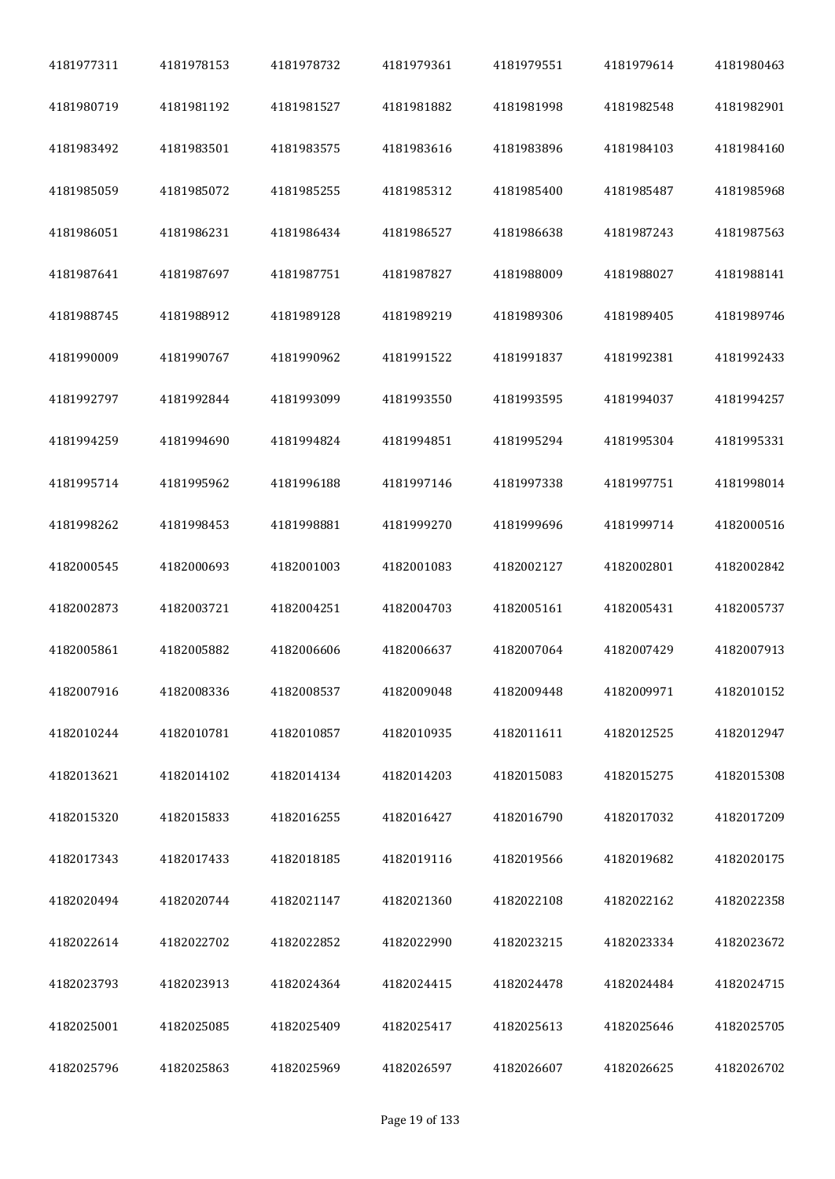| 4181977311 | 4181978153 | 4181978732 | 4181979361 | 4181979551 | 4181979614 | 4181980463 |
|------------|------------|------------|------------|------------|------------|------------|
| 4181980719 | 4181981192 | 4181981527 | 4181981882 | 4181981998 | 4181982548 | 4181982901 |
| 4181983492 | 4181983501 | 4181983575 | 4181983616 | 4181983896 | 4181984103 | 4181984160 |
| 4181985059 | 4181985072 | 4181985255 | 4181985312 | 4181985400 | 4181985487 | 4181985968 |
| 4181986051 | 4181986231 | 4181986434 | 4181986527 | 4181986638 | 4181987243 | 4181987563 |
| 4181987641 | 4181987697 | 4181987751 | 4181987827 | 4181988009 | 4181988027 | 4181988141 |
| 4181988745 | 4181988912 | 4181989128 | 4181989219 | 4181989306 | 4181989405 | 4181989746 |
| 4181990009 | 4181990767 | 4181990962 | 4181991522 | 4181991837 | 4181992381 | 4181992433 |
| 4181992797 | 4181992844 | 4181993099 | 4181993550 | 4181993595 | 4181994037 | 4181994257 |
| 4181994259 | 4181994690 | 4181994824 | 4181994851 | 4181995294 | 4181995304 | 4181995331 |
| 4181995714 | 4181995962 | 4181996188 | 4181997146 | 4181997338 | 4181997751 | 4181998014 |
| 4181998262 | 4181998453 | 4181998881 | 4181999270 | 4181999696 | 4181999714 | 4182000516 |
| 4182000545 | 4182000693 | 4182001003 | 4182001083 | 4182002127 | 4182002801 | 4182002842 |
| 4182002873 | 4182003721 | 4182004251 | 4182004703 | 4182005161 | 4182005431 | 4182005737 |
| 4182005861 | 4182005882 | 4182006606 | 4182006637 | 4182007064 | 4182007429 | 4182007913 |
| 4182007916 | 4182008336 | 4182008537 | 4182009048 | 4182009448 | 4182009971 | 4182010152 |
| 4182010244 | 4182010781 | 4182010857 | 4182010935 | 4182011611 | 4182012525 | 4182012947 |
| 4182013621 | 4182014102 | 4182014134 | 4182014203 | 4182015083 | 4182015275 | 4182015308 |
| 4182015320 | 4182015833 | 4182016255 | 4182016427 | 4182016790 | 4182017032 | 4182017209 |
| 4182017343 | 4182017433 | 4182018185 | 4182019116 | 4182019566 | 4182019682 | 4182020175 |
| 4182020494 | 4182020744 | 4182021147 | 4182021360 | 4182022108 | 4182022162 | 4182022358 |
| 4182022614 | 4182022702 | 4182022852 | 4182022990 | 4182023215 | 4182023334 | 4182023672 |
| 4182023793 | 4182023913 | 4182024364 | 4182024415 | 4182024478 | 4182024484 | 4182024715 |
| 4182025001 | 4182025085 | 4182025409 | 4182025417 | 4182025613 | 4182025646 | 4182025705 |
| 4182025796 | 4182025863 | 4182025969 | 4182026597 | 4182026607 | 4182026625 | 4182026702 |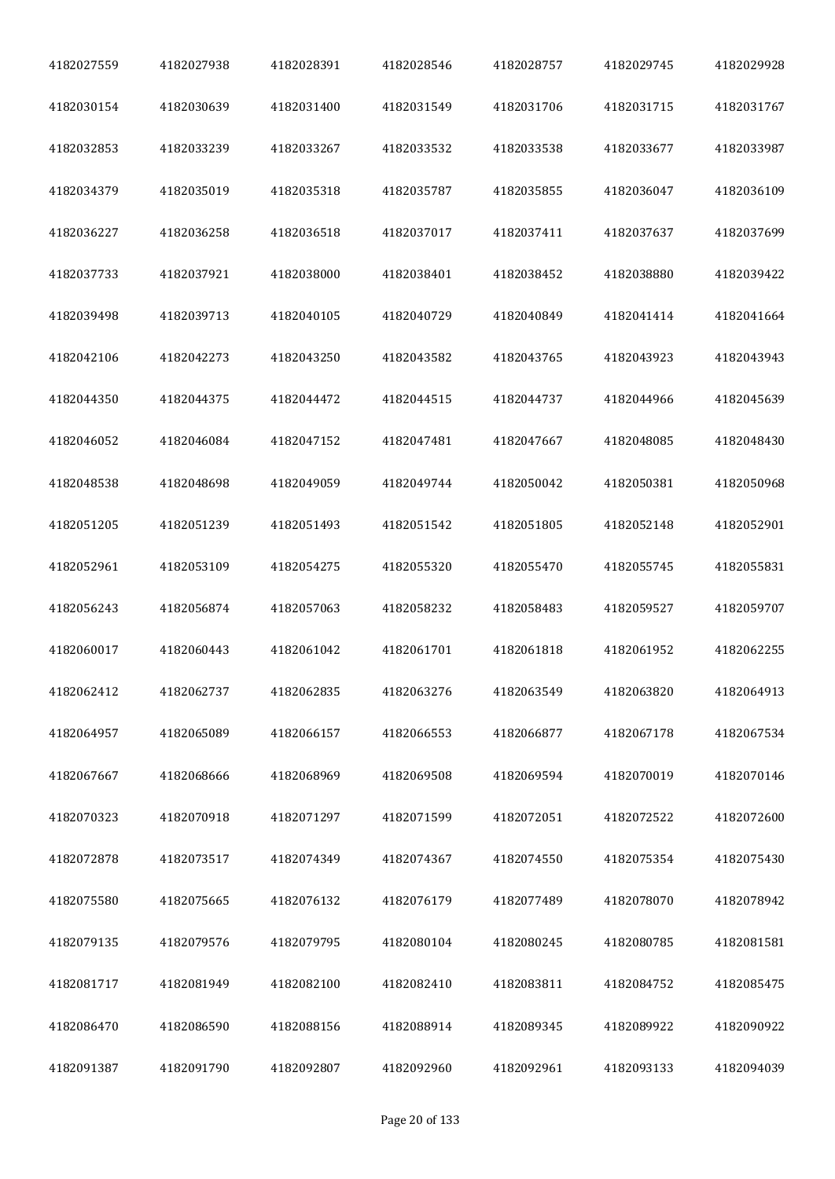| 4182027559 | 4182027938 | 4182028391 | 4182028546 | 4182028757 | 4182029745 | 4182029928 |
|------------|------------|------------|------------|------------|------------|------------|
| 4182030154 | 4182030639 | 4182031400 | 4182031549 | 4182031706 | 4182031715 | 4182031767 |
| 4182032853 | 4182033239 | 4182033267 | 4182033532 | 4182033538 | 4182033677 | 4182033987 |
| 4182034379 | 4182035019 | 4182035318 | 4182035787 | 4182035855 | 4182036047 | 4182036109 |
| 4182036227 | 4182036258 | 4182036518 | 4182037017 | 4182037411 | 4182037637 | 4182037699 |
| 4182037733 | 4182037921 | 4182038000 | 4182038401 | 4182038452 | 4182038880 | 4182039422 |
| 4182039498 | 4182039713 | 4182040105 | 4182040729 | 4182040849 | 4182041414 | 4182041664 |
| 4182042106 | 4182042273 | 4182043250 | 4182043582 | 4182043765 | 4182043923 | 4182043943 |
| 4182044350 | 4182044375 | 4182044472 | 4182044515 | 4182044737 | 4182044966 | 4182045639 |
| 4182046052 | 4182046084 | 4182047152 | 4182047481 | 4182047667 | 4182048085 | 4182048430 |
| 4182048538 | 4182048698 | 4182049059 | 4182049744 | 4182050042 | 4182050381 | 4182050968 |
| 4182051205 | 4182051239 | 4182051493 | 4182051542 | 4182051805 | 4182052148 | 4182052901 |
| 4182052961 | 4182053109 | 4182054275 | 4182055320 | 4182055470 | 4182055745 | 4182055831 |
| 4182056243 | 4182056874 | 4182057063 | 4182058232 | 4182058483 | 4182059527 | 4182059707 |
| 4182060017 | 4182060443 | 4182061042 | 4182061701 | 4182061818 | 4182061952 | 4182062255 |
| 4182062412 | 4182062737 | 4182062835 | 4182063276 | 4182063549 | 4182063820 | 4182064913 |
| 4182064957 | 4182065089 | 4182066157 | 4182066553 | 4182066877 | 4182067178 | 4182067534 |
| 4182067667 | 4182068666 | 4182068969 | 4182069508 | 4182069594 | 4182070019 | 4182070146 |
| 4182070323 | 4182070918 | 4182071297 | 4182071599 | 4182072051 | 4182072522 | 4182072600 |
| 4182072878 | 4182073517 | 4182074349 | 4182074367 | 4182074550 | 4182075354 | 4182075430 |
| 4182075580 | 4182075665 | 4182076132 | 4182076179 | 4182077489 | 4182078070 | 4182078942 |
| 4182079135 | 4182079576 | 4182079795 | 4182080104 | 4182080245 | 4182080785 | 4182081581 |
| 4182081717 | 4182081949 | 4182082100 | 4182082410 | 4182083811 | 4182084752 | 4182085475 |
| 4182086470 | 4182086590 | 4182088156 | 4182088914 | 4182089345 | 4182089922 | 4182090922 |
| 4182091387 | 4182091790 | 4182092807 | 4182092960 | 4182092961 | 4182093133 | 4182094039 |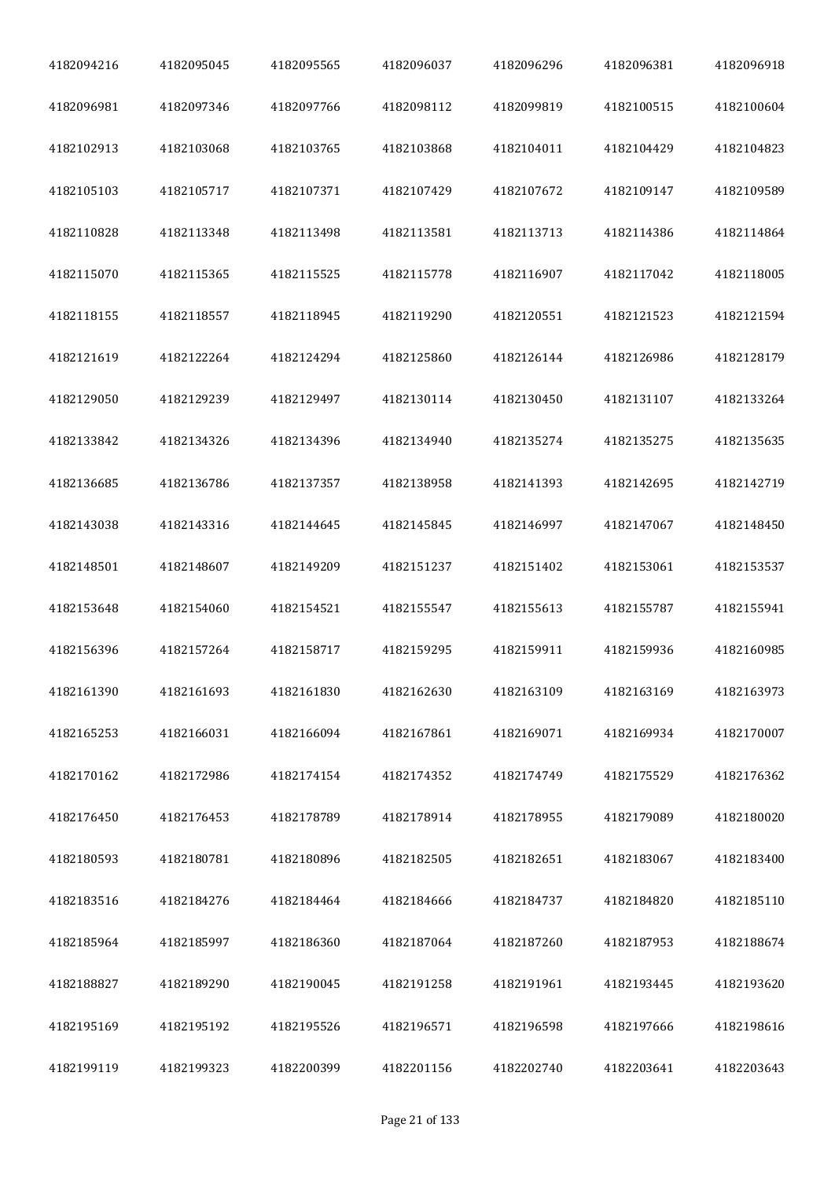| 4182094216 | 4182095045 | 4182095565 | 4182096037 | 4182096296 | 4182096381 | 4182096918 |
|------------|------------|------------|------------|------------|------------|------------|
| 4182096981 | 4182097346 | 4182097766 | 4182098112 | 4182099819 | 4182100515 | 4182100604 |
| 4182102913 | 4182103068 | 4182103765 | 4182103868 | 4182104011 | 4182104429 | 4182104823 |
| 4182105103 | 4182105717 | 4182107371 | 4182107429 | 4182107672 | 4182109147 | 4182109589 |
| 4182110828 | 4182113348 | 4182113498 | 4182113581 | 4182113713 | 4182114386 | 4182114864 |
| 4182115070 | 4182115365 | 4182115525 | 4182115778 | 4182116907 | 4182117042 | 4182118005 |
| 4182118155 | 4182118557 | 4182118945 | 4182119290 | 4182120551 | 4182121523 | 4182121594 |
| 4182121619 | 4182122264 | 4182124294 | 4182125860 | 4182126144 | 4182126986 | 4182128179 |
| 4182129050 | 4182129239 | 4182129497 | 4182130114 | 4182130450 | 4182131107 | 4182133264 |
| 4182133842 | 4182134326 | 4182134396 | 4182134940 | 4182135274 | 4182135275 | 4182135635 |
| 4182136685 | 4182136786 | 4182137357 | 4182138958 | 4182141393 | 4182142695 | 4182142719 |
| 4182143038 | 4182143316 | 4182144645 | 4182145845 | 4182146997 | 4182147067 | 4182148450 |
| 4182148501 | 4182148607 | 4182149209 | 4182151237 | 4182151402 | 4182153061 | 4182153537 |
| 4182153648 | 4182154060 | 4182154521 | 4182155547 | 4182155613 | 4182155787 | 4182155941 |
| 4182156396 | 4182157264 | 4182158717 | 4182159295 | 4182159911 | 4182159936 | 4182160985 |
| 4182161390 | 4182161693 | 4182161830 | 4182162630 | 4182163109 | 4182163169 | 4182163973 |
| 4182165253 | 4182166031 | 4182166094 | 4182167861 | 4182169071 | 4182169934 | 4182170007 |
| 4182170162 | 4182172986 | 4182174154 | 4182174352 | 4182174749 | 4182175529 | 4182176362 |
| 4182176450 | 4182176453 | 4182178789 | 4182178914 | 4182178955 | 4182179089 | 4182180020 |
| 4182180593 | 4182180781 | 4182180896 | 4182182505 | 4182182651 | 4182183067 | 4182183400 |
| 4182183516 | 4182184276 | 4182184464 | 4182184666 | 4182184737 | 4182184820 | 4182185110 |
| 4182185964 | 4182185997 | 4182186360 | 4182187064 | 4182187260 | 4182187953 | 4182188674 |
| 4182188827 | 4182189290 | 4182190045 | 4182191258 | 4182191961 | 4182193445 | 4182193620 |
| 4182195169 | 4182195192 | 4182195526 | 4182196571 | 4182196598 | 4182197666 | 4182198616 |
| 4182199119 | 4182199323 | 4182200399 | 4182201156 | 4182202740 | 4182203641 | 4182203643 |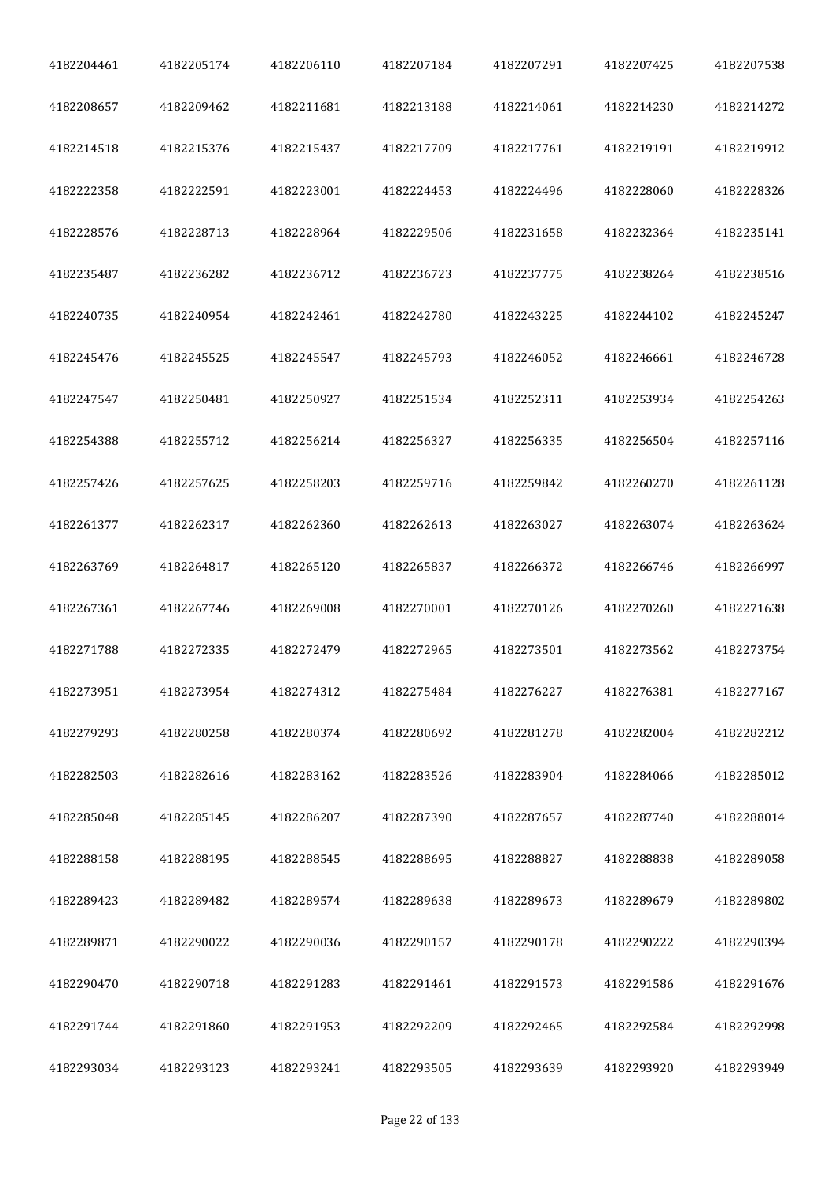| 4182204461 | 4182205174 | 4182206110 | 4182207184 | 4182207291 | 4182207425 | 4182207538 |
|------------|------------|------------|------------|------------|------------|------------|
| 4182208657 | 4182209462 | 4182211681 | 4182213188 | 4182214061 | 4182214230 | 4182214272 |
| 4182214518 | 4182215376 | 4182215437 | 4182217709 | 4182217761 | 4182219191 | 4182219912 |
| 4182222358 | 4182222591 | 4182223001 | 4182224453 | 4182224496 | 4182228060 | 4182228326 |
| 4182228576 | 4182228713 | 4182228964 | 4182229506 | 4182231658 | 4182232364 | 4182235141 |
| 4182235487 | 4182236282 | 4182236712 | 4182236723 | 4182237775 | 4182238264 | 4182238516 |
| 4182240735 | 4182240954 | 4182242461 | 4182242780 | 4182243225 | 4182244102 | 4182245247 |
| 4182245476 | 4182245525 | 4182245547 | 4182245793 | 4182246052 | 4182246661 | 4182246728 |
| 4182247547 | 4182250481 | 4182250927 | 4182251534 | 4182252311 | 4182253934 | 4182254263 |
| 4182254388 | 4182255712 | 4182256214 | 4182256327 | 4182256335 | 4182256504 | 4182257116 |
| 4182257426 | 4182257625 | 4182258203 | 4182259716 | 4182259842 | 4182260270 | 4182261128 |
| 4182261377 | 4182262317 | 4182262360 | 4182262613 | 4182263027 | 4182263074 | 4182263624 |
| 4182263769 | 4182264817 | 4182265120 | 4182265837 | 4182266372 | 4182266746 | 4182266997 |
| 4182267361 | 4182267746 | 4182269008 | 4182270001 | 4182270126 | 4182270260 | 4182271638 |
| 4182271788 | 4182272335 | 4182272479 | 4182272965 | 4182273501 | 4182273562 | 4182273754 |
| 4182273951 | 4182273954 | 4182274312 | 4182275484 | 4182276227 | 4182276381 | 4182277167 |
| 4182279293 | 4182280258 | 4182280374 | 4182280692 | 4182281278 | 4182282004 | 4182282212 |
| 4182282503 | 4182282616 | 4182283162 | 4182283526 | 4182283904 | 4182284066 | 4182285012 |
| 4182285048 | 4182285145 | 4182286207 | 4182287390 | 4182287657 | 4182287740 | 4182288014 |
| 4182288158 | 4182288195 | 4182288545 | 4182288695 | 4182288827 | 4182288838 | 4182289058 |
| 4182289423 | 4182289482 | 4182289574 | 4182289638 | 4182289673 | 4182289679 | 4182289802 |
| 4182289871 | 4182290022 | 4182290036 | 4182290157 | 4182290178 | 4182290222 | 4182290394 |
| 4182290470 | 4182290718 | 4182291283 | 4182291461 | 4182291573 | 4182291586 | 4182291676 |
| 4182291744 | 4182291860 | 4182291953 | 4182292209 | 4182292465 | 4182292584 | 4182292998 |
| 4182293034 | 4182293123 | 4182293241 | 4182293505 | 4182293639 | 4182293920 | 4182293949 |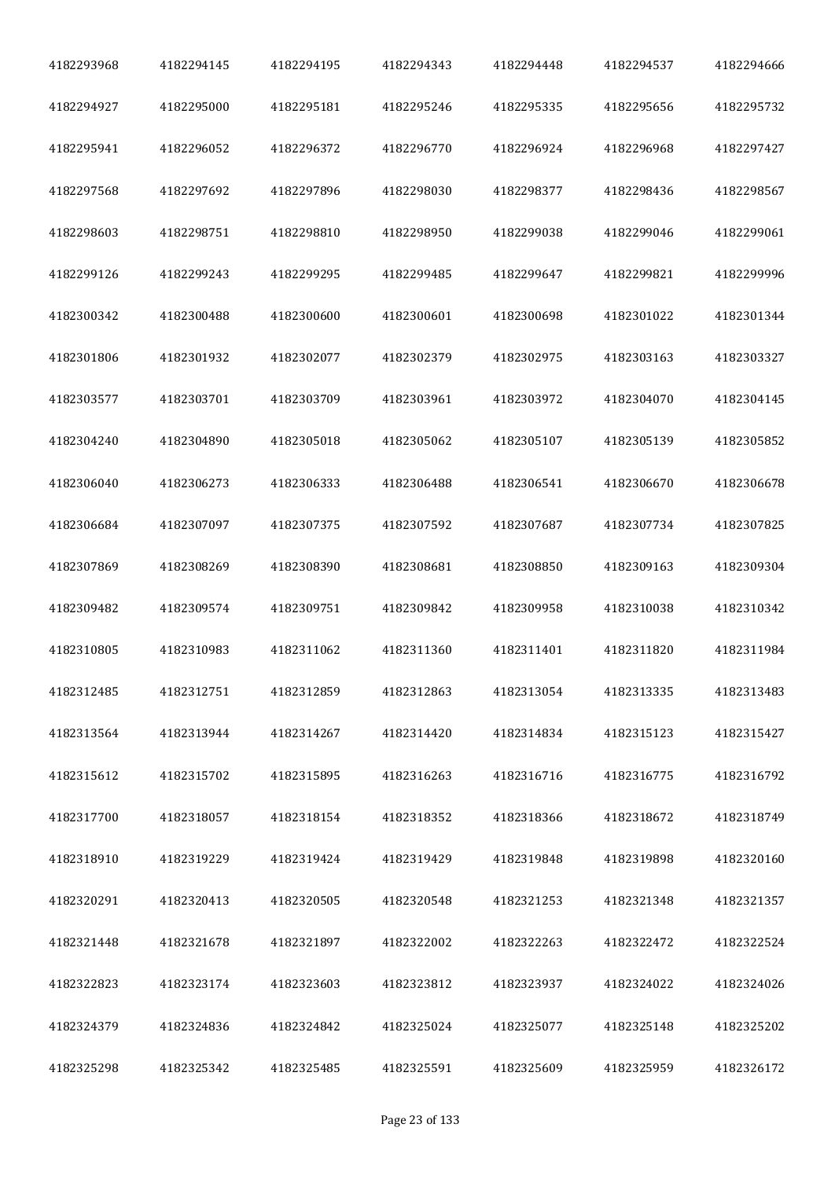| 4182293968 | 4182294145 | 4182294195 | 4182294343 | 4182294448 | 4182294537 | 4182294666 |
|------------|------------|------------|------------|------------|------------|------------|
| 4182294927 | 4182295000 | 4182295181 | 4182295246 | 4182295335 | 4182295656 | 4182295732 |
| 4182295941 | 4182296052 | 4182296372 | 4182296770 | 4182296924 | 4182296968 | 4182297427 |
| 4182297568 | 4182297692 | 4182297896 | 4182298030 | 4182298377 | 4182298436 | 4182298567 |
| 4182298603 | 4182298751 | 4182298810 | 4182298950 | 4182299038 | 4182299046 | 4182299061 |
| 4182299126 | 4182299243 | 4182299295 | 4182299485 | 4182299647 | 4182299821 | 4182299996 |
| 4182300342 | 4182300488 | 4182300600 | 4182300601 | 4182300698 | 4182301022 | 4182301344 |
| 4182301806 | 4182301932 | 4182302077 | 4182302379 | 4182302975 | 4182303163 | 4182303327 |
| 4182303577 | 4182303701 | 4182303709 | 4182303961 | 4182303972 | 4182304070 | 4182304145 |
| 4182304240 | 4182304890 | 4182305018 | 4182305062 | 4182305107 | 4182305139 | 4182305852 |
| 4182306040 | 4182306273 | 4182306333 | 4182306488 | 4182306541 | 4182306670 | 4182306678 |
| 4182306684 | 4182307097 | 4182307375 | 4182307592 | 4182307687 | 4182307734 | 4182307825 |
| 4182307869 | 4182308269 | 4182308390 | 4182308681 | 4182308850 | 4182309163 | 4182309304 |
| 4182309482 | 4182309574 | 4182309751 | 4182309842 | 4182309958 | 4182310038 | 4182310342 |
| 4182310805 | 4182310983 | 4182311062 | 4182311360 | 4182311401 | 4182311820 | 4182311984 |
| 4182312485 | 4182312751 | 4182312859 | 4182312863 | 4182313054 | 4182313335 | 4182313483 |
| 4182313564 | 4182313944 | 4182314267 | 4182314420 | 4182314834 | 4182315123 | 4182315427 |
| 4182315612 | 4182315702 | 4182315895 | 4182316263 | 4182316716 | 4182316775 | 4182316792 |
| 4182317700 | 4182318057 | 4182318154 | 4182318352 | 4182318366 | 4182318672 | 4182318749 |
| 4182318910 | 4182319229 | 4182319424 | 4182319429 | 4182319848 | 4182319898 | 4182320160 |
| 4182320291 | 4182320413 | 4182320505 | 4182320548 | 4182321253 | 4182321348 | 4182321357 |
| 4182321448 | 4182321678 | 4182321897 | 4182322002 | 4182322263 | 4182322472 | 4182322524 |
| 4182322823 | 4182323174 | 4182323603 | 4182323812 | 4182323937 | 4182324022 | 4182324026 |
| 4182324379 | 4182324836 | 4182324842 | 4182325024 | 4182325077 | 4182325148 | 4182325202 |
| 4182325298 | 4182325342 | 4182325485 | 4182325591 | 4182325609 | 4182325959 | 4182326172 |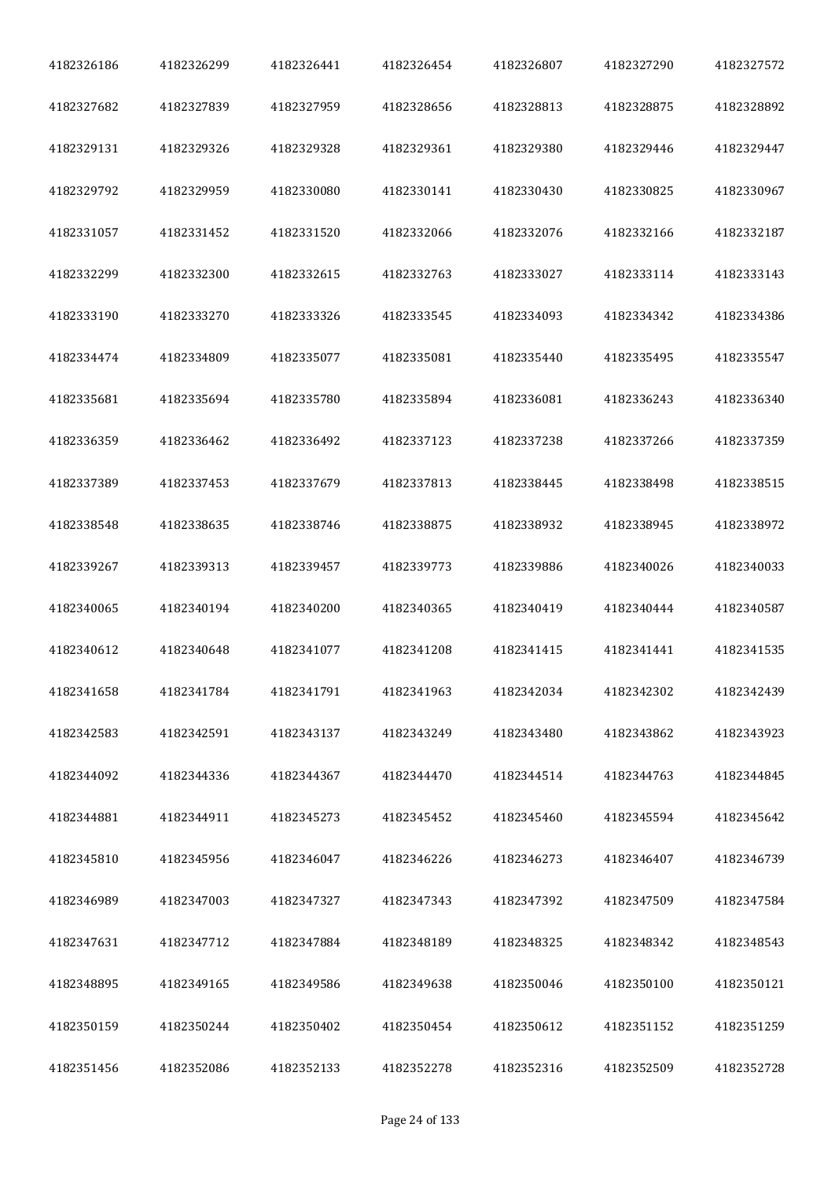| 4182326186 | 4182326299 | 4182326441 | 4182326454 | 4182326807 | 4182327290 | 4182327572 |
|------------|------------|------------|------------|------------|------------|------------|
| 4182327682 | 4182327839 | 4182327959 | 4182328656 | 4182328813 | 4182328875 | 4182328892 |
| 4182329131 | 4182329326 | 4182329328 | 4182329361 | 4182329380 | 4182329446 | 4182329447 |
| 4182329792 | 4182329959 | 4182330080 | 4182330141 | 4182330430 | 4182330825 | 4182330967 |
| 4182331057 | 4182331452 | 4182331520 | 4182332066 | 4182332076 | 4182332166 | 4182332187 |
| 4182332299 | 4182332300 | 4182332615 | 4182332763 | 4182333027 | 4182333114 | 4182333143 |
| 4182333190 | 4182333270 | 4182333326 | 4182333545 | 4182334093 | 4182334342 | 4182334386 |
| 4182334474 | 4182334809 | 4182335077 | 4182335081 | 4182335440 | 4182335495 | 4182335547 |
| 4182335681 | 4182335694 | 4182335780 | 4182335894 | 4182336081 | 4182336243 | 4182336340 |
| 4182336359 | 4182336462 | 4182336492 | 4182337123 | 4182337238 | 4182337266 | 4182337359 |
| 4182337389 | 4182337453 | 4182337679 | 4182337813 | 4182338445 | 4182338498 | 4182338515 |
| 4182338548 | 4182338635 | 4182338746 | 4182338875 | 4182338932 | 4182338945 | 4182338972 |
| 4182339267 | 4182339313 | 4182339457 | 4182339773 | 4182339886 | 4182340026 | 4182340033 |
| 4182340065 | 4182340194 | 4182340200 | 4182340365 | 4182340419 | 4182340444 | 4182340587 |
| 4182340612 | 4182340648 | 4182341077 | 4182341208 | 4182341415 | 4182341441 | 4182341535 |
| 4182341658 | 4182341784 | 4182341791 | 4182341963 | 4182342034 | 4182342302 | 4182342439 |
| 4182342583 | 4182342591 | 4182343137 | 4182343249 | 4182343480 | 4182343862 | 4182343923 |
| 4182344092 | 4182344336 | 4182344367 | 4182344470 | 4182344514 | 4182344763 | 4182344845 |
| 4182344881 | 4182344911 | 4182345273 | 4182345452 | 4182345460 | 4182345594 | 4182345642 |
| 4182345810 | 4182345956 | 4182346047 | 4182346226 | 4182346273 | 4182346407 | 4182346739 |
| 4182346989 | 4182347003 | 4182347327 | 4182347343 | 4182347392 | 4182347509 | 4182347584 |
| 4182347631 | 4182347712 | 4182347884 | 4182348189 | 4182348325 | 4182348342 | 4182348543 |
| 4182348895 | 4182349165 | 4182349586 | 4182349638 | 4182350046 | 4182350100 | 4182350121 |
| 4182350159 | 4182350244 | 4182350402 | 4182350454 | 4182350612 | 4182351152 | 4182351259 |
| 4182351456 | 4182352086 | 4182352133 | 4182352278 | 4182352316 | 4182352509 | 4182352728 |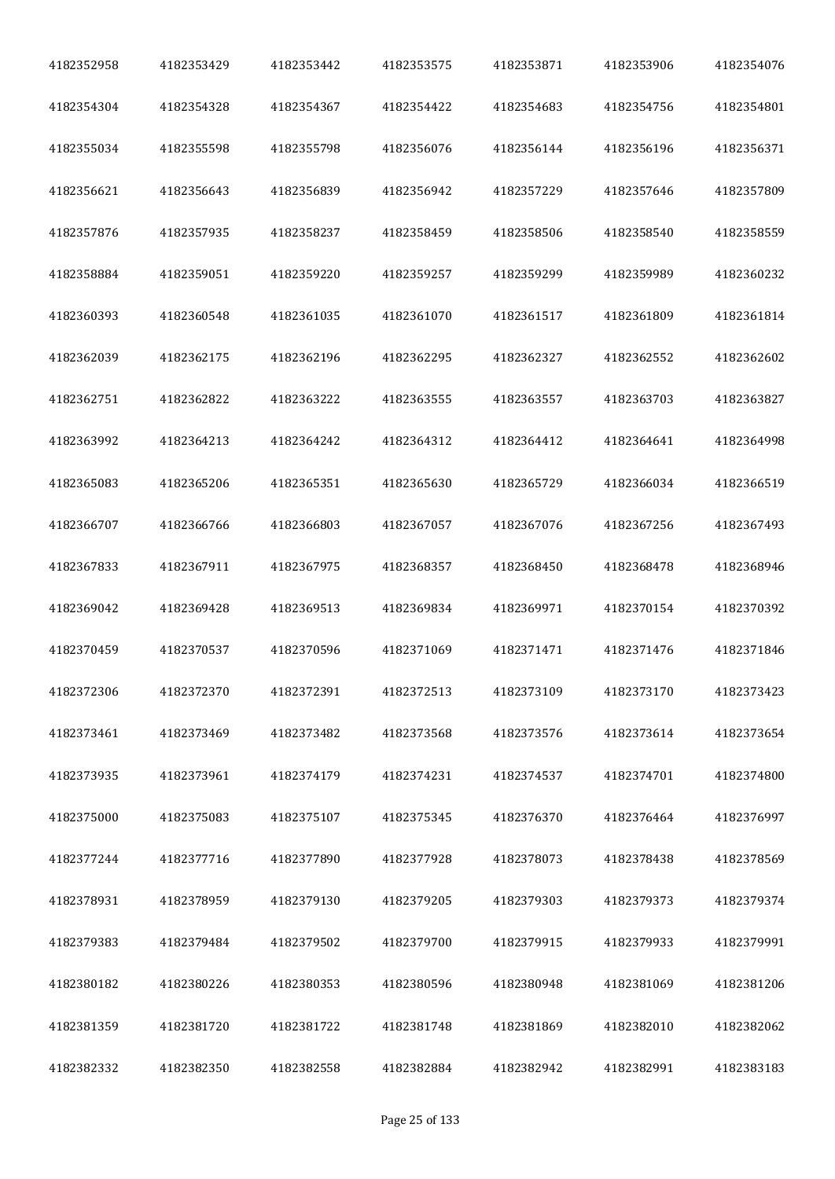| 4182352958 | 4182353429 | 4182353442 | 4182353575 | 4182353871 | 4182353906 | 4182354076 |
|------------|------------|------------|------------|------------|------------|------------|
| 4182354304 | 4182354328 | 4182354367 | 4182354422 | 4182354683 | 4182354756 | 4182354801 |
| 4182355034 | 4182355598 | 4182355798 | 4182356076 | 4182356144 | 4182356196 | 4182356371 |
| 4182356621 | 4182356643 | 4182356839 | 4182356942 | 4182357229 | 4182357646 | 4182357809 |
| 4182357876 | 4182357935 | 4182358237 | 4182358459 | 4182358506 | 4182358540 | 4182358559 |
| 4182358884 | 4182359051 | 4182359220 | 4182359257 | 4182359299 | 4182359989 | 4182360232 |
| 4182360393 | 4182360548 | 4182361035 | 4182361070 | 4182361517 | 4182361809 | 4182361814 |
| 4182362039 | 4182362175 | 4182362196 | 4182362295 | 4182362327 | 4182362552 | 4182362602 |
| 4182362751 | 4182362822 | 4182363222 | 4182363555 | 4182363557 | 4182363703 | 4182363827 |
| 4182363992 | 4182364213 | 4182364242 | 4182364312 | 4182364412 | 4182364641 | 4182364998 |
| 4182365083 | 4182365206 | 4182365351 | 4182365630 | 4182365729 | 4182366034 | 4182366519 |
| 4182366707 | 4182366766 | 4182366803 | 4182367057 | 4182367076 | 4182367256 | 4182367493 |
| 4182367833 | 4182367911 | 4182367975 | 4182368357 | 4182368450 | 4182368478 | 4182368946 |
| 4182369042 | 4182369428 | 4182369513 | 4182369834 | 4182369971 | 4182370154 | 4182370392 |
| 4182370459 | 4182370537 | 4182370596 | 4182371069 | 4182371471 | 4182371476 | 4182371846 |
| 4182372306 | 4182372370 | 4182372391 | 4182372513 | 4182373109 | 4182373170 | 4182373423 |
| 4182373461 | 4182373469 | 4182373482 | 4182373568 | 4182373576 | 4182373614 | 4182373654 |
| 4182373935 | 4182373961 | 4182374179 | 4182374231 | 4182374537 | 4182374701 | 4182374800 |
| 4182375000 | 4182375083 | 4182375107 | 4182375345 | 4182376370 | 4182376464 | 4182376997 |
| 4182377244 | 4182377716 | 4182377890 | 4182377928 | 4182378073 | 4182378438 | 4182378569 |
| 4182378931 | 4182378959 | 4182379130 | 4182379205 | 4182379303 | 4182379373 | 4182379374 |
| 4182379383 | 4182379484 | 4182379502 | 4182379700 | 4182379915 | 4182379933 | 4182379991 |
| 4182380182 | 4182380226 | 4182380353 | 4182380596 | 4182380948 | 4182381069 | 4182381206 |
| 4182381359 | 4182381720 | 4182381722 | 4182381748 | 4182381869 | 4182382010 | 4182382062 |
| 4182382332 | 4182382350 | 4182382558 | 4182382884 | 4182382942 | 4182382991 | 4182383183 |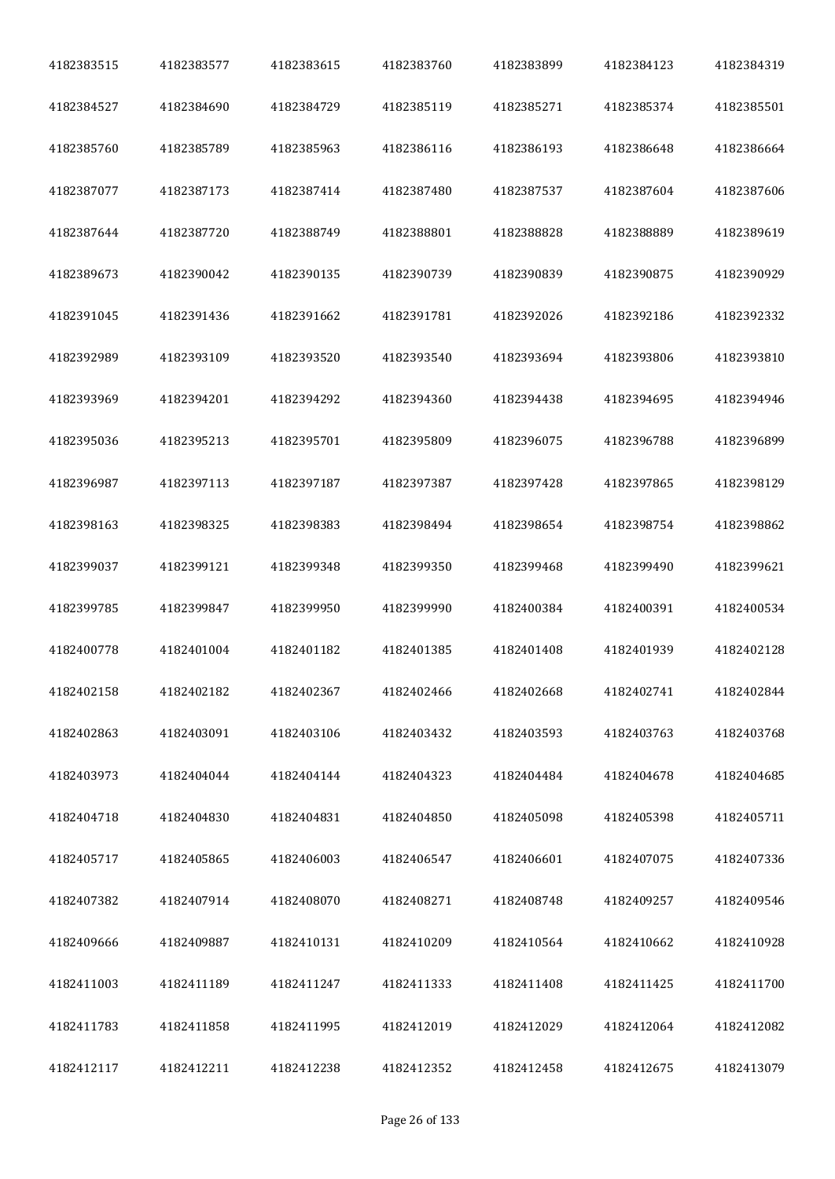| 4182383515 | 4182383577 | 4182383615 | 4182383760 | 4182383899 | 4182384123 | 4182384319 |
|------------|------------|------------|------------|------------|------------|------------|
| 4182384527 | 4182384690 | 4182384729 | 4182385119 | 4182385271 | 4182385374 | 4182385501 |
| 4182385760 | 4182385789 | 4182385963 | 4182386116 | 4182386193 | 4182386648 | 4182386664 |
| 4182387077 | 4182387173 | 4182387414 | 4182387480 | 4182387537 | 4182387604 | 4182387606 |
| 4182387644 | 4182387720 | 4182388749 | 4182388801 | 4182388828 | 4182388889 | 4182389619 |
| 4182389673 | 4182390042 | 4182390135 | 4182390739 | 4182390839 | 4182390875 | 4182390929 |
| 4182391045 | 4182391436 | 4182391662 | 4182391781 | 4182392026 | 4182392186 | 4182392332 |
| 4182392989 | 4182393109 | 4182393520 | 4182393540 | 4182393694 | 4182393806 | 4182393810 |
| 4182393969 | 4182394201 | 4182394292 | 4182394360 | 4182394438 | 4182394695 | 4182394946 |
| 4182395036 | 4182395213 | 4182395701 | 4182395809 | 4182396075 | 4182396788 | 4182396899 |
| 4182396987 | 4182397113 | 4182397187 | 4182397387 | 4182397428 | 4182397865 | 4182398129 |
| 4182398163 | 4182398325 | 4182398383 | 4182398494 | 4182398654 | 4182398754 | 4182398862 |
| 4182399037 | 4182399121 | 4182399348 | 4182399350 | 4182399468 | 4182399490 | 4182399621 |
| 4182399785 | 4182399847 | 4182399950 | 4182399990 | 4182400384 | 4182400391 | 4182400534 |
| 4182400778 | 4182401004 | 4182401182 | 4182401385 | 4182401408 | 4182401939 | 4182402128 |
| 4182402158 | 4182402182 | 4182402367 | 4182402466 | 4182402668 | 4182402741 | 4182402844 |
| 4182402863 | 4182403091 | 4182403106 | 4182403432 | 4182403593 | 4182403763 | 4182403768 |
| 4182403973 | 4182404044 | 4182404144 | 4182404323 | 4182404484 | 4182404678 | 4182404685 |
| 4182404718 | 4182404830 | 4182404831 | 4182404850 | 4182405098 | 4182405398 | 4182405711 |
| 4182405717 | 4182405865 | 4182406003 | 4182406547 | 4182406601 | 4182407075 | 4182407336 |
| 4182407382 | 4182407914 | 4182408070 | 4182408271 | 4182408748 | 4182409257 | 4182409546 |
| 4182409666 | 4182409887 | 4182410131 | 4182410209 | 4182410564 | 4182410662 | 4182410928 |
| 4182411003 | 4182411189 | 4182411247 | 4182411333 | 4182411408 | 4182411425 | 4182411700 |
| 4182411783 | 4182411858 | 4182411995 | 4182412019 | 4182412029 | 4182412064 | 4182412082 |
| 4182412117 | 4182412211 | 4182412238 | 4182412352 | 4182412458 | 4182412675 | 4182413079 |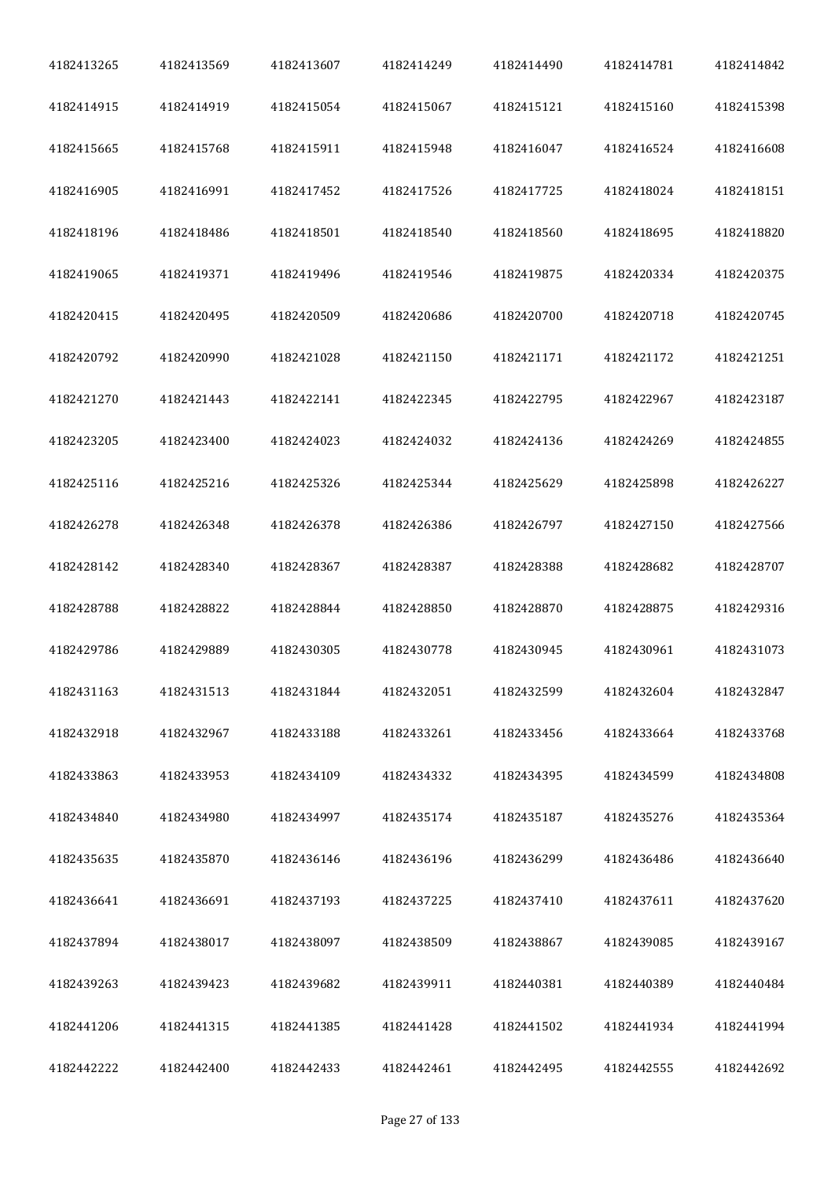| 4182413265 | 4182413569 | 4182413607 | 4182414249 | 4182414490 | 4182414781 | 4182414842 |
|------------|------------|------------|------------|------------|------------|------------|
| 4182414915 | 4182414919 | 4182415054 | 4182415067 | 4182415121 | 4182415160 | 4182415398 |
| 4182415665 | 4182415768 | 4182415911 | 4182415948 | 4182416047 | 4182416524 | 4182416608 |
| 4182416905 | 4182416991 | 4182417452 | 4182417526 | 4182417725 | 4182418024 | 4182418151 |
| 4182418196 | 4182418486 | 4182418501 | 4182418540 | 4182418560 | 4182418695 | 4182418820 |
| 4182419065 | 4182419371 | 4182419496 | 4182419546 | 4182419875 | 4182420334 | 4182420375 |
| 4182420415 | 4182420495 | 4182420509 | 4182420686 | 4182420700 | 4182420718 | 4182420745 |
| 4182420792 | 4182420990 | 4182421028 | 4182421150 | 4182421171 | 4182421172 | 4182421251 |
| 4182421270 | 4182421443 | 4182422141 | 4182422345 | 4182422795 | 4182422967 | 4182423187 |
| 4182423205 | 4182423400 | 4182424023 | 4182424032 | 4182424136 | 4182424269 | 4182424855 |
| 4182425116 | 4182425216 | 4182425326 | 4182425344 | 4182425629 | 4182425898 | 4182426227 |
| 4182426278 | 4182426348 | 4182426378 | 4182426386 | 4182426797 | 4182427150 | 4182427566 |
| 4182428142 | 4182428340 | 4182428367 | 4182428387 | 4182428388 | 4182428682 | 4182428707 |
| 4182428788 | 4182428822 | 4182428844 | 4182428850 | 4182428870 | 4182428875 | 4182429316 |
| 4182429786 | 4182429889 | 4182430305 | 4182430778 | 4182430945 | 4182430961 | 4182431073 |
| 4182431163 | 4182431513 | 4182431844 | 4182432051 | 4182432599 | 4182432604 | 4182432847 |
| 4182432918 | 4182432967 | 4182433188 | 4182433261 | 4182433456 | 4182433664 | 4182433768 |
| 4182433863 | 4182433953 | 4182434109 | 4182434332 | 4182434395 | 4182434599 | 4182434808 |
| 4182434840 | 4182434980 | 4182434997 | 4182435174 | 4182435187 | 4182435276 | 4182435364 |
| 4182435635 | 4182435870 | 4182436146 | 4182436196 | 4182436299 | 4182436486 | 4182436640 |
| 4182436641 | 4182436691 | 4182437193 | 4182437225 | 4182437410 | 4182437611 | 4182437620 |
| 4182437894 | 4182438017 | 4182438097 | 4182438509 | 4182438867 | 4182439085 | 4182439167 |
| 4182439263 | 4182439423 | 4182439682 | 4182439911 | 4182440381 | 4182440389 | 4182440484 |
| 4182441206 | 4182441315 | 4182441385 | 4182441428 | 4182441502 | 4182441934 | 4182441994 |
| 4182442222 | 4182442400 | 4182442433 | 4182442461 | 4182442495 | 4182442555 | 4182442692 |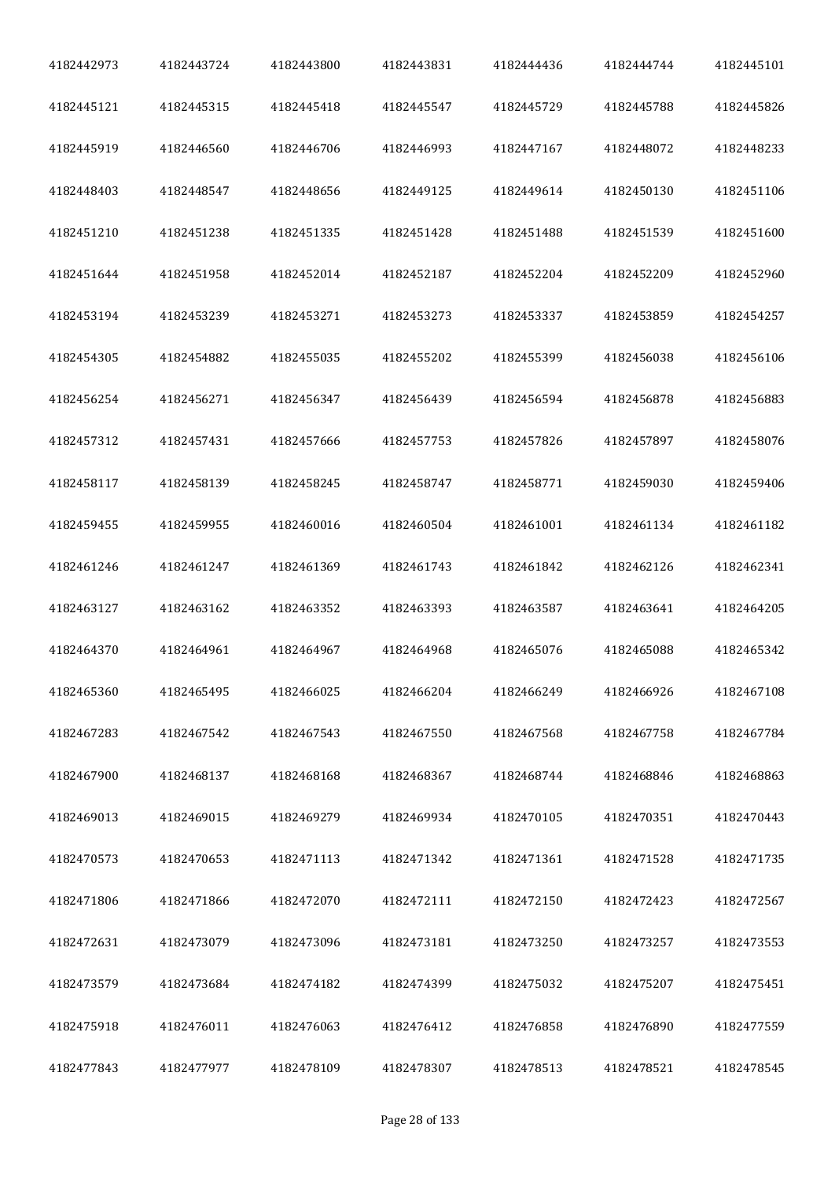| 4182442973 | 4182443724 | 4182443800 | 4182443831 | 4182444436 | 4182444744 | 4182445101 |
|------------|------------|------------|------------|------------|------------|------------|
| 4182445121 | 4182445315 | 4182445418 | 4182445547 | 4182445729 | 4182445788 | 4182445826 |
| 4182445919 | 4182446560 | 4182446706 | 4182446993 | 4182447167 | 4182448072 | 4182448233 |
| 4182448403 | 4182448547 | 4182448656 | 4182449125 | 4182449614 | 4182450130 | 4182451106 |
| 4182451210 | 4182451238 | 4182451335 | 4182451428 | 4182451488 | 4182451539 | 4182451600 |
| 4182451644 | 4182451958 | 4182452014 | 4182452187 | 4182452204 | 4182452209 | 4182452960 |
| 4182453194 | 4182453239 | 4182453271 | 4182453273 | 4182453337 | 4182453859 | 4182454257 |
| 4182454305 | 4182454882 | 4182455035 | 4182455202 | 4182455399 | 4182456038 | 4182456106 |
| 4182456254 | 4182456271 | 4182456347 | 4182456439 | 4182456594 | 4182456878 | 4182456883 |
| 4182457312 | 4182457431 | 4182457666 | 4182457753 | 4182457826 | 4182457897 | 4182458076 |
| 4182458117 | 4182458139 | 4182458245 | 4182458747 | 4182458771 | 4182459030 | 4182459406 |
| 4182459455 | 4182459955 | 4182460016 | 4182460504 | 4182461001 | 4182461134 | 4182461182 |
| 4182461246 | 4182461247 | 4182461369 | 4182461743 | 4182461842 | 4182462126 | 4182462341 |
| 4182463127 | 4182463162 | 4182463352 | 4182463393 | 4182463587 | 4182463641 | 4182464205 |
| 4182464370 | 4182464961 | 4182464967 | 4182464968 | 4182465076 | 4182465088 | 4182465342 |
| 4182465360 | 4182465495 | 4182466025 | 4182466204 | 4182466249 | 4182466926 | 4182467108 |
| 4182467283 | 4182467542 | 4182467543 | 4182467550 | 4182467568 | 4182467758 | 4182467784 |
| 4182467900 | 4182468137 | 4182468168 | 4182468367 | 4182468744 | 4182468846 | 4182468863 |
| 4182469013 | 4182469015 | 4182469279 | 4182469934 | 4182470105 | 4182470351 | 4182470443 |
| 4182470573 | 4182470653 | 4182471113 | 4182471342 | 4182471361 | 4182471528 | 4182471735 |
| 4182471806 | 4182471866 | 4182472070 | 4182472111 | 4182472150 | 4182472423 | 4182472567 |
| 4182472631 | 4182473079 | 4182473096 | 4182473181 | 4182473250 | 4182473257 | 4182473553 |
| 4182473579 | 4182473684 | 4182474182 | 4182474399 | 4182475032 | 4182475207 | 4182475451 |
| 4182475918 | 4182476011 | 4182476063 | 4182476412 | 4182476858 | 4182476890 | 4182477559 |
| 4182477843 | 4182477977 | 4182478109 | 4182478307 | 4182478513 | 4182478521 | 4182478545 |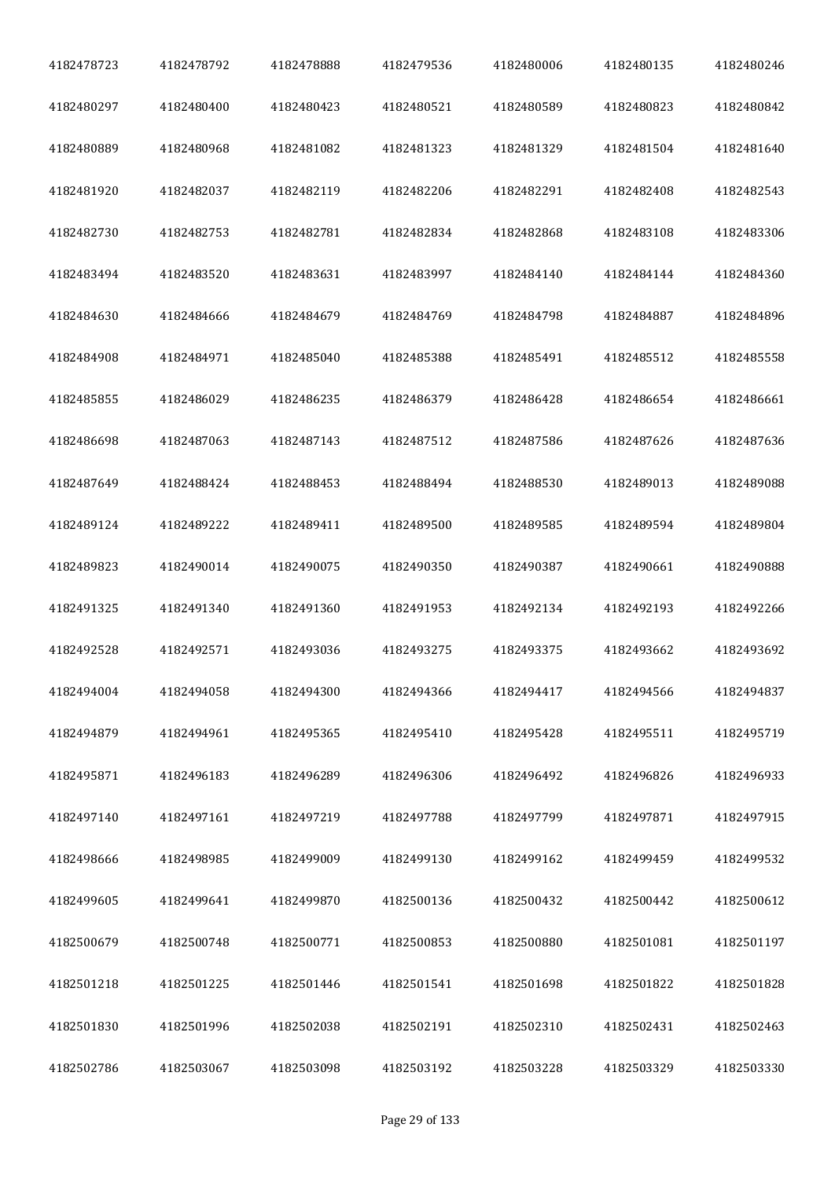| 4182478723 | 4182478792 | 4182478888 | 4182479536 | 4182480006 | 4182480135 | 4182480246 |
|------------|------------|------------|------------|------------|------------|------------|
| 4182480297 | 4182480400 | 4182480423 | 4182480521 | 4182480589 | 4182480823 | 4182480842 |
| 4182480889 | 4182480968 | 4182481082 | 4182481323 | 4182481329 | 4182481504 | 4182481640 |
| 4182481920 | 4182482037 | 4182482119 | 4182482206 | 4182482291 | 4182482408 | 4182482543 |
| 4182482730 | 4182482753 | 4182482781 | 4182482834 | 4182482868 | 4182483108 | 4182483306 |
| 4182483494 | 4182483520 | 4182483631 | 4182483997 | 4182484140 | 4182484144 | 4182484360 |
| 4182484630 | 4182484666 | 4182484679 | 4182484769 | 4182484798 | 4182484887 | 4182484896 |
| 4182484908 | 4182484971 | 4182485040 | 4182485388 | 4182485491 | 4182485512 | 4182485558 |
| 4182485855 | 4182486029 | 4182486235 | 4182486379 | 4182486428 | 4182486654 | 4182486661 |
| 4182486698 | 4182487063 | 4182487143 | 4182487512 | 4182487586 | 4182487626 | 4182487636 |
| 4182487649 | 4182488424 | 4182488453 | 4182488494 | 4182488530 | 4182489013 | 4182489088 |
| 4182489124 | 4182489222 | 4182489411 | 4182489500 | 4182489585 | 4182489594 | 4182489804 |
| 4182489823 | 4182490014 | 4182490075 | 4182490350 | 4182490387 | 4182490661 | 4182490888 |
| 4182491325 | 4182491340 | 4182491360 | 4182491953 | 4182492134 | 4182492193 | 4182492266 |
| 4182492528 | 4182492571 | 4182493036 | 4182493275 | 4182493375 | 4182493662 | 4182493692 |
| 4182494004 | 4182494058 | 4182494300 | 4182494366 | 4182494417 | 4182494566 | 4182494837 |
| 4182494879 | 4182494961 | 4182495365 | 4182495410 | 4182495428 | 4182495511 | 4182495719 |
| 4182495871 | 4182496183 | 4182496289 | 4182496306 | 4182496492 | 4182496826 | 4182496933 |
| 4182497140 | 4182497161 | 4182497219 | 4182497788 | 4182497799 | 4182497871 | 4182497915 |
| 4182498666 | 4182498985 | 4182499009 | 4182499130 | 4182499162 | 4182499459 | 4182499532 |
| 4182499605 | 4182499641 | 4182499870 | 4182500136 | 4182500432 | 4182500442 | 4182500612 |
| 4182500679 | 4182500748 | 4182500771 | 4182500853 | 4182500880 | 4182501081 | 4182501197 |
| 4182501218 | 4182501225 | 4182501446 | 4182501541 | 4182501698 | 4182501822 | 4182501828 |
| 4182501830 | 4182501996 | 4182502038 | 4182502191 | 4182502310 | 4182502431 | 4182502463 |
| 4182502786 | 4182503067 | 4182503098 | 4182503192 | 4182503228 | 4182503329 | 4182503330 |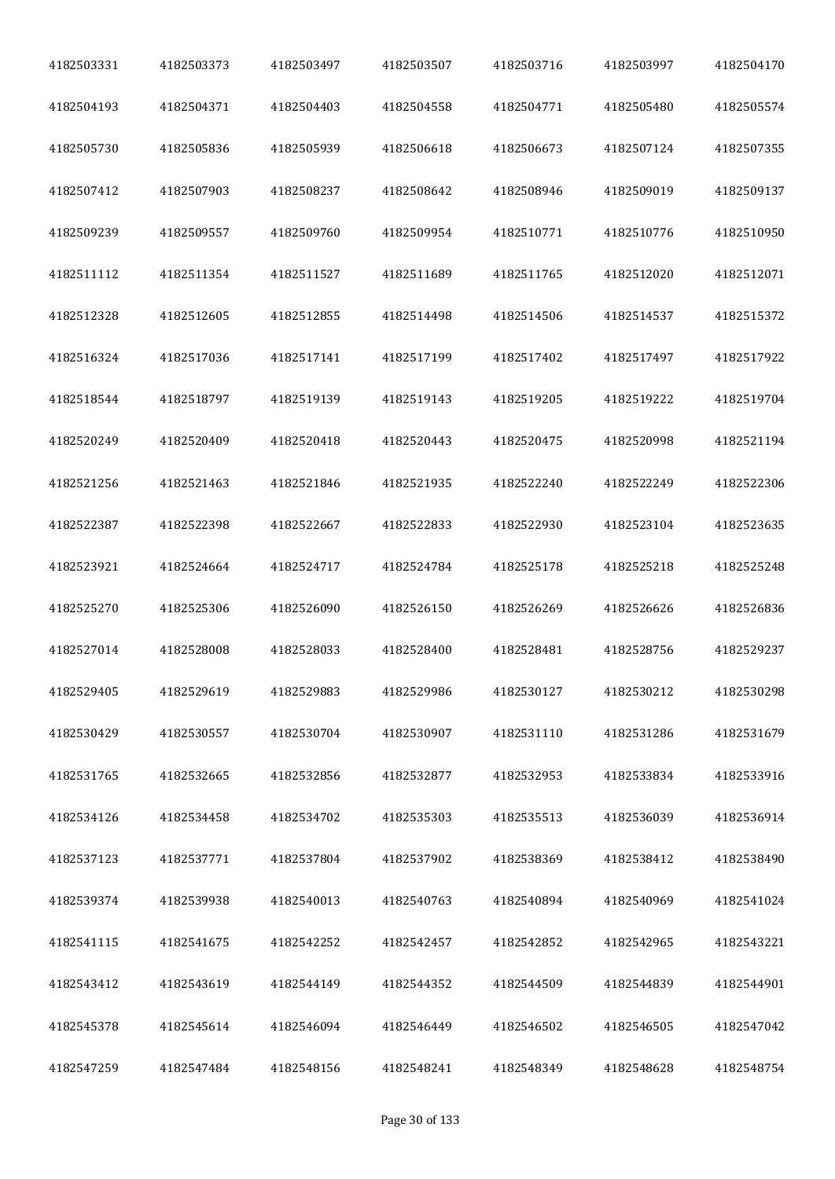| 4182503331 | 4182503373 | 4182503497 | 4182503507 | 4182503716 | 4182503997 | 4182504170 |
|------------|------------|------------|------------|------------|------------|------------|
| 4182504193 | 4182504371 | 4182504403 | 4182504558 | 4182504771 | 4182505480 | 4182505574 |
| 4182505730 | 4182505836 | 4182505939 | 4182506618 | 4182506673 | 4182507124 | 4182507355 |
| 4182507412 | 4182507903 | 4182508237 | 4182508642 | 4182508946 | 4182509019 | 4182509137 |
| 4182509239 | 4182509557 | 4182509760 | 4182509954 | 4182510771 | 4182510776 | 4182510950 |
| 4182511112 | 4182511354 | 4182511527 | 4182511689 | 4182511765 | 4182512020 | 4182512071 |
| 4182512328 | 4182512605 | 4182512855 | 4182514498 | 4182514506 | 4182514537 | 4182515372 |
| 4182516324 | 4182517036 | 4182517141 | 4182517199 | 4182517402 | 4182517497 | 4182517922 |
| 4182518544 | 4182518797 | 4182519139 | 4182519143 | 4182519205 | 4182519222 | 4182519704 |
| 4182520249 | 4182520409 | 4182520418 | 4182520443 | 4182520475 | 4182520998 | 4182521194 |
| 4182521256 | 4182521463 | 4182521846 | 4182521935 | 4182522240 | 4182522249 | 4182522306 |
| 4182522387 | 4182522398 | 4182522667 | 4182522833 | 4182522930 | 4182523104 | 4182523635 |
| 4182523921 | 4182524664 | 4182524717 | 4182524784 | 4182525178 | 4182525218 | 4182525248 |
| 4182525270 | 4182525306 | 4182526090 | 4182526150 | 4182526269 | 4182526626 | 4182526836 |
| 4182527014 | 4182528008 | 4182528033 | 4182528400 | 4182528481 | 4182528756 | 4182529237 |
| 4182529405 | 4182529619 | 4182529883 | 4182529986 | 4182530127 | 4182530212 | 4182530298 |
| 4182530429 | 4182530557 | 4182530704 | 4182530907 | 4182531110 | 4182531286 | 4182531679 |
| 4182531765 | 4182532665 | 4182532856 | 4182532877 | 4182532953 | 4182533834 | 4182533916 |
| 4182534126 | 4182534458 | 4182534702 | 4182535303 | 4182535513 | 4182536039 | 4182536914 |
| 4182537123 | 4182537771 | 4182537804 | 4182537902 | 4182538369 | 4182538412 | 4182538490 |
| 4182539374 | 4182539938 | 4182540013 | 4182540763 | 4182540894 | 4182540969 | 4182541024 |
| 4182541115 | 4182541675 | 4182542252 | 4182542457 | 4182542852 | 4182542965 | 4182543221 |
| 4182543412 | 4182543619 | 4182544149 | 4182544352 | 4182544509 | 4182544839 | 4182544901 |
| 4182545378 | 4182545614 | 4182546094 | 4182546449 | 4182546502 | 4182546505 | 4182547042 |
| 4182547259 | 4182547484 | 4182548156 | 4182548241 | 4182548349 | 4182548628 | 4182548754 |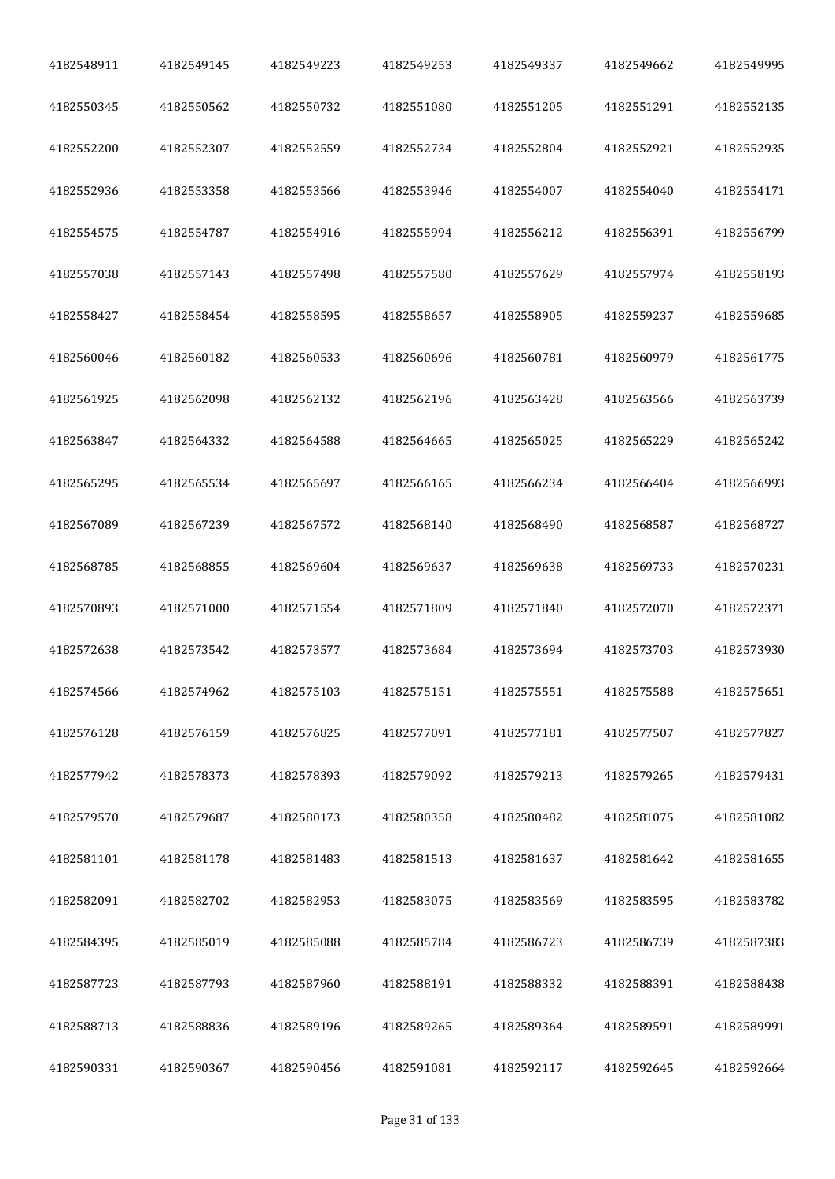| 4182548911 | 4182549145 | 4182549223 | 4182549253 | 4182549337 | 4182549662 | 4182549995 |
|------------|------------|------------|------------|------------|------------|------------|
| 4182550345 | 4182550562 | 4182550732 | 4182551080 | 4182551205 | 4182551291 | 4182552135 |
| 4182552200 | 4182552307 | 4182552559 | 4182552734 | 4182552804 | 4182552921 | 4182552935 |
| 4182552936 | 4182553358 | 4182553566 | 4182553946 | 4182554007 | 4182554040 | 4182554171 |
| 4182554575 | 4182554787 | 4182554916 | 4182555994 | 4182556212 | 4182556391 | 4182556799 |
| 4182557038 | 4182557143 | 4182557498 | 4182557580 | 4182557629 | 4182557974 | 4182558193 |
| 4182558427 | 4182558454 | 4182558595 | 4182558657 | 4182558905 | 4182559237 | 4182559685 |
| 4182560046 | 4182560182 | 4182560533 | 4182560696 | 4182560781 | 4182560979 | 4182561775 |
| 4182561925 | 4182562098 | 4182562132 | 4182562196 | 4182563428 | 4182563566 | 4182563739 |
| 4182563847 | 4182564332 | 4182564588 | 4182564665 | 4182565025 | 4182565229 | 4182565242 |
| 4182565295 | 4182565534 | 4182565697 | 4182566165 | 4182566234 | 4182566404 | 4182566993 |
| 4182567089 | 4182567239 | 4182567572 | 4182568140 | 4182568490 | 4182568587 | 4182568727 |
| 4182568785 | 4182568855 | 4182569604 | 4182569637 | 4182569638 | 4182569733 | 4182570231 |
| 4182570893 | 4182571000 | 4182571554 | 4182571809 | 4182571840 | 4182572070 | 4182572371 |
| 4182572638 | 4182573542 | 4182573577 | 4182573684 | 4182573694 | 4182573703 | 4182573930 |
| 4182574566 | 4182574962 | 4182575103 | 4182575151 | 4182575551 | 4182575588 | 4182575651 |
| 4182576128 | 4182576159 | 4182576825 | 4182577091 | 4182577181 | 4182577507 | 4182577827 |
| 4182577942 | 4182578373 | 4182578393 | 4182579092 | 4182579213 | 4182579265 | 4182579431 |
| 4182579570 | 4182579687 | 4182580173 | 4182580358 | 4182580482 | 4182581075 | 4182581082 |
| 4182581101 | 4182581178 | 4182581483 | 4182581513 | 4182581637 | 4182581642 | 4182581655 |
| 4182582091 | 4182582702 | 4182582953 | 4182583075 | 4182583569 | 4182583595 | 4182583782 |
| 4182584395 | 4182585019 | 4182585088 | 4182585784 | 4182586723 | 4182586739 | 4182587383 |
| 4182587723 | 4182587793 | 4182587960 | 4182588191 | 4182588332 | 4182588391 | 4182588438 |
| 4182588713 | 4182588836 | 4182589196 | 4182589265 | 4182589364 | 4182589591 | 4182589991 |
| 4182590331 | 4182590367 | 4182590456 | 4182591081 | 4182592117 | 4182592645 | 4182592664 |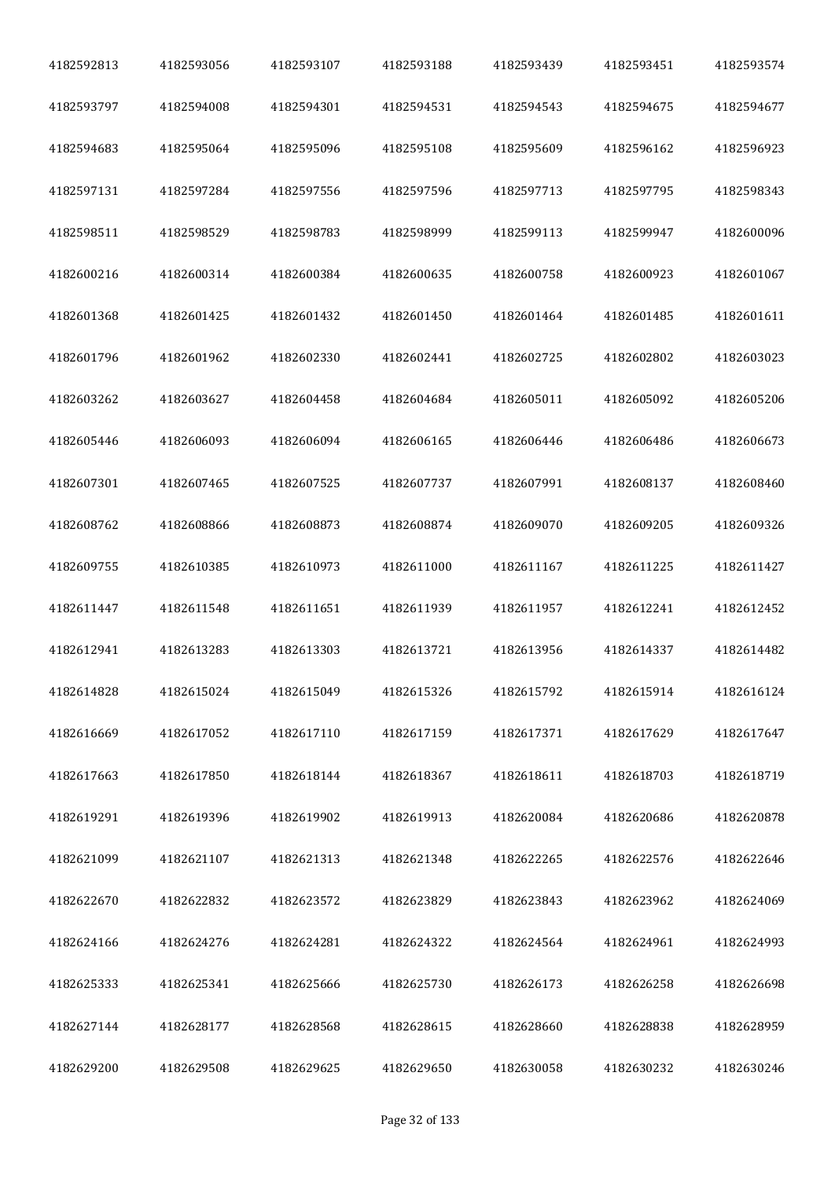| 4182592813 | 4182593056 | 4182593107 | 4182593188 | 4182593439 | 4182593451 | 4182593574 |
|------------|------------|------------|------------|------------|------------|------------|
| 4182593797 | 4182594008 | 4182594301 | 4182594531 | 4182594543 | 4182594675 | 4182594677 |
| 4182594683 | 4182595064 | 4182595096 | 4182595108 | 4182595609 | 4182596162 | 4182596923 |
| 4182597131 | 4182597284 | 4182597556 | 4182597596 | 4182597713 | 4182597795 | 4182598343 |
| 4182598511 | 4182598529 | 4182598783 | 4182598999 | 4182599113 | 4182599947 | 4182600096 |
| 4182600216 | 4182600314 | 4182600384 | 4182600635 | 4182600758 | 4182600923 | 4182601067 |
| 4182601368 | 4182601425 | 4182601432 | 4182601450 | 4182601464 | 4182601485 | 4182601611 |
| 4182601796 | 4182601962 | 4182602330 | 4182602441 | 4182602725 | 4182602802 | 4182603023 |
| 4182603262 | 4182603627 | 4182604458 | 4182604684 | 4182605011 | 4182605092 | 4182605206 |
| 4182605446 | 4182606093 | 4182606094 | 4182606165 | 4182606446 | 4182606486 | 4182606673 |
| 4182607301 | 4182607465 | 4182607525 | 4182607737 | 4182607991 | 4182608137 | 4182608460 |
| 4182608762 | 4182608866 | 4182608873 | 4182608874 | 4182609070 | 4182609205 | 4182609326 |
| 4182609755 | 4182610385 | 4182610973 | 4182611000 | 4182611167 | 4182611225 | 4182611427 |
| 4182611447 | 4182611548 | 4182611651 | 4182611939 | 4182611957 | 4182612241 | 4182612452 |
| 4182612941 | 4182613283 | 4182613303 | 4182613721 | 4182613956 | 4182614337 | 4182614482 |
| 4182614828 | 4182615024 | 4182615049 | 4182615326 | 4182615792 | 4182615914 | 4182616124 |
| 4182616669 | 4182617052 | 4182617110 | 4182617159 | 4182617371 | 4182617629 | 4182617647 |
| 4182617663 | 4182617850 | 4182618144 | 4182618367 | 4182618611 | 4182618703 | 4182618719 |
| 4182619291 | 4182619396 | 4182619902 | 4182619913 | 4182620084 | 4182620686 | 4182620878 |
| 4182621099 | 4182621107 | 4182621313 | 4182621348 | 4182622265 | 4182622576 | 4182622646 |
| 4182622670 | 4182622832 | 4182623572 | 4182623829 | 4182623843 | 4182623962 | 4182624069 |
| 4182624166 | 4182624276 | 4182624281 | 4182624322 | 4182624564 | 4182624961 | 4182624993 |
| 4182625333 | 4182625341 | 4182625666 | 4182625730 | 4182626173 | 4182626258 | 4182626698 |
| 4182627144 | 4182628177 | 4182628568 | 4182628615 | 4182628660 | 4182628838 | 4182628959 |
| 4182629200 | 4182629508 | 4182629625 | 4182629650 | 4182630058 | 4182630232 | 4182630246 |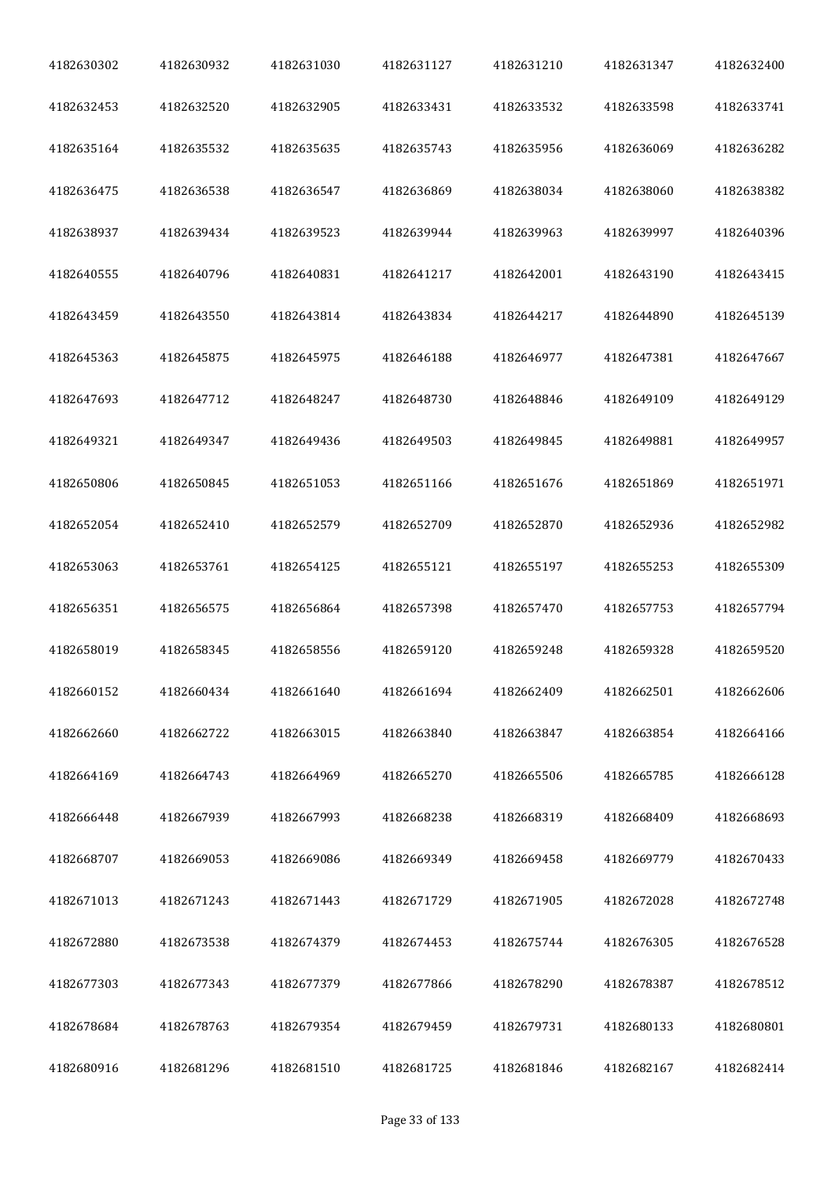| 4182630302 | 4182630932 | 4182631030 | 4182631127 | 4182631210 | 4182631347 | 4182632400 |
|------------|------------|------------|------------|------------|------------|------------|
| 4182632453 | 4182632520 | 4182632905 | 4182633431 | 4182633532 | 4182633598 | 4182633741 |
| 4182635164 | 4182635532 | 4182635635 | 4182635743 | 4182635956 | 4182636069 | 4182636282 |
| 4182636475 | 4182636538 | 4182636547 | 4182636869 | 4182638034 | 4182638060 | 4182638382 |
| 4182638937 | 4182639434 | 4182639523 | 4182639944 | 4182639963 | 4182639997 | 4182640396 |
| 4182640555 | 4182640796 | 4182640831 | 4182641217 | 4182642001 | 4182643190 | 4182643415 |
| 4182643459 | 4182643550 | 4182643814 | 4182643834 | 4182644217 | 4182644890 | 4182645139 |
| 4182645363 | 4182645875 | 4182645975 | 4182646188 | 4182646977 | 4182647381 | 4182647667 |
| 4182647693 | 4182647712 | 4182648247 | 4182648730 | 4182648846 | 4182649109 | 4182649129 |
| 4182649321 | 4182649347 | 4182649436 | 4182649503 | 4182649845 | 4182649881 | 4182649957 |
| 4182650806 | 4182650845 | 4182651053 | 4182651166 | 4182651676 | 4182651869 | 4182651971 |
| 4182652054 | 4182652410 | 4182652579 | 4182652709 | 4182652870 | 4182652936 | 4182652982 |
| 4182653063 | 4182653761 | 4182654125 | 4182655121 | 4182655197 | 4182655253 | 4182655309 |
| 4182656351 | 4182656575 | 4182656864 | 4182657398 | 4182657470 | 4182657753 | 4182657794 |
| 4182658019 | 4182658345 | 4182658556 | 4182659120 | 4182659248 | 4182659328 | 4182659520 |
| 4182660152 | 4182660434 | 4182661640 | 4182661694 | 4182662409 | 4182662501 | 4182662606 |
| 4182662660 | 4182662722 | 4182663015 | 4182663840 | 4182663847 | 4182663854 | 4182664166 |
| 4182664169 | 4182664743 | 4182664969 | 4182665270 | 4182665506 | 4182665785 | 4182666128 |
| 4182666448 | 4182667939 | 4182667993 | 4182668238 | 4182668319 | 4182668409 | 4182668693 |
| 4182668707 | 4182669053 | 4182669086 | 4182669349 | 4182669458 | 4182669779 | 4182670433 |
| 4182671013 | 4182671243 | 4182671443 | 4182671729 | 4182671905 | 4182672028 | 4182672748 |
| 4182672880 | 4182673538 | 4182674379 | 4182674453 | 4182675744 | 4182676305 | 4182676528 |
| 4182677303 | 4182677343 | 4182677379 | 4182677866 | 4182678290 | 4182678387 | 4182678512 |
| 4182678684 | 4182678763 | 4182679354 | 4182679459 | 4182679731 | 4182680133 | 4182680801 |
| 4182680916 | 4182681296 | 4182681510 | 4182681725 | 4182681846 | 4182682167 | 4182682414 |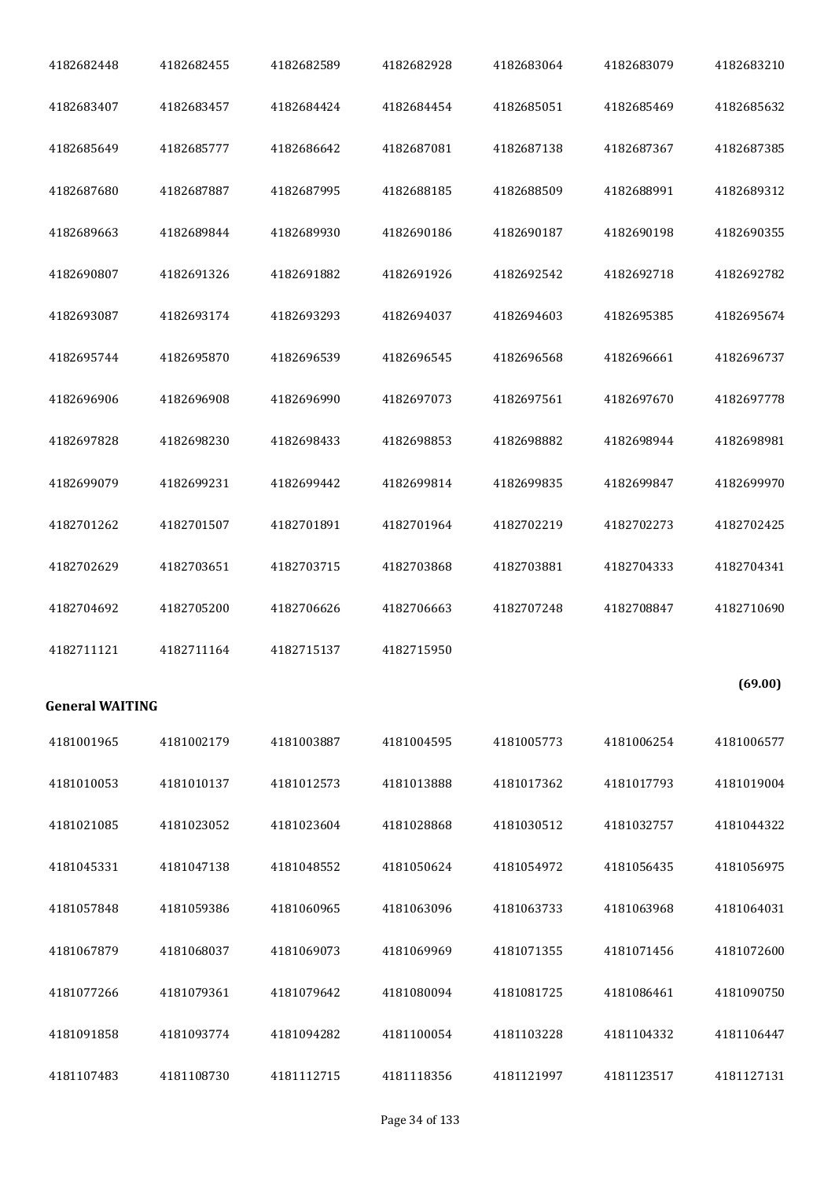| 4182682448             | 4182682455 | 4182682589 | 4182682928 | 4182683064 | 4182683079 | 4182683210 |
|------------------------|------------|------------|------------|------------|------------|------------|
| 4182683407             | 4182683457 | 4182684424 | 4182684454 | 4182685051 | 4182685469 | 4182685632 |
| 4182685649             | 4182685777 | 4182686642 | 4182687081 | 4182687138 | 4182687367 | 4182687385 |
| 4182687680             | 4182687887 | 4182687995 | 4182688185 | 4182688509 | 4182688991 | 4182689312 |
| 4182689663             | 4182689844 | 4182689930 | 4182690186 | 4182690187 | 4182690198 | 4182690355 |
| 4182690807             | 4182691326 | 4182691882 | 4182691926 | 4182692542 | 4182692718 | 4182692782 |
| 4182693087             | 4182693174 | 4182693293 | 4182694037 | 4182694603 | 4182695385 | 4182695674 |
| 4182695744             | 4182695870 | 4182696539 | 4182696545 | 4182696568 | 4182696661 | 4182696737 |
| 4182696906             | 4182696908 | 4182696990 | 4182697073 | 4182697561 | 4182697670 | 4182697778 |
| 4182697828             | 4182698230 | 4182698433 | 4182698853 | 4182698882 | 4182698944 | 4182698981 |
| 4182699079             | 4182699231 | 4182699442 | 4182699814 | 4182699835 | 4182699847 | 4182699970 |
| 4182701262             | 4182701507 | 4182701891 | 4182701964 | 4182702219 | 4182702273 | 4182702425 |
| 4182702629             | 4182703651 | 4182703715 | 4182703868 |            | 4182704333 | 4182704341 |
|                        |            |            |            | 4182703881 |            |            |
| 4182704692             | 4182705200 | 4182706626 | 4182706663 | 4182707248 | 4182708847 | 4182710690 |
| 4182711121             | 4182711164 | 4182715137 | 4182715950 |            |            |            |
| <b>General WAITING</b> |            |            |            |            |            | (69.00)    |
| 4181001965             | 4181002179 | 4181003887 | 4181004595 | 4181005773 | 4181006254 | 4181006577 |
| 4181010053             | 4181010137 | 4181012573 | 4181013888 | 4181017362 | 4181017793 | 4181019004 |
| 4181021085             | 4181023052 | 4181023604 | 4181028868 | 4181030512 | 4181032757 | 4181044322 |
| 4181045331             | 4181047138 | 4181048552 | 4181050624 | 4181054972 | 4181056435 | 4181056975 |
| 4181057848             | 4181059386 | 4181060965 | 4181063096 | 4181063733 | 4181063968 | 4181064031 |
| 4181067879             | 4181068037 | 4181069073 | 4181069969 | 4181071355 | 4181071456 | 4181072600 |
| 4181077266             | 4181079361 | 4181079642 | 4181080094 | 4181081725 | 4181086461 | 4181090750 |
| 4181091858             | 4181093774 | 4181094282 | 4181100054 | 4181103228 | 4181104332 | 4181106447 |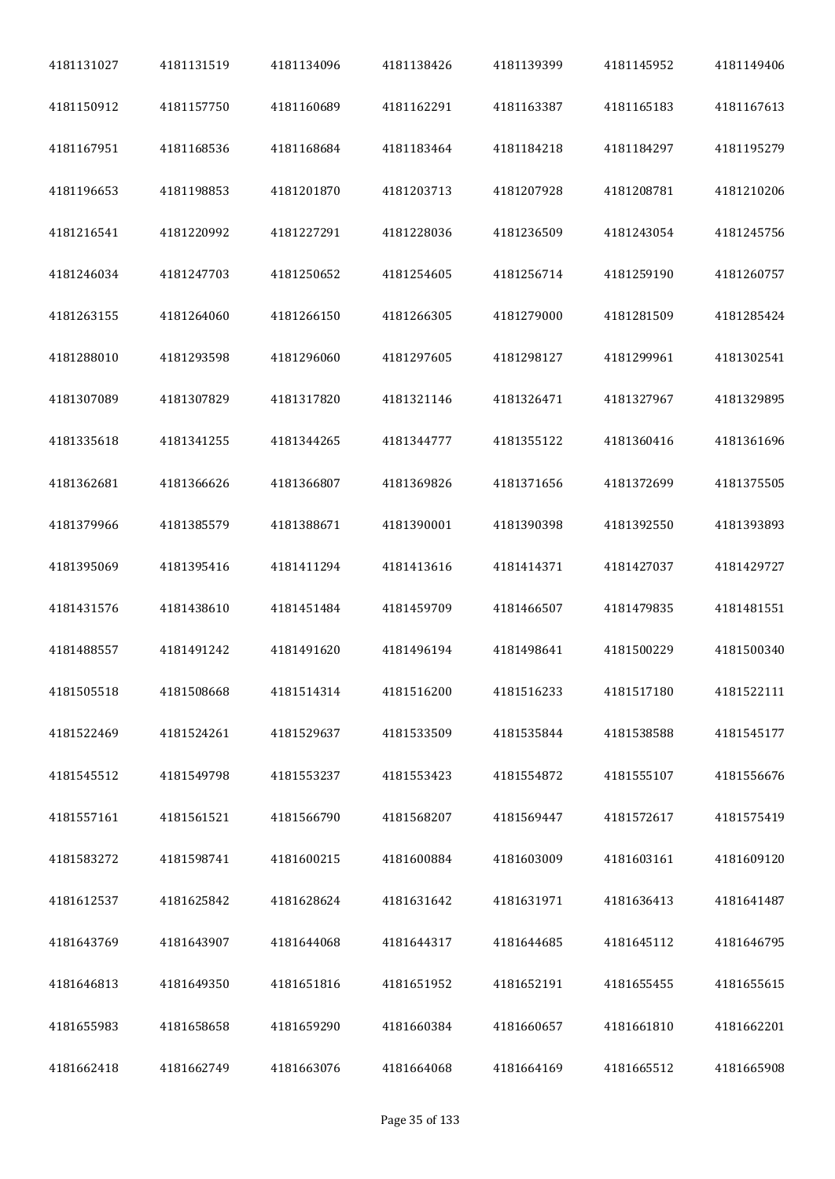| 4181131027 | 4181131519 | 4181134096 | 4181138426 | 4181139399 | 4181145952 | 4181149406 |
|------------|------------|------------|------------|------------|------------|------------|
| 4181150912 | 4181157750 | 4181160689 | 4181162291 | 4181163387 | 4181165183 | 4181167613 |
| 4181167951 | 4181168536 | 4181168684 | 4181183464 | 4181184218 | 4181184297 | 4181195279 |
| 4181196653 | 4181198853 | 4181201870 | 4181203713 | 4181207928 | 4181208781 | 4181210206 |
| 4181216541 | 4181220992 | 4181227291 | 4181228036 | 4181236509 | 4181243054 | 4181245756 |
| 4181246034 | 4181247703 | 4181250652 | 4181254605 | 4181256714 | 4181259190 | 4181260757 |
| 4181263155 | 4181264060 | 4181266150 | 4181266305 | 4181279000 | 4181281509 | 4181285424 |
| 4181288010 | 4181293598 | 4181296060 | 4181297605 | 4181298127 | 4181299961 | 4181302541 |
| 4181307089 | 4181307829 | 4181317820 | 4181321146 | 4181326471 | 4181327967 | 4181329895 |
| 4181335618 | 4181341255 | 4181344265 | 4181344777 | 4181355122 | 4181360416 | 4181361696 |
| 4181362681 | 4181366626 | 4181366807 | 4181369826 | 4181371656 | 4181372699 | 4181375505 |
| 4181379966 | 4181385579 | 4181388671 | 4181390001 | 4181390398 | 4181392550 | 4181393893 |
| 4181395069 | 4181395416 | 4181411294 | 4181413616 | 4181414371 | 4181427037 | 4181429727 |
| 4181431576 | 4181438610 | 4181451484 | 4181459709 | 4181466507 | 4181479835 | 4181481551 |
| 4181488557 | 4181491242 | 4181491620 | 4181496194 | 4181498641 | 4181500229 | 4181500340 |
| 4181505518 | 4181508668 | 4181514314 | 4181516200 | 4181516233 | 4181517180 | 4181522111 |
| 4181522469 | 4181524261 | 4181529637 | 4181533509 | 4181535844 | 4181538588 | 4181545177 |
| 4181545512 | 4181549798 | 4181553237 | 4181553423 | 4181554872 | 4181555107 | 4181556676 |
| 4181557161 | 4181561521 | 4181566790 | 4181568207 | 4181569447 | 4181572617 | 4181575419 |
| 4181583272 | 4181598741 | 4181600215 | 4181600884 | 4181603009 | 4181603161 | 4181609120 |
| 4181612537 | 4181625842 | 4181628624 | 4181631642 | 4181631971 | 4181636413 | 4181641487 |
| 4181643769 | 4181643907 | 4181644068 | 4181644317 | 4181644685 | 4181645112 | 4181646795 |
| 4181646813 | 4181649350 | 4181651816 | 4181651952 | 4181652191 | 4181655455 | 4181655615 |
| 4181655983 | 4181658658 | 4181659290 | 4181660384 | 4181660657 | 4181661810 | 4181662201 |
| 4181662418 | 4181662749 | 4181663076 | 4181664068 | 4181664169 | 4181665512 | 4181665908 |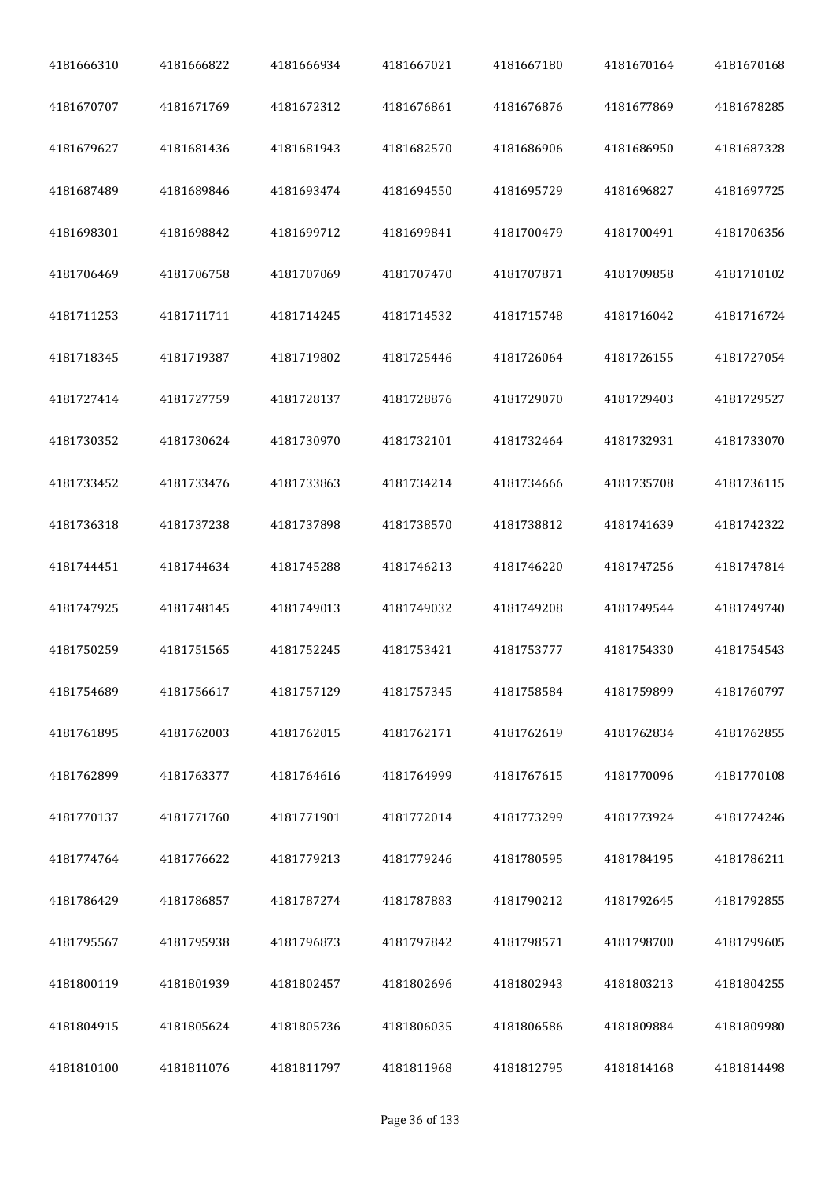| 4181666310 | 4181666822 | 4181666934 | 4181667021 | 4181667180 | 4181670164 | 4181670168 |
|------------|------------|------------|------------|------------|------------|------------|
| 4181670707 | 4181671769 | 4181672312 | 4181676861 | 4181676876 | 4181677869 | 4181678285 |
| 4181679627 | 4181681436 | 4181681943 | 4181682570 | 4181686906 | 4181686950 | 4181687328 |
| 4181687489 | 4181689846 | 4181693474 | 4181694550 | 4181695729 | 4181696827 | 4181697725 |
| 4181698301 | 4181698842 | 4181699712 | 4181699841 | 4181700479 | 4181700491 | 4181706356 |
| 4181706469 | 4181706758 | 4181707069 | 4181707470 | 4181707871 | 4181709858 | 4181710102 |
| 4181711253 | 4181711711 | 4181714245 | 4181714532 | 4181715748 | 4181716042 | 4181716724 |
| 4181718345 | 4181719387 | 4181719802 | 4181725446 | 4181726064 | 4181726155 | 4181727054 |
| 4181727414 | 4181727759 | 4181728137 | 4181728876 | 4181729070 | 4181729403 | 4181729527 |
| 4181730352 | 4181730624 | 4181730970 | 4181732101 | 4181732464 | 4181732931 | 4181733070 |
| 4181733452 | 4181733476 | 4181733863 | 4181734214 | 4181734666 | 4181735708 | 4181736115 |
| 4181736318 | 4181737238 | 4181737898 | 4181738570 | 4181738812 | 4181741639 | 4181742322 |
| 4181744451 | 4181744634 | 4181745288 | 4181746213 | 4181746220 | 4181747256 | 4181747814 |
| 4181747925 | 4181748145 | 4181749013 | 4181749032 | 4181749208 | 4181749544 | 4181749740 |
| 4181750259 | 4181751565 | 4181752245 | 4181753421 | 4181753777 | 4181754330 | 4181754543 |
| 4181754689 | 4181756617 | 4181757129 | 4181757345 | 4181758584 | 4181759899 | 4181760797 |
| 4181761895 | 4181762003 | 4181762015 | 4181762171 | 4181762619 | 4181762834 | 4181762855 |
| 4181762899 | 4181763377 | 4181764616 | 4181764999 | 4181767615 | 4181770096 | 4181770108 |
| 4181770137 | 4181771760 | 4181771901 | 4181772014 | 4181773299 | 4181773924 | 4181774246 |
| 4181774764 | 4181776622 | 4181779213 | 4181779246 | 4181780595 | 4181784195 | 4181786211 |
| 4181786429 | 4181786857 | 4181787274 | 4181787883 | 4181790212 | 4181792645 | 4181792855 |
| 4181795567 | 4181795938 | 4181796873 | 4181797842 | 4181798571 | 4181798700 | 4181799605 |
| 4181800119 | 4181801939 | 4181802457 | 4181802696 | 4181802943 | 4181803213 | 4181804255 |
| 4181804915 | 4181805624 | 4181805736 | 4181806035 | 4181806586 | 4181809884 | 4181809980 |
| 4181810100 | 4181811076 | 4181811797 | 4181811968 | 4181812795 | 4181814168 | 4181814498 |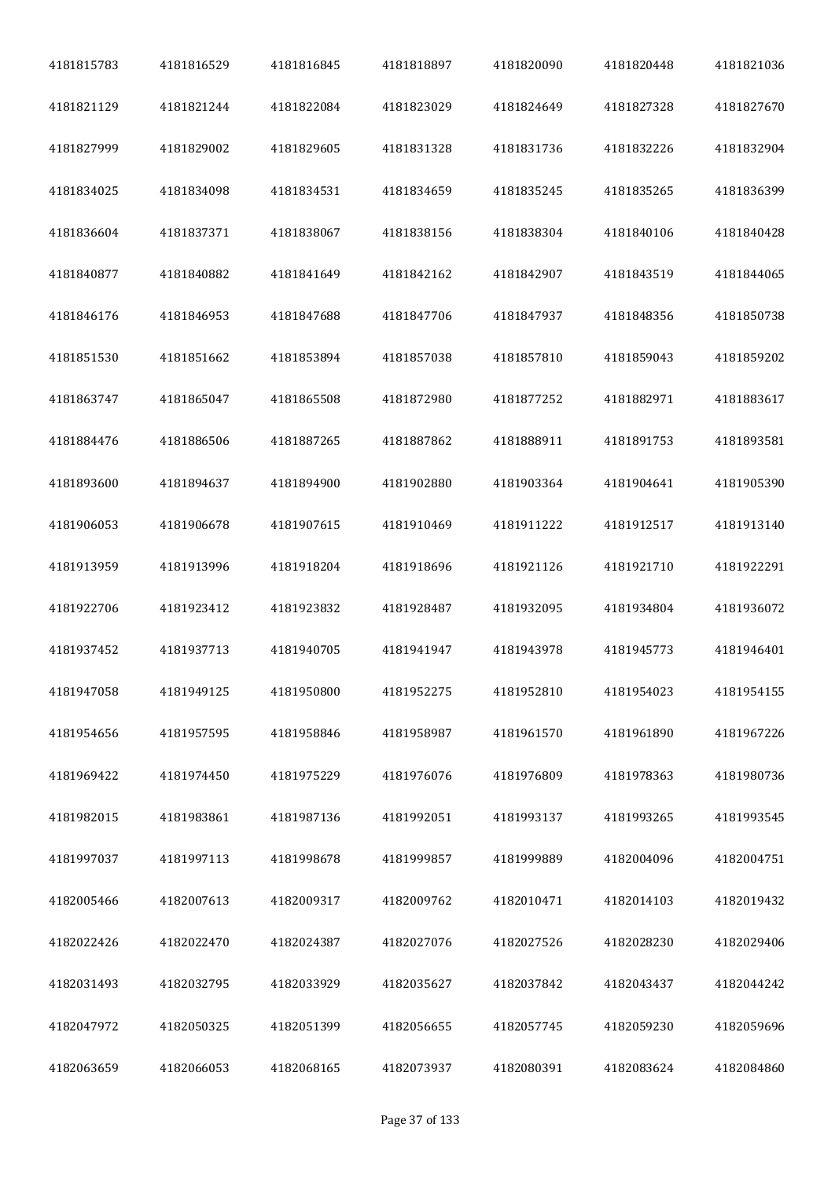| 4181815783 | 4181816529 | 4181816845 | 4181818897 | 4181820090 | 4181820448 | 4181821036 |
|------------|------------|------------|------------|------------|------------|------------|
| 4181821129 | 4181821244 | 4181822084 | 4181823029 | 4181824649 | 4181827328 | 4181827670 |
| 4181827999 | 4181829002 | 4181829605 | 4181831328 | 4181831736 | 4181832226 | 4181832904 |
| 4181834025 | 4181834098 | 4181834531 | 4181834659 | 4181835245 | 4181835265 | 4181836399 |
| 4181836604 | 4181837371 | 4181838067 | 4181838156 | 4181838304 | 4181840106 | 4181840428 |
| 4181840877 | 4181840882 | 4181841649 | 4181842162 | 4181842907 | 4181843519 | 4181844065 |
| 4181846176 | 4181846953 | 4181847688 | 4181847706 | 4181847937 | 4181848356 | 4181850738 |
| 4181851530 | 4181851662 | 4181853894 | 4181857038 | 4181857810 | 4181859043 | 4181859202 |
| 4181863747 | 4181865047 | 4181865508 | 4181872980 | 4181877252 | 4181882971 | 4181883617 |
| 4181884476 | 4181886506 | 4181887265 | 4181887862 | 4181888911 | 4181891753 | 4181893581 |
| 4181893600 | 4181894637 | 4181894900 | 4181902880 | 4181903364 | 4181904641 | 4181905390 |
| 4181906053 | 4181906678 | 4181907615 | 4181910469 | 4181911222 | 4181912517 | 4181913140 |
| 4181913959 | 4181913996 | 4181918204 | 4181918696 | 4181921126 | 4181921710 | 4181922291 |
| 4181922706 | 4181923412 | 4181923832 | 4181928487 | 4181932095 | 4181934804 | 4181936072 |
| 4181937452 | 4181937713 | 4181940705 | 4181941947 | 4181943978 | 4181945773 | 4181946401 |
| 4181947058 | 4181949125 | 4181950800 | 4181952275 | 4181952810 | 4181954023 | 4181954155 |
| 4181954656 | 4181957595 | 4181958846 | 4181958987 | 4181961570 | 4181961890 | 4181967226 |
| 4181969422 | 4181974450 | 4181975229 | 4181976076 | 4181976809 | 4181978363 | 4181980736 |
| 4181982015 | 4181983861 | 4181987136 | 4181992051 | 4181993137 | 4181993265 | 4181993545 |
| 4181997037 | 4181997113 | 4181998678 | 4181999857 | 4181999889 | 4182004096 | 4182004751 |
| 4182005466 | 4182007613 | 4182009317 | 4182009762 | 4182010471 | 4182014103 | 4182019432 |
| 4182022426 | 4182022470 | 4182024387 | 4182027076 | 4182027526 | 4182028230 | 4182029406 |
| 4182031493 | 4182032795 | 4182033929 | 4182035627 | 4182037842 | 4182043437 | 4182044242 |
| 4182047972 | 4182050325 | 4182051399 | 4182056655 | 4182057745 | 4182059230 | 4182059696 |
| 4182063659 | 4182066053 | 4182068165 | 4182073937 | 4182080391 | 4182083624 | 4182084860 |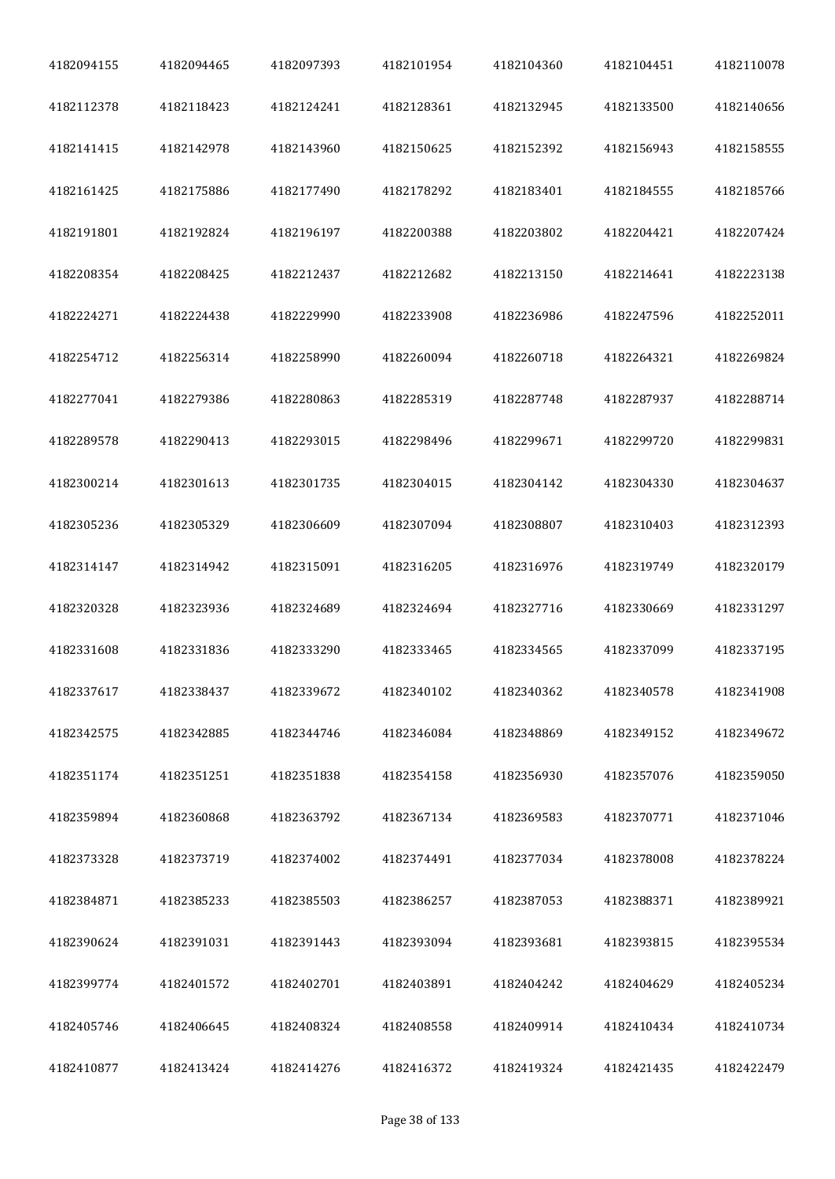| 4182094155 | 4182094465 | 4182097393 | 4182101954 | 4182104360 | 4182104451 | 4182110078 |
|------------|------------|------------|------------|------------|------------|------------|
| 4182112378 | 4182118423 | 4182124241 | 4182128361 | 4182132945 | 4182133500 | 4182140656 |
| 4182141415 | 4182142978 | 4182143960 | 4182150625 | 4182152392 | 4182156943 | 4182158555 |
| 4182161425 | 4182175886 | 4182177490 | 4182178292 | 4182183401 | 4182184555 | 4182185766 |
| 4182191801 | 4182192824 | 4182196197 | 4182200388 | 4182203802 | 4182204421 | 4182207424 |
| 4182208354 | 4182208425 | 4182212437 | 4182212682 | 4182213150 | 4182214641 | 4182223138 |
| 4182224271 | 4182224438 | 4182229990 | 4182233908 | 4182236986 | 4182247596 | 4182252011 |
| 4182254712 | 4182256314 | 4182258990 | 4182260094 | 4182260718 | 4182264321 | 4182269824 |
| 4182277041 | 4182279386 | 4182280863 | 4182285319 | 4182287748 | 4182287937 | 4182288714 |
| 4182289578 | 4182290413 | 4182293015 | 4182298496 | 4182299671 | 4182299720 | 4182299831 |
| 4182300214 | 4182301613 | 4182301735 | 4182304015 | 4182304142 | 4182304330 | 4182304637 |
| 4182305236 | 4182305329 | 4182306609 | 4182307094 | 4182308807 | 4182310403 | 4182312393 |
| 4182314147 | 4182314942 | 4182315091 | 4182316205 | 4182316976 | 4182319749 | 4182320179 |
| 4182320328 | 4182323936 | 4182324689 | 4182324694 | 4182327716 | 4182330669 | 4182331297 |
| 4182331608 | 4182331836 | 4182333290 | 4182333465 | 4182334565 | 4182337099 | 4182337195 |
| 4182337617 | 4182338437 | 4182339672 | 4182340102 | 4182340362 | 4182340578 | 4182341908 |
| 4182342575 | 4182342885 | 4182344746 | 4182346084 | 4182348869 | 4182349152 | 4182349672 |
| 4182351174 | 4182351251 | 4182351838 | 4182354158 | 4182356930 | 4182357076 | 4182359050 |
| 4182359894 | 4182360868 | 4182363792 | 4182367134 | 4182369583 | 4182370771 | 4182371046 |
| 4182373328 | 4182373719 | 4182374002 | 4182374491 | 4182377034 | 4182378008 | 4182378224 |
| 4182384871 | 4182385233 | 4182385503 | 4182386257 | 4182387053 | 4182388371 | 4182389921 |
| 4182390624 | 4182391031 | 4182391443 | 4182393094 | 4182393681 | 4182393815 | 4182395534 |
| 4182399774 | 4182401572 | 4182402701 | 4182403891 | 4182404242 | 4182404629 | 4182405234 |
| 4182405746 | 4182406645 | 4182408324 | 4182408558 | 4182409914 | 4182410434 | 4182410734 |
| 4182410877 | 4182413424 | 4182414276 | 4182416372 | 4182419324 | 4182421435 | 4182422479 |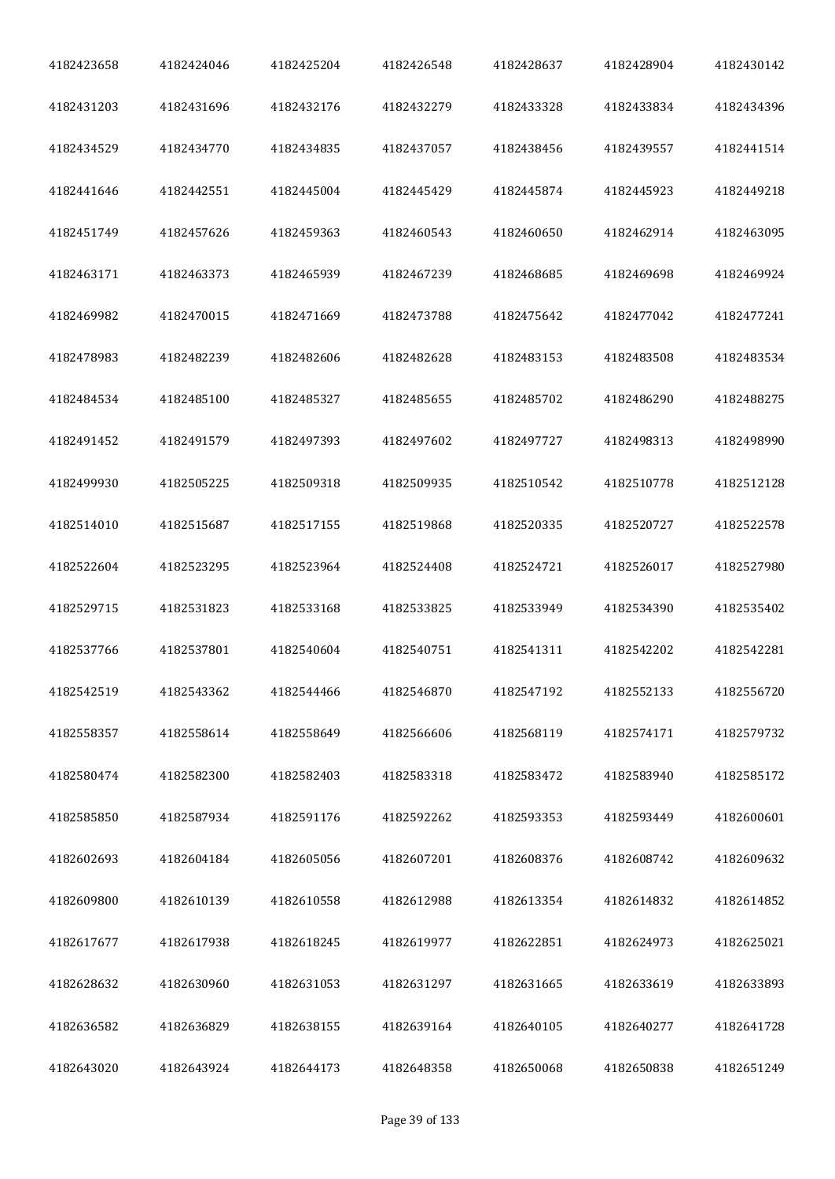| 4182423658 | 4182424046 | 4182425204 | 4182426548 | 4182428637 | 4182428904 | 4182430142 |
|------------|------------|------------|------------|------------|------------|------------|
| 4182431203 | 4182431696 | 4182432176 | 4182432279 | 4182433328 | 4182433834 | 4182434396 |
| 4182434529 | 4182434770 | 4182434835 | 4182437057 | 4182438456 | 4182439557 | 4182441514 |
| 4182441646 | 4182442551 | 4182445004 | 4182445429 | 4182445874 | 4182445923 | 4182449218 |
| 4182451749 | 4182457626 | 4182459363 | 4182460543 | 4182460650 | 4182462914 | 4182463095 |
| 4182463171 | 4182463373 | 4182465939 | 4182467239 | 4182468685 | 4182469698 | 4182469924 |
| 4182469982 | 4182470015 | 4182471669 | 4182473788 | 4182475642 | 4182477042 | 4182477241 |
| 4182478983 | 4182482239 | 4182482606 | 4182482628 | 4182483153 | 4182483508 | 4182483534 |
| 4182484534 | 4182485100 | 4182485327 | 4182485655 | 4182485702 | 4182486290 | 4182488275 |
| 4182491452 | 4182491579 | 4182497393 | 4182497602 | 4182497727 | 4182498313 | 4182498990 |
| 4182499930 | 4182505225 | 4182509318 | 4182509935 | 4182510542 | 4182510778 | 4182512128 |
| 4182514010 | 4182515687 | 4182517155 | 4182519868 | 4182520335 | 4182520727 | 4182522578 |
| 4182522604 | 4182523295 | 4182523964 | 4182524408 | 4182524721 | 4182526017 | 4182527980 |
| 4182529715 | 4182531823 | 4182533168 | 4182533825 | 4182533949 | 4182534390 | 4182535402 |
| 4182537766 | 4182537801 | 4182540604 | 4182540751 | 4182541311 | 4182542202 | 4182542281 |
| 4182542519 | 4182543362 | 4182544466 | 4182546870 | 4182547192 | 4182552133 | 4182556720 |
| 4182558357 | 4182558614 | 4182558649 | 4182566606 | 4182568119 | 4182574171 | 4182579732 |
| 4182580474 | 4182582300 | 4182582403 | 4182583318 | 4182583472 | 4182583940 | 4182585172 |
| 4182585850 | 4182587934 | 4182591176 | 4182592262 | 4182593353 | 4182593449 | 4182600601 |
| 4182602693 | 4182604184 | 4182605056 | 4182607201 | 4182608376 | 4182608742 | 4182609632 |
| 4182609800 | 4182610139 | 4182610558 | 4182612988 | 4182613354 | 4182614832 | 4182614852 |
| 4182617677 | 4182617938 | 4182618245 | 4182619977 | 4182622851 | 4182624973 | 4182625021 |
| 4182628632 | 4182630960 | 4182631053 | 4182631297 | 4182631665 | 4182633619 | 4182633893 |
| 4182636582 | 4182636829 | 4182638155 | 4182639164 | 4182640105 | 4182640277 | 4182641728 |
| 4182643020 | 4182643924 | 4182644173 | 4182648358 | 4182650068 | 4182650838 | 4182651249 |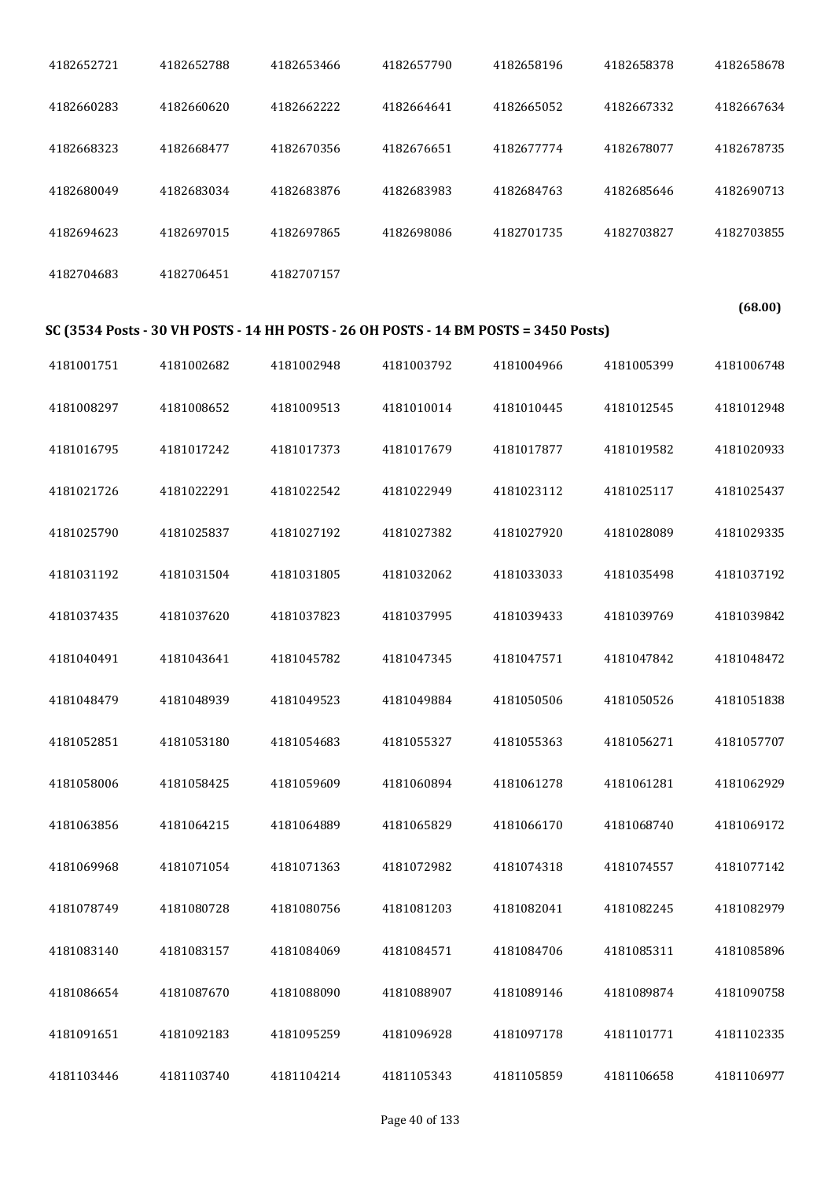| 4182652721 | 4182652788 | 4182653466 | 4182657790 | 4182658196                                                                           | 4182658378 | 4182658678 |
|------------|------------|------------|------------|--------------------------------------------------------------------------------------|------------|------------|
| 4182660283 | 4182660620 | 4182662222 | 4182664641 | 4182665052                                                                           | 4182667332 | 4182667634 |
| 4182668323 | 4182668477 | 4182670356 | 4182676651 | 4182677774                                                                           | 4182678077 | 4182678735 |
| 4182680049 | 4182683034 | 4182683876 | 4182683983 | 4182684763                                                                           | 4182685646 | 4182690713 |
| 4182694623 | 4182697015 | 4182697865 | 4182698086 | 4182701735                                                                           | 4182703827 | 4182703855 |
| 4182704683 | 4182706451 | 4182707157 |            |                                                                                      |            |            |
|            |            |            |            | SC (3534 Posts - 30 VH POSTS - 14 HH POSTS - 26 OH POSTS - 14 BM POSTS = 3450 Posts) |            | (68.00)    |
|            |            |            |            |                                                                                      |            |            |
| 4181001751 | 4181002682 | 4181002948 | 4181003792 | 4181004966                                                                           | 4181005399 | 4181006748 |
| 4181008297 | 4181008652 | 4181009513 | 4181010014 | 4181010445                                                                           | 4181012545 | 4181012948 |
| 4181016795 | 4181017242 | 4181017373 | 4181017679 | 4181017877                                                                           | 4181019582 | 4181020933 |
| 4181021726 | 4181022291 | 4181022542 | 4181022949 | 4181023112                                                                           | 4181025117 | 4181025437 |
| 4181025790 | 4181025837 | 4181027192 | 4181027382 | 4181027920                                                                           | 4181028089 | 4181029335 |
| 4181031192 | 4181031504 | 4181031805 | 4181032062 | 4181033033                                                                           | 4181035498 | 4181037192 |
| 4181037435 | 4181037620 | 4181037823 | 4181037995 | 4181039433                                                                           | 4181039769 | 4181039842 |
| 4181040491 | 4181043641 | 4181045782 | 4181047345 | 4181047571                                                                           | 4181047842 | 4181048472 |
| 4181048479 | 4181048939 | 4181049523 | 4181049884 | 4181050506                                                                           | 4181050526 | 4181051838 |
| 4181052851 | 4181053180 | 4181054683 | 4181055327 | 4181055363                                                                           | 4181056271 | 4181057707 |
| 4181058006 | 4181058425 | 4181059609 | 4181060894 | 4181061278                                                                           | 4181061281 | 4181062929 |
| 4181063856 | 4181064215 | 4181064889 | 4181065829 | 4181066170                                                                           | 4181068740 | 4181069172 |
| 4181069968 | 4181071054 | 4181071363 | 4181072982 | 4181074318                                                                           | 4181074557 | 4181077142 |
| 4181078749 | 4181080728 | 4181080756 | 4181081203 | 4181082041                                                                           | 4181082245 | 4181082979 |
| 4181083140 | 4181083157 | 4181084069 | 4181084571 | 4181084706                                                                           | 4181085311 | 4181085896 |
| 4181086654 | 4181087670 | 4181088090 | 4181088907 | 4181089146                                                                           | 4181089874 | 4181090758 |
| 4181091651 | 4181092183 | 4181095259 | 4181096928 | 4181097178                                                                           | 4181101771 | 4181102335 |
| 4181103446 | 4181103740 | 4181104214 | 4181105343 | 4181105859                                                                           | 4181106658 | 4181106977 |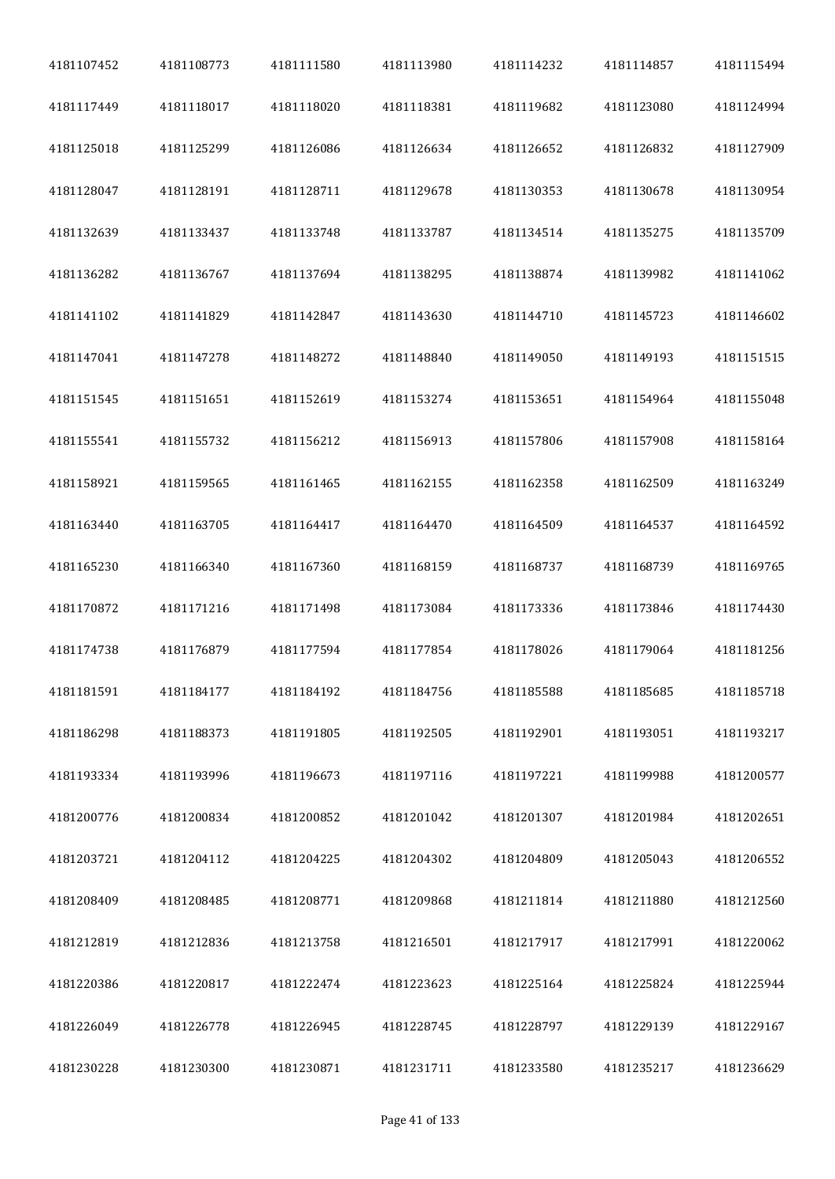| 4181107452 | 4181108773 | 4181111580 | 4181113980 | 4181114232 | 4181114857 | 4181115494 |
|------------|------------|------------|------------|------------|------------|------------|
| 4181117449 | 4181118017 | 4181118020 | 4181118381 | 4181119682 | 4181123080 | 4181124994 |
| 4181125018 | 4181125299 | 4181126086 | 4181126634 | 4181126652 | 4181126832 | 4181127909 |
| 4181128047 | 4181128191 | 4181128711 | 4181129678 | 4181130353 | 4181130678 | 4181130954 |
| 4181132639 | 4181133437 | 4181133748 | 4181133787 | 4181134514 | 4181135275 | 4181135709 |
| 4181136282 | 4181136767 | 4181137694 | 4181138295 | 4181138874 | 4181139982 | 4181141062 |
| 4181141102 | 4181141829 | 4181142847 | 4181143630 | 4181144710 | 4181145723 | 4181146602 |
| 4181147041 | 4181147278 | 4181148272 | 4181148840 | 4181149050 | 4181149193 | 4181151515 |
| 4181151545 | 4181151651 | 4181152619 | 4181153274 | 4181153651 | 4181154964 | 4181155048 |
| 4181155541 | 4181155732 | 4181156212 | 4181156913 | 4181157806 | 4181157908 | 4181158164 |
| 4181158921 | 4181159565 | 4181161465 | 4181162155 | 4181162358 | 4181162509 | 4181163249 |
| 4181163440 | 4181163705 | 4181164417 | 4181164470 | 4181164509 | 4181164537 | 4181164592 |
| 4181165230 | 4181166340 | 4181167360 | 4181168159 | 4181168737 | 4181168739 | 4181169765 |
| 4181170872 | 4181171216 | 4181171498 | 4181173084 | 4181173336 | 4181173846 | 4181174430 |
| 4181174738 | 4181176879 | 4181177594 | 4181177854 | 4181178026 | 4181179064 | 4181181256 |
| 4181181591 | 4181184177 | 4181184192 | 4181184756 | 4181185588 | 4181185685 | 4181185718 |
| 4181186298 | 4181188373 | 4181191805 | 4181192505 | 4181192901 | 4181193051 | 4181193217 |
| 4181193334 | 4181193996 | 4181196673 | 4181197116 | 4181197221 | 4181199988 | 4181200577 |
| 4181200776 | 4181200834 | 4181200852 | 4181201042 | 4181201307 | 4181201984 | 4181202651 |
| 4181203721 | 4181204112 | 4181204225 | 4181204302 | 4181204809 | 4181205043 | 4181206552 |
| 4181208409 | 4181208485 | 4181208771 | 4181209868 | 4181211814 | 4181211880 | 4181212560 |
| 4181212819 | 4181212836 | 4181213758 | 4181216501 | 4181217917 | 4181217991 | 4181220062 |
| 4181220386 | 4181220817 | 4181222474 | 4181223623 | 4181225164 | 4181225824 | 4181225944 |
| 4181226049 | 4181226778 | 4181226945 | 4181228745 | 4181228797 | 4181229139 | 4181229167 |
| 4181230228 | 4181230300 | 4181230871 | 4181231711 | 4181233580 | 4181235217 | 4181236629 |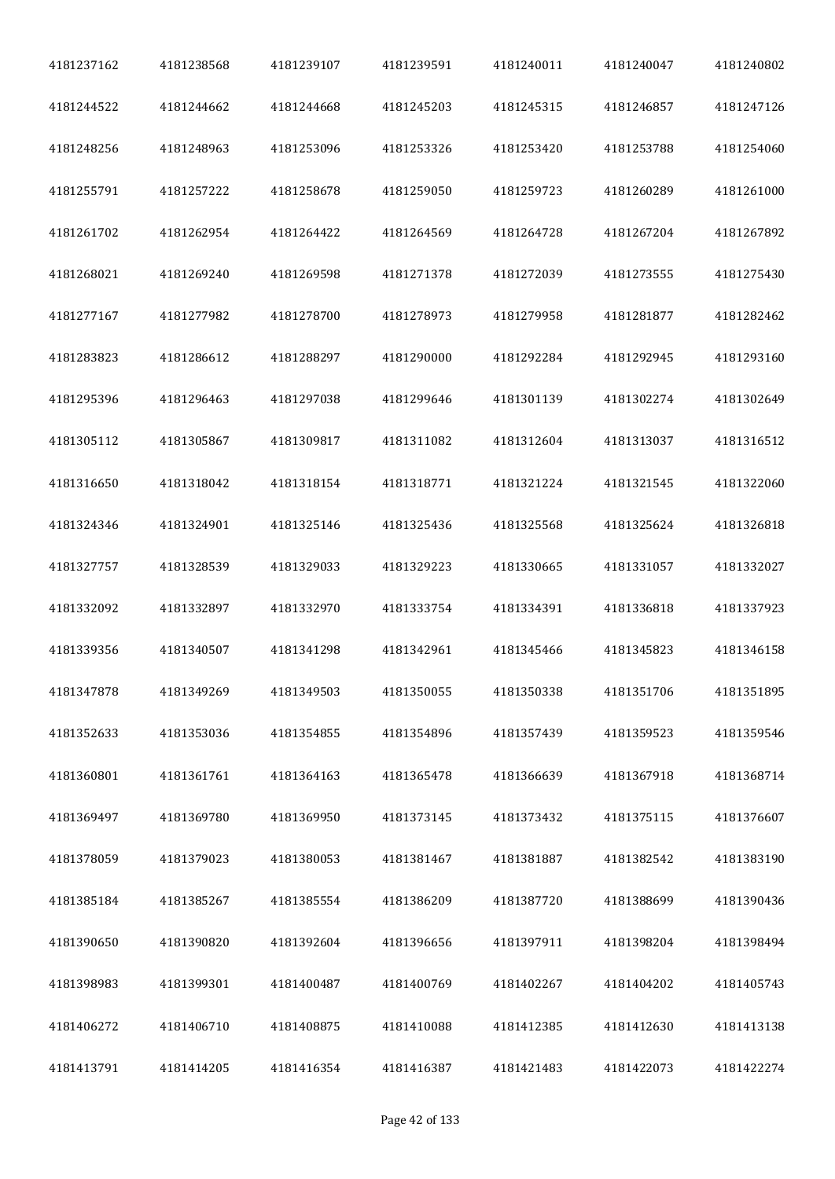| 4181237162 | 4181238568 | 4181239107 | 4181239591 | 4181240011 | 4181240047 | 4181240802 |
|------------|------------|------------|------------|------------|------------|------------|
| 4181244522 | 4181244662 | 4181244668 | 4181245203 | 4181245315 | 4181246857 | 4181247126 |
| 4181248256 | 4181248963 | 4181253096 | 4181253326 | 4181253420 | 4181253788 | 4181254060 |
| 4181255791 | 4181257222 | 4181258678 | 4181259050 | 4181259723 | 4181260289 | 4181261000 |
| 4181261702 | 4181262954 | 4181264422 | 4181264569 | 4181264728 | 4181267204 | 4181267892 |
| 4181268021 | 4181269240 | 4181269598 | 4181271378 | 4181272039 | 4181273555 | 4181275430 |
| 4181277167 | 4181277982 | 4181278700 | 4181278973 | 4181279958 | 4181281877 | 4181282462 |
| 4181283823 | 4181286612 | 4181288297 | 4181290000 | 4181292284 | 4181292945 | 4181293160 |
| 4181295396 | 4181296463 | 4181297038 | 4181299646 | 4181301139 | 4181302274 | 4181302649 |
| 4181305112 | 4181305867 | 4181309817 | 4181311082 | 4181312604 | 4181313037 | 4181316512 |
| 4181316650 | 4181318042 | 4181318154 | 4181318771 | 4181321224 | 4181321545 | 4181322060 |
| 4181324346 | 4181324901 | 4181325146 | 4181325436 | 4181325568 | 4181325624 | 4181326818 |
| 4181327757 | 4181328539 | 4181329033 | 4181329223 | 4181330665 | 4181331057 | 4181332027 |
| 4181332092 | 4181332897 | 4181332970 | 4181333754 | 4181334391 | 4181336818 | 4181337923 |
| 4181339356 | 4181340507 | 4181341298 | 4181342961 | 4181345466 | 4181345823 | 4181346158 |
| 4181347878 | 4181349269 | 4181349503 | 4181350055 | 4181350338 | 4181351706 | 4181351895 |
| 4181352633 | 4181353036 | 4181354855 | 4181354896 | 4181357439 | 4181359523 | 4181359546 |
| 4181360801 | 4181361761 | 4181364163 | 4181365478 | 4181366639 | 4181367918 | 4181368714 |
| 4181369497 | 4181369780 | 4181369950 | 4181373145 | 4181373432 | 4181375115 | 4181376607 |
| 4181378059 | 4181379023 | 4181380053 | 4181381467 | 4181381887 | 4181382542 | 4181383190 |
| 4181385184 | 4181385267 | 4181385554 | 4181386209 | 4181387720 | 4181388699 | 4181390436 |
| 4181390650 | 4181390820 | 4181392604 | 4181396656 | 4181397911 | 4181398204 | 4181398494 |
| 4181398983 | 4181399301 | 4181400487 | 4181400769 | 4181402267 | 4181404202 | 4181405743 |
| 4181406272 | 4181406710 | 4181408875 | 4181410088 | 4181412385 | 4181412630 | 4181413138 |
| 4181413791 | 4181414205 | 4181416354 | 4181416387 | 4181421483 | 4181422073 | 4181422274 |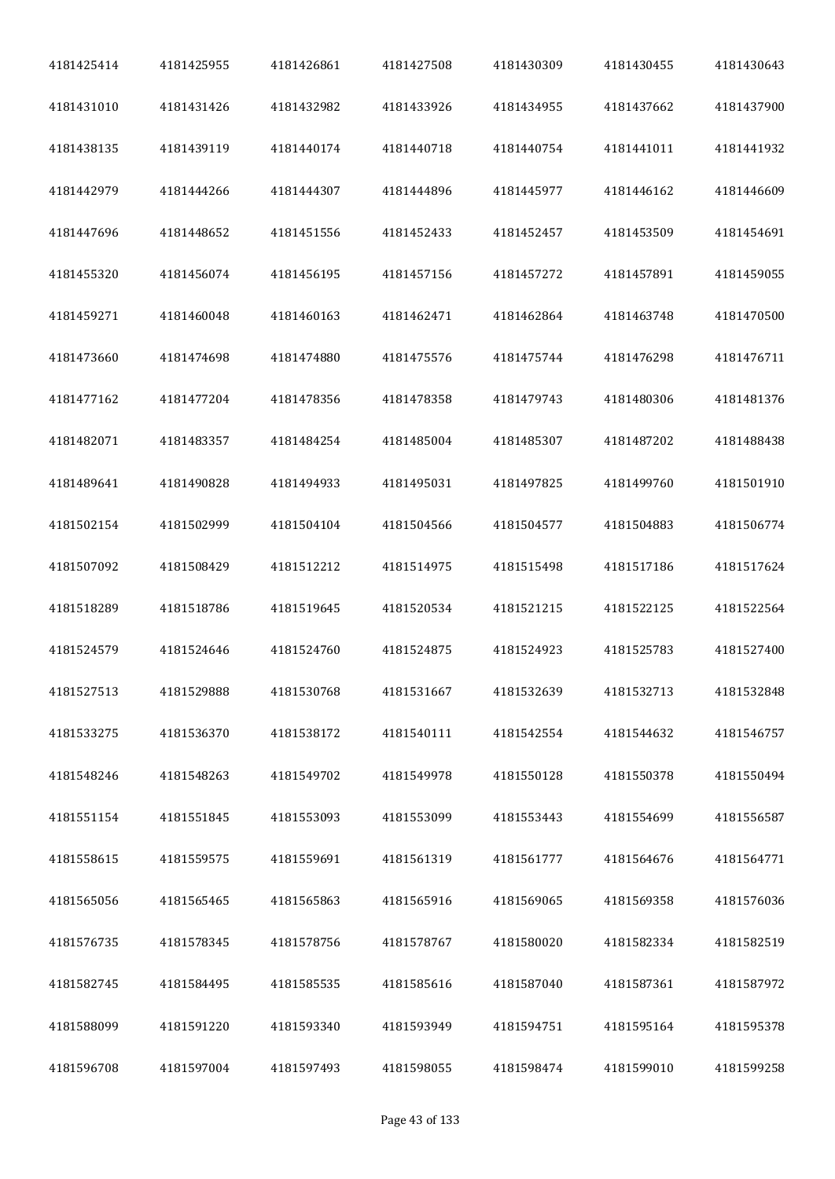| 4181425414 | 4181425955 | 4181426861 | 4181427508 | 4181430309 | 4181430455 | 4181430643 |
|------------|------------|------------|------------|------------|------------|------------|
| 4181431010 | 4181431426 | 4181432982 | 4181433926 | 4181434955 | 4181437662 | 4181437900 |
| 4181438135 | 4181439119 | 4181440174 | 4181440718 | 4181440754 | 4181441011 | 4181441932 |
| 4181442979 | 4181444266 | 4181444307 | 4181444896 | 4181445977 | 4181446162 | 4181446609 |
| 4181447696 | 4181448652 | 4181451556 | 4181452433 | 4181452457 | 4181453509 | 4181454691 |
| 4181455320 | 4181456074 | 4181456195 | 4181457156 | 4181457272 | 4181457891 | 4181459055 |
| 4181459271 | 4181460048 | 4181460163 | 4181462471 | 4181462864 | 4181463748 | 4181470500 |
| 4181473660 | 4181474698 | 4181474880 | 4181475576 | 4181475744 | 4181476298 | 4181476711 |
| 4181477162 | 4181477204 | 4181478356 | 4181478358 | 4181479743 | 4181480306 | 4181481376 |
| 4181482071 | 4181483357 | 4181484254 | 4181485004 | 4181485307 | 4181487202 | 4181488438 |
| 4181489641 | 4181490828 | 4181494933 | 4181495031 | 4181497825 | 4181499760 | 4181501910 |
| 4181502154 | 4181502999 | 4181504104 | 4181504566 | 4181504577 | 4181504883 | 4181506774 |
| 4181507092 | 4181508429 | 4181512212 | 4181514975 | 4181515498 | 4181517186 | 4181517624 |
| 4181518289 | 4181518786 | 4181519645 | 4181520534 | 4181521215 | 4181522125 | 4181522564 |
| 4181524579 | 4181524646 | 4181524760 | 4181524875 | 4181524923 | 4181525783 | 4181527400 |
| 4181527513 | 4181529888 | 4181530768 | 4181531667 | 4181532639 | 4181532713 | 4181532848 |
| 4181533275 | 4181536370 | 4181538172 | 4181540111 | 4181542554 | 4181544632 | 4181546757 |
| 4181548246 | 4181548263 | 4181549702 | 4181549978 | 4181550128 | 4181550378 | 4181550494 |
| 4181551154 | 4181551845 | 4181553093 | 4181553099 | 4181553443 | 4181554699 | 4181556587 |
| 4181558615 | 4181559575 | 4181559691 | 4181561319 | 4181561777 | 4181564676 | 4181564771 |
| 4181565056 | 4181565465 | 4181565863 | 4181565916 | 4181569065 | 4181569358 | 4181576036 |
| 4181576735 | 4181578345 | 4181578756 | 4181578767 | 4181580020 | 4181582334 | 4181582519 |
| 4181582745 | 4181584495 | 4181585535 | 4181585616 | 4181587040 | 4181587361 | 4181587972 |
| 4181588099 | 4181591220 | 4181593340 | 4181593949 | 4181594751 | 4181595164 | 4181595378 |
| 4181596708 | 4181597004 | 4181597493 | 4181598055 | 4181598474 | 4181599010 | 4181599258 |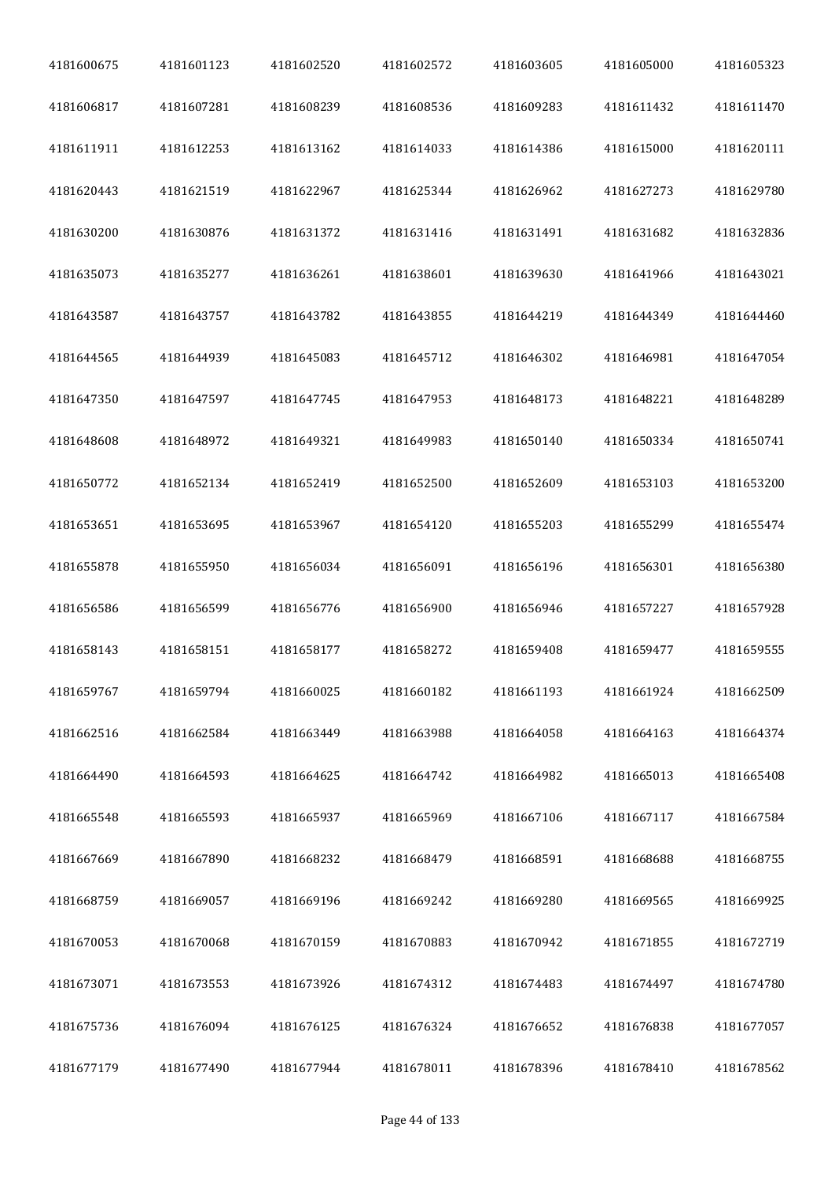| 4181600675 | 4181601123 | 4181602520 | 4181602572 | 4181603605 | 4181605000 | 4181605323 |
|------------|------------|------------|------------|------------|------------|------------|
| 4181606817 | 4181607281 | 4181608239 | 4181608536 | 4181609283 | 4181611432 | 4181611470 |
| 4181611911 | 4181612253 | 4181613162 | 4181614033 | 4181614386 | 4181615000 | 4181620111 |
| 4181620443 | 4181621519 | 4181622967 | 4181625344 | 4181626962 | 4181627273 | 4181629780 |
| 4181630200 | 4181630876 | 4181631372 | 4181631416 | 4181631491 | 4181631682 | 4181632836 |
| 4181635073 | 4181635277 | 4181636261 | 4181638601 | 4181639630 | 4181641966 | 4181643021 |
| 4181643587 | 4181643757 | 4181643782 | 4181643855 | 4181644219 | 4181644349 | 4181644460 |
| 4181644565 | 4181644939 | 4181645083 | 4181645712 | 4181646302 | 4181646981 | 4181647054 |
| 4181647350 | 4181647597 | 4181647745 | 4181647953 | 4181648173 | 4181648221 | 4181648289 |
| 4181648608 | 4181648972 | 4181649321 | 4181649983 | 4181650140 | 4181650334 | 4181650741 |
| 4181650772 | 4181652134 | 4181652419 | 4181652500 | 4181652609 | 4181653103 | 4181653200 |
| 4181653651 | 4181653695 | 4181653967 | 4181654120 | 4181655203 | 4181655299 | 4181655474 |
| 4181655878 | 4181655950 | 4181656034 | 4181656091 | 4181656196 | 4181656301 | 4181656380 |
| 4181656586 | 4181656599 | 4181656776 | 4181656900 | 4181656946 | 4181657227 | 4181657928 |
| 4181658143 | 4181658151 | 4181658177 | 4181658272 | 4181659408 | 4181659477 | 4181659555 |
| 4181659767 | 4181659794 | 4181660025 | 4181660182 | 4181661193 | 4181661924 | 4181662509 |
| 4181662516 | 4181662584 | 4181663449 | 4181663988 | 4181664058 | 4181664163 | 4181664374 |
| 4181664490 | 4181664593 | 4181664625 | 4181664742 | 4181664982 | 4181665013 | 4181665408 |
| 4181665548 | 4181665593 | 4181665937 | 4181665969 | 4181667106 | 4181667117 | 4181667584 |
| 4181667669 | 4181667890 | 4181668232 | 4181668479 | 4181668591 | 4181668688 | 4181668755 |
| 4181668759 | 4181669057 | 4181669196 | 4181669242 | 4181669280 | 4181669565 | 4181669925 |
| 4181670053 | 4181670068 | 4181670159 | 4181670883 | 4181670942 | 4181671855 | 4181672719 |
| 4181673071 | 4181673553 | 4181673926 | 4181674312 | 4181674483 | 4181674497 | 4181674780 |
| 4181675736 | 4181676094 | 4181676125 | 4181676324 | 4181676652 | 4181676838 | 4181677057 |
| 4181677179 | 4181677490 | 4181677944 | 4181678011 | 4181678396 | 4181678410 | 4181678562 |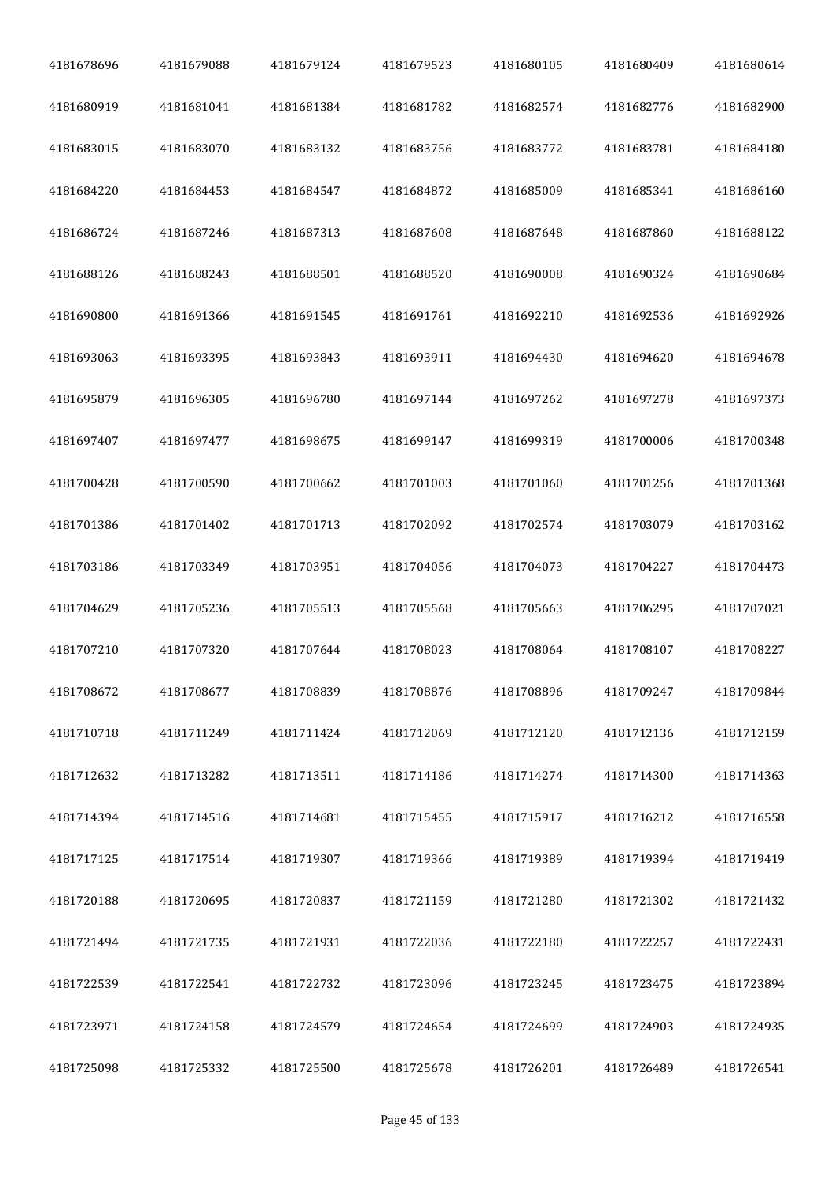| 4181678696 | 4181679088 | 4181679124 | 4181679523 | 4181680105 | 4181680409 | 4181680614 |
|------------|------------|------------|------------|------------|------------|------------|
| 4181680919 | 4181681041 | 4181681384 | 4181681782 | 4181682574 | 4181682776 | 4181682900 |
| 4181683015 | 4181683070 | 4181683132 | 4181683756 | 4181683772 | 4181683781 | 4181684180 |
| 4181684220 | 4181684453 | 4181684547 | 4181684872 | 4181685009 | 4181685341 | 4181686160 |
| 4181686724 | 4181687246 | 4181687313 | 4181687608 | 4181687648 | 4181687860 | 4181688122 |
| 4181688126 | 4181688243 | 4181688501 | 4181688520 | 4181690008 | 4181690324 | 4181690684 |
| 4181690800 | 4181691366 | 4181691545 | 4181691761 | 4181692210 | 4181692536 | 4181692926 |
| 4181693063 | 4181693395 | 4181693843 | 4181693911 | 4181694430 | 4181694620 | 4181694678 |
| 4181695879 | 4181696305 | 4181696780 | 4181697144 | 4181697262 | 4181697278 | 4181697373 |
| 4181697407 | 4181697477 | 4181698675 | 4181699147 | 4181699319 | 4181700006 | 4181700348 |
| 4181700428 | 4181700590 | 4181700662 | 4181701003 | 4181701060 | 4181701256 | 4181701368 |
| 4181701386 | 4181701402 | 4181701713 | 4181702092 | 4181702574 | 4181703079 | 4181703162 |
| 4181703186 | 4181703349 | 4181703951 | 4181704056 | 4181704073 | 4181704227 | 4181704473 |
| 4181704629 | 4181705236 | 4181705513 | 4181705568 | 4181705663 | 4181706295 | 4181707021 |
| 4181707210 | 4181707320 | 4181707644 | 4181708023 | 4181708064 | 4181708107 | 4181708227 |
| 4181708672 | 4181708677 | 4181708839 | 4181708876 | 4181708896 | 4181709247 | 4181709844 |
| 4181710718 | 4181711249 | 4181711424 | 4181712069 | 4181712120 | 4181712136 | 4181712159 |
| 4181712632 | 4181713282 | 4181713511 | 4181714186 | 4181714274 | 4181714300 | 4181714363 |
| 4181714394 | 4181714516 | 4181714681 | 4181715455 | 4181715917 | 4181716212 | 4181716558 |
| 4181717125 | 4181717514 | 4181719307 | 4181719366 | 4181719389 | 4181719394 | 4181719419 |
| 4181720188 | 4181720695 | 4181720837 | 4181721159 | 4181721280 | 4181721302 | 4181721432 |
| 4181721494 | 4181721735 | 4181721931 | 4181722036 | 4181722180 | 4181722257 | 4181722431 |
| 4181722539 | 4181722541 | 4181722732 | 4181723096 | 4181723245 | 4181723475 | 4181723894 |
| 4181723971 | 4181724158 | 4181724579 | 4181724654 | 4181724699 | 4181724903 | 4181724935 |
| 4181725098 | 4181725332 | 4181725500 | 4181725678 | 4181726201 | 4181726489 | 4181726541 |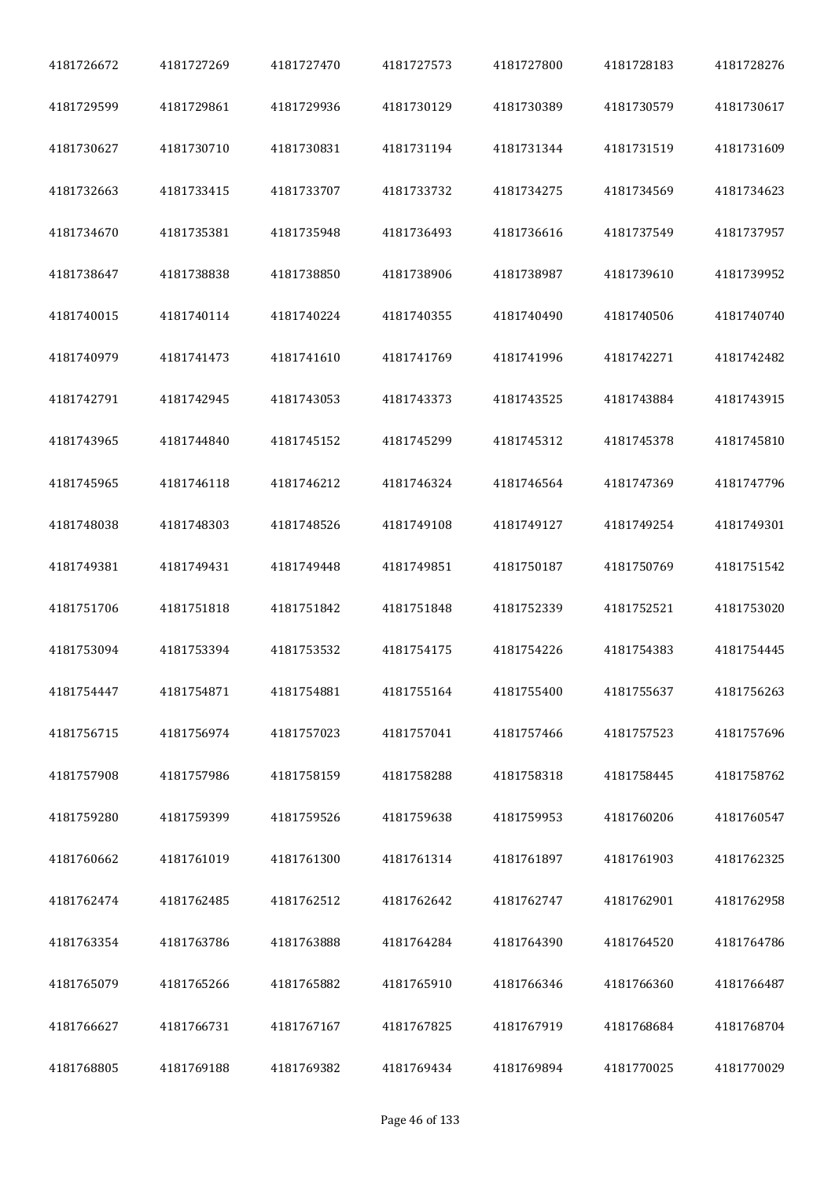| 4181726672 | 4181727269 | 4181727470 | 4181727573 | 4181727800 | 4181728183 | 4181728276 |
|------------|------------|------------|------------|------------|------------|------------|
| 4181729599 | 4181729861 | 4181729936 | 4181730129 | 4181730389 | 4181730579 | 4181730617 |
| 4181730627 | 4181730710 | 4181730831 | 4181731194 | 4181731344 | 4181731519 | 4181731609 |
| 4181732663 | 4181733415 | 4181733707 | 4181733732 | 4181734275 | 4181734569 | 4181734623 |
| 4181734670 | 4181735381 | 4181735948 | 4181736493 | 4181736616 | 4181737549 | 4181737957 |
| 4181738647 | 4181738838 | 4181738850 | 4181738906 | 4181738987 | 4181739610 | 4181739952 |
| 4181740015 | 4181740114 | 4181740224 | 4181740355 | 4181740490 | 4181740506 | 4181740740 |
| 4181740979 | 4181741473 | 4181741610 | 4181741769 | 4181741996 | 4181742271 | 4181742482 |
| 4181742791 | 4181742945 | 4181743053 | 4181743373 | 4181743525 | 4181743884 | 4181743915 |
| 4181743965 | 4181744840 | 4181745152 | 4181745299 | 4181745312 | 4181745378 | 4181745810 |
| 4181745965 | 4181746118 | 4181746212 | 4181746324 | 4181746564 | 4181747369 | 4181747796 |
| 4181748038 | 4181748303 | 4181748526 | 4181749108 | 4181749127 | 4181749254 | 4181749301 |
| 4181749381 | 4181749431 | 4181749448 | 4181749851 | 4181750187 | 4181750769 | 4181751542 |
| 4181751706 | 4181751818 | 4181751842 | 4181751848 | 4181752339 | 4181752521 | 4181753020 |
| 4181753094 | 4181753394 | 4181753532 | 4181754175 | 4181754226 | 4181754383 | 4181754445 |
| 4181754447 | 4181754871 | 4181754881 | 4181755164 | 4181755400 | 4181755637 | 4181756263 |
| 4181756715 | 4181756974 | 4181757023 | 4181757041 | 4181757466 | 4181757523 | 4181757696 |
| 4181757908 | 4181757986 | 4181758159 | 4181758288 | 4181758318 | 4181758445 | 4181758762 |
| 4181759280 | 4181759399 | 4181759526 | 4181759638 | 4181759953 | 4181760206 | 4181760547 |
| 4181760662 | 4181761019 | 4181761300 | 4181761314 | 4181761897 | 4181761903 | 4181762325 |
| 4181762474 | 4181762485 | 4181762512 | 4181762642 | 4181762747 | 4181762901 | 4181762958 |
| 4181763354 | 4181763786 | 4181763888 | 4181764284 | 4181764390 | 4181764520 | 4181764786 |
| 4181765079 | 4181765266 | 4181765882 | 4181765910 | 4181766346 | 4181766360 | 4181766487 |
| 4181766627 | 4181766731 | 4181767167 | 4181767825 | 4181767919 | 4181768684 | 4181768704 |
| 4181768805 | 4181769188 | 4181769382 | 4181769434 | 4181769894 | 4181770025 | 4181770029 |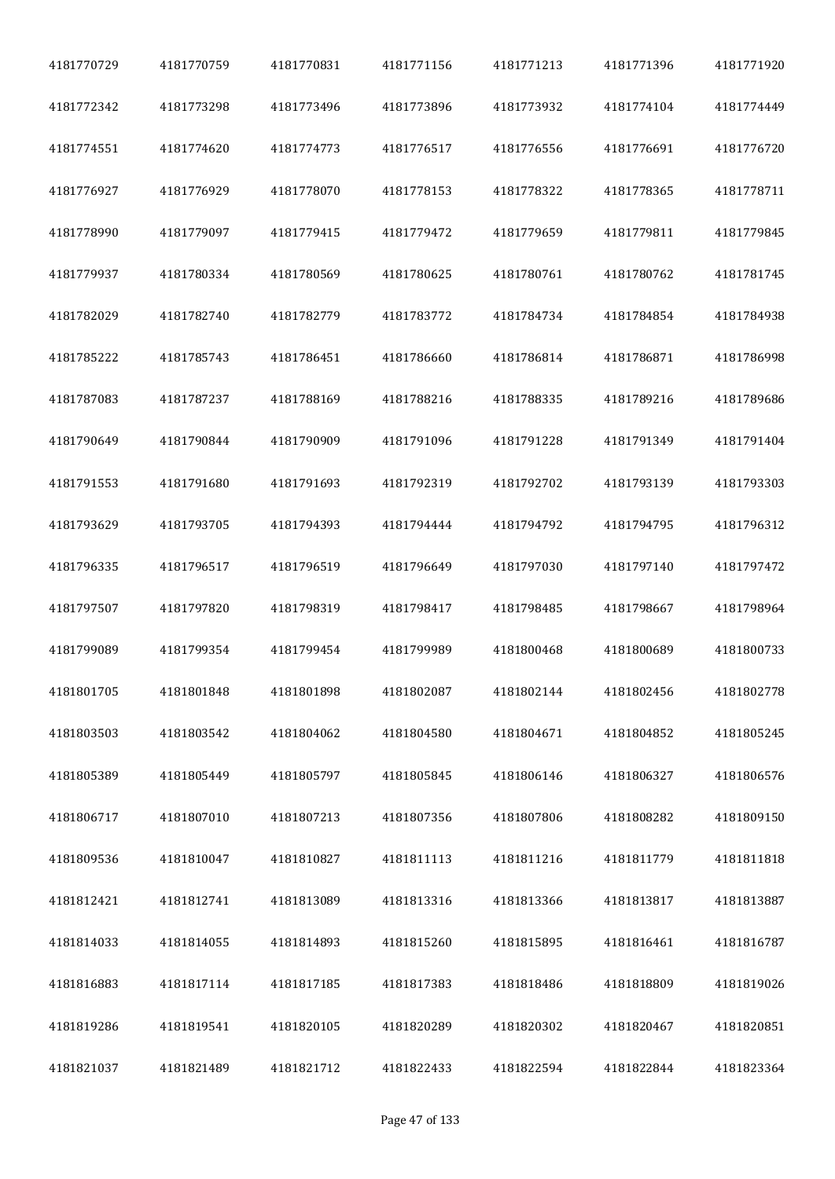| 4181770729 | 4181770759 | 4181770831 | 4181771156 | 4181771213 | 4181771396 | 4181771920 |
|------------|------------|------------|------------|------------|------------|------------|
| 4181772342 | 4181773298 | 4181773496 | 4181773896 | 4181773932 | 4181774104 | 4181774449 |
| 4181774551 | 4181774620 | 4181774773 | 4181776517 | 4181776556 | 4181776691 | 4181776720 |
| 4181776927 | 4181776929 | 4181778070 | 4181778153 | 4181778322 | 4181778365 | 4181778711 |
| 4181778990 | 4181779097 | 4181779415 | 4181779472 | 4181779659 | 4181779811 | 4181779845 |
| 4181779937 | 4181780334 | 4181780569 | 4181780625 | 4181780761 | 4181780762 | 4181781745 |
| 4181782029 | 4181782740 | 4181782779 | 4181783772 | 4181784734 | 4181784854 | 4181784938 |
| 4181785222 | 4181785743 | 4181786451 | 4181786660 | 4181786814 | 4181786871 | 4181786998 |
| 4181787083 | 4181787237 | 4181788169 | 4181788216 | 4181788335 | 4181789216 | 4181789686 |
| 4181790649 | 4181790844 | 4181790909 | 4181791096 | 4181791228 | 4181791349 | 4181791404 |
| 4181791553 | 4181791680 | 4181791693 | 4181792319 | 4181792702 | 4181793139 | 4181793303 |
| 4181793629 | 4181793705 | 4181794393 | 4181794444 | 4181794792 | 4181794795 | 4181796312 |
| 4181796335 | 4181796517 | 4181796519 | 4181796649 | 4181797030 | 4181797140 | 4181797472 |
| 4181797507 | 4181797820 | 4181798319 | 4181798417 | 4181798485 | 4181798667 | 4181798964 |
| 4181799089 | 4181799354 | 4181799454 | 4181799989 | 4181800468 | 4181800689 | 4181800733 |
| 4181801705 | 4181801848 | 4181801898 | 4181802087 | 4181802144 | 4181802456 | 4181802778 |
| 4181803503 | 4181803542 | 4181804062 | 4181804580 | 4181804671 | 4181804852 | 4181805245 |
| 4181805389 | 4181805449 | 4181805797 | 4181805845 | 4181806146 | 4181806327 | 4181806576 |
| 4181806717 | 4181807010 | 4181807213 | 4181807356 | 4181807806 | 4181808282 | 4181809150 |
| 4181809536 | 4181810047 | 4181810827 | 4181811113 | 4181811216 | 4181811779 | 4181811818 |
| 4181812421 | 4181812741 | 4181813089 | 4181813316 | 4181813366 | 4181813817 | 4181813887 |
| 4181814033 | 4181814055 | 4181814893 | 4181815260 | 4181815895 | 4181816461 | 4181816787 |
| 4181816883 | 4181817114 | 4181817185 | 4181817383 | 4181818486 | 4181818809 | 4181819026 |
| 4181819286 | 4181819541 | 4181820105 | 4181820289 | 4181820302 | 4181820467 | 4181820851 |
| 4181821037 | 4181821489 | 4181821712 | 4181822433 | 4181822594 | 4181822844 | 4181823364 |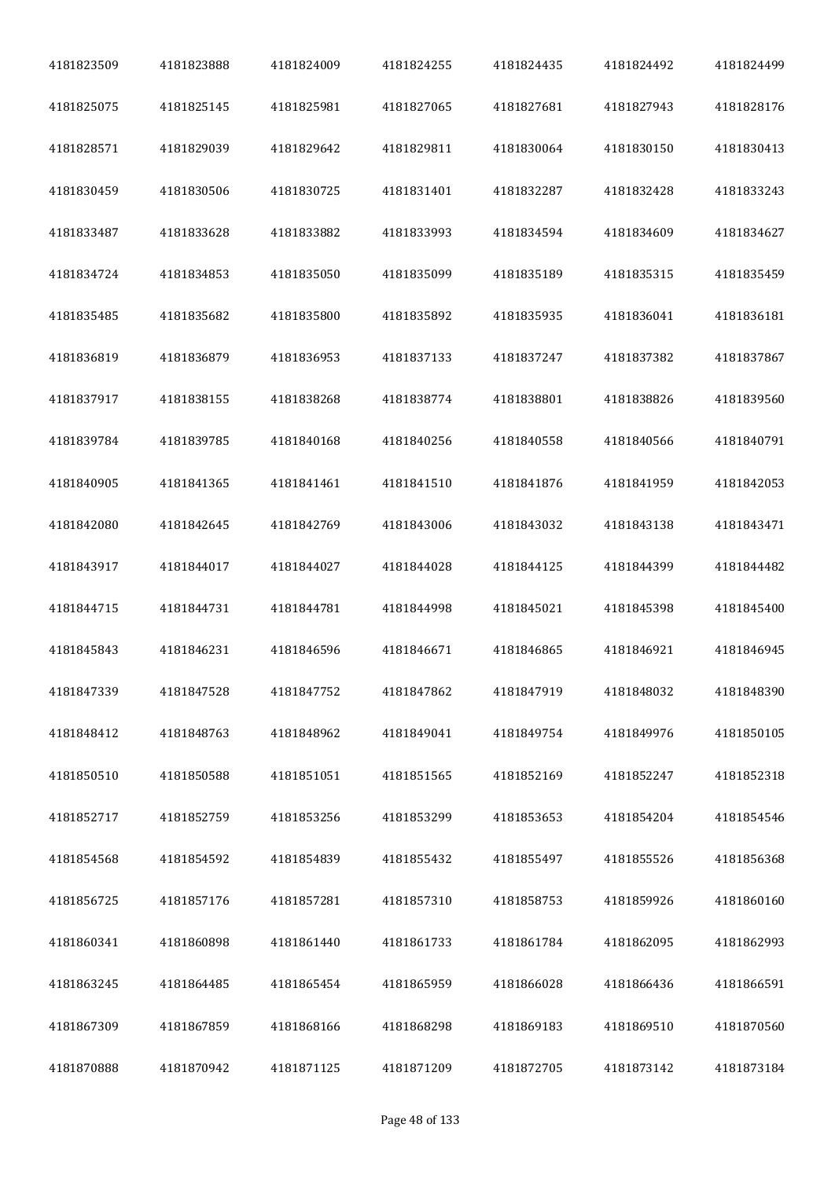| 4181823509 | 4181823888 | 4181824009 | 4181824255 | 4181824435 | 4181824492 | 4181824499 |
|------------|------------|------------|------------|------------|------------|------------|
| 4181825075 | 4181825145 | 4181825981 | 4181827065 | 4181827681 | 4181827943 | 4181828176 |
| 4181828571 | 4181829039 | 4181829642 | 4181829811 | 4181830064 | 4181830150 | 4181830413 |
| 4181830459 | 4181830506 | 4181830725 | 4181831401 | 4181832287 | 4181832428 | 4181833243 |
| 4181833487 | 4181833628 | 4181833882 | 4181833993 | 4181834594 | 4181834609 | 4181834627 |
| 4181834724 | 4181834853 | 4181835050 | 4181835099 | 4181835189 | 4181835315 | 4181835459 |
| 4181835485 | 4181835682 | 4181835800 | 4181835892 | 4181835935 | 4181836041 | 4181836181 |
| 4181836819 | 4181836879 | 4181836953 | 4181837133 | 4181837247 | 4181837382 | 4181837867 |
| 4181837917 | 4181838155 | 4181838268 | 4181838774 | 4181838801 | 4181838826 | 4181839560 |
| 4181839784 | 4181839785 | 4181840168 | 4181840256 | 4181840558 | 4181840566 | 4181840791 |
| 4181840905 | 4181841365 | 4181841461 | 4181841510 | 4181841876 | 4181841959 | 4181842053 |
| 4181842080 | 4181842645 | 4181842769 | 4181843006 | 4181843032 | 4181843138 | 4181843471 |
| 4181843917 | 4181844017 | 4181844027 | 4181844028 | 4181844125 | 4181844399 | 4181844482 |
| 4181844715 | 4181844731 | 4181844781 | 4181844998 | 4181845021 | 4181845398 | 4181845400 |
| 4181845843 | 4181846231 | 4181846596 | 4181846671 | 4181846865 | 4181846921 | 4181846945 |
| 4181847339 | 4181847528 | 4181847752 | 4181847862 | 4181847919 | 4181848032 | 4181848390 |
| 4181848412 | 4181848763 | 4181848962 | 4181849041 | 4181849754 | 4181849976 | 4181850105 |
| 4181850510 | 4181850588 | 4181851051 | 4181851565 | 4181852169 | 4181852247 | 4181852318 |
| 4181852717 | 4181852759 | 4181853256 | 4181853299 | 4181853653 | 4181854204 | 4181854546 |
| 4181854568 | 4181854592 | 4181854839 | 4181855432 | 4181855497 | 4181855526 | 4181856368 |
| 4181856725 | 4181857176 | 4181857281 | 4181857310 | 4181858753 | 4181859926 | 4181860160 |
| 4181860341 | 4181860898 | 4181861440 | 4181861733 | 4181861784 | 4181862095 | 4181862993 |
| 4181863245 | 4181864485 | 4181865454 | 4181865959 | 4181866028 | 4181866436 | 4181866591 |
| 4181867309 | 4181867859 | 4181868166 | 4181868298 | 4181869183 | 4181869510 | 4181870560 |
| 4181870888 | 4181870942 | 4181871125 | 4181871209 | 4181872705 | 4181873142 | 4181873184 |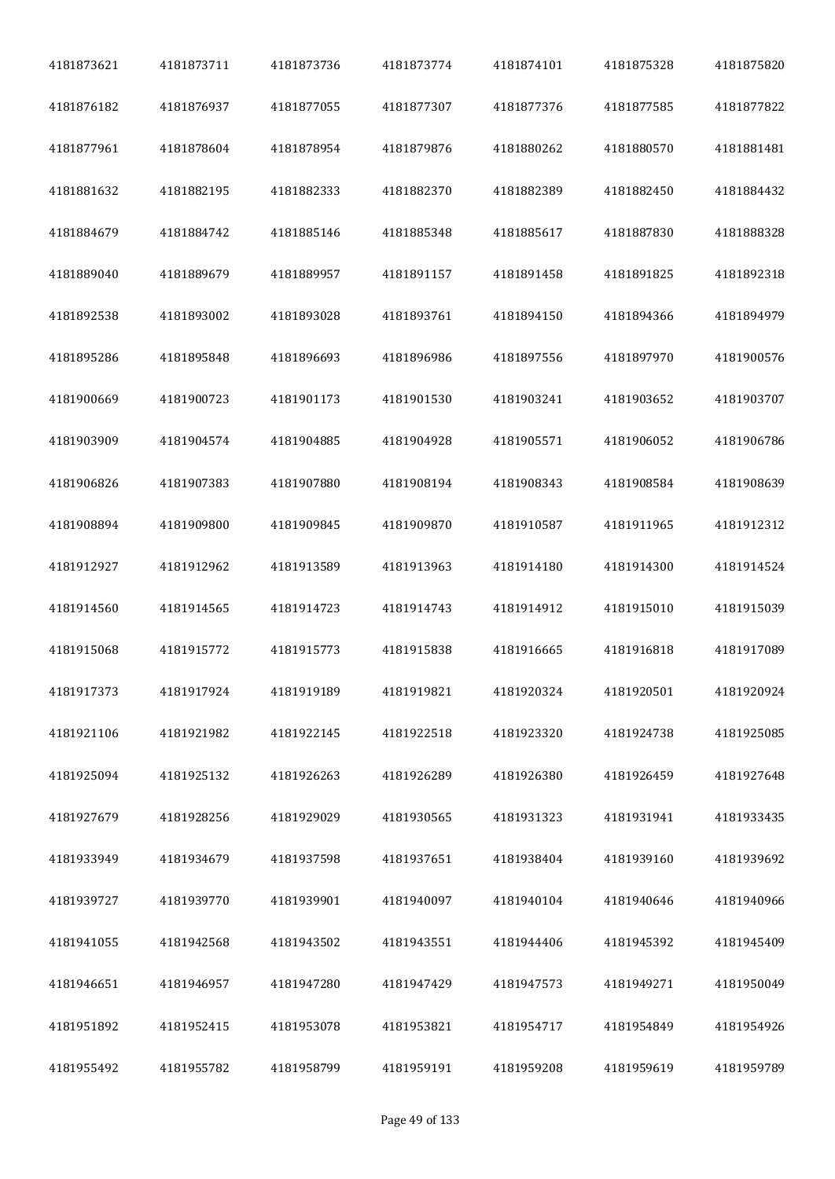| 4181873621 | 4181873711 | 4181873736 | 4181873774 | 4181874101 | 4181875328 | 4181875820 |
|------------|------------|------------|------------|------------|------------|------------|
| 4181876182 | 4181876937 | 4181877055 | 4181877307 | 4181877376 | 4181877585 | 4181877822 |
| 4181877961 | 4181878604 | 4181878954 | 4181879876 | 4181880262 | 4181880570 | 4181881481 |
| 4181881632 | 4181882195 | 4181882333 | 4181882370 | 4181882389 | 4181882450 | 4181884432 |
| 4181884679 | 4181884742 | 4181885146 | 4181885348 | 4181885617 | 4181887830 | 4181888328 |
| 4181889040 | 4181889679 | 4181889957 | 4181891157 | 4181891458 | 4181891825 | 4181892318 |
| 4181892538 | 4181893002 | 4181893028 | 4181893761 | 4181894150 | 4181894366 | 4181894979 |
| 4181895286 | 4181895848 | 4181896693 | 4181896986 | 4181897556 | 4181897970 | 4181900576 |
| 4181900669 | 4181900723 | 4181901173 | 4181901530 | 4181903241 | 4181903652 | 4181903707 |
| 4181903909 | 4181904574 | 4181904885 | 4181904928 | 4181905571 | 4181906052 | 4181906786 |
| 4181906826 | 4181907383 | 4181907880 | 4181908194 | 4181908343 | 4181908584 | 4181908639 |
| 4181908894 | 4181909800 | 4181909845 | 4181909870 | 4181910587 | 4181911965 | 4181912312 |
| 4181912927 | 4181912962 | 4181913589 | 4181913963 | 4181914180 | 4181914300 | 4181914524 |
| 4181914560 | 4181914565 | 4181914723 | 4181914743 | 4181914912 | 4181915010 | 4181915039 |
| 4181915068 | 4181915772 | 4181915773 | 4181915838 | 4181916665 | 4181916818 | 4181917089 |
| 4181917373 | 4181917924 | 4181919189 | 4181919821 | 4181920324 | 4181920501 | 4181920924 |
| 4181921106 | 4181921982 | 4181922145 | 4181922518 | 4181923320 | 4181924738 | 4181925085 |
| 4181925094 | 4181925132 | 4181926263 | 4181926289 | 4181926380 | 4181926459 | 4181927648 |
| 4181927679 | 4181928256 | 4181929029 | 4181930565 | 4181931323 | 4181931941 | 4181933435 |
| 4181933949 | 4181934679 | 4181937598 | 4181937651 | 4181938404 | 4181939160 | 4181939692 |
| 4181939727 | 4181939770 | 4181939901 | 4181940097 | 4181940104 | 4181940646 | 4181940966 |
| 4181941055 | 4181942568 | 4181943502 | 4181943551 | 4181944406 | 4181945392 | 4181945409 |
| 4181946651 | 4181946957 | 4181947280 | 4181947429 | 4181947573 | 4181949271 | 4181950049 |
| 4181951892 | 4181952415 | 4181953078 | 4181953821 | 4181954717 | 4181954849 | 4181954926 |
| 4181955492 | 4181955782 | 4181958799 | 4181959191 | 4181959208 | 4181959619 | 4181959789 |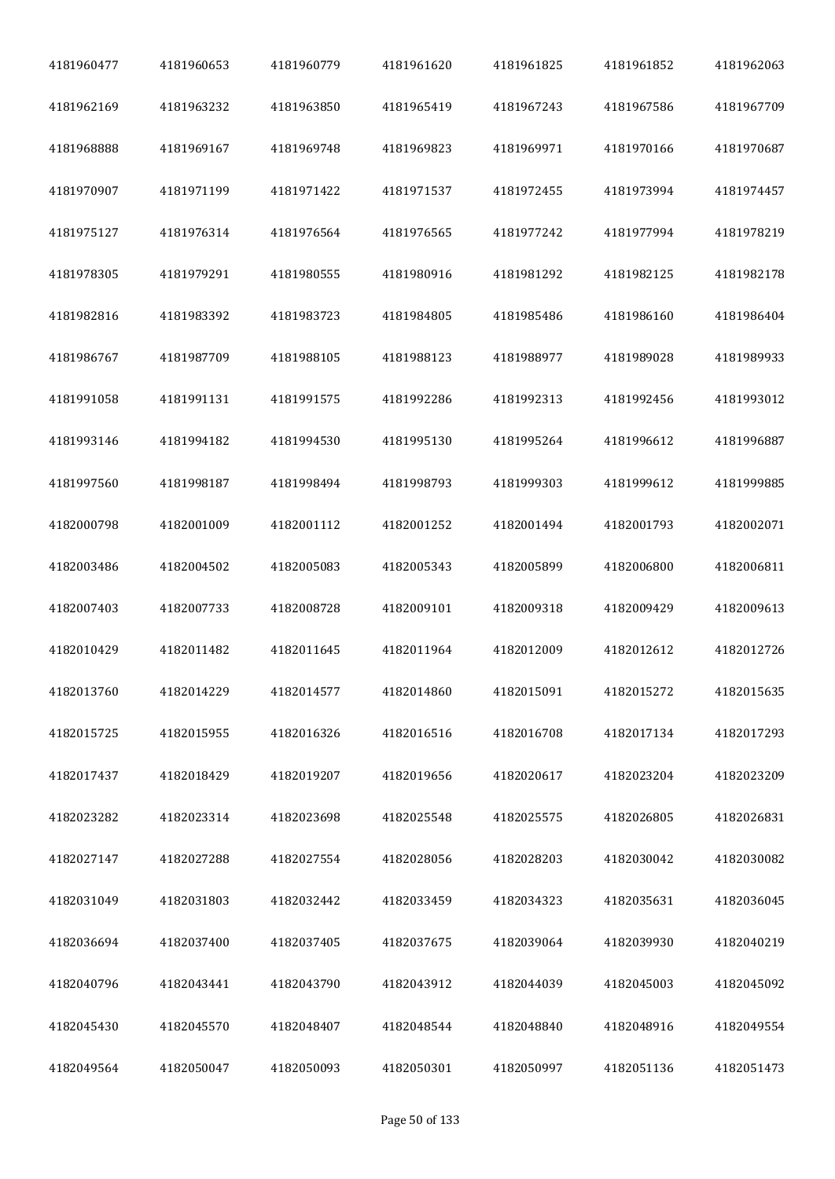| 4181960477 | 4181960653 | 4181960779 | 4181961620 | 4181961825 | 4181961852 | 4181962063 |
|------------|------------|------------|------------|------------|------------|------------|
| 4181962169 | 4181963232 | 4181963850 | 4181965419 | 4181967243 | 4181967586 | 4181967709 |
| 4181968888 | 4181969167 | 4181969748 | 4181969823 | 4181969971 | 4181970166 | 4181970687 |
| 4181970907 | 4181971199 | 4181971422 | 4181971537 | 4181972455 | 4181973994 | 4181974457 |
| 4181975127 | 4181976314 | 4181976564 | 4181976565 | 4181977242 | 4181977994 | 4181978219 |
| 4181978305 | 4181979291 | 4181980555 | 4181980916 | 4181981292 | 4181982125 | 4181982178 |
| 4181982816 | 4181983392 | 4181983723 | 4181984805 | 4181985486 | 4181986160 | 4181986404 |
| 4181986767 | 4181987709 | 4181988105 | 4181988123 | 4181988977 | 4181989028 | 4181989933 |
| 4181991058 | 4181991131 | 4181991575 | 4181992286 | 4181992313 | 4181992456 | 4181993012 |
| 4181993146 | 4181994182 | 4181994530 | 4181995130 | 4181995264 | 4181996612 | 4181996887 |
| 4181997560 | 4181998187 | 4181998494 | 4181998793 | 4181999303 | 4181999612 | 4181999885 |
| 4182000798 | 4182001009 | 4182001112 | 4182001252 | 4182001494 | 4182001793 | 4182002071 |
| 4182003486 | 4182004502 | 4182005083 | 4182005343 | 4182005899 | 4182006800 | 4182006811 |
| 4182007403 | 4182007733 | 4182008728 | 4182009101 | 4182009318 | 4182009429 | 4182009613 |
| 4182010429 | 4182011482 | 4182011645 | 4182011964 | 4182012009 | 4182012612 | 4182012726 |
| 4182013760 | 4182014229 | 4182014577 | 4182014860 | 4182015091 | 4182015272 | 4182015635 |
| 4182015725 | 4182015955 | 4182016326 | 4182016516 | 4182016708 | 4182017134 | 4182017293 |
| 4182017437 | 4182018429 | 4182019207 | 4182019656 | 4182020617 | 4182023204 | 4182023209 |
| 4182023282 | 4182023314 | 4182023698 | 4182025548 | 4182025575 | 4182026805 | 4182026831 |
| 4182027147 | 4182027288 | 4182027554 | 4182028056 | 4182028203 | 4182030042 | 4182030082 |
| 4182031049 | 4182031803 | 4182032442 | 4182033459 | 4182034323 | 4182035631 | 4182036045 |
| 4182036694 | 4182037400 | 4182037405 | 4182037675 | 4182039064 | 4182039930 | 4182040219 |
| 4182040796 | 4182043441 | 4182043790 | 4182043912 | 4182044039 | 4182045003 | 4182045092 |
| 4182045430 | 4182045570 | 4182048407 | 4182048544 | 4182048840 | 4182048916 | 4182049554 |
| 4182049564 | 4182050047 | 4182050093 | 4182050301 | 4182050997 | 4182051136 | 4182051473 |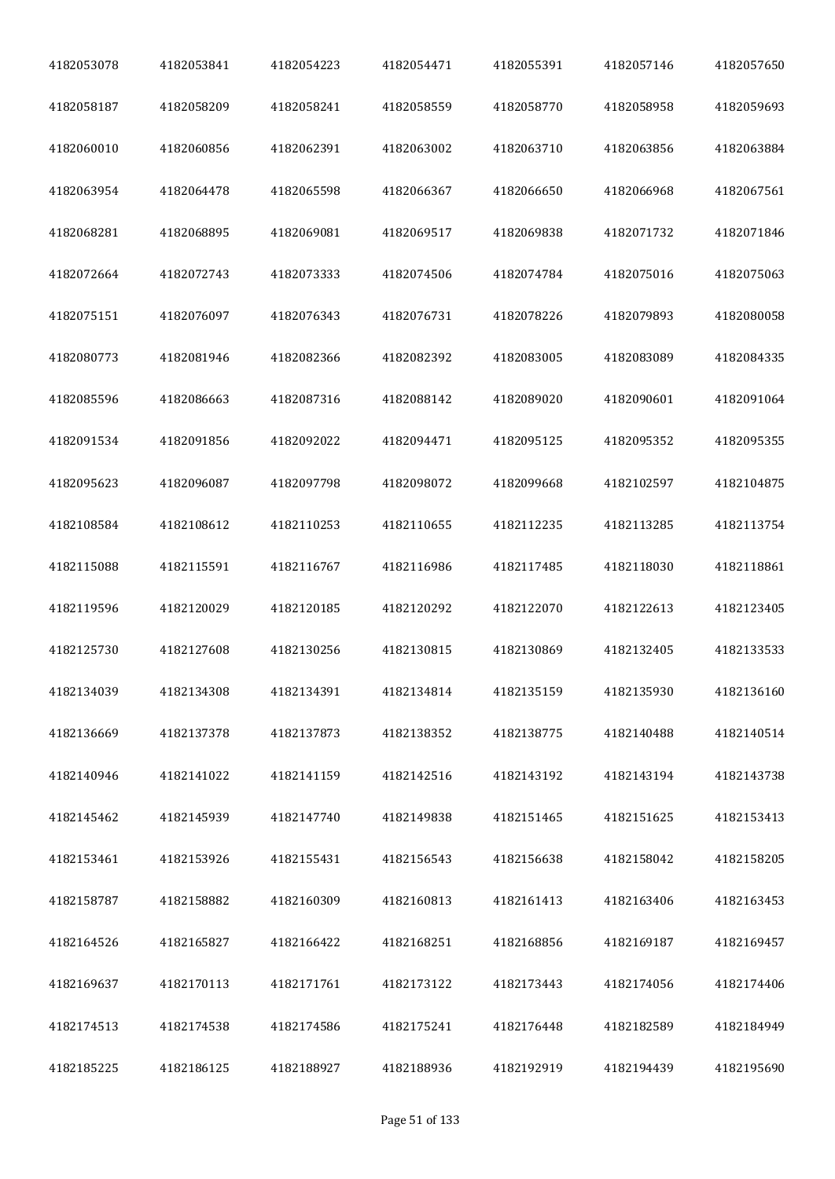| 4182053078 | 4182053841 | 4182054223 | 4182054471 | 4182055391 | 4182057146 | 4182057650 |
|------------|------------|------------|------------|------------|------------|------------|
| 4182058187 | 4182058209 | 4182058241 | 4182058559 | 4182058770 | 4182058958 | 4182059693 |
| 4182060010 | 4182060856 | 4182062391 | 4182063002 | 4182063710 | 4182063856 | 4182063884 |
| 4182063954 | 4182064478 | 4182065598 | 4182066367 | 4182066650 | 4182066968 | 4182067561 |
| 4182068281 | 4182068895 | 4182069081 | 4182069517 | 4182069838 | 4182071732 | 4182071846 |
| 4182072664 | 4182072743 | 4182073333 | 4182074506 | 4182074784 | 4182075016 | 4182075063 |
| 4182075151 | 4182076097 | 4182076343 | 4182076731 | 4182078226 | 4182079893 | 4182080058 |
| 4182080773 | 4182081946 | 4182082366 | 4182082392 | 4182083005 | 4182083089 | 4182084335 |
| 4182085596 | 4182086663 | 4182087316 | 4182088142 | 4182089020 | 4182090601 | 4182091064 |
| 4182091534 | 4182091856 | 4182092022 | 4182094471 | 4182095125 | 4182095352 | 4182095355 |
| 4182095623 | 4182096087 | 4182097798 | 4182098072 | 4182099668 | 4182102597 | 4182104875 |
| 4182108584 | 4182108612 | 4182110253 | 4182110655 | 4182112235 | 4182113285 | 4182113754 |
| 4182115088 | 4182115591 | 4182116767 | 4182116986 | 4182117485 | 4182118030 | 4182118861 |
| 4182119596 | 4182120029 | 4182120185 | 4182120292 | 4182122070 | 4182122613 | 4182123405 |
| 4182125730 | 4182127608 | 4182130256 | 4182130815 | 4182130869 | 4182132405 | 4182133533 |
| 4182134039 | 4182134308 | 4182134391 | 4182134814 | 4182135159 | 4182135930 | 4182136160 |
| 4182136669 | 4182137378 | 4182137873 | 4182138352 | 4182138775 | 4182140488 | 4182140514 |
| 4182140946 | 4182141022 | 4182141159 | 4182142516 | 4182143192 | 4182143194 | 4182143738 |
| 4182145462 | 4182145939 | 4182147740 | 4182149838 | 4182151465 | 4182151625 | 4182153413 |
| 4182153461 | 4182153926 | 4182155431 | 4182156543 | 4182156638 | 4182158042 | 4182158205 |
| 4182158787 | 4182158882 | 4182160309 | 4182160813 | 4182161413 | 4182163406 | 4182163453 |
| 4182164526 | 4182165827 | 4182166422 | 4182168251 | 4182168856 | 4182169187 | 4182169457 |
| 4182169637 | 4182170113 | 4182171761 | 4182173122 | 4182173443 | 4182174056 | 4182174406 |
| 4182174513 | 4182174538 | 4182174586 | 4182175241 | 4182176448 | 4182182589 | 4182184949 |
| 4182185225 | 4182186125 | 4182188927 | 4182188936 | 4182192919 | 4182194439 | 4182195690 |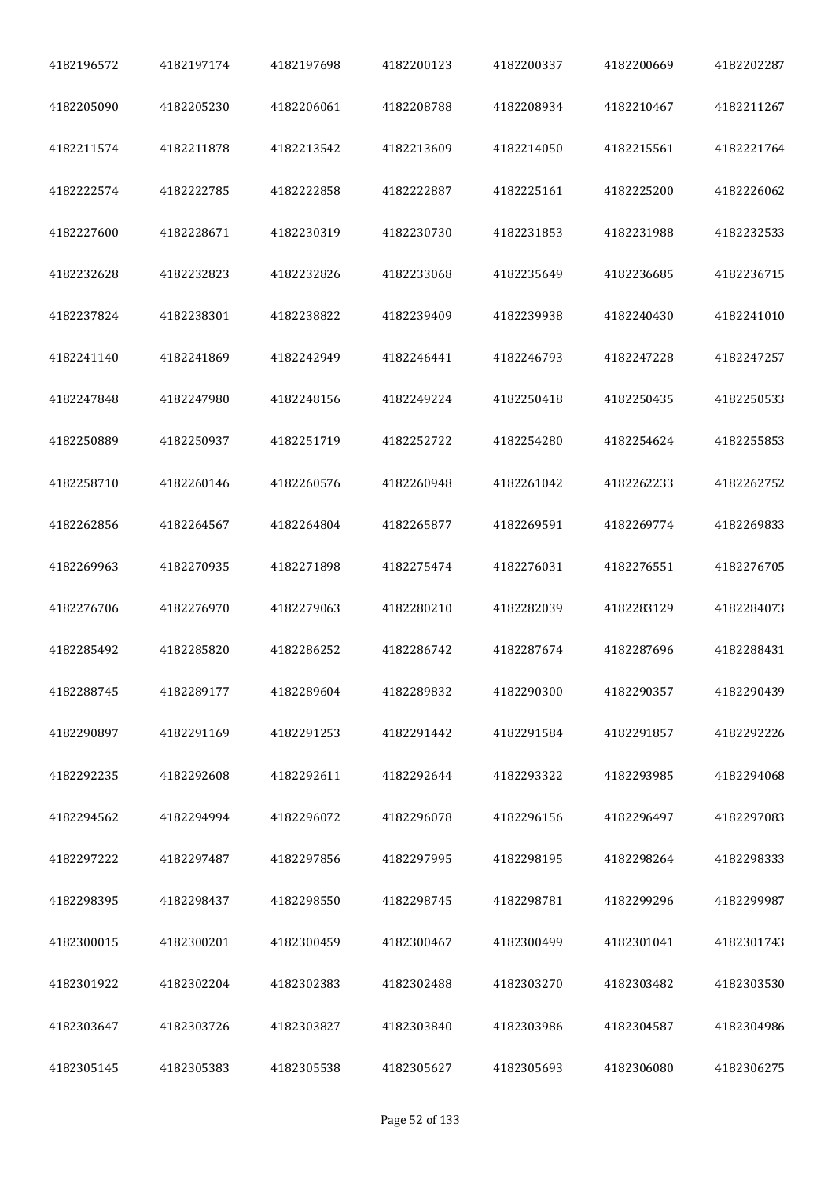| 4182196572 | 4182197174 | 4182197698 | 4182200123 | 4182200337 | 4182200669 | 4182202287 |
|------------|------------|------------|------------|------------|------------|------------|
| 4182205090 | 4182205230 | 4182206061 | 4182208788 | 4182208934 | 4182210467 | 4182211267 |
| 4182211574 | 4182211878 | 4182213542 | 4182213609 | 4182214050 | 4182215561 | 4182221764 |
| 4182222574 | 4182222785 | 4182222858 | 4182222887 | 4182225161 | 4182225200 | 4182226062 |
| 4182227600 | 4182228671 | 4182230319 | 4182230730 | 4182231853 | 4182231988 | 4182232533 |
| 4182232628 | 4182232823 | 4182232826 | 4182233068 | 4182235649 | 4182236685 | 4182236715 |
| 4182237824 | 4182238301 | 4182238822 | 4182239409 | 4182239938 | 4182240430 | 4182241010 |
| 4182241140 | 4182241869 | 4182242949 | 4182246441 | 4182246793 | 4182247228 | 4182247257 |
| 4182247848 | 4182247980 | 4182248156 | 4182249224 | 4182250418 | 4182250435 | 4182250533 |
| 4182250889 | 4182250937 | 4182251719 | 4182252722 | 4182254280 | 4182254624 | 4182255853 |
| 4182258710 | 4182260146 | 4182260576 | 4182260948 | 4182261042 | 4182262233 | 4182262752 |
| 4182262856 | 4182264567 | 4182264804 | 4182265877 | 4182269591 | 4182269774 | 4182269833 |
| 4182269963 | 4182270935 | 4182271898 | 4182275474 | 4182276031 | 4182276551 | 4182276705 |
| 4182276706 | 4182276970 | 4182279063 | 4182280210 | 4182282039 | 4182283129 | 4182284073 |
| 4182285492 | 4182285820 | 4182286252 | 4182286742 | 4182287674 | 4182287696 | 4182288431 |
| 4182288745 | 4182289177 | 4182289604 | 4182289832 | 4182290300 | 4182290357 | 4182290439 |
| 4182290897 | 4182291169 | 4182291253 | 4182291442 | 4182291584 | 4182291857 | 4182292226 |
| 4182292235 | 4182292608 | 4182292611 | 4182292644 | 4182293322 | 4182293985 | 4182294068 |
| 4182294562 | 4182294994 | 4182296072 | 4182296078 | 4182296156 | 4182296497 | 4182297083 |
| 4182297222 | 4182297487 | 4182297856 | 4182297995 | 4182298195 | 4182298264 | 4182298333 |
| 4182298395 | 4182298437 | 4182298550 | 4182298745 | 4182298781 | 4182299296 | 4182299987 |
| 4182300015 | 4182300201 | 4182300459 | 4182300467 | 4182300499 | 4182301041 | 4182301743 |
| 4182301922 | 4182302204 | 4182302383 | 4182302488 | 4182303270 | 4182303482 | 4182303530 |
| 4182303647 | 4182303726 | 4182303827 | 4182303840 | 4182303986 | 4182304587 | 4182304986 |
| 4182305145 | 4182305383 | 4182305538 | 4182305627 | 4182305693 | 4182306080 | 4182306275 |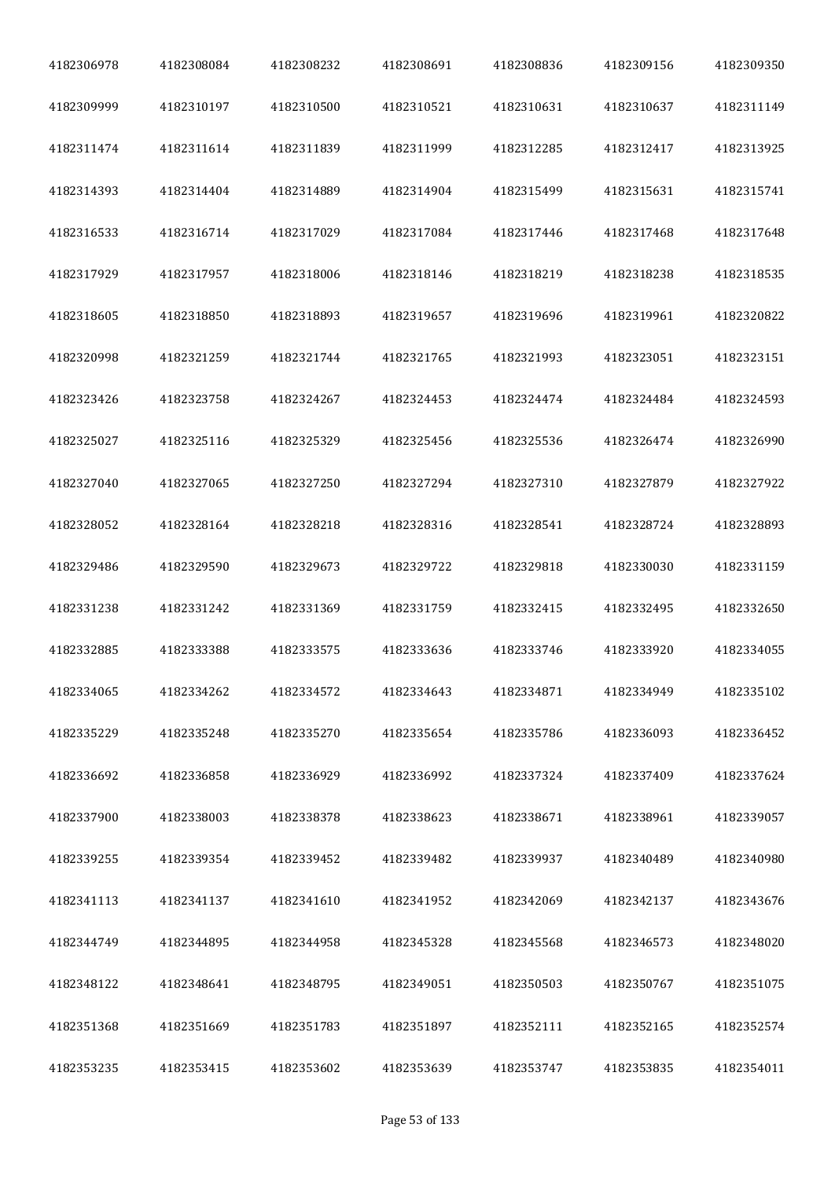| 4182306978 | 4182308084 | 4182308232 | 4182308691 | 4182308836 | 4182309156 | 4182309350 |
|------------|------------|------------|------------|------------|------------|------------|
| 4182309999 | 4182310197 | 4182310500 | 4182310521 | 4182310631 | 4182310637 | 4182311149 |
| 4182311474 | 4182311614 | 4182311839 | 4182311999 | 4182312285 | 4182312417 | 4182313925 |
| 4182314393 | 4182314404 | 4182314889 | 4182314904 | 4182315499 | 4182315631 | 4182315741 |
| 4182316533 | 4182316714 | 4182317029 | 4182317084 | 4182317446 | 4182317468 | 4182317648 |
| 4182317929 | 4182317957 | 4182318006 | 4182318146 | 4182318219 | 4182318238 | 4182318535 |
| 4182318605 | 4182318850 | 4182318893 | 4182319657 | 4182319696 | 4182319961 | 4182320822 |
| 4182320998 | 4182321259 | 4182321744 | 4182321765 | 4182321993 | 4182323051 | 4182323151 |
| 4182323426 | 4182323758 | 4182324267 | 4182324453 | 4182324474 | 4182324484 | 4182324593 |
| 4182325027 | 4182325116 | 4182325329 | 4182325456 | 4182325536 | 4182326474 | 4182326990 |
| 4182327040 | 4182327065 | 4182327250 | 4182327294 | 4182327310 | 4182327879 | 4182327922 |
| 4182328052 | 4182328164 | 4182328218 | 4182328316 | 4182328541 | 4182328724 | 4182328893 |
| 4182329486 | 4182329590 | 4182329673 | 4182329722 | 4182329818 | 4182330030 | 4182331159 |
| 4182331238 | 4182331242 | 4182331369 | 4182331759 | 4182332415 | 4182332495 | 4182332650 |
| 4182332885 | 4182333388 | 4182333575 | 4182333636 | 4182333746 | 4182333920 | 4182334055 |
| 4182334065 | 4182334262 | 4182334572 | 4182334643 | 4182334871 | 4182334949 | 4182335102 |
| 4182335229 | 4182335248 | 4182335270 | 4182335654 | 4182335786 | 4182336093 | 4182336452 |
| 4182336692 | 4182336858 | 4182336929 | 4182336992 | 4182337324 | 4182337409 | 4182337624 |
| 4182337900 | 4182338003 | 4182338378 | 4182338623 | 4182338671 | 4182338961 | 4182339057 |
| 4182339255 | 4182339354 | 4182339452 | 4182339482 | 4182339937 | 4182340489 | 4182340980 |
| 4182341113 | 4182341137 | 4182341610 | 4182341952 | 4182342069 | 4182342137 | 4182343676 |
| 4182344749 | 4182344895 | 4182344958 | 4182345328 | 4182345568 | 4182346573 | 4182348020 |
| 4182348122 | 4182348641 | 4182348795 | 4182349051 | 4182350503 | 4182350767 | 4182351075 |
| 4182351368 | 4182351669 | 4182351783 | 4182351897 | 4182352111 | 4182352165 | 4182352574 |
| 4182353235 | 4182353415 | 4182353602 | 4182353639 | 4182353747 | 4182353835 | 4182354011 |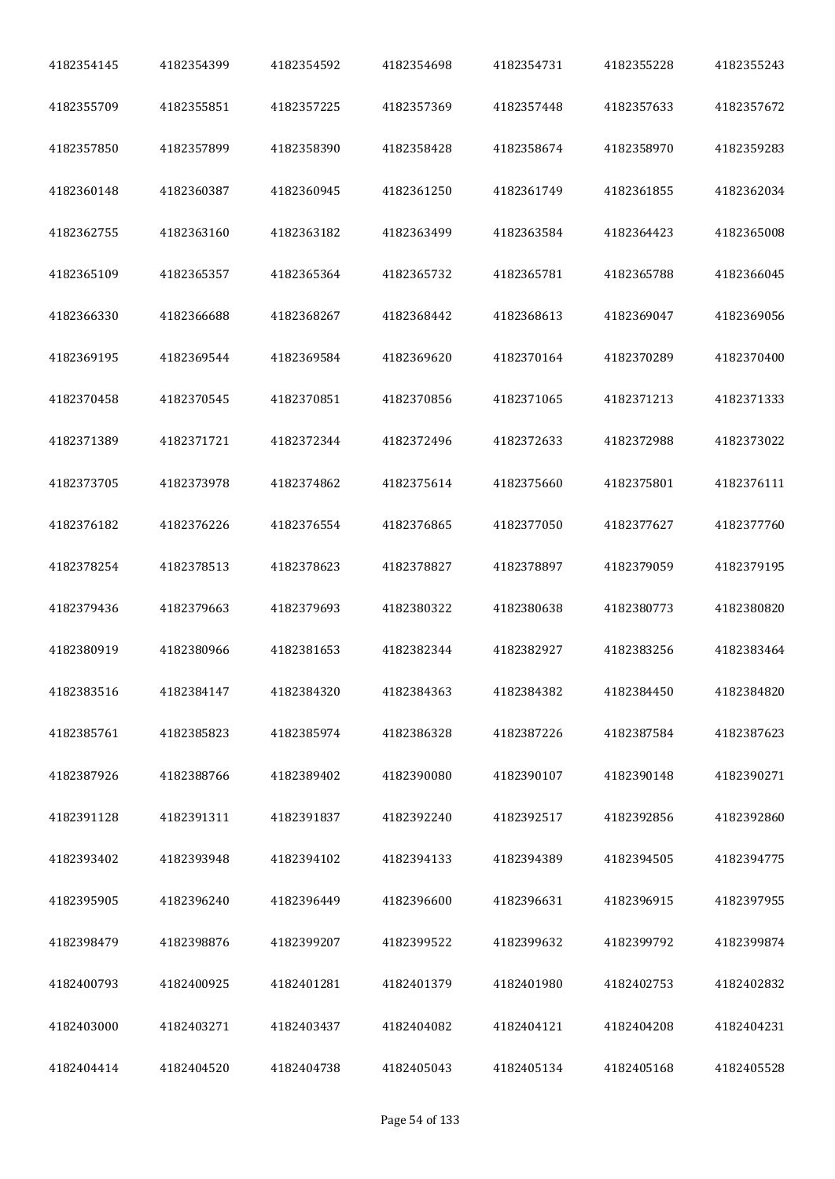| 4182354145 | 4182354399 | 4182354592 | 4182354698 | 4182354731 | 4182355228 | 4182355243 |
|------------|------------|------------|------------|------------|------------|------------|
| 4182355709 | 4182355851 | 4182357225 | 4182357369 | 4182357448 | 4182357633 | 4182357672 |
| 4182357850 | 4182357899 | 4182358390 | 4182358428 | 4182358674 | 4182358970 | 4182359283 |
| 4182360148 | 4182360387 | 4182360945 | 4182361250 | 4182361749 | 4182361855 | 4182362034 |
| 4182362755 | 4182363160 | 4182363182 | 4182363499 | 4182363584 | 4182364423 | 4182365008 |
| 4182365109 | 4182365357 | 4182365364 | 4182365732 | 4182365781 | 4182365788 | 4182366045 |
| 4182366330 | 4182366688 | 4182368267 | 4182368442 | 4182368613 | 4182369047 | 4182369056 |
| 4182369195 | 4182369544 | 4182369584 | 4182369620 | 4182370164 | 4182370289 | 4182370400 |
| 4182370458 | 4182370545 | 4182370851 | 4182370856 | 4182371065 | 4182371213 | 4182371333 |
| 4182371389 | 4182371721 | 4182372344 | 4182372496 | 4182372633 | 4182372988 | 4182373022 |
| 4182373705 | 4182373978 | 4182374862 | 4182375614 | 4182375660 | 4182375801 | 4182376111 |
| 4182376182 | 4182376226 | 4182376554 | 4182376865 | 4182377050 | 4182377627 | 4182377760 |
| 4182378254 | 4182378513 | 4182378623 | 4182378827 | 4182378897 | 4182379059 | 4182379195 |
| 4182379436 | 4182379663 | 4182379693 | 4182380322 | 4182380638 | 4182380773 | 4182380820 |
| 4182380919 | 4182380966 | 4182381653 | 4182382344 | 4182382927 | 4182383256 | 4182383464 |
| 4182383516 | 4182384147 | 4182384320 | 4182384363 | 4182384382 | 4182384450 | 4182384820 |
| 4182385761 | 4182385823 | 4182385974 | 4182386328 | 4182387226 | 4182387584 | 4182387623 |
| 4182387926 | 4182388766 | 4182389402 | 4182390080 | 4182390107 | 4182390148 | 4182390271 |
| 4182391128 | 4182391311 | 4182391837 | 4182392240 | 4182392517 | 4182392856 | 4182392860 |
| 4182393402 | 4182393948 | 4182394102 | 4182394133 | 4182394389 | 4182394505 | 4182394775 |
| 4182395905 | 4182396240 | 4182396449 | 4182396600 | 4182396631 | 4182396915 | 4182397955 |
| 4182398479 | 4182398876 | 4182399207 | 4182399522 | 4182399632 | 4182399792 | 4182399874 |
| 4182400793 | 4182400925 | 4182401281 | 4182401379 | 4182401980 | 4182402753 | 4182402832 |
| 4182403000 | 4182403271 | 4182403437 | 4182404082 | 4182404121 | 4182404208 | 4182404231 |
| 4182404414 | 4182404520 | 4182404738 | 4182405043 | 4182405134 | 4182405168 | 4182405528 |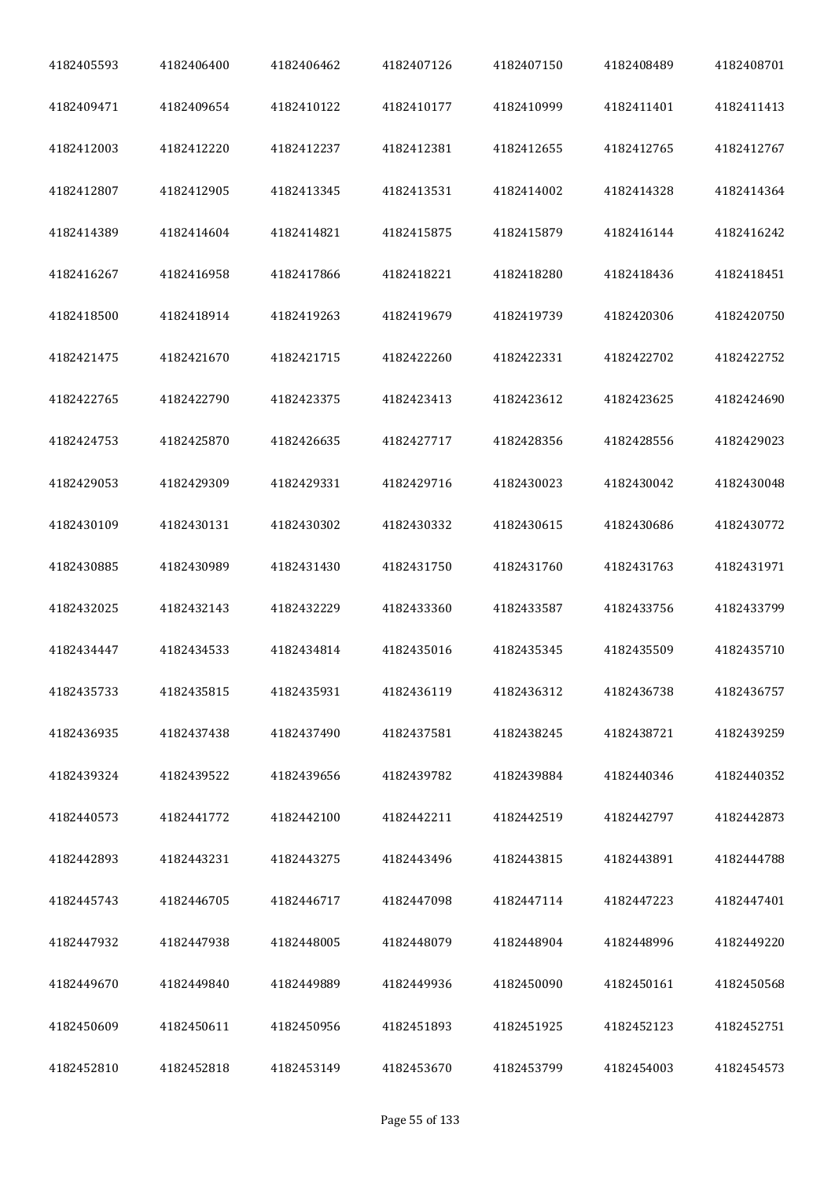| 4182405593 | 4182406400 | 4182406462 | 4182407126 | 4182407150 | 4182408489 | 4182408701 |
|------------|------------|------------|------------|------------|------------|------------|
| 4182409471 | 4182409654 | 4182410122 | 4182410177 | 4182410999 | 4182411401 | 4182411413 |
| 4182412003 | 4182412220 | 4182412237 | 4182412381 | 4182412655 | 4182412765 | 4182412767 |
| 4182412807 | 4182412905 | 4182413345 | 4182413531 | 4182414002 | 4182414328 | 4182414364 |
| 4182414389 | 4182414604 | 4182414821 | 4182415875 | 4182415879 | 4182416144 | 4182416242 |
| 4182416267 | 4182416958 | 4182417866 | 4182418221 | 4182418280 | 4182418436 | 4182418451 |
| 4182418500 | 4182418914 | 4182419263 | 4182419679 | 4182419739 | 4182420306 | 4182420750 |
| 4182421475 | 4182421670 | 4182421715 | 4182422260 | 4182422331 | 4182422702 | 4182422752 |
| 4182422765 | 4182422790 | 4182423375 | 4182423413 | 4182423612 | 4182423625 | 4182424690 |
| 4182424753 | 4182425870 | 4182426635 | 4182427717 | 4182428356 | 4182428556 | 4182429023 |
| 4182429053 | 4182429309 | 4182429331 | 4182429716 | 4182430023 | 4182430042 | 4182430048 |
| 4182430109 | 4182430131 | 4182430302 | 4182430332 | 4182430615 | 4182430686 | 4182430772 |
| 4182430885 | 4182430989 | 4182431430 | 4182431750 | 4182431760 | 4182431763 | 4182431971 |
| 4182432025 | 4182432143 | 4182432229 | 4182433360 | 4182433587 | 4182433756 | 4182433799 |
| 4182434447 | 4182434533 | 4182434814 | 4182435016 | 4182435345 | 4182435509 | 4182435710 |
| 4182435733 | 4182435815 | 4182435931 | 4182436119 | 4182436312 | 4182436738 | 4182436757 |
| 4182436935 | 4182437438 | 4182437490 | 4182437581 | 4182438245 | 4182438721 | 4182439259 |
| 4182439324 | 4182439522 | 4182439656 | 4182439782 | 4182439884 | 4182440346 | 4182440352 |
| 4182440573 | 4182441772 | 4182442100 | 4182442211 | 4182442519 | 4182442797 | 4182442873 |
| 4182442893 | 4182443231 | 4182443275 | 4182443496 | 4182443815 | 4182443891 | 4182444788 |
| 4182445743 | 4182446705 | 4182446717 | 4182447098 | 4182447114 | 4182447223 | 4182447401 |
| 4182447932 | 4182447938 | 4182448005 | 4182448079 | 4182448904 | 4182448996 | 4182449220 |
| 4182449670 | 4182449840 | 4182449889 | 4182449936 | 4182450090 | 4182450161 | 4182450568 |
| 4182450609 | 4182450611 | 4182450956 | 4182451893 | 4182451925 | 4182452123 | 4182452751 |
| 4182452810 | 4182452818 | 4182453149 | 4182453670 | 4182453799 | 4182454003 | 4182454573 |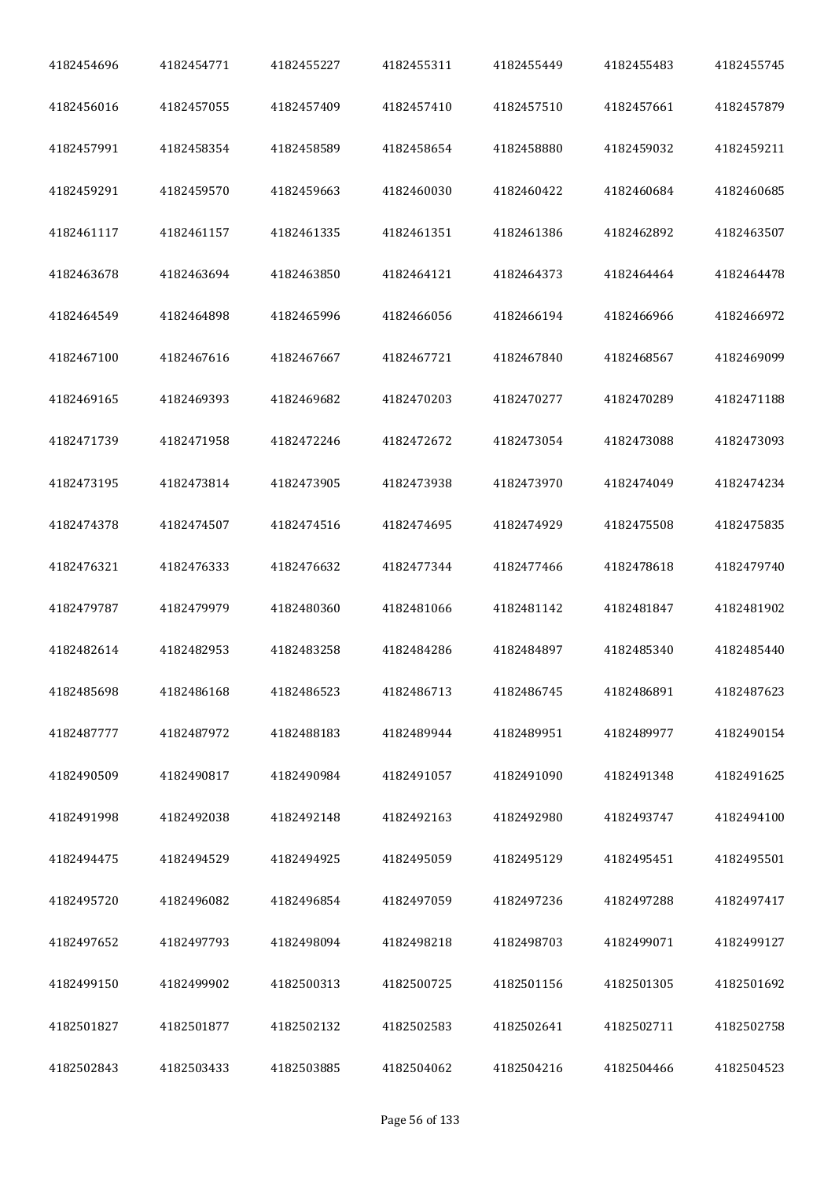| 4182454696 | 4182454771 | 4182455227 | 4182455311 | 4182455449 | 4182455483 | 4182455745 |
|------------|------------|------------|------------|------------|------------|------------|
| 4182456016 | 4182457055 | 4182457409 | 4182457410 | 4182457510 | 4182457661 | 4182457879 |
| 4182457991 | 4182458354 | 4182458589 | 4182458654 | 4182458880 | 4182459032 | 4182459211 |
| 4182459291 | 4182459570 | 4182459663 | 4182460030 | 4182460422 | 4182460684 | 4182460685 |
| 4182461117 | 4182461157 | 4182461335 | 4182461351 | 4182461386 | 4182462892 | 4182463507 |
| 4182463678 | 4182463694 | 4182463850 | 4182464121 | 4182464373 | 4182464464 | 4182464478 |
| 4182464549 | 4182464898 | 4182465996 | 4182466056 | 4182466194 | 4182466966 | 4182466972 |
| 4182467100 | 4182467616 | 4182467667 | 4182467721 | 4182467840 | 4182468567 | 4182469099 |
| 4182469165 | 4182469393 | 4182469682 | 4182470203 | 4182470277 | 4182470289 | 4182471188 |
| 4182471739 | 4182471958 | 4182472246 | 4182472672 | 4182473054 | 4182473088 | 4182473093 |
| 4182473195 | 4182473814 | 4182473905 | 4182473938 | 4182473970 | 4182474049 | 4182474234 |
| 4182474378 | 4182474507 | 4182474516 | 4182474695 | 4182474929 | 4182475508 | 4182475835 |
| 4182476321 | 4182476333 | 4182476632 | 4182477344 | 4182477466 | 4182478618 | 4182479740 |
| 4182479787 | 4182479979 | 4182480360 | 4182481066 | 4182481142 | 4182481847 | 4182481902 |
| 4182482614 | 4182482953 | 4182483258 | 4182484286 | 4182484897 | 4182485340 | 4182485440 |
| 4182485698 | 4182486168 | 4182486523 | 4182486713 | 4182486745 | 4182486891 | 4182487623 |
| 4182487777 | 4182487972 | 4182488183 | 4182489944 | 4182489951 | 4182489977 | 4182490154 |
| 4182490509 | 4182490817 | 4182490984 | 4182491057 | 4182491090 | 4182491348 | 4182491625 |
| 4182491998 | 4182492038 | 4182492148 | 4182492163 | 4182492980 | 4182493747 | 4182494100 |
| 4182494475 | 4182494529 | 4182494925 | 4182495059 | 4182495129 | 4182495451 | 4182495501 |
| 4182495720 | 4182496082 | 4182496854 | 4182497059 | 4182497236 | 4182497288 | 4182497417 |
| 4182497652 | 4182497793 | 4182498094 | 4182498218 | 4182498703 | 4182499071 | 4182499127 |
| 4182499150 | 4182499902 | 4182500313 | 4182500725 | 4182501156 | 4182501305 | 4182501692 |
| 4182501827 | 4182501877 | 4182502132 | 4182502583 | 4182502641 | 4182502711 | 4182502758 |
| 4182502843 | 4182503433 | 4182503885 | 4182504062 | 4182504216 | 4182504466 | 4182504523 |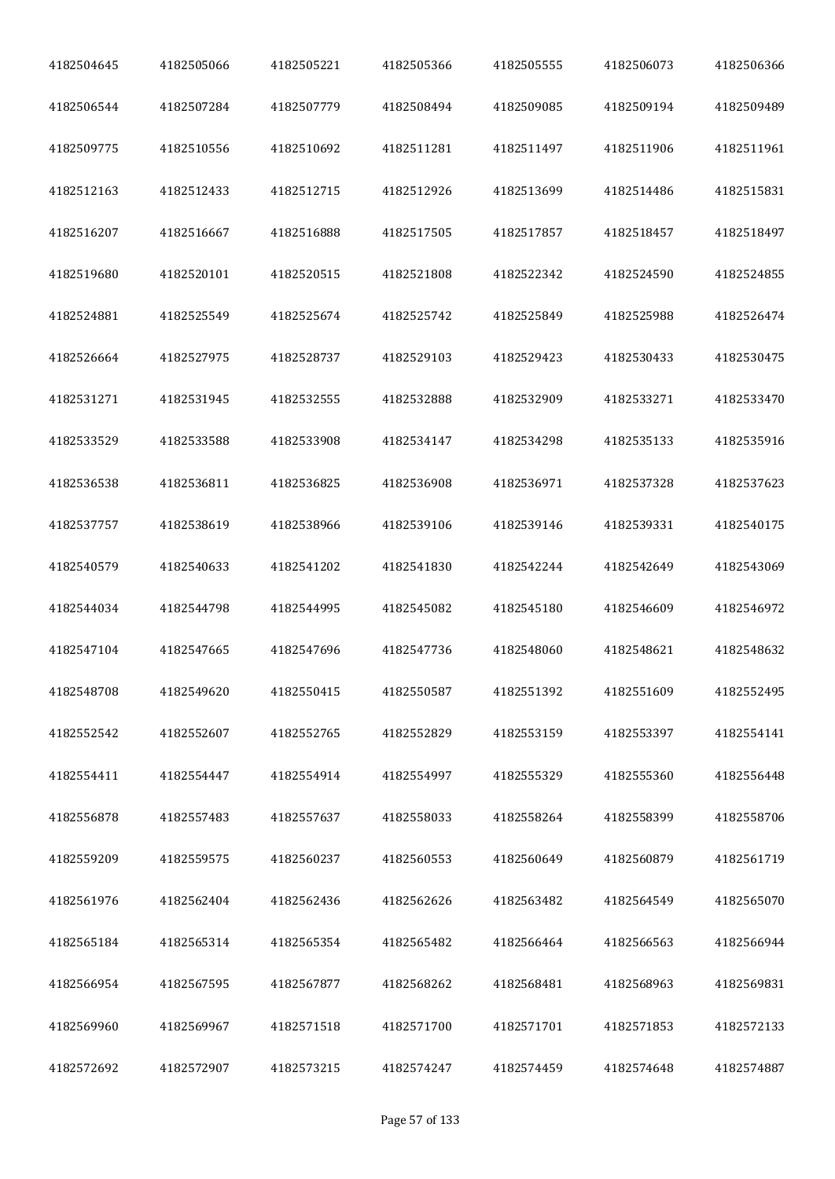| 4182504645 | 4182505066 | 4182505221 | 4182505366 | 4182505555 | 4182506073 | 4182506366 |
|------------|------------|------------|------------|------------|------------|------------|
| 4182506544 | 4182507284 | 4182507779 | 4182508494 | 4182509085 | 4182509194 | 4182509489 |
| 4182509775 | 4182510556 | 4182510692 | 4182511281 | 4182511497 | 4182511906 | 4182511961 |
| 4182512163 | 4182512433 | 4182512715 | 4182512926 | 4182513699 | 4182514486 | 4182515831 |
| 4182516207 | 4182516667 | 4182516888 | 4182517505 | 4182517857 | 4182518457 | 4182518497 |
| 4182519680 | 4182520101 | 4182520515 | 4182521808 | 4182522342 | 4182524590 | 4182524855 |
| 4182524881 | 4182525549 | 4182525674 | 4182525742 | 4182525849 | 4182525988 | 4182526474 |
| 4182526664 | 4182527975 | 4182528737 | 4182529103 | 4182529423 | 4182530433 | 4182530475 |
| 4182531271 | 4182531945 | 4182532555 | 4182532888 | 4182532909 | 4182533271 | 4182533470 |
| 4182533529 | 4182533588 | 4182533908 | 4182534147 | 4182534298 | 4182535133 | 4182535916 |
| 4182536538 | 4182536811 | 4182536825 | 4182536908 | 4182536971 | 4182537328 | 4182537623 |
| 4182537757 | 4182538619 | 4182538966 | 4182539106 | 4182539146 | 4182539331 | 4182540175 |
| 4182540579 | 4182540633 | 4182541202 | 4182541830 | 4182542244 | 4182542649 | 4182543069 |
| 4182544034 | 4182544798 | 4182544995 | 4182545082 | 4182545180 | 4182546609 | 4182546972 |
| 4182547104 | 4182547665 | 4182547696 | 4182547736 | 4182548060 | 4182548621 | 4182548632 |
| 4182548708 | 4182549620 | 4182550415 | 4182550587 | 4182551392 | 4182551609 | 4182552495 |
| 4182552542 | 4182552607 | 4182552765 | 4182552829 | 4182553159 | 4182553397 | 4182554141 |
| 4182554411 | 4182554447 | 4182554914 | 4182554997 | 4182555329 | 4182555360 | 4182556448 |
| 4182556878 | 4182557483 | 4182557637 | 4182558033 | 4182558264 | 4182558399 | 4182558706 |
| 4182559209 | 4182559575 | 4182560237 | 4182560553 | 4182560649 | 4182560879 | 4182561719 |
| 4182561976 | 4182562404 | 4182562436 | 4182562626 | 4182563482 | 4182564549 | 4182565070 |
| 4182565184 | 4182565314 | 4182565354 | 4182565482 | 4182566464 | 4182566563 | 4182566944 |
| 4182566954 | 4182567595 | 4182567877 | 4182568262 | 4182568481 | 4182568963 | 4182569831 |
| 4182569960 | 4182569967 | 4182571518 | 4182571700 | 4182571701 | 4182571853 | 4182572133 |
| 4182572692 | 4182572907 | 4182573215 | 4182574247 | 4182574459 | 4182574648 | 4182574887 |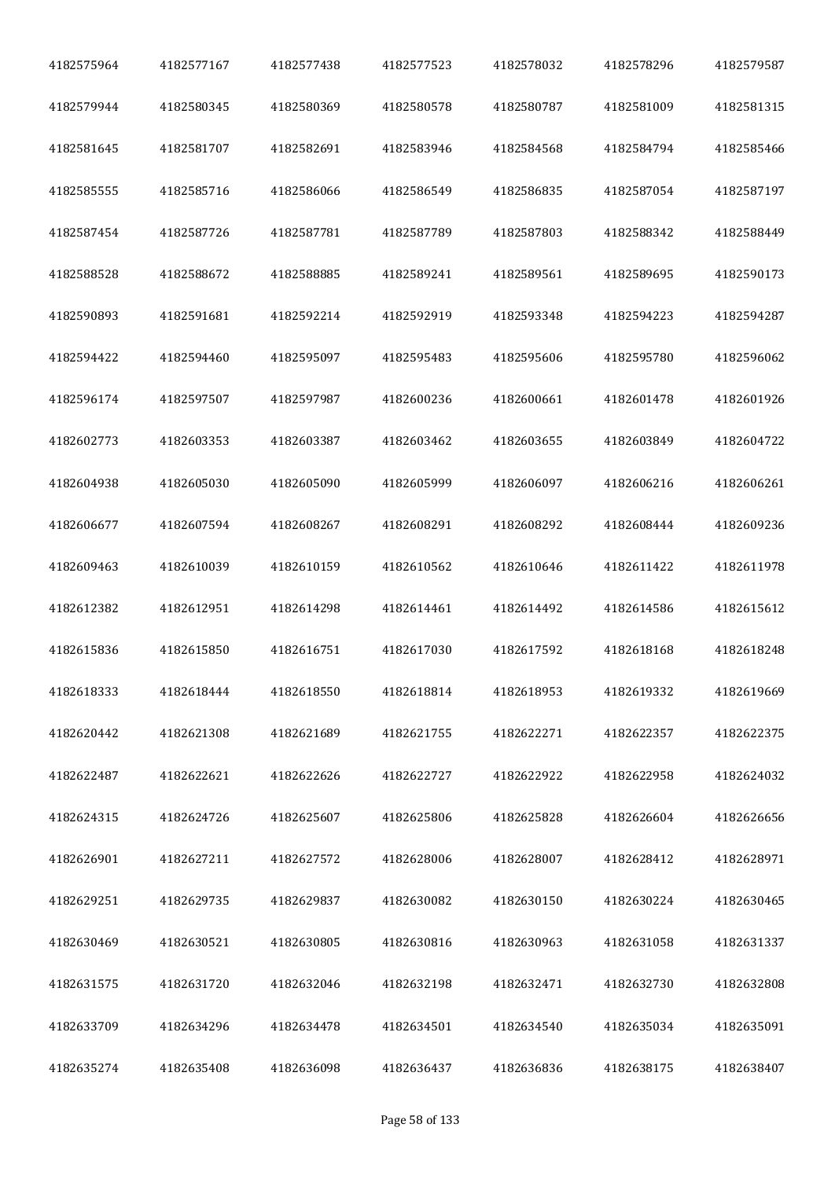| 4182575964 | 4182577167 | 4182577438 | 4182577523 | 4182578032 | 4182578296 | 4182579587 |
|------------|------------|------------|------------|------------|------------|------------|
| 4182579944 | 4182580345 | 4182580369 | 4182580578 | 4182580787 | 4182581009 | 4182581315 |
| 4182581645 | 4182581707 | 4182582691 | 4182583946 | 4182584568 | 4182584794 | 4182585466 |
| 4182585555 | 4182585716 | 4182586066 | 4182586549 | 4182586835 | 4182587054 | 4182587197 |
| 4182587454 | 4182587726 | 4182587781 | 4182587789 | 4182587803 | 4182588342 | 4182588449 |
| 4182588528 | 4182588672 | 4182588885 | 4182589241 | 4182589561 | 4182589695 | 4182590173 |
| 4182590893 | 4182591681 | 4182592214 | 4182592919 | 4182593348 | 4182594223 | 4182594287 |
| 4182594422 | 4182594460 | 4182595097 | 4182595483 | 4182595606 | 4182595780 | 4182596062 |
| 4182596174 | 4182597507 | 4182597987 | 4182600236 | 4182600661 | 4182601478 | 4182601926 |
| 4182602773 | 4182603353 | 4182603387 | 4182603462 | 4182603655 | 4182603849 | 4182604722 |
| 4182604938 | 4182605030 | 4182605090 | 4182605999 | 4182606097 | 4182606216 | 4182606261 |
| 4182606677 | 4182607594 | 4182608267 | 4182608291 | 4182608292 | 4182608444 | 4182609236 |
| 4182609463 | 4182610039 | 4182610159 | 4182610562 | 4182610646 | 4182611422 | 4182611978 |
| 4182612382 | 4182612951 | 4182614298 | 4182614461 | 4182614492 | 4182614586 | 4182615612 |
| 4182615836 | 4182615850 | 4182616751 | 4182617030 | 4182617592 | 4182618168 | 4182618248 |
| 4182618333 | 4182618444 | 4182618550 | 4182618814 | 4182618953 | 4182619332 | 4182619669 |
| 4182620442 | 4182621308 | 4182621689 | 4182621755 | 4182622271 | 4182622357 | 4182622375 |
| 4182622487 | 4182622621 | 4182622626 | 4182622727 | 4182622922 | 4182622958 | 4182624032 |
| 4182624315 | 4182624726 | 4182625607 | 4182625806 | 4182625828 | 4182626604 | 4182626656 |
| 4182626901 | 4182627211 | 4182627572 | 4182628006 | 4182628007 | 4182628412 | 4182628971 |
| 4182629251 | 4182629735 | 4182629837 | 4182630082 | 4182630150 | 4182630224 | 4182630465 |
| 4182630469 | 4182630521 | 4182630805 | 4182630816 | 4182630963 | 4182631058 | 4182631337 |
| 4182631575 | 4182631720 | 4182632046 | 4182632198 | 4182632471 | 4182632730 | 4182632808 |
| 4182633709 | 4182634296 | 4182634478 | 4182634501 | 4182634540 | 4182635034 | 4182635091 |
| 4182635274 | 4182635408 | 4182636098 | 4182636437 | 4182636836 | 4182638175 | 4182638407 |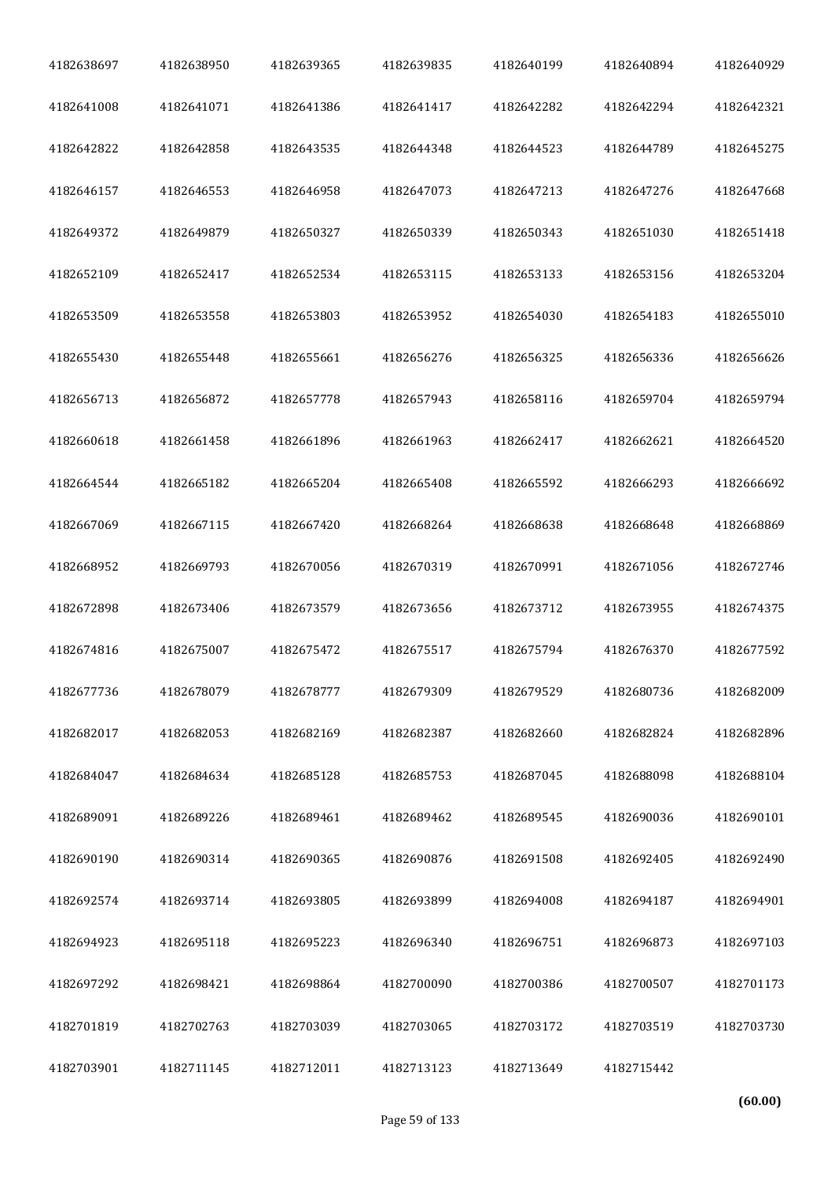| 4182638697 | 4182638950 | 4182639365 | 4182639835 | 4182640199 | 4182640894 | 4182640929 |
|------------|------------|------------|------------|------------|------------|------------|
| 4182641008 | 4182641071 | 4182641386 | 4182641417 | 4182642282 | 4182642294 | 4182642321 |
| 4182642822 | 4182642858 | 4182643535 | 4182644348 | 4182644523 | 4182644789 | 4182645275 |
| 4182646157 | 4182646553 | 4182646958 | 4182647073 | 4182647213 | 4182647276 | 4182647668 |
| 4182649372 | 4182649879 | 4182650327 | 4182650339 | 4182650343 | 4182651030 | 4182651418 |
| 4182652109 | 4182652417 | 4182652534 | 4182653115 | 4182653133 | 4182653156 | 4182653204 |
| 4182653509 | 4182653558 | 4182653803 | 4182653952 | 4182654030 | 4182654183 | 4182655010 |
| 4182655430 | 4182655448 | 4182655661 | 4182656276 | 4182656325 | 4182656336 | 4182656626 |
| 4182656713 | 4182656872 | 4182657778 | 4182657943 | 4182658116 | 4182659704 | 4182659794 |
| 4182660618 | 4182661458 | 4182661896 | 4182661963 | 4182662417 | 4182662621 | 4182664520 |
| 4182664544 | 4182665182 | 4182665204 | 4182665408 | 4182665592 | 4182666293 | 4182666692 |
| 4182667069 | 4182667115 | 4182667420 | 4182668264 | 4182668638 | 4182668648 | 4182668869 |
| 4182668952 | 4182669793 | 4182670056 | 4182670319 | 4182670991 | 4182671056 | 4182672746 |
| 4182672898 | 4182673406 | 4182673579 | 4182673656 | 4182673712 | 4182673955 | 4182674375 |
| 4182674816 | 4182675007 | 4182675472 | 4182675517 | 4182675794 | 4182676370 | 4182677592 |
| 4182677736 | 4182678079 | 4182678777 | 4182679309 | 4182679529 | 4182680736 | 4182682009 |
| 4182682017 | 4182682053 | 4182682169 | 4182682387 | 4182682660 | 4182682824 | 4182682896 |
| 4182684047 | 4182684634 | 4182685128 | 4182685753 | 4182687045 | 4182688098 | 4182688104 |
| 4182689091 | 4182689226 | 4182689461 | 4182689462 | 4182689545 | 4182690036 | 4182690101 |
| 4182690190 | 4182690314 | 4182690365 | 4182690876 | 4182691508 | 4182692405 | 4182692490 |
| 4182692574 | 4182693714 | 4182693805 | 4182693899 | 4182694008 | 4182694187 | 4182694901 |
| 4182694923 | 4182695118 | 4182695223 | 4182696340 | 4182696751 | 4182696873 | 4182697103 |
| 4182697292 | 4182698421 | 4182698864 | 4182700090 | 4182700386 | 4182700507 | 4182701173 |
| 4182701819 | 4182702763 | 4182703039 | 4182703065 | 4182703172 | 4182703519 | 4182703730 |
| 4182703901 | 4182711145 | 4182712011 | 4182713123 | 4182713649 | 4182715442 |            |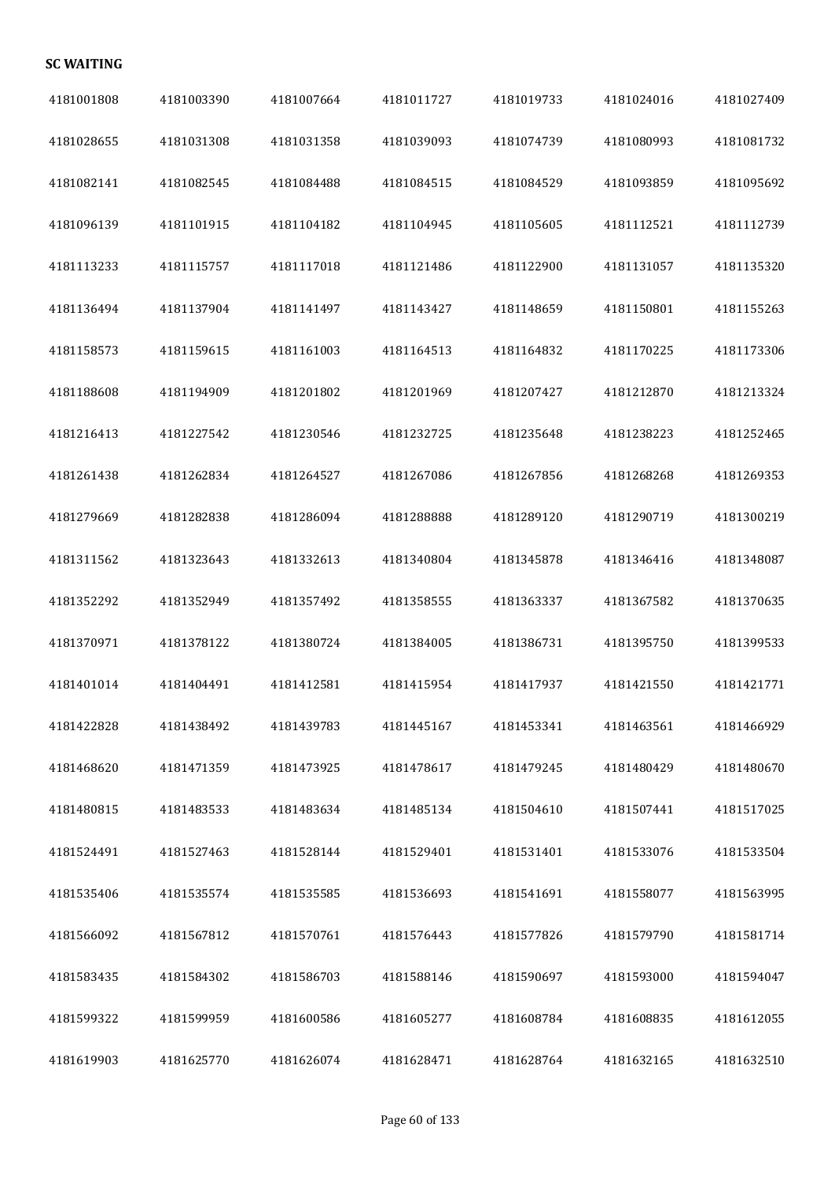## **SC WAITING**

| 4181001808 | 4181003390 | 4181007664 | 4181011727 | 4181019733 | 4181024016 | 4181027409 |
|------------|------------|------------|------------|------------|------------|------------|
| 4181028655 | 4181031308 | 4181031358 | 4181039093 | 4181074739 | 4181080993 | 4181081732 |
| 4181082141 | 4181082545 | 4181084488 | 4181084515 | 4181084529 | 4181093859 | 4181095692 |
| 4181096139 | 4181101915 | 4181104182 | 4181104945 | 4181105605 | 4181112521 | 4181112739 |
| 4181113233 | 4181115757 | 4181117018 | 4181121486 | 4181122900 | 4181131057 | 4181135320 |
| 4181136494 | 4181137904 | 4181141497 | 4181143427 | 4181148659 | 4181150801 | 4181155263 |
| 4181158573 | 4181159615 | 4181161003 | 4181164513 | 4181164832 | 4181170225 | 4181173306 |
| 4181188608 | 4181194909 | 4181201802 | 4181201969 | 4181207427 | 4181212870 | 4181213324 |
| 4181216413 | 4181227542 | 4181230546 | 4181232725 | 4181235648 | 4181238223 | 4181252465 |
| 4181261438 | 4181262834 | 4181264527 | 4181267086 | 4181267856 | 4181268268 | 4181269353 |
| 4181279669 | 4181282838 | 4181286094 | 4181288888 | 4181289120 | 4181290719 | 4181300219 |
| 4181311562 | 4181323643 | 4181332613 | 4181340804 | 4181345878 | 4181346416 | 4181348087 |
| 4181352292 | 4181352949 | 4181357492 | 4181358555 | 4181363337 | 4181367582 | 4181370635 |
| 4181370971 | 4181378122 | 4181380724 | 4181384005 | 4181386731 | 4181395750 | 4181399533 |
| 4181401014 | 4181404491 | 4181412581 | 4181415954 | 4181417937 | 4181421550 | 4181421771 |
| 4181422828 | 4181438492 | 4181439783 | 4181445167 | 4181453341 | 4181463561 | 4181466929 |
| 4181468620 | 4181471359 | 4181473925 | 4181478617 | 4181479245 | 4181480429 | 4181480670 |
| 4181480815 | 4181483533 | 4181483634 | 4181485134 | 4181504610 | 4181507441 | 4181517025 |
| 4181524491 | 4181527463 | 4181528144 | 4181529401 | 4181531401 | 4181533076 | 4181533504 |
| 4181535406 | 4181535574 | 4181535585 | 4181536693 | 4181541691 | 4181558077 | 4181563995 |
| 4181566092 | 4181567812 | 4181570761 | 4181576443 | 4181577826 | 4181579790 | 4181581714 |
| 4181583435 | 4181584302 | 4181586703 | 4181588146 | 4181590697 | 4181593000 | 4181594047 |
| 4181599322 | 4181599959 | 4181600586 | 4181605277 | 4181608784 | 4181608835 | 4181612055 |
| 4181619903 | 4181625770 | 4181626074 | 4181628471 | 4181628764 | 4181632165 | 4181632510 |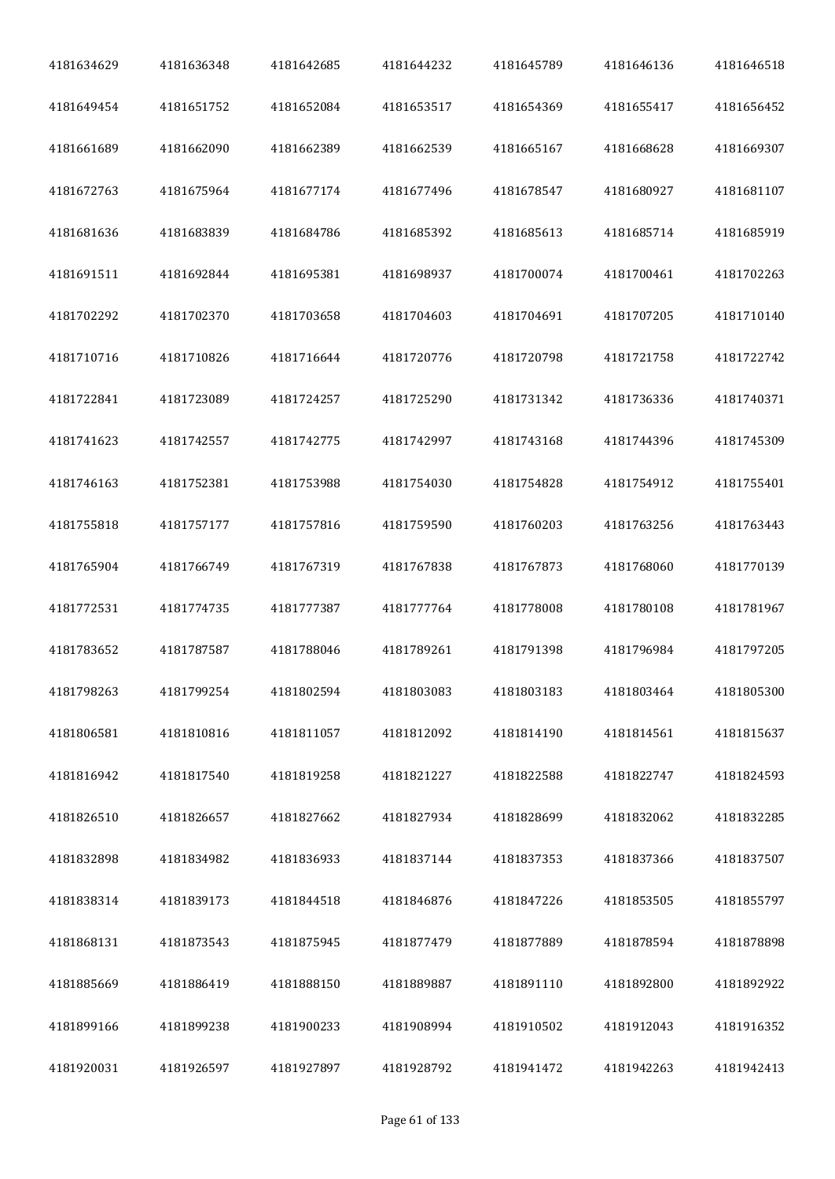| 4181634629 | 4181636348 | 4181642685 | 4181644232 | 4181645789 | 4181646136 | 4181646518 |
|------------|------------|------------|------------|------------|------------|------------|
| 4181649454 | 4181651752 | 4181652084 | 4181653517 | 4181654369 | 4181655417 | 4181656452 |
| 4181661689 | 4181662090 | 4181662389 | 4181662539 | 4181665167 | 4181668628 | 4181669307 |
| 4181672763 | 4181675964 | 4181677174 | 4181677496 | 4181678547 | 4181680927 | 4181681107 |
| 4181681636 | 4181683839 | 4181684786 | 4181685392 | 4181685613 | 4181685714 | 4181685919 |
| 4181691511 | 4181692844 | 4181695381 | 4181698937 | 4181700074 | 4181700461 | 4181702263 |
| 4181702292 | 4181702370 | 4181703658 | 4181704603 | 4181704691 | 4181707205 | 4181710140 |
| 4181710716 | 4181710826 | 4181716644 | 4181720776 | 4181720798 | 4181721758 | 4181722742 |
| 4181722841 | 4181723089 | 4181724257 | 4181725290 | 4181731342 | 4181736336 | 4181740371 |
| 4181741623 | 4181742557 | 4181742775 | 4181742997 | 4181743168 | 4181744396 | 4181745309 |
| 4181746163 | 4181752381 | 4181753988 | 4181754030 | 4181754828 | 4181754912 | 4181755401 |
| 4181755818 | 4181757177 | 4181757816 | 4181759590 | 4181760203 | 4181763256 | 4181763443 |
| 4181765904 | 4181766749 | 4181767319 | 4181767838 | 4181767873 | 4181768060 | 4181770139 |
| 4181772531 | 4181774735 | 4181777387 | 4181777764 | 4181778008 | 4181780108 | 4181781967 |
| 4181783652 | 4181787587 | 4181788046 | 4181789261 | 4181791398 | 4181796984 | 4181797205 |
| 4181798263 | 4181799254 | 4181802594 | 4181803083 | 4181803183 | 4181803464 | 4181805300 |
| 4181806581 | 4181810816 | 4181811057 | 4181812092 | 4181814190 | 4181814561 | 4181815637 |
| 4181816942 | 4181817540 | 4181819258 | 4181821227 | 4181822588 | 4181822747 | 4181824593 |
| 4181826510 | 4181826657 | 4181827662 | 4181827934 | 4181828699 | 4181832062 | 4181832285 |
| 4181832898 | 4181834982 | 4181836933 | 4181837144 | 4181837353 | 4181837366 | 4181837507 |
| 4181838314 | 4181839173 | 4181844518 | 4181846876 | 4181847226 | 4181853505 | 4181855797 |
| 4181868131 | 4181873543 | 4181875945 | 4181877479 | 4181877889 | 4181878594 | 4181878898 |
| 4181885669 | 4181886419 | 4181888150 | 4181889887 | 4181891110 | 4181892800 | 4181892922 |
| 4181899166 | 4181899238 | 4181900233 | 4181908994 | 4181910502 | 4181912043 | 4181916352 |
| 4181920031 | 4181926597 | 4181927897 | 4181928792 | 4181941472 | 4181942263 | 4181942413 |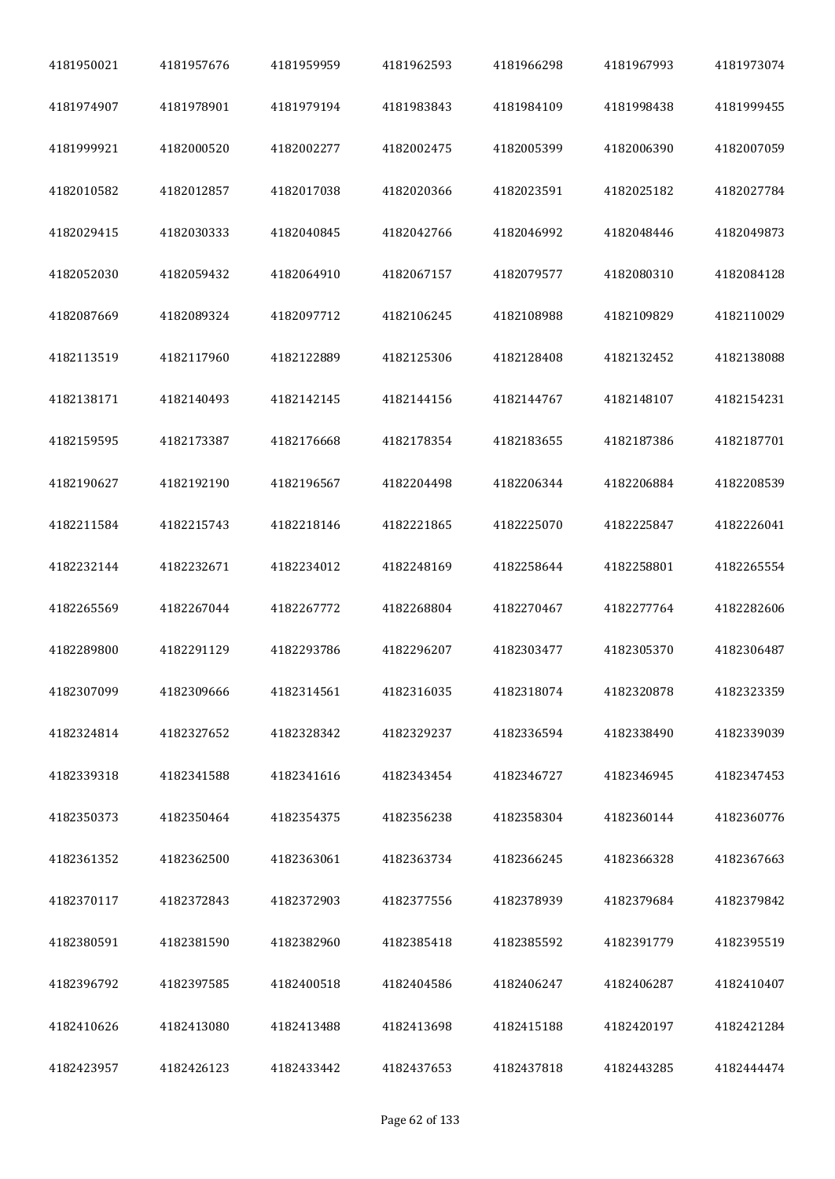| 4181950021 | 4181957676 | 4181959959 | 4181962593 | 4181966298 | 4181967993 | 4181973074 |
|------------|------------|------------|------------|------------|------------|------------|
| 4181974907 | 4181978901 | 4181979194 | 4181983843 | 4181984109 | 4181998438 | 4181999455 |
| 4181999921 | 4182000520 | 4182002277 | 4182002475 | 4182005399 | 4182006390 | 4182007059 |
| 4182010582 | 4182012857 | 4182017038 | 4182020366 | 4182023591 | 4182025182 | 4182027784 |
| 4182029415 | 4182030333 | 4182040845 | 4182042766 | 4182046992 | 4182048446 | 4182049873 |
| 4182052030 | 4182059432 | 4182064910 | 4182067157 | 4182079577 | 4182080310 | 4182084128 |
| 4182087669 | 4182089324 | 4182097712 | 4182106245 | 4182108988 | 4182109829 | 4182110029 |
| 4182113519 | 4182117960 | 4182122889 | 4182125306 | 4182128408 | 4182132452 | 4182138088 |
| 4182138171 | 4182140493 | 4182142145 | 4182144156 | 4182144767 | 4182148107 | 4182154231 |
| 4182159595 | 4182173387 | 4182176668 | 4182178354 | 4182183655 | 4182187386 | 4182187701 |
| 4182190627 | 4182192190 | 4182196567 | 4182204498 | 4182206344 | 4182206884 | 4182208539 |
| 4182211584 | 4182215743 | 4182218146 | 4182221865 | 4182225070 | 4182225847 | 4182226041 |
| 4182232144 | 4182232671 | 4182234012 | 4182248169 | 4182258644 | 4182258801 | 4182265554 |
| 4182265569 | 4182267044 | 4182267772 | 4182268804 | 4182270467 | 4182277764 | 4182282606 |
| 4182289800 | 4182291129 | 4182293786 | 4182296207 | 4182303477 | 4182305370 | 4182306487 |
| 4182307099 | 4182309666 | 4182314561 | 4182316035 | 4182318074 | 4182320878 | 4182323359 |
| 4182324814 | 4182327652 | 4182328342 | 4182329237 | 4182336594 | 4182338490 | 4182339039 |
| 4182339318 | 4182341588 | 4182341616 | 4182343454 | 4182346727 | 4182346945 | 4182347453 |
| 4182350373 | 4182350464 | 4182354375 | 4182356238 | 4182358304 | 4182360144 | 4182360776 |
| 4182361352 | 4182362500 | 4182363061 | 4182363734 | 4182366245 | 4182366328 | 4182367663 |
| 4182370117 | 4182372843 | 4182372903 | 4182377556 | 4182378939 | 4182379684 | 4182379842 |
| 4182380591 | 4182381590 | 4182382960 | 4182385418 | 4182385592 | 4182391779 | 4182395519 |
| 4182396792 | 4182397585 | 4182400518 | 4182404586 | 4182406247 | 4182406287 | 4182410407 |
| 4182410626 | 4182413080 | 4182413488 | 4182413698 | 4182415188 | 4182420197 | 4182421284 |
| 4182423957 | 4182426123 | 4182433442 | 4182437653 | 4182437818 | 4182443285 | 4182444474 |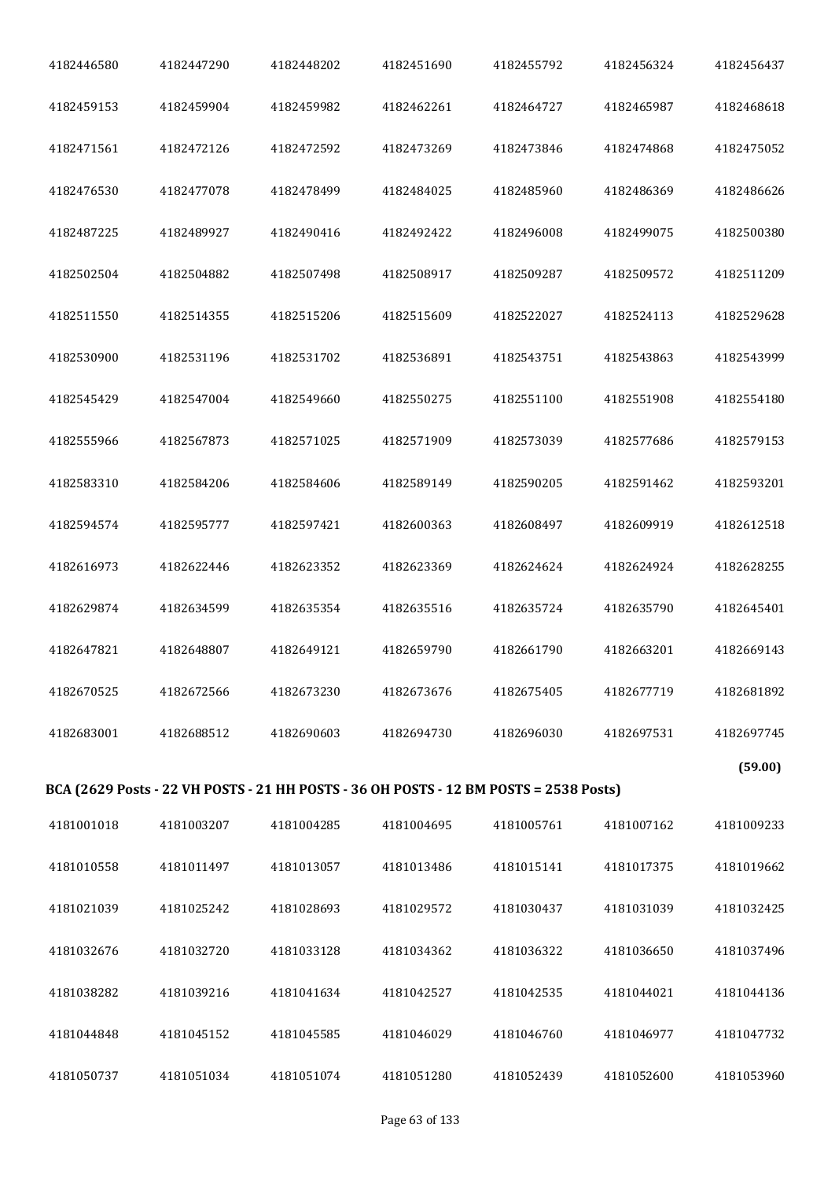| 4182446580 | 4182447290 | 4182448202 | 4182451690                                                                            | 4182455792 | 4182456324 | 4182456437 |
|------------|------------|------------|---------------------------------------------------------------------------------------|------------|------------|------------|
| 4182459153 | 4182459904 | 4182459982 | 4182462261                                                                            | 4182464727 | 4182465987 | 4182468618 |
| 4182471561 | 4182472126 | 4182472592 | 4182473269                                                                            | 4182473846 | 4182474868 | 4182475052 |
| 4182476530 | 4182477078 | 4182478499 | 4182484025                                                                            | 4182485960 | 4182486369 | 4182486626 |
| 4182487225 | 4182489927 | 4182490416 | 4182492422                                                                            | 4182496008 | 4182499075 | 4182500380 |
| 4182502504 | 4182504882 | 4182507498 | 4182508917                                                                            | 4182509287 | 4182509572 | 4182511209 |
| 4182511550 | 4182514355 | 4182515206 | 4182515609                                                                            | 4182522027 | 4182524113 | 4182529628 |
| 4182530900 | 4182531196 | 4182531702 | 4182536891                                                                            | 4182543751 | 4182543863 | 4182543999 |
| 4182545429 | 4182547004 | 4182549660 | 4182550275                                                                            | 4182551100 | 4182551908 | 4182554180 |
| 4182555966 | 4182567873 | 4182571025 | 4182571909                                                                            | 4182573039 | 4182577686 | 4182579153 |
| 4182583310 | 4182584206 | 4182584606 | 4182589149                                                                            | 4182590205 | 4182591462 | 4182593201 |
| 4182594574 | 4182595777 | 4182597421 | 4182600363                                                                            | 4182608497 | 4182609919 | 4182612518 |
| 4182616973 | 4182622446 | 4182623352 | 4182623369                                                                            | 4182624624 | 4182624924 | 4182628255 |
| 4182629874 | 4182634599 | 4182635354 | 4182635516                                                                            | 4182635724 | 4182635790 | 4182645401 |
| 4182647821 | 4182648807 | 4182649121 | 4182659790                                                                            | 4182661790 | 4182663201 | 4182669143 |
| 4182670525 | 4182672566 | 4182673230 | 4182673676                                                                            | 4182675405 | 4182677719 | 4182681892 |
| 4182683001 | 4182688512 | 4182690603 | 4182694730                                                                            | 4182696030 | 4182697531 | 4182697745 |
|            |            |            | BCA (2629 Posts - 22 VH POSTS - 21 HH POSTS - 36 OH POSTS - 12 BM POSTS = 2538 Posts) |            |            | (59.00)    |
| 4181001018 | 4181003207 | 4181004285 | 4181004695                                                                            | 4181005761 | 4181007162 | 4181009233 |
| 4181010558 | 4181011497 | 4181013057 | 4181013486                                                                            | 4181015141 | 4181017375 | 4181019662 |
| 4181021039 | 4181025242 | 4181028693 | 4181029572                                                                            | 4181030437 | 4181031039 | 4181032425 |
| 4181032676 | 4181032720 | 4181033128 | 4181034362                                                                            | 4181036322 | 4181036650 | 4181037496 |
| 4181038282 | 4181039216 | 4181041634 | 4181042527                                                                            | 4181042535 | 4181044021 | 4181044136 |
| 4181044848 | 4181045152 | 4181045585 | 4181046029                                                                            | 4181046760 | 4181046977 | 4181047732 |
| 4181050737 | 4181051034 | 4181051074 | 4181051280                                                                            | 4181052439 | 4181052600 | 4181053960 |
|            |            |            |                                                                                       |            |            |            |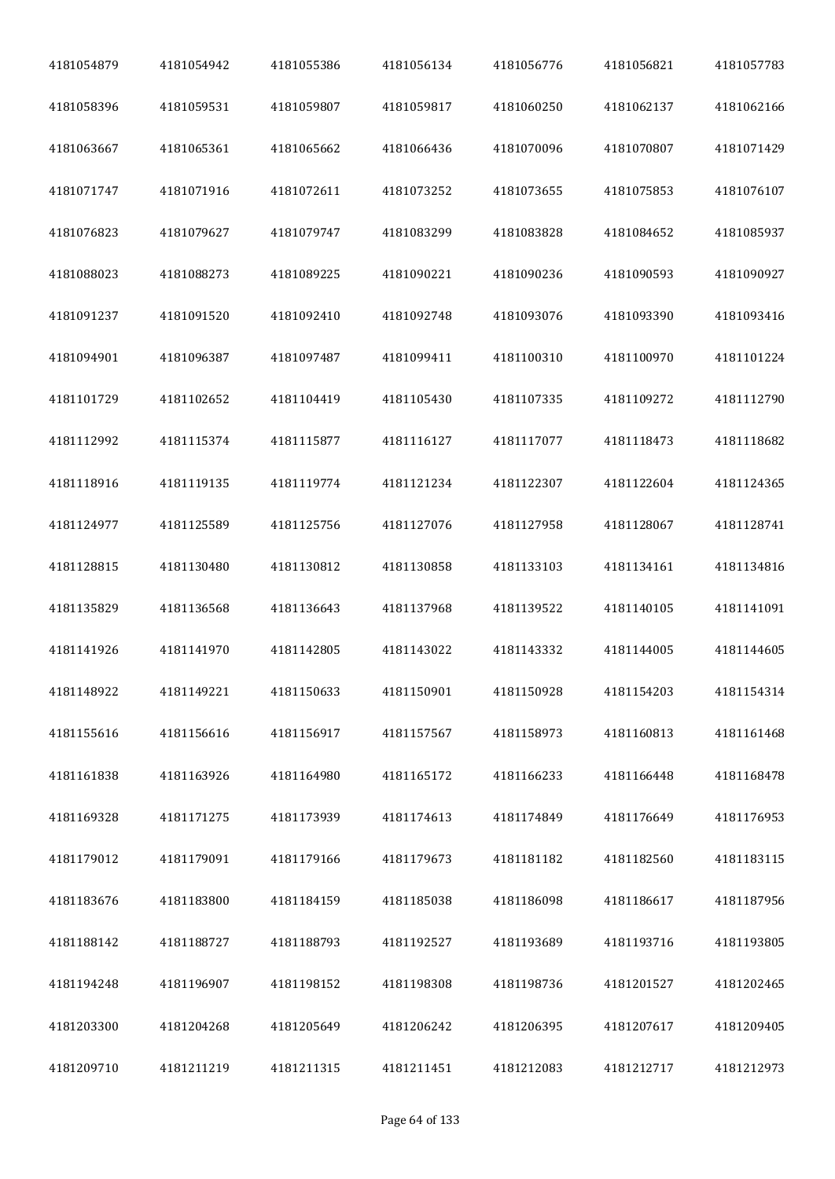| 4181054879 | 4181054942 | 4181055386 | 4181056134 | 4181056776 | 4181056821 | 4181057783 |
|------------|------------|------------|------------|------------|------------|------------|
| 4181058396 | 4181059531 | 4181059807 | 4181059817 | 4181060250 | 4181062137 | 4181062166 |
| 4181063667 | 4181065361 | 4181065662 | 4181066436 | 4181070096 | 4181070807 | 4181071429 |
| 4181071747 | 4181071916 | 4181072611 | 4181073252 | 4181073655 | 4181075853 | 4181076107 |
| 4181076823 | 4181079627 | 4181079747 | 4181083299 | 4181083828 | 4181084652 | 4181085937 |
| 4181088023 | 4181088273 | 4181089225 | 4181090221 | 4181090236 | 4181090593 | 4181090927 |
| 4181091237 | 4181091520 | 4181092410 | 4181092748 | 4181093076 | 4181093390 | 4181093416 |
| 4181094901 | 4181096387 | 4181097487 | 4181099411 | 4181100310 | 4181100970 | 4181101224 |
| 4181101729 | 4181102652 | 4181104419 | 4181105430 | 4181107335 | 4181109272 | 4181112790 |
| 4181112992 | 4181115374 | 4181115877 | 4181116127 | 4181117077 | 4181118473 | 4181118682 |
| 4181118916 | 4181119135 | 4181119774 | 4181121234 | 4181122307 | 4181122604 | 4181124365 |
| 4181124977 | 4181125589 | 4181125756 | 4181127076 | 4181127958 | 4181128067 | 4181128741 |
| 4181128815 | 4181130480 | 4181130812 | 4181130858 | 4181133103 | 4181134161 | 4181134816 |
| 4181135829 | 4181136568 | 4181136643 | 4181137968 | 4181139522 | 4181140105 | 4181141091 |
| 4181141926 | 4181141970 | 4181142805 | 4181143022 | 4181143332 | 4181144005 | 4181144605 |
| 4181148922 | 4181149221 | 4181150633 | 4181150901 | 4181150928 | 4181154203 | 4181154314 |
| 4181155616 | 4181156616 | 4181156917 | 4181157567 | 4181158973 | 4181160813 | 4181161468 |
| 4181161838 | 4181163926 | 4181164980 | 4181165172 | 4181166233 | 4181166448 | 4181168478 |
| 4181169328 | 4181171275 | 4181173939 | 4181174613 | 4181174849 | 4181176649 | 4181176953 |
| 4181179012 | 4181179091 | 4181179166 | 4181179673 | 4181181182 | 4181182560 | 4181183115 |
| 4181183676 | 4181183800 | 4181184159 | 4181185038 | 4181186098 | 4181186617 | 4181187956 |
| 4181188142 | 4181188727 | 4181188793 | 4181192527 | 4181193689 | 4181193716 | 4181193805 |
| 4181194248 | 4181196907 | 4181198152 | 4181198308 | 4181198736 | 4181201527 | 4181202465 |
| 4181203300 | 4181204268 | 4181205649 | 4181206242 | 4181206395 | 4181207617 | 4181209405 |
| 4181209710 | 4181211219 | 4181211315 | 4181211451 | 4181212083 | 4181212717 | 4181212973 |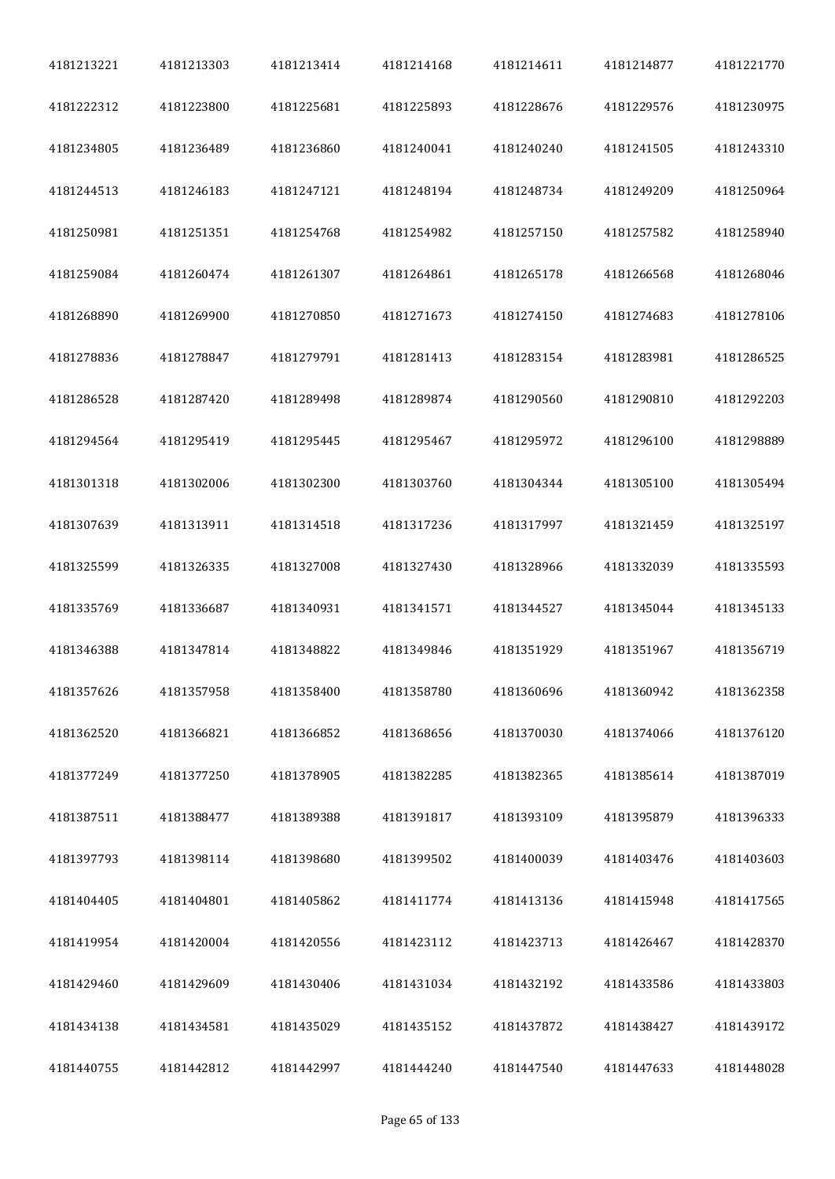| 4181213221 | 4181213303 | 4181213414 | 4181214168 | 4181214611 | 4181214877 | 4181221770 |
|------------|------------|------------|------------|------------|------------|------------|
| 4181222312 | 4181223800 | 4181225681 | 4181225893 | 4181228676 | 4181229576 | 4181230975 |
| 4181234805 | 4181236489 | 4181236860 | 4181240041 | 4181240240 | 4181241505 | 4181243310 |
| 4181244513 | 4181246183 | 4181247121 | 4181248194 | 4181248734 | 4181249209 | 4181250964 |
| 4181250981 | 4181251351 | 4181254768 | 4181254982 | 4181257150 | 4181257582 | 4181258940 |
| 4181259084 | 4181260474 | 4181261307 | 4181264861 | 4181265178 | 4181266568 | 4181268046 |
| 4181268890 | 4181269900 | 4181270850 | 4181271673 | 4181274150 | 4181274683 | 4181278106 |
| 4181278836 | 4181278847 | 4181279791 | 4181281413 | 4181283154 | 4181283981 | 4181286525 |
| 4181286528 | 4181287420 | 4181289498 | 4181289874 | 4181290560 | 4181290810 | 4181292203 |
| 4181294564 | 4181295419 | 4181295445 | 4181295467 | 4181295972 | 4181296100 | 4181298889 |
| 4181301318 | 4181302006 | 4181302300 | 4181303760 | 4181304344 | 4181305100 | 4181305494 |
| 4181307639 | 4181313911 | 4181314518 | 4181317236 | 4181317997 | 4181321459 | 4181325197 |
| 4181325599 | 4181326335 | 4181327008 | 4181327430 | 4181328966 | 4181332039 | 4181335593 |
| 4181335769 | 4181336687 | 4181340931 | 4181341571 | 4181344527 | 4181345044 | 4181345133 |
| 4181346388 | 4181347814 | 4181348822 | 4181349846 | 4181351929 | 4181351967 | 4181356719 |
| 4181357626 | 4181357958 | 4181358400 | 4181358780 | 4181360696 | 4181360942 | 4181362358 |
| 4181362520 | 4181366821 | 4181366852 | 4181368656 | 4181370030 | 4181374066 | 4181376120 |
| 4181377249 | 4181377250 | 4181378905 | 4181382285 | 4181382365 | 4181385614 | 4181387019 |
| 4181387511 | 4181388477 | 4181389388 | 4181391817 | 4181393109 | 4181395879 | 4181396333 |
| 4181397793 | 4181398114 | 4181398680 | 4181399502 | 4181400039 | 4181403476 | 4181403603 |
| 4181404405 | 4181404801 | 4181405862 | 4181411774 | 4181413136 | 4181415948 | 4181417565 |
| 4181419954 | 4181420004 | 4181420556 | 4181423112 | 4181423713 | 4181426467 | 4181428370 |
| 4181429460 | 4181429609 | 4181430406 | 4181431034 | 4181432192 | 4181433586 | 4181433803 |
| 4181434138 | 4181434581 | 4181435029 | 4181435152 | 4181437872 | 4181438427 | 4181439172 |
| 4181440755 | 4181442812 | 4181442997 | 4181444240 | 4181447540 | 4181447633 | 4181448028 |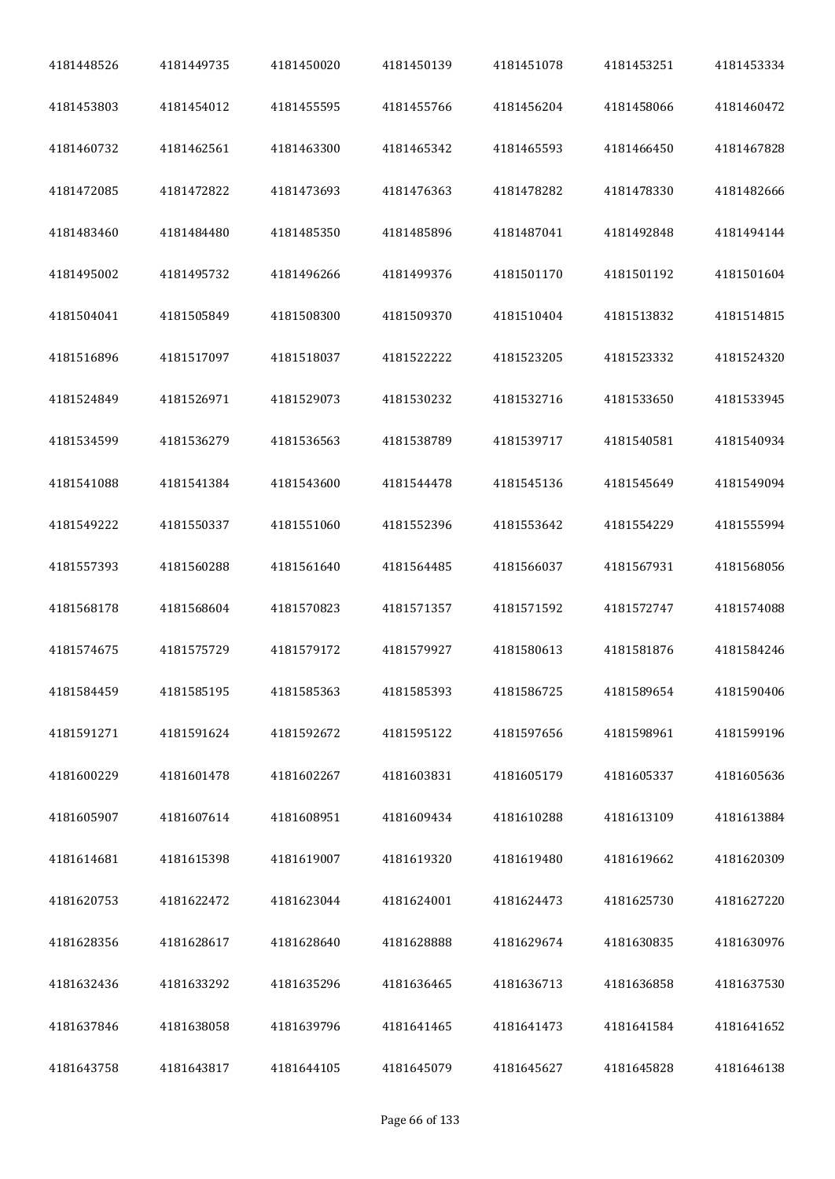| 4181448526 | 4181449735 | 4181450020 | 4181450139 | 4181451078 | 4181453251 | 4181453334 |
|------------|------------|------------|------------|------------|------------|------------|
| 4181453803 | 4181454012 | 4181455595 | 4181455766 | 4181456204 | 4181458066 | 4181460472 |
| 4181460732 | 4181462561 | 4181463300 | 4181465342 | 4181465593 | 4181466450 | 4181467828 |
| 4181472085 | 4181472822 | 4181473693 | 4181476363 | 4181478282 | 4181478330 | 4181482666 |
| 4181483460 | 4181484480 | 4181485350 | 4181485896 | 4181487041 | 4181492848 | 4181494144 |
| 4181495002 | 4181495732 | 4181496266 | 4181499376 | 4181501170 | 4181501192 | 4181501604 |
| 4181504041 | 4181505849 | 4181508300 | 4181509370 | 4181510404 | 4181513832 | 4181514815 |
| 4181516896 | 4181517097 | 4181518037 | 4181522222 | 4181523205 | 4181523332 | 4181524320 |
| 4181524849 | 4181526971 | 4181529073 | 4181530232 | 4181532716 | 4181533650 | 4181533945 |
| 4181534599 | 4181536279 | 4181536563 | 4181538789 | 4181539717 | 4181540581 | 4181540934 |
| 4181541088 | 4181541384 | 4181543600 | 4181544478 | 4181545136 | 4181545649 | 4181549094 |
| 4181549222 | 4181550337 | 4181551060 | 4181552396 | 4181553642 | 4181554229 | 4181555994 |
| 4181557393 | 4181560288 | 4181561640 | 4181564485 | 4181566037 | 4181567931 | 4181568056 |
| 4181568178 | 4181568604 | 4181570823 | 4181571357 | 4181571592 | 4181572747 | 4181574088 |
| 4181574675 | 4181575729 | 4181579172 | 4181579927 | 4181580613 | 4181581876 | 4181584246 |
| 4181584459 | 4181585195 | 4181585363 | 4181585393 | 4181586725 | 4181589654 | 4181590406 |
| 4181591271 | 4181591624 | 4181592672 | 4181595122 | 4181597656 | 4181598961 | 4181599196 |
| 4181600229 | 4181601478 | 4181602267 | 4181603831 | 4181605179 | 4181605337 | 4181605636 |
| 4181605907 | 4181607614 | 4181608951 | 4181609434 | 4181610288 | 4181613109 | 4181613884 |
| 4181614681 | 4181615398 | 4181619007 | 4181619320 | 4181619480 | 4181619662 | 4181620309 |
| 4181620753 | 4181622472 | 4181623044 | 4181624001 | 4181624473 | 4181625730 | 4181627220 |
| 4181628356 | 4181628617 | 4181628640 | 4181628888 | 4181629674 | 4181630835 | 4181630976 |
| 4181632436 | 4181633292 | 4181635296 | 4181636465 | 4181636713 | 4181636858 | 4181637530 |
| 4181637846 | 4181638058 | 4181639796 | 4181641465 | 4181641473 | 4181641584 | 4181641652 |
| 4181643758 | 4181643817 | 4181644105 | 4181645079 | 4181645627 | 4181645828 | 4181646138 |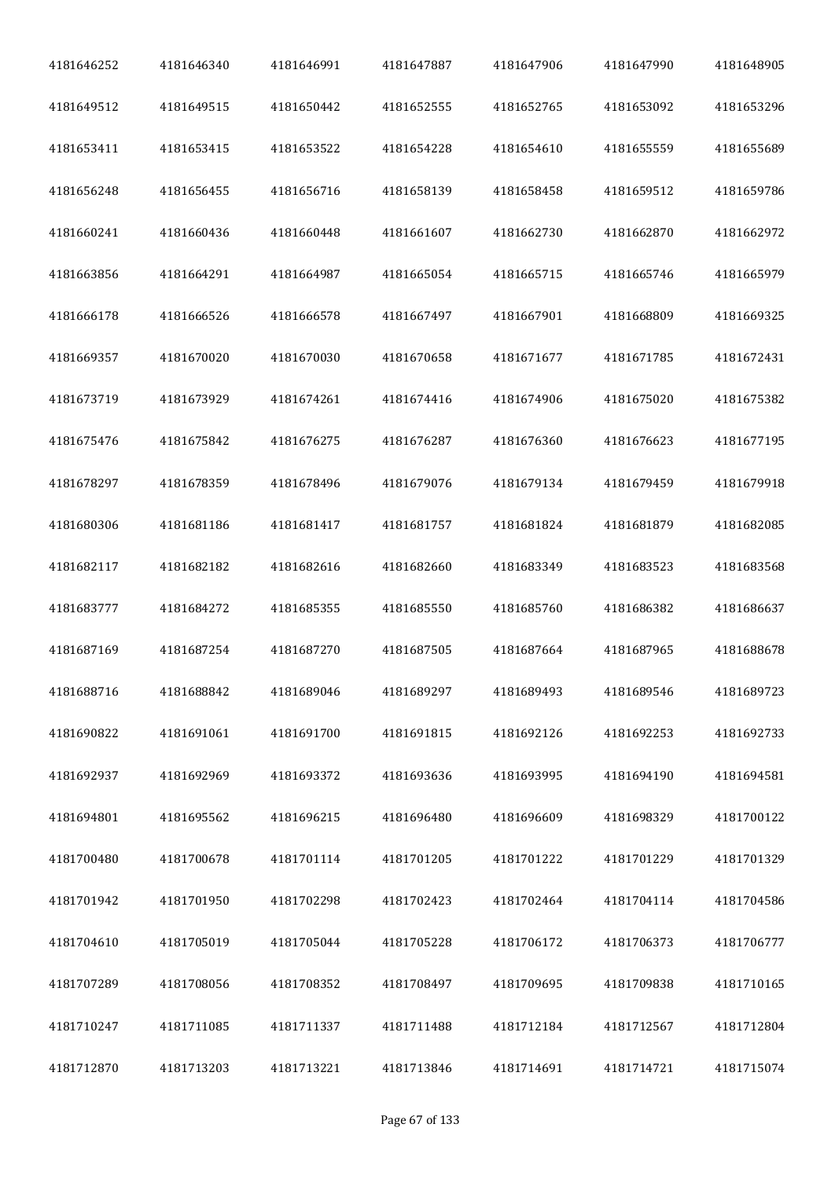| 4181646252 | 4181646340 | 4181646991 | 4181647887 | 4181647906 | 4181647990 | 4181648905 |
|------------|------------|------------|------------|------------|------------|------------|
| 4181649512 | 4181649515 | 4181650442 | 4181652555 | 4181652765 | 4181653092 | 4181653296 |
| 4181653411 | 4181653415 | 4181653522 | 4181654228 | 4181654610 | 4181655559 | 4181655689 |
| 4181656248 | 4181656455 | 4181656716 | 4181658139 | 4181658458 | 4181659512 | 4181659786 |
| 4181660241 | 4181660436 | 4181660448 | 4181661607 | 4181662730 | 4181662870 | 4181662972 |
| 4181663856 | 4181664291 | 4181664987 | 4181665054 | 4181665715 | 4181665746 | 4181665979 |
| 4181666178 | 4181666526 | 4181666578 | 4181667497 | 4181667901 | 4181668809 | 4181669325 |
| 4181669357 | 4181670020 | 4181670030 | 4181670658 | 4181671677 | 4181671785 | 4181672431 |
| 4181673719 | 4181673929 | 4181674261 | 4181674416 | 4181674906 | 4181675020 | 4181675382 |
| 4181675476 | 4181675842 | 4181676275 | 4181676287 | 4181676360 | 4181676623 | 4181677195 |
| 4181678297 | 4181678359 | 4181678496 | 4181679076 | 4181679134 | 4181679459 | 4181679918 |
| 4181680306 | 4181681186 | 4181681417 | 4181681757 | 4181681824 | 4181681879 | 4181682085 |
| 4181682117 | 4181682182 | 4181682616 | 4181682660 | 4181683349 | 4181683523 | 4181683568 |
| 4181683777 | 4181684272 | 4181685355 | 4181685550 | 4181685760 | 4181686382 | 4181686637 |
| 4181687169 | 4181687254 | 4181687270 | 4181687505 | 4181687664 | 4181687965 | 4181688678 |
| 4181688716 | 4181688842 | 4181689046 | 4181689297 | 4181689493 | 4181689546 | 4181689723 |
| 4181690822 | 4181691061 | 4181691700 | 4181691815 | 4181692126 | 4181692253 | 4181692733 |
| 4181692937 | 4181692969 | 4181693372 | 4181693636 | 4181693995 | 4181694190 | 4181694581 |
| 4181694801 | 4181695562 | 4181696215 | 4181696480 | 4181696609 | 4181698329 | 4181700122 |
| 4181700480 | 4181700678 | 4181701114 | 4181701205 | 4181701222 | 4181701229 | 4181701329 |
| 4181701942 | 4181701950 | 4181702298 | 4181702423 | 4181702464 | 4181704114 | 4181704586 |
| 4181704610 | 4181705019 | 4181705044 | 4181705228 | 4181706172 | 4181706373 | 4181706777 |
| 4181707289 | 4181708056 | 4181708352 | 4181708497 | 4181709695 | 4181709838 | 4181710165 |
| 4181710247 | 4181711085 | 4181711337 | 4181711488 | 4181712184 | 4181712567 | 4181712804 |
| 4181712870 | 4181713203 | 4181713221 | 4181713846 | 4181714691 | 4181714721 | 4181715074 |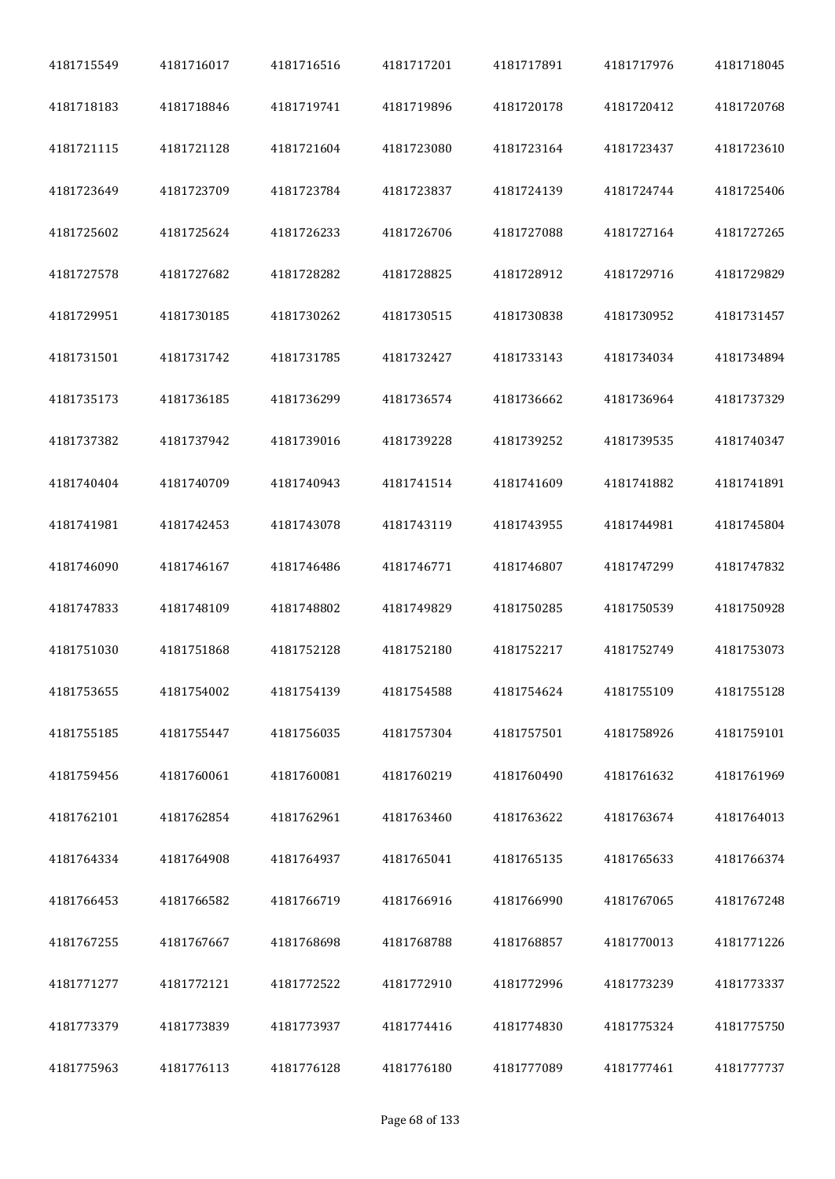| 4181715549 | 4181716017 | 4181716516 | 4181717201 | 4181717891 | 4181717976 | 4181718045 |
|------------|------------|------------|------------|------------|------------|------------|
| 4181718183 | 4181718846 | 4181719741 | 4181719896 | 4181720178 | 4181720412 | 4181720768 |
| 4181721115 | 4181721128 | 4181721604 | 4181723080 | 4181723164 | 4181723437 | 4181723610 |
| 4181723649 | 4181723709 | 4181723784 | 4181723837 | 4181724139 | 4181724744 | 4181725406 |
| 4181725602 | 4181725624 | 4181726233 | 4181726706 | 4181727088 | 4181727164 | 4181727265 |
| 4181727578 | 4181727682 | 4181728282 | 4181728825 | 4181728912 | 4181729716 | 4181729829 |
| 4181729951 | 4181730185 | 4181730262 | 4181730515 | 4181730838 | 4181730952 | 4181731457 |
| 4181731501 | 4181731742 | 4181731785 | 4181732427 | 4181733143 | 4181734034 | 4181734894 |
| 4181735173 | 4181736185 | 4181736299 | 4181736574 | 4181736662 | 4181736964 | 4181737329 |
| 4181737382 | 4181737942 | 4181739016 | 4181739228 | 4181739252 | 4181739535 | 4181740347 |
| 4181740404 | 4181740709 | 4181740943 | 4181741514 | 4181741609 | 4181741882 | 4181741891 |
| 4181741981 | 4181742453 | 4181743078 | 4181743119 | 4181743955 | 4181744981 | 4181745804 |
| 4181746090 | 4181746167 | 4181746486 | 4181746771 | 4181746807 | 4181747299 | 4181747832 |
| 4181747833 | 4181748109 | 4181748802 | 4181749829 | 4181750285 | 4181750539 | 4181750928 |
| 4181751030 | 4181751868 | 4181752128 | 4181752180 | 4181752217 | 4181752749 | 4181753073 |
| 4181753655 | 4181754002 | 4181754139 | 4181754588 | 4181754624 | 4181755109 | 4181755128 |
| 4181755185 | 4181755447 | 4181756035 | 4181757304 | 4181757501 | 4181758926 | 4181759101 |
| 4181759456 | 4181760061 | 4181760081 | 4181760219 | 4181760490 | 4181761632 | 4181761969 |
| 4181762101 | 4181762854 | 4181762961 | 4181763460 | 4181763622 | 4181763674 | 4181764013 |
| 4181764334 | 4181764908 | 4181764937 | 4181765041 | 4181765135 | 4181765633 | 4181766374 |
| 4181766453 | 4181766582 | 4181766719 | 4181766916 | 4181766990 | 4181767065 | 4181767248 |
| 4181767255 | 4181767667 | 4181768698 | 4181768788 | 4181768857 | 4181770013 | 4181771226 |
| 4181771277 | 4181772121 | 4181772522 | 4181772910 | 4181772996 | 4181773239 | 4181773337 |
| 4181773379 | 4181773839 | 4181773937 | 4181774416 | 4181774830 | 4181775324 | 4181775750 |
| 4181775963 | 4181776113 | 4181776128 | 4181776180 | 4181777089 | 4181777461 | 4181777737 |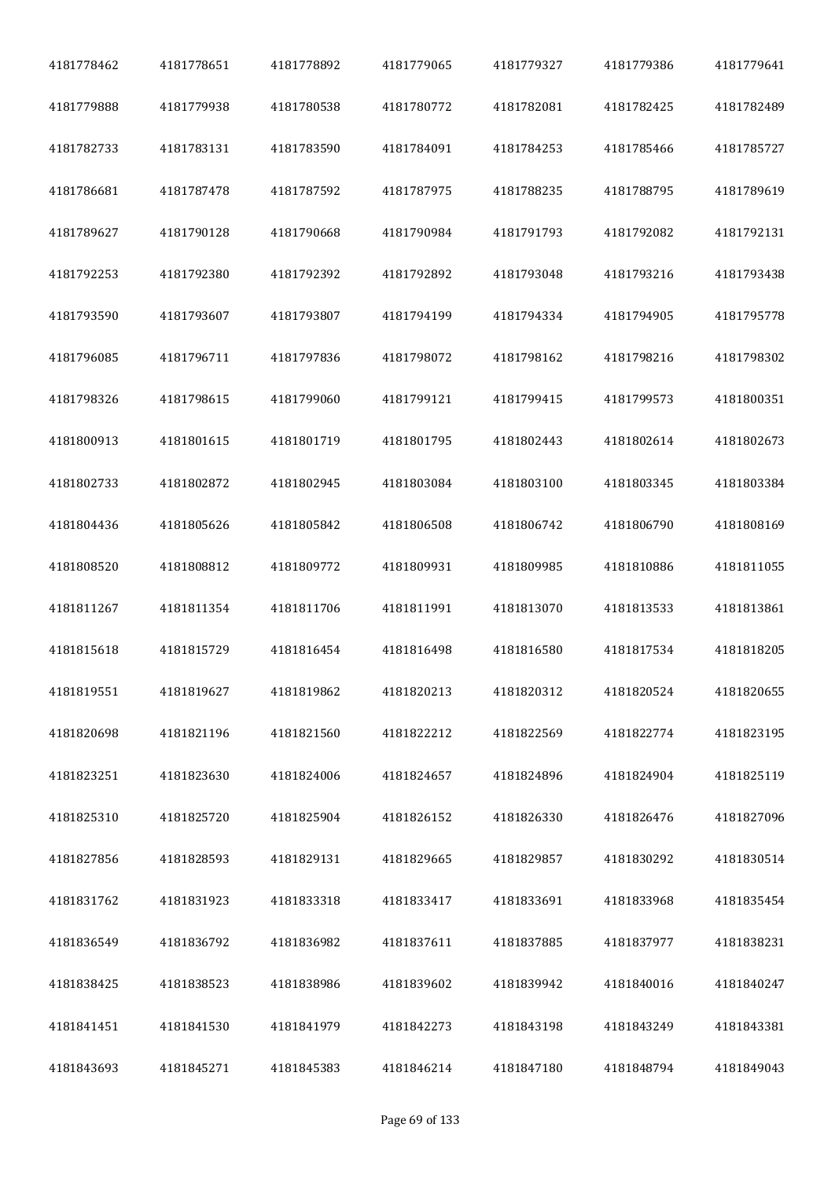| 4181778462 | 4181778651 | 4181778892 | 4181779065 | 4181779327 | 4181779386 | 4181779641 |
|------------|------------|------------|------------|------------|------------|------------|
| 4181779888 | 4181779938 | 4181780538 | 4181780772 | 4181782081 | 4181782425 | 4181782489 |
| 4181782733 | 4181783131 | 4181783590 | 4181784091 | 4181784253 | 4181785466 | 4181785727 |
| 4181786681 | 4181787478 | 4181787592 | 4181787975 | 4181788235 | 4181788795 | 4181789619 |
| 4181789627 | 4181790128 | 4181790668 | 4181790984 | 4181791793 | 4181792082 | 4181792131 |
| 4181792253 | 4181792380 | 4181792392 | 4181792892 | 4181793048 | 4181793216 | 4181793438 |
| 4181793590 | 4181793607 | 4181793807 | 4181794199 | 4181794334 | 4181794905 | 4181795778 |
| 4181796085 | 4181796711 | 4181797836 | 4181798072 | 4181798162 | 4181798216 | 4181798302 |
| 4181798326 | 4181798615 | 4181799060 | 4181799121 | 4181799415 | 4181799573 | 4181800351 |
| 4181800913 | 4181801615 | 4181801719 | 4181801795 | 4181802443 | 4181802614 | 4181802673 |
| 4181802733 | 4181802872 | 4181802945 | 4181803084 | 4181803100 | 4181803345 | 4181803384 |
| 4181804436 | 4181805626 | 4181805842 | 4181806508 | 4181806742 | 4181806790 | 4181808169 |
| 4181808520 | 4181808812 | 4181809772 | 4181809931 | 4181809985 | 4181810886 | 4181811055 |
| 4181811267 | 4181811354 | 4181811706 | 4181811991 | 4181813070 | 4181813533 | 4181813861 |
| 4181815618 | 4181815729 | 4181816454 | 4181816498 | 4181816580 | 4181817534 | 4181818205 |
| 4181819551 | 4181819627 | 4181819862 | 4181820213 | 4181820312 | 4181820524 | 4181820655 |
| 4181820698 | 4181821196 | 4181821560 | 4181822212 | 4181822569 | 4181822774 | 4181823195 |
| 4181823251 | 4181823630 | 4181824006 | 4181824657 | 4181824896 | 4181824904 | 4181825119 |
| 4181825310 | 4181825720 | 4181825904 | 4181826152 | 4181826330 | 4181826476 | 4181827096 |
| 4181827856 | 4181828593 | 4181829131 | 4181829665 | 4181829857 | 4181830292 | 4181830514 |
| 4181831762 | 4181831923 | 4181833318 | 4181833417 | 4181833691 | 4181833968 | 4181835454 |
| 4181836549 | 4181836792 | 4181836982 | 4181837611 | 4181837885 | 4181837977 | 4181838231 |
| 4181838425 | 4181838523 | 4181838986 | 4181839602 | 4181839942 | 4181840016 | 4181840247 |
| 4181841451 | 4181841530 | 4181841979 | 4181842273 | 4181843198 | 4181843249 | 4181843381 |
| 4181843693 | 4181845271 | 4181845383 | 4181846214 | 4181847180 | 4181848794 | 4181849043 |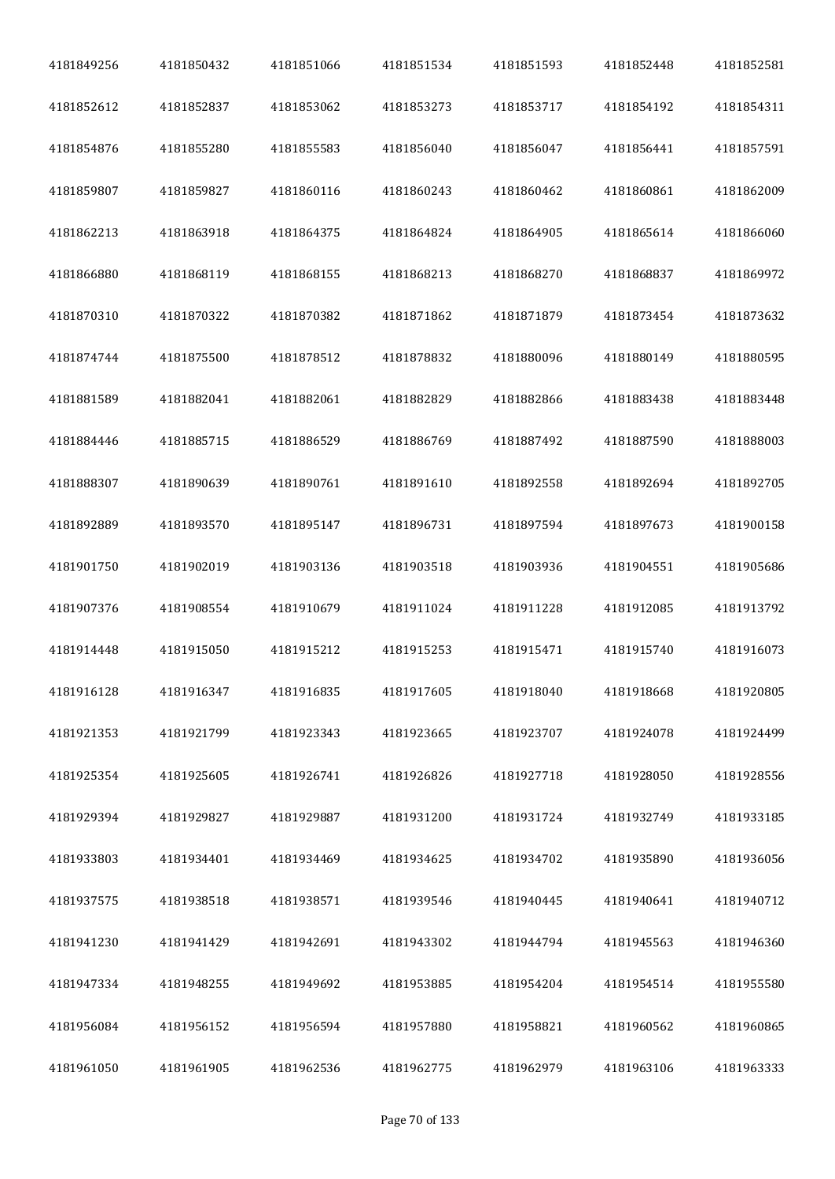| 4181849256 | 4181850432 | 4181851066 | 4181851534 | 4181851593 | 4181852448 | 4181852581 |
|------------|------------|------------|------------|------------|------------|------------|
| 4181852612 | 4181852837 | 4181853062 | 4181853273 | 4181853717 | 4181854192 | 4181854311 |
| 4181854876 | 4181855280 | 4181855583 | 4181856040 | 4181856047 | 4181856441 | 4181857591 |
| 4181859807 | 4181859827 | 4181860116 | 4181860243 | 4181860462 | 4181860861 | 4181862009 |
| 4181862213 | 4181863918 | 4181864375 | 4181864824 | 4181864905 | 4181865614 | 4181866060 |
| 4181866880 | 4181868119 | 4181868155 | 4181868213 | 4181868270 | 4181868837 | 4181869972 |
| 4181870310 | 4181870322 | 4181870382 | 4181871862 | 4181871879 | 4181873454 | 4181873632 |
| 4181874744 | 4181875500 | 4181878512 | 4181878832 | 4181880096 | 4181880149 | 4181880595 |
| 4181881589 | 4181882041 | 4181882061 | 4181882829 | 4181882866 | 4181883438 | 4181883448 |
| 4181884446 | 4181885715 | 4181886529 | 4181886769 | 4181887492 | 4181887590 | 4181888003 |
| 4181888307 | 4181890639 | 4181890761 | 4181891610 | 4181892558 | 4181892694 | 4181892705 |
| 4181892889 | 4181893570 | 4181895147 | 4181896731 | 4181897594 | 4181897673 | 4181900158 |
| 4181901750 | 4181902019 | 4181903136 | 4181903518 | 4181903936 | 4181904551 | 4181905686 |
| 4181907376 | 4181908554 | 4181910679 | 4181911024 | 4181911228 | 4181912085 | 4181913792 |
| 4181914448 | 4181915050 | 4181915212 | 4181915253 | 4181915471 | 4181915740 | 4181916073 |
| 4181916128 | 4181916347 | 4181916835 | 4181917605 | 4181918040 | 4181918668 | 4181920805 |
| 4181921353 | 4181921799 | 4181923343 | 4181923665 | 4181923707 | 4181924078 | 4181924499 |
| 4181925354 | 4181925605 | 4181926741 | 4181926826 | 4181927718 | 4181928050 | 4181928556 |
| 4181929394 | 4181929827 | 4181929887 | 4181931200 | 4181931724 | 4181932749 | 4181933185 |
| 4181933803 | 4181934401 | 4181934469 | 4181934625 | 4181934702 | 4181935890 | 4181936056 |
| 4181937575 | 4181938518 | 4181938571 | 4181939546 | 4181940445 | 4181940641 | 4181940712 |
| 4181941230 | 4181941429 | 4181942691 | 4181943302 | 4181944794 | 4181945563 | 4181946360 |
| 4181947334 | 4181948255 | 4181949692 | 4181953885 | 4181954204 | 4181954514 | 4181955580 |
| 4181956084 | 4181956152 | 4181956594 | 4181957880 | 4181958821 | 4181960562 | 4181960865 |
| 4181961050 | 4181961905 | 4181962536 | 4181962775 | 4181962979 | 4181963106 | 4181963333 |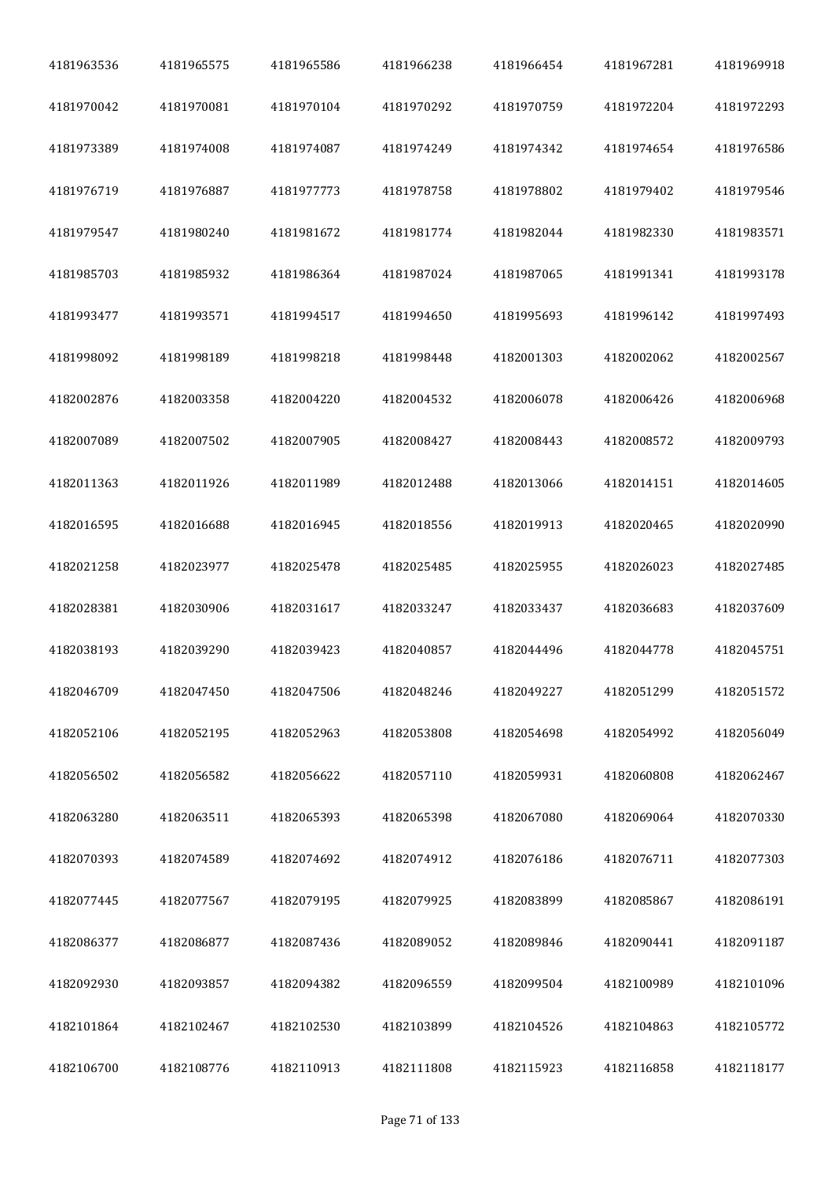| 4181963536 | 4181965575 | 4181965586 | 4181966238 | 4181966454 | 4181967281 | 4181969918 |
|------------|------------|------------|------------|------------|------------|------------|
| 4181970042 | 4181970081 | 4181970104 | 4181970292 | 4181970759 | 4181972204 | 4181972293 |
| 4181973389 | 4181974008 | 4181974087 | 4181974249 | 4181974342 | 4181974654 | 4181976586 |
| 4181976719 | 4181976887 | 4181977773 | 4181978758 | 4181978802 | 4181979402 | 4181979546 |
| 4181979547 | 4181980240 | 4181981672 | 4181981774 | 4181982044 | 4181982330 | 4181983571 |
| 4181985703 | 4181985932 | 4181986364 | 4181987024 | 4181987065 | 4181991341 | 4181993178 |
| 4181993477 | 4181993571 | 4181994517 | 4181994650 | 4181995693 | 4181996142 | 4181997493 |
| 4181998092 | 4181998189 | 4181998218 | 4181998448 | 4182001303 | 4182002062 | 4182002567 |
| 4182002876 | 4182003358 | 4182004220 | 4182004532 | 4182006078 | 4182006426 | 4182006968 |
| 4182007089 | 4182007502 | 4182007905 | 4182008427 | 4182008443 | 4182008572 | 4182009793 |
| 4182011363 | 4182011926 | 4182011989 | 4182012488 | 4182013066 | 4182014151 | 4182014605 |
| 4182016595 | 4182016688 | 4182016945 | 4182018556 | 4182019913 | 4182020465 | 4182020990 |
| 4182021258 | 4182023977 | 4182025478 | 4182025485 | 4182025955 | 4182026023 | 4182027485 |
| 4182028381 | 4182030906 | 4182031617 | 4182033247 | 4182033437 | 4182036683 | 4182037609 |
| 4182038193 | 4182039290 | 4182039423 | 4182040857 | 4182044496 | 4182044778 | 4182045751 |
| 4182046709 | 4182047450 | 4182047506 | 4182048246 | 4182049227 | 4182051299 | 4182051572 |
| 4182052106 | 4182052195 | 4182052963 | 4182053808 | 4182054698 | 4182054992 | 4182056049 |
| 4182056502 | 4182056582 | 4182056622 | 4182057110 | 4182059931 | 4182060808 | 4182062467 |
| 4182063280 | 4182063511 | 4182065393 | 4182065398 | 4182067080 | 4182069064 | 4182070330 |
| 4182070393 | 4182074589 | 4182074692 | 4182074912 | 4182076186 | 4182076711 | 4182077303 |
| 4182077445 | 4182077567 | 4182079195 | 4182079925 | 4182083899 | 4182085867 | 4182086191 |
| 4182086377 | 4182086877 | 4182087436 | 4182089052 | 4182089846 | 4182090441 | 4182091187 |
| 4182092930 | 4182093857 | 4182094382 | 4182096559 | 4182099504 | 4182100989 | 4182101096 |
| 4182101864 | 4182102467 | 4182102530 | 4182103899 | 4182104526 | 4182104863 | 4182105772 |
| 4182106700 | 4182108776 | 4182110913 | 4182111808 | 4182115923 | 4182116858 | 4182118177 |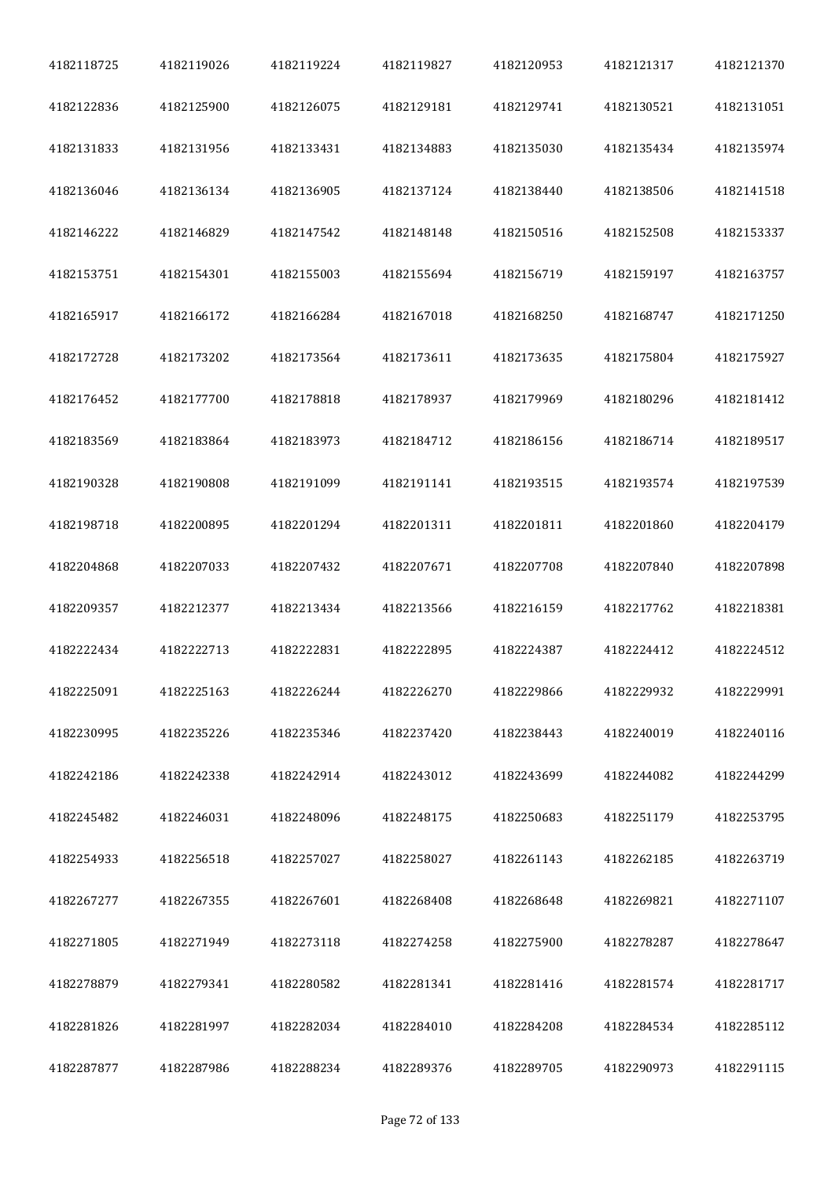| 4182118725 | 4182119026 | 4182119224 | 4182119827 | 4182120953 | 4182121317 | 4182121370 |
|------------|------------|------------|------------|------------|------------|------------|
| 4182122836 | 4182125900 | 4182126075 | 4182129181 | 4182129741 | 4182130521 | 4182131051 |
| 4182131833 | 4182131956 | 4182133431 | 4182134883 | 4182135030 | 4182135434 | 4182135974 |
| 4182136046 | 4182136134 | 4182136905 | 4182137124 | 4182138440 | 4182138506 | 4182141518 |
| 4182146222 | 4182146829 | 4182147542 | 4182148148 | 4182150516 | 4182152508 | 4182153337 |
| 4182153751 | 4182154301 | 4182155003 | 4182155694 | 4182156719 | 4182159197 | 4182163757 |
| 4182165917 | 4182166172 | 4182166284 | 4182167018 | 4182168250 | 4182168747 | 4182171250 |
| 4182172728 | 4182173202 | 4182173564 | 4182173611 | 4182173635 | 4182175804 | 4182175927 |
| 4182176452 | 4182177700 | 4182178818 | 4182178937 | 4182179969 | 4182180296 | 4182181412 |
| 4182183569 | 4182183864 | 4182183973 | 4182184712 | 4182186156 | 4182186714 | 4182189517 |
| 4182190328 | 4182190808 | 4182191099 | 4182191141 | 4182193515 | 4182193574 | 4182197539 |
| 4182198718 | 4182200895 | 4182201294 | 4182201311 | 4182201811 | 4182201860 | 4182204179 |
| 4182204868 | 4182207033 | 4182207432 | 4182207671 | 4182207708 | 4182207840 | 4182207898 |
| 4182209357 | 4182212377 | 4182213434 | 4182213566 | 4182216159 | 4182217762 | 4182218381 |
| 4182222434 | 4182222713 | 4182222831 | 4182222895 | 4182224387 | 4182224412 | 4182224512 |
| 4182225091 | 4182225163 | 4182226244 | 4182226270 | 4182229866 | 4182229932 | 4182229991 |
| 4182230995 | 4182235226 | 4182235346 | 4182237420 | 4182238443 | 4182240019 | 4182240116 |
| 4182242186 | 4182242338 | 4182242914 | 4182243012 | 4182243699 | 4182244082 | 4182244299 |
| 4182245482 | 4182246031 | 4182248096 | 4182248175 | 4182250683 | 4182251179 | 4182253795 |
| 4182254933 | 4182256518 | 4182257027 | 4182258027 | 4182261143 | 4182262185 | 4182263719 |
| 4182267277 | 4182267355 | 4182267601 | 4182268408 | 4182268648 | 4182269821 | 4182271107 |
| 4182271805 | 4182271949 | 4182273118 | 4182274258 | 4182275900 | 4182278287 | 4182278647 |
| 4182278879 | 4182279341 | 4182280582 | 4182281341 | 4182281416 | 4182281574 | 4182281717 |
| 4182281826 | 4182281997 | 4182282034 | 4182284010 | 4182284208 | 4182284534 | 4182285112 |
| 4182287877 | 4182287986 | 4182288234 | 4182289376 | 4182289705 | 4182290973 | 4182291115 |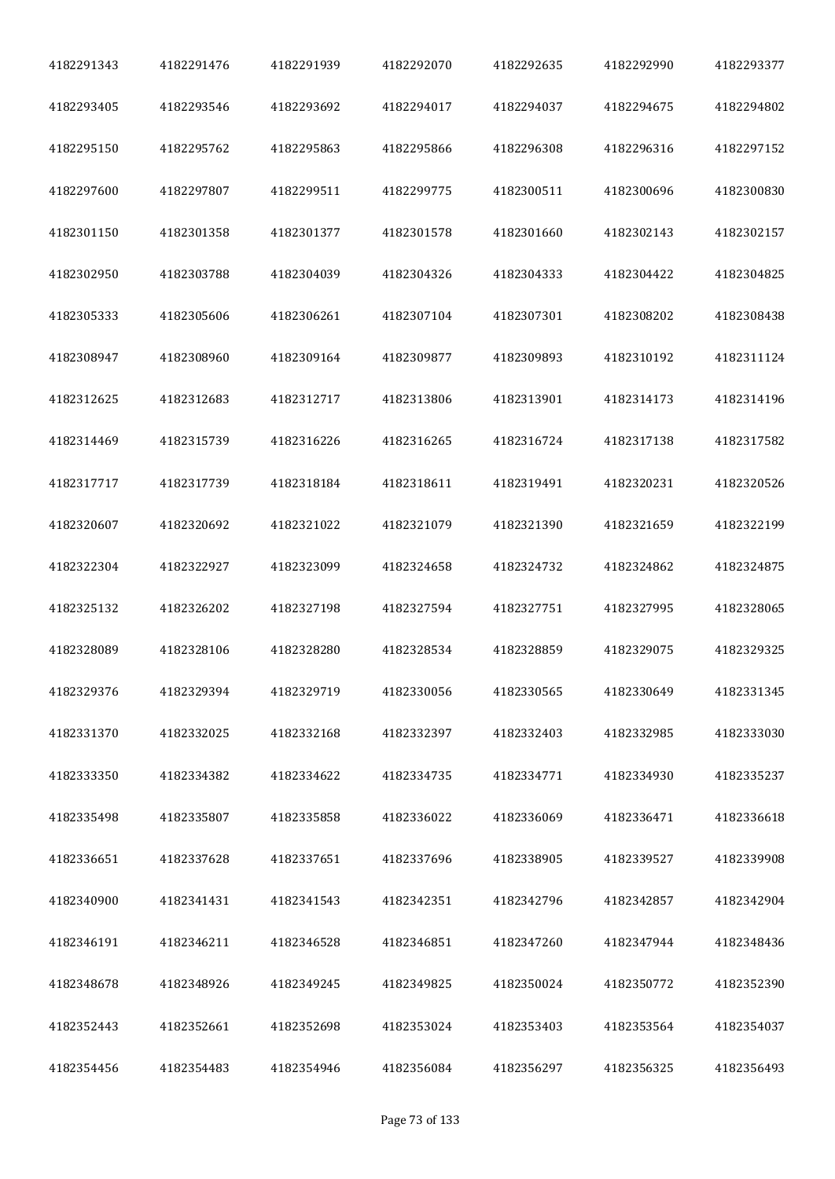| 4182291343 | 4182291476 | 4182291939 | 4182292070 | 4182292635 | 4182292990 | 4182293377 |
|------------|------------|------------|------------|------------|------------|------------|
| 4182293405 | 4182293546 | 4182293692 | 4182294017 | 4182294037 | 4182294675 | 4182294802 |
| 4182295150 | 4182295762 | 4182295863 | 4182295866 | 4182296308 | 4182296316 | 4182297152 |
| 4182297600 | 4182297807 | 4182299511 | 4182299775 | 4182300511 | 4182300696 | 4182300830 |
| 4182301150 | 4182301358 | 4182301377 | 4182301578 | 4182301660 | 4182302143 | 4182302157 |
| 4182302950 | 4182303788 | 4182304039 | 4182304326 | 4182304333 | 4182304422 | 4182304825 |
| 4182305333 | 4182305606 | 4182306261 | 4182307104 | 4182307301 | 4182308202 | 4182308438 |
| 4182308947 | 4182308960 | 4182309164 | 4182309877 | 4182309893 | 4182310192 | 4182311124 |
| 4182312625 | 4182312683 | 4182312717 | 4182313806 | 4182313901 | 4182314173 | 4182314196 |
| 4182314469 | 4182315739 | 4182316226 | 4182316265 | 4182316724 | 4182317138 | 4182317582 |
| 4182317717 | 4182317739 | 4182318184 | 4182318611 | 4182319491 | 4182320231 | 4182320526 |
| 4182320607 | 4182320692 | 4182321022 | 4182321079 | 4182321390 | 4182321659 | 4182322199 |
| 4182322304 | 4182322927 | 4182323099 | 4182324658 | 4182324732 | 4182324862 | 4182324875 |
| 4182325132 | 4182326202 | 4182327198 | 4182327594 | 4182327751 | 4182327995 | 4182328065 |
| 4182328089 | 4182328106 | 4182328280 | 4182328534 | 4182328859 | 4182329075 | 4182329325 |
| 4182329376 | 4182329394 | 4182329719 | 4182330056 | 4182330565 | 4182330649 | 4182331345 |
| 4182331370 | 4182332025 | 4182332168 | 4182332397 | 4182332403 | 4182332985 | 4182333030 |
| 4182333350 | 4182334382 | 4182334622 | 4182334735 | 4182334771 | 4182334930 | 4182335237 |
| 4182335498 | 4182335807 | 4182335858 | 4182336022 | 4182336069 | 4182336471 | 4182336618 |
| 4182336651 | 4182337628 | 4182337651 | 4182337696 | 4182338905 | 4182339527 | 4182339908 |
| 4182340900 | 4182341431 | 4182341543 | 4182342351 | 4182342796 | 4182342857 | 4182342904 |
| 4182346191 | 4182346211 | 4182346528 | 4182346851 | 4182347260 | 4182347944 | 4182348436 |
| 4182348678 | 4182348926 | 4182349245 | 4182349825 | 4182350024 | 4182350772 | 4182352390 |
| 4182352443 | 4182352661 | 4182352698 | 4182353024 | 4182353403 | 4182353564 | 4182354037 |
| 4182354456 | 4182354483 | 4182354946 | 4182356084 | 4182356297 | 4182356325 | 4182356493 |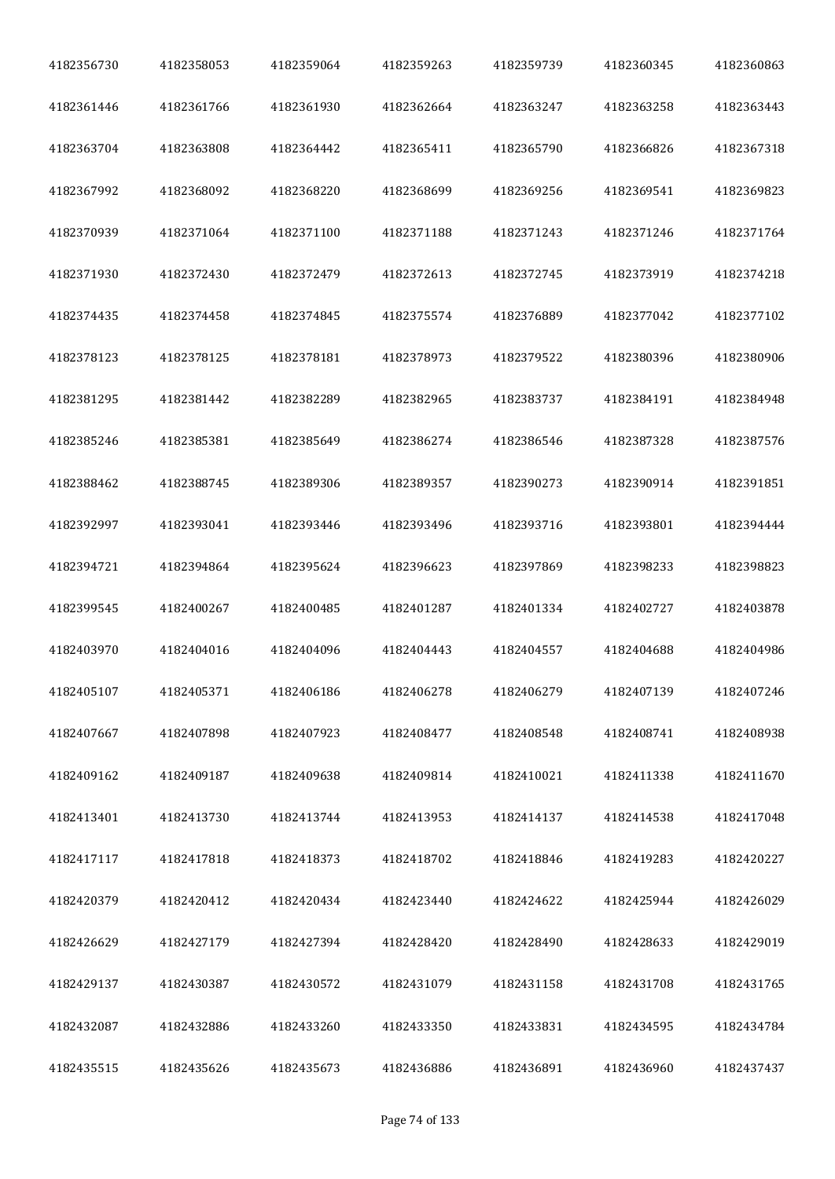| 4182356730 | 4182358053 | 4182359064 | 4182359263 | 4182359739 | 4182360345 | 4182360863 |
|------------|------------|------------|------------|------------|------------|------------|
| 4182361446 | 4182361766 | 4182361930 | 4182362664 | 4182363247 | 4182363258 | 4182363443 |
| 4182363704 | 4182363808 | 4182364442 | 4182365411 | 4182365790 | 4182366826 | 4182367318 |
| 4182367992 | 4182368092 | 4182368220 | 4182368699 | 4182369256 | 4182369541 | 4182369823 |
| 4182370939 | 4182371064 | 4182371100 | 4182371188 | 4182371243 | 4182371246 | 4182371764 |
| 4182371930 | 4182372430 | 4182372479 | 4182372613 | 4182372745 | 4182373919 | 4182374218 |
| 4182374435 | 4182374458 | 4182374845 | 4182375574 | 4182376889 | 4182377042 | 4182377102 |
| 4182378123 | 4182378125 | 4182378181 | 4182378973 | 4182379522 | 4182380396 | 4182380906 |
| 4182381295 | 4182381442 | 4182382289 | 4182382965 | 4182383737 | 4182384191 | 4182384948 |
| 4182385246 | 4182385381 | 4182385649 | 4182386274 | 4182386546 | 4182387328 | 4182387576 |
| 4182388462 | 4182388745 | 4182389306 | 4182389357 | 4182390273 | 4182390914 | 4182391851 |
| 4182392997 | 4182393041 | 4182393446 | 4182393496 | 4182393716 | 4182393801 | 4182394444 |
| 4182394721 | 4182394864 | 4182395624 | 4182396623 | 4182397869 | 4182398233 | 4182398823 |
| 4182399545 | 4182400267 | 4182400485 | 4182401287 | 4182401334 | 4182402727 | 4182403878 |
| 4182403970 | 4182404016 | 4182404096 | 4182404443 | 4182404557 | 4182404688 | 4182404986 |
| 4182405107 | 4182405371 | 4182406186 | 4182406278 | 4182406279 | 4182407139 | 4182407246 |
| 4182407667 | 4182407898 | 4182407923 | 4182408477 | 4182408548 | 4182408741 | 4182408938 |
| 4182409162 | 4182409187 | 4182409638 | 4182409814 | 4182410021 | 4182411338 | 4182411670 |
| 4182413401 | 4182413730 | 4182413744 | 4182413953 | 4182414137 | 4182414538 | 4182417048 |
| 4182417117 | 4182417818 | 4182418373 | 4182418702 | 4182418846 | 4182419283 | 4182420227 |
| 4182420379 | 4182420412 | 4182420434 | 4182423440 | 4182424622 | 4182425944 | 4182426029 |
| 4182426629 | 4182427179 | 4182427394 | 4182428420 | 4182428490 | 4182428633 | 4182429019 |
| 4182429137 | 4182430387 | 4182430572 | 4182431079 | 4182431158 | 4182431708 | 4182431765 |
| 4182432087 | 4182432886 | 4182433260 | 4182433350 | 4182433831 | 4182434595 | 4182434784 |
| 4182435515 | 4182435626 | 4182435673 | 4182436886 | 4182436891 | 4182436960 | 4182437437 |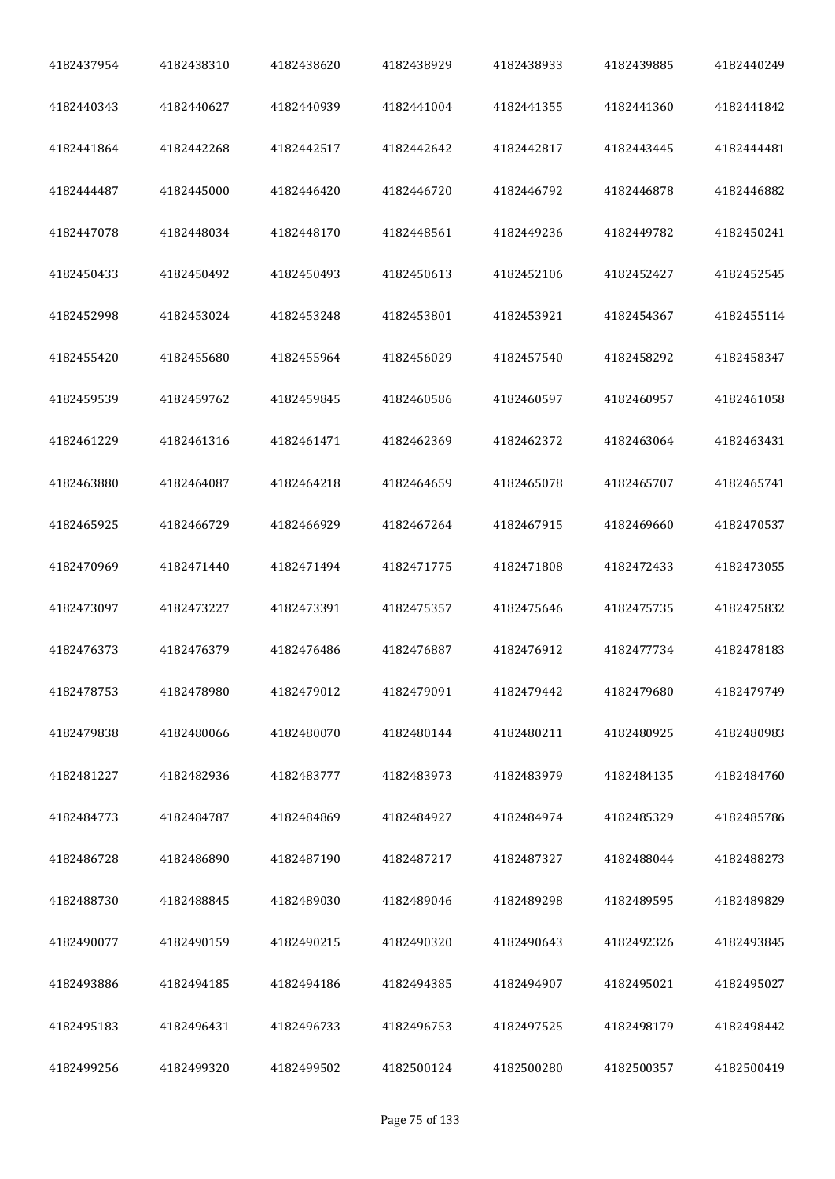| 4182437954 | 4182438310 | 4182438620 | 4182438929 | 4182438933 | 4182439885 | 4182440249 |
|------------|------------|------------|------------|------------|------------|------------|
| 4182440343 | 4182440627 | 4182440939 | 4182441004 | 4182441355 | 4182441360 | 4182441842 |
| 4182441864 | 4182442268 | 4182442517 | 4182442642 | 4182442817 | 4182443445 | 4182444481 |
| 4182444487 | 4182445000 | 4182446420 | 4182446720 | 4182446792 | 4182446878 | 4182446882 |
| 4182447078 | 4182448034 | 4182448170 | 4182448561 | 4182449236 | 4182449782 | 4182450241 |
| 4182450433 | 4182450492 | 4182450493 | 4182450613 | 4182452106 | 4182452427 | 4182452545 |
| 4182452998 | 4182453024 | 4182453248 | 4182453801 | 4182453921 | 4182454367 | 4182455114 |
| 4182455420 | 4182455680 | 4182455964 | 4182456029 | 4182457540 | 4182458292 | 4182458347 |
| 4182459539 | 4182459762 | 4182459845 | 4182460586 | 4182460597 | 4182460957 | 4182461058 |
| 4182461229 | 4182461316 | 4182461471 | 4182462369 | 4182462372 | 4182463064 | 4182463431 |
| 4182463880 | 4182464087 | 4182464218 | 4182464659 | 4182465078 | 4182465707 | 4182465741 |
| 4182465925 | 4182466729 | 4182466929 | 4182467264 | 4182467915 | 4182469660 | 4182470537 |
| 4182470969 | 4182471440 | 4182471494 | 4182471775 | 4182471808 | 4182472433 | 4182473055 |
| 4182473097 | 4182473227 | 4182473391 | 4182475357 | 4182475646 | 4182475735 | 4182475832 |
| 4182476373 | 4182476379 | 4182476486 | 4182476887 | 4182476912 | 4182477734 | 4182478183 |
| 4182478753 | 4182478980 | 4182479012 | 4182479091 | 4182479442 | 4182479680 | 4182479749 |
| 4182479838 | 4182480066 | 4182480070 | 4182480144 | 4182480211 | 4182480925 | 4182480983 |
| 4182481227 | 4182482936 | 4182483777 | 4182483973 | 4182483979 | 4182484135 | 4182484760 |
| 4182484773 | 4182484787 | 4182484869 | 4182484927 | 4182484974 | 4182485329 | 4182485786 |
| 4182486728 | 4182486890 | 4182487190 | 4182487217 | 4182487327 | 4182488044 | 4182488273 |
| 4182488730 | 4182488845 | 4182489030 | 4182489046 | 4182489298 | 4182489595 | 4182489829 |
| 4182490077 | 4182490159 | 4182490215 | 4182490320 | 4182490643 | 4182492326 | 4182493845 |
| 4182493886 | 4182494185 | 4182494186 | 4182494385 | 4182494907 | 4182495021 | 4182495027 |
| 4182495183 | 4182496431 | 4182496733 | 4182496753 | 4182497525 | 4182498179 | 4182498442 |
| 4182499256 | 4182499320 | 4182499502 | 4182500124 | 4182500280 | 4182500357 | 4182500419 |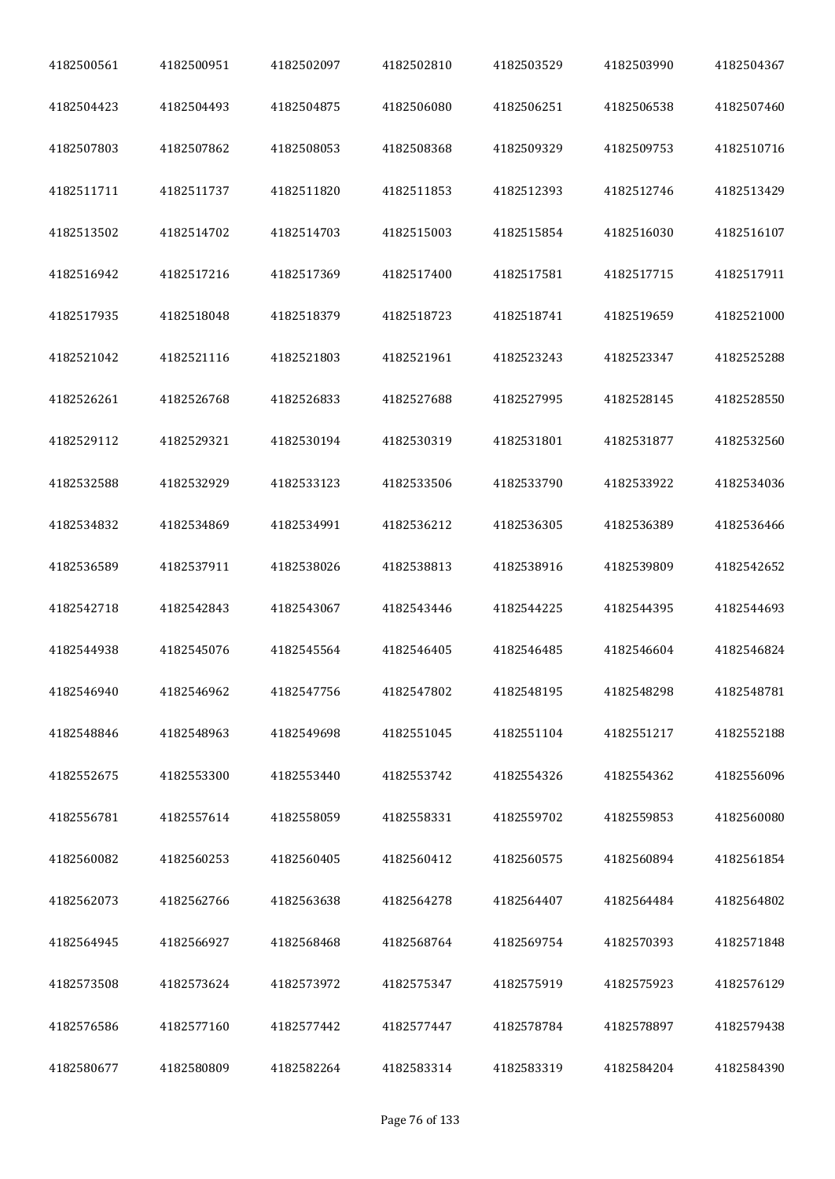| 4182500561 | 4182500951 | 4182502097 | 4182502810 | 4182503529 | 4182503990 | 4182504367 |
|------------|------------|------------|------------|------------|------------|------------|
| 4182504423 | 4182504493 | 4182504875 | 4182506080 | 4182506251 | 4182506538 | 4182507460 |
| 4182507803 | 4182507862 | 4182508053 | 4182508368 | 4182509329 | 4182509753 | 4182510716 |
| 4182511711 | 4182511737 | 4182511820 | 4182511853 | 4182512393 | 4182512746 | 4182513429 |
| 4182513502 | 4182514702 | 4182514703 | 4182515003 | 4182515854 | 4182516030 | 4182516107 |
| 4182516942 | 4182517216 | 4182517369 | 4182517400 | 4182517581 | 4182517715 | 4182517911 |
| 4182517935 | 4182518048 | 4182518379 | 4182518723 | 4182518741 | 4182519659 | 4182521000 |
| 4182521042 | 4182521116 | 4182521803 | 4182521961 | 4182523243 | 4182523347 | 4182525288 |
| 4182526261 | 4182526768 | 4182526833 | 4182527688 | 4182527995 | 4182528145 | 4182528550 |
| 4182529112 | 4182529321 | 4182530194 | 4182530319 | 4182531801 | 4182531877 | 4182532560 |
| 4182532588 | 4182532929 | 4182533123 | 4182533506 | 4182533790 | 4182533922 | 4182534036 |
| 4182534832 | 4182534869 | 4182534991 | 4182536212 | 4182536305 | 4182536389 | 4182536466 |
| 4182536589 | 4182537911 | 4182538026 | 4182538813 | 4182538916 | 4182539809 | 4182542652 |
| 4182542718 | 4182542843 | 4182543067 | 4182543446 | 4182544225 | 4182544395 | 4182544693 |
| 4182544938 | 4182545076 | 4182545564 | 4182546405 | 4182546485 | 4182546604 | 4182546824 |
| 4182546940 | 4182546962 | 4182547756 | 4182547802 | 4182548195 | 4182548298 | 4182548781 |
| 4182548846 | 4182548963 | 4182549698 | 4182551045 | 4182551104 | 4182551217 | 4182552188 |
| 4182552675 | 4182553300 | 4182553440 | 4182553742 | 4182554326 | 4182554362 | 4182556096 |
| 4182556781 | 4182557614 | 4182558059 | 4182558331 | 4182559702 | 4182559853 | 4182560080 |
| 4182560082 | 4182560253 | 4182560405 | 4182560412 | 4182560575 | 4182560894 | 4182561854 |
| 4182562073 | 4182562766 | 4182563638 | 4182564278 | 4182564407 | 4182564484 | 4182564802 |
| 4182564945 | 4182566927 | 4182568468 | 4182568764 | 4182569754 | 4182570393 | 4182571848 |
| 4182573508 | 4182573624 | 4182573972 | 4182575347 | 4182575919 | 4182575923 | 4182576129 |
| 4182576586 | 4182577160 | 4182577442 | 4182577447 | 4182578784 | 4182578897 | 4182579438 |
| 4182580677 | 4182580809 | 4182582264 | 4182583314 | 4182583319 | 4182584204 | 4182584390 |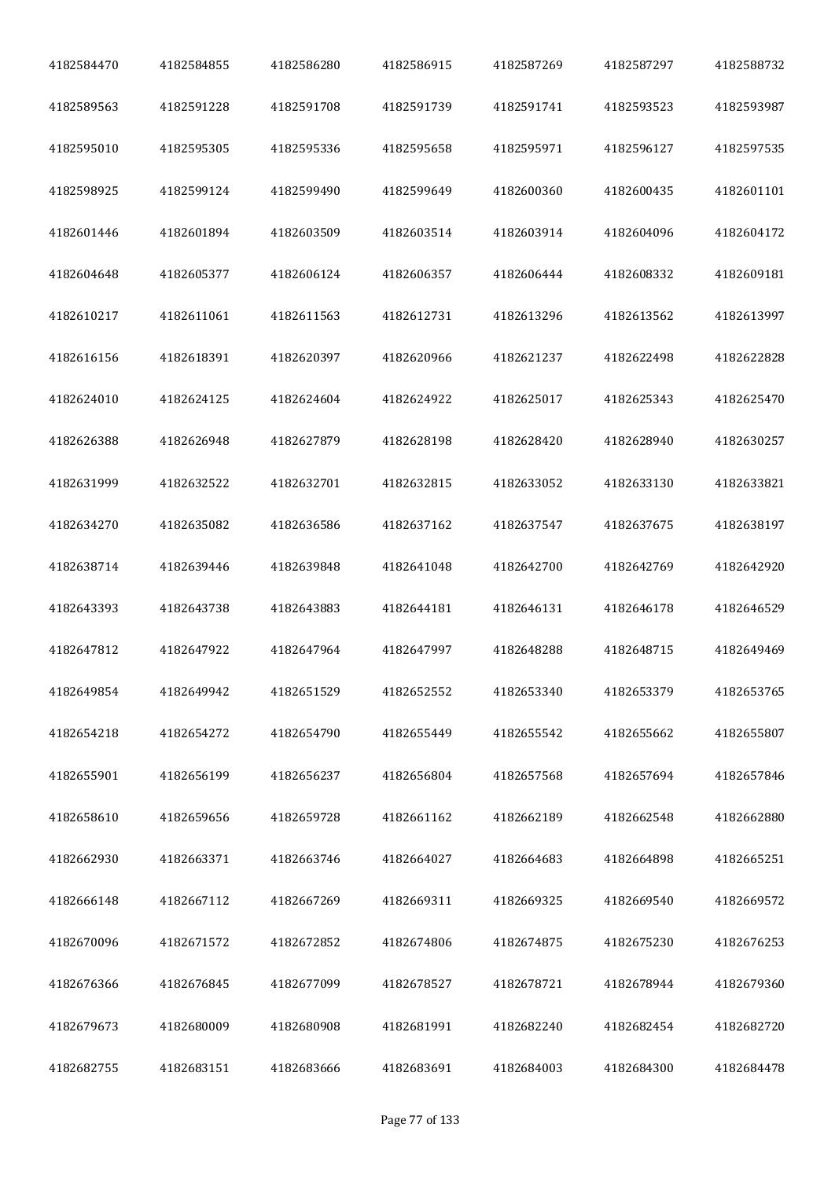| 4182584470 | 4182584855 | 4182586280 | 4182586915 | 4182587269 | 4182587297 | 4182588732 |
|------------|------------|------------|------------|------------|------------|------------|
| 4182589563 | 4182591228 | 4182591708 | 4182591739 | 4182591741 | 4182593523 | 4182593987 |
| 4182595010 | 4182595305 | 4182595336 | 4182595658 | 4182595971 | 4182596127 | 4182597535 |
| 4182598925 | 4182599124 | 4182599490 | 4182599649 | 4182600360 | 4182600435 | 4182601101 |
| 4182601446 | 4182601894 | 4182603509 | 4182603514 | 4182603914 | 4182604096 | 4182604172 |
| 4182604648 | 4182605377 | 4182606124 | 4182606357 | 4182606444 | 4182608332 | 4182609181 |
| 4182610217 | 4182611061 | 4182611563 | 4182612731 | 4182613296 | 4182613562 | 4182613997 |
| 4182616156 | 4182618391 | 4182620397 | 4182620966 | 4182621237 | 4182622498 | 4182622828 |
| 4182624010 | 4182624125 | 4182624604 | 4182624922 | 4182625017 | 4182625343 | 4182625470 |
| 4182626388 | 4182626948 | 4182627879 | 4182628198 | 4182628420 | 4182628940 | 4182630257 |
| 4182631999 | 4182632522 | 4182632701 | 4182632815 | 4182633052 | 4182633130 | 4182633821 |
| 4182634270 | 4182635082 | 4182636586 | 4182637162 | 4182637547 | 4182637675 | 4182638197 |
| 4182638714 | 4182639446 | 4182639848 | 4182641048 | 4182642700 | 4182642769 | 4182642920 |
| 4182643393 | 4182643738 | 4182643883 | 4182644181 | 4182646131 | 4182646178 | 4182646529 |
| 4182647812 | 4182647922 | 4182647964 | 4182647997 | 4182648288 | 4182648715 | 4182649469 |
| 4182649854 | 4182649942 | 4182651529 | 4182652552 | 4182653340 | 4182653379 | 4182653765 |
| 4182654218 | 4182654272 | 4182654790 | 4182655449 | 4182655542 | 4182655662 | 4182655807 |
| 4182655901 | 4182656199 | 4182656237 | 4182656804 | 4182657568 | 4182657694 | 4182657846 |
| 4182658610 | 4182659656 | 4182659728 | 4182661162 | 4182662189 | 4182662548 | 4182662880 |
| 4182662930 | 4182663371 | 4182663746 | 4182664027 | 4182664683 | 4182664898 | 4182665251 |
| 4182666148 | 4182667112 | 4182667269 | 4182669311 | 4182669325 | 4182669540 | 4182669572 |
| 4182670096 | 4182671572 | 4182672852 | 4182674806 | 4182674875 | 4182675230 | 4182676253 |
| 4182676366 | 4182676845 | 4182677099 | 4182678527 | 4182678721 | 4182678944 | 4182679360 |
| 4182679673 | 4182680009 | 4182680908 | 4182681991 | 4182682240 | 4182682454 | 4182682720 |
| 4182682755 | 4182683151 | 4182683666 | 4182683691 | 4182684003 | 4182684300 | 4182684478 |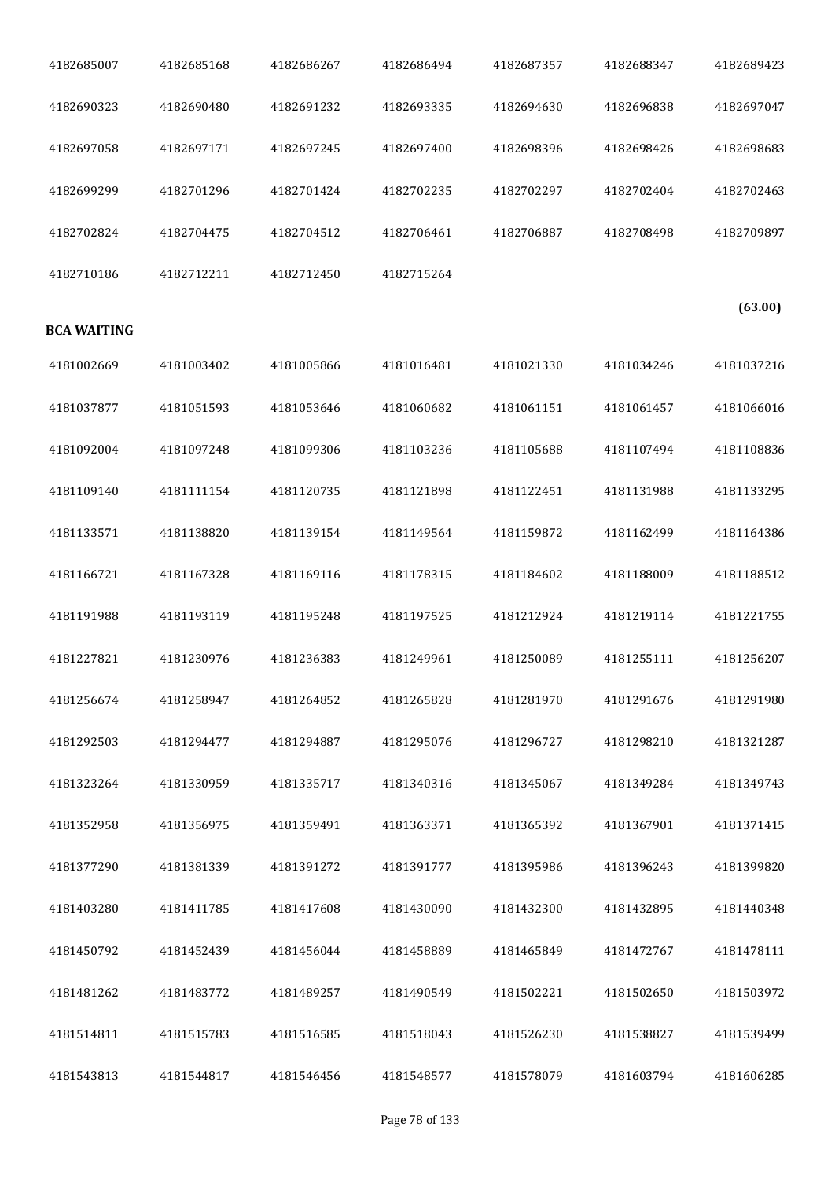| 4182685007         | 4182685168 | 4182686267 | 4182686494 | 4182687357 | 4182688347 | 4182689423 |
|--------------------|------------|------------|------------|------------|------------|------------|
| 4182690323         | 4182690480 | 4182691232 | 4182693335 | 4182694630 | 4182696838 | 4182697047 |
| 4182697058         | 4182697171 | 4182697245 | 4182697400 | 4182698396 | 4182698426 | 4182698683 |
| 4182699299         | 4182701296 | 4182701424 | 4182702235 | 4182702297 | 4182702404 | 4182702463 |
| 4182702824         | 4182704475 | 4182704512 | 4182706461 | 4182706887 | 4182708498 | 4182709897 |
| 4182710186         | 4182712211 | 4182712450 | 4182715264 |            |            |            |
| <b>BCA WAITING</b> |            |            |            |            |            | (63.00)    |
| 4181002669         | 4181003402 | 4181005866 | 4181016481 | 4181021330 | 4181034246 | 4181037216 |
| 4181037877         | 4181051593 | 4181053646 | 4181060682 | 4181061151 | 4181061457 | 4181066016 |
| 4181092004         | 4181097248 | 4181099306 | 4181103236 | 4181105688 | 4181107494 | 4181108836 |
| 4181109140         | 4181111154 | 4181120735 | 4181121898 | 4181122451 | 4181131988 | 4181133295 |
| 4181133571         | 4181138820 | 4181139154 | 4181149564 | 4181159872 | 4181162499 | 4181164386 |
| 4181166721         | 4181167328 | 4181169116 | 4181178315 | 4181184602 | 4181188009 | 4181188512 |
| 4181191988         | 4181193119 | 4181195248 | 4181197525 | 4181212924 | 4181219114 | 4181221755 |
| 4181227821         | 4181230976 | 4181236383 | 4181249961 | 4181250089 | 4181255111 | 4181256207 |
| 4181256674         | 4181258947 | 4181264852 | 4181265828 | 4181281970 | 4181291676 | 4181291980 |
| 4181292503         | 4181294477 | 4181294887 | 4181295076 | 4181296727 | 4181298210 | 4181321287 |
| 4181323264         | 4181330959 | 4181335717 | 4181340316 | 4181345067 | 4181349284 | 4181349743 |
| 4181352958         | 4181356975 | 4181359491 | 4181363371 | 4181365392 | 4181367901 | 4181371415 |
| 4181377290         | 4181381339 | 4181391272 | 4181391777 | 4181395986 | 4181396243 | 4181399820 |
| 4181403280         | 4181411785 | 4181417608 | 4181430090 | 4181432300 | 4181432895 | 4181440348 |
| 4181450792         | 4181452439 | 4181456044 | 4181458889 | 4181465849 | 4181472767 | 4181478111 |
| 4181481262         | 4181483772 | 4181489257 | 4181490549 | 4181502221 | 4181502650 | 4181503972 |
| 4181514811         | 4181515783 | 4181516585 | 4181518043 | 4181526230 | 4181538827 | 4181539499 |
| 4181543813         | 4181544817 | 4181546456 | 4181548577 | 4181578079 | 4181603794 | 4181606285 |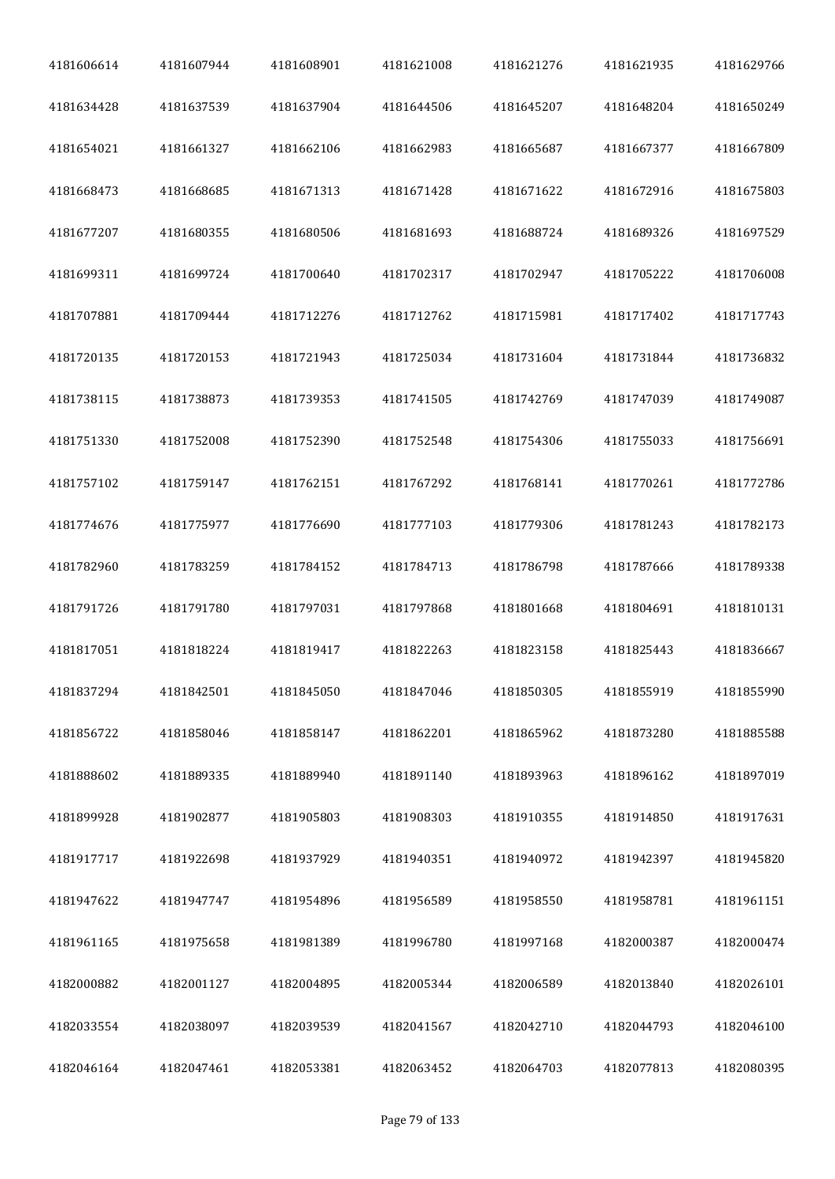| 4181606614 | 4181607944 | 4181608901 | 4181621008 | 4181621276 | 4181621935 | 4181629766 |
|------------|------------|------------|------------|------------|------------|------------|
| 4181634428 | 4181637539 | 4181637904 | 4181644506 | 4181645207 | 4181648204 | 4181650249 |
| 4181654021 | 4181661327 | 4181662106 | 4181662983 | 4181665687 | 4181667377 | 4181667809 |
| 4181668473 | 4181668685 | 4181671313 | 4181671428 | 4181671622 | 4181672916 | 4181675803 |
| 4181677207 | 4181680355 | 4181680506 | 4181681693 | 4181688724 | 4181689326 | 4181697529 |
| 4181699311 | 4181699724 | 4181700640 | 4181702317 | 4181702947 | 4181705222 | 4181706008 |
| 4181707881 | 4181709444 | 4181712276 | 4181712762 | 4181715981 | 4181717402 | 4181717743 |
| 4181720135 | 4181720153 | 4181721943 | 4181725034 | 4181731604 | 4181731844 | 4181736832 |
| 4181738115 | 4181738873 | 4181739353 | 4181741505 | 4181742769 | 4181747039 | 4181749087 |
| 4181751330 | 4181752008 | 4181752390 | 4181752548 | 4181754306 | 4181755033 | 4181756691 |
| 4181757102 | 4181759147 | 4181762151 | 4181767292 | 4181768141 | 4181770261 | 4181772786 |
| 4181774676 | 4181775977 | 4181776690 | 4181777103 | 4181779306 | 4181781243 | 4181782173 |
| 4181782960 | 4181783259 | 4181784152 | 4181784713 | 4181786798 | 4181787666 | 4181789338 |
| 4181791726 | 4181791780 | 4181797031 | 4181797868 | 4181801668 | 4181804691 | 4181810131 |
| 4181817051 | 4181818224 | 4181819417 | 4181822263 | 4181823158 | 4181825443 | 4181836667 |
| 4181837294 | 4181842501 | 4181845050 | 4181847046 | 4181850305 | 4181855919 | 4181855990 |
| 4181856722 | 4181858046 | 4181858147 | 4181862201 | 4181865962 | 4181873280 | 4181885588 |
| 4181888602 | 4181889335 | 4181889940 | 4181891140 | 4181893963 | 4181896162 | 4181897019 |
| 4181899928 | 4181902877 | 4181905803 | 4181908303 | 4181910355 | 4181914850 | 4181917631 |
| 4181917717 | 4181922698 | 4181937929 | 4181940351 | 4181940972 | 4181942397 | 4181945820 |
| 4181947622 | 4181947747 | 4181954896 | 4181956589 | 4181958550 | 4181958781 | 4181961151 |
| 4181961165 | 4181975658 | 4181981389 | 4181996780 | 4181997168 | 4182000387 | 4182000474 |
| 4182000882 | 4182001127 | 4182004895 | 4182005344 | 4182006589 | 4182013840 | 4182026101 |
| 4182033554 | 4182038097 | 4182039539 | 4182041567 | 4182042710 | 4182044793 | 4182046100 |
| 4182046164 | 4182047461 | 4182053381 | 4182063452 | 4182064703 | 4182077813 | 4182080395 |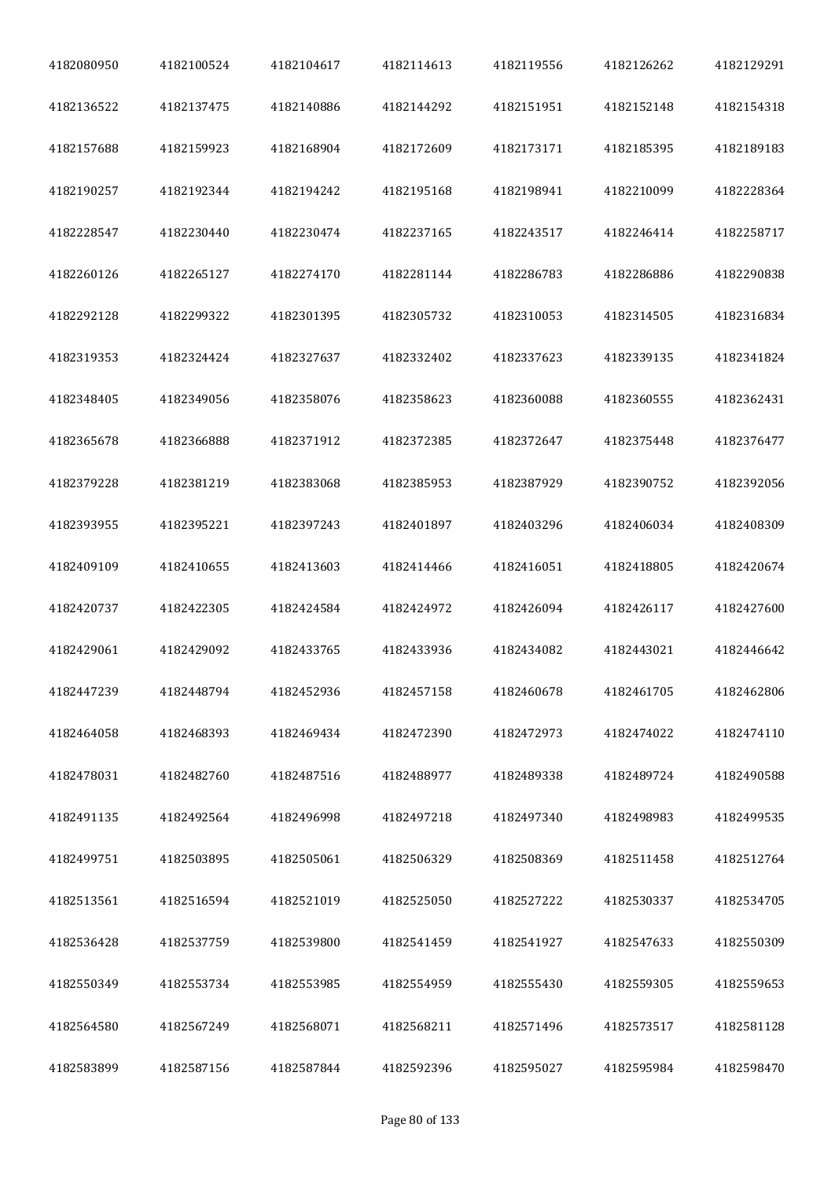| 4182080950 | 4182100524 | 4182104617 | 4182114613 | 4182119556 | 4182126262 | 4182129291 |
|------------|------------|------------|------------|------------|------------|------------|
| 4182136522 | 4182137475 | 4182140886 | 4182144292 | 4182151951 | 4182152148 | 4182154318 |
| 4182157688 | 4182159923 | 4182168904 | 4182172609 | 4182173171 | 4182185395 | 4182189183 |
| 4182190257 | 4182192344 | 4182194242 | 4182195168 | 4182198941 | 4182210099 | 4182228364 |
| 4182228547 | 4182230440 | 4182230474 | 4182237165 | 4182243517 | 4182246414 | 4182258717 |
| 4182260126 | 4182265127 | 4182274170 | 4182281144 | 4182286783 | 4182286886 | 4182290838 |
| 4182292128 | 4182299322 | 4182301395 | 4182305732 | 4182310053 | 4182314505 | 4182316834 |
| 4182319353 | 4182324424 | 4182327637 | 4182332402 | 4182337623 | 4182339135 | 4182341824 |
| 4182348405 | 4182349056 | 4182358076 | 4182358623 | 4182360088 | 4182360555 | 4182362431 |
| 4182365678 | 4182366888 | 4182371912 | 4182372385 | 4182372647 | 4182375448 | 4182376477 |
| 4182379228 | 4182381219 | 4182383068 | 4182385953 | 4182387929 | 4182390752 | 4182392056 |
| 4182393955 | 4182395221 | 4182397243 | 4182401897 | 4182403296 | 4182406034 | 4182408309 |
| 4182409109 | 4182410655 | 4182413603 | 4182414466 | 4182416051 | 4182418805 | 4182420674 |
| 4182420737 | 4182422305 | 4182424584 | 4182424972 | 4182426094 | 4182426117 | 4182427600 |
| 4182429061 | 4182429092 | 4182433765 | 4182433936 | 4182434082 | 4182443021 | 4182446642 |
| 4182447239 | 4182448794 | 4182452936 | 4182457158 | 4182460678 | 4182461705 | 4182462806 |
| 4182464058 | 4182468393 | 4182469434 | 4182472390 | 4182472973 | 4182474022 | 4182474110 |
| 4182478031 | 4182482760 | 4182487516 | 4182488977 | 4182489338 | 4182489724 | 4182490588 |
| 4182491135 | 4182492564 | 4182496998 | 4182497218 | 4182497340 | 4182498983 | 4182499535 |
| 4182499751 | 4182503895 | 4182505061 | 4182506329 | 4182508369 | 4182511458 | 4182512764 |
| 4182513561 | 4182516594 | 4182521019 | 4182525050 | 4182527222 | 4182530337 | 4182534705 |
| 4182536428 | 4182537759 | 4182539800 | 4182541459 | 4182541927 | 4182547633 | 4182550309 |
| 4182550349 | 4182553734 | 4182553985 | 4182554959 | 4182555430 | 4182559305 | 4182559653 |
| 4182564580 | 4182567249 | 4182568071 | 4182568211 | 4182571496 | 4182573517 | 4182581128 |
| 4182583899 | 4182587156 | 4182587844 | 4182592396 | 4182595027 | 4182595984 | 4182598470 |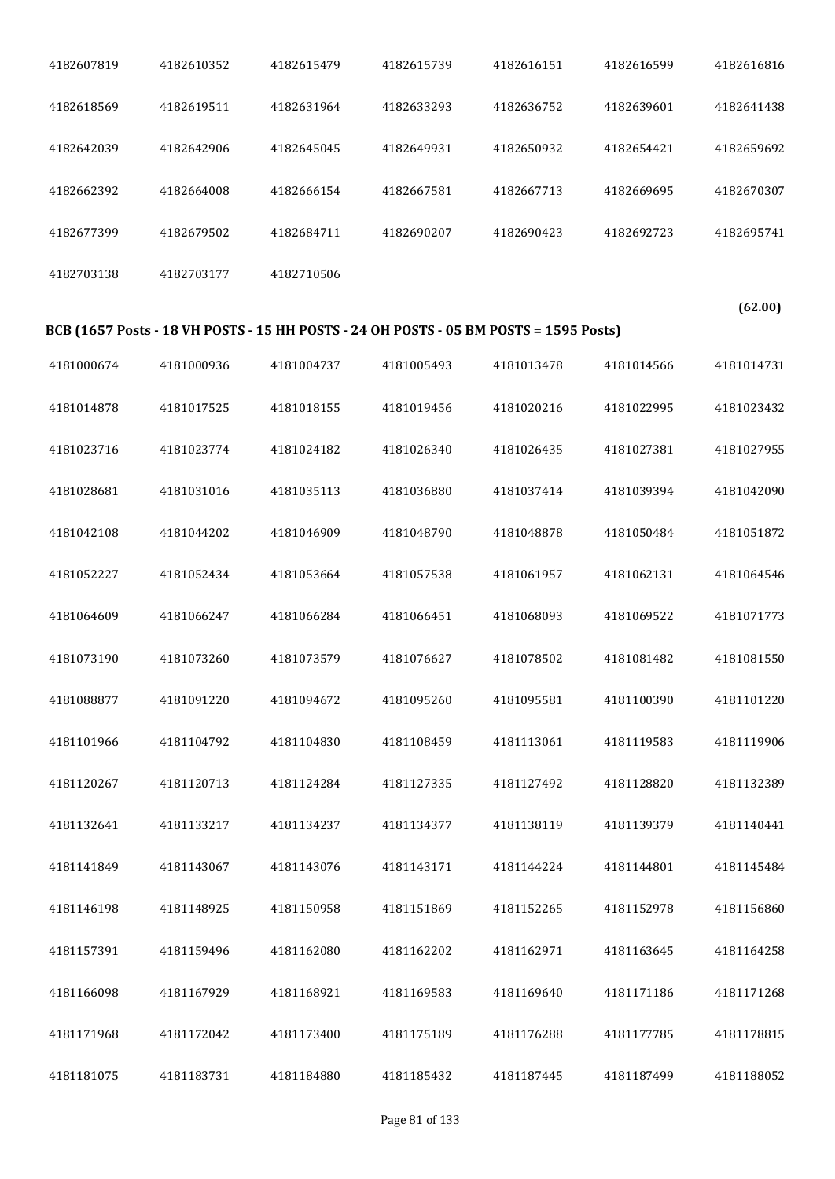| 4182607819 | 4182610352 | 4182615479 | 4182615739                                                                            | 4182616151 | 4182616599 | 4182616816 |
|------------|------------|------------|---------------------------------------------------------------------------------------|------------|------------|------------|
| 4182618569 | 4182619511 | 4182631964 | 4182633293                                                                            | 4182636752 | 4182639601 | 4182641438 |
| 4182642039 | 4182642906 | 4182645045 | 4182649931                                                                            | 4182650932 | 4182654421 | 4182659692 |
| 4182662392 | 4182664008 | 4182666154 | 4182667581                                                                            | 4182667713 | 4182669695 | 4182670307 |
| 4182677399 | 4182679502 | 4182684711 | 4182690207                                                                            | 4182690423 | 4182692723 | 4182695741 |
| 4182703138 | 4182703177 | 4182710506 |                                                                                       |            |            |            |
|            |            |            |                                                                                       |            |            | (62.00)    |
|            |            |            | BCB (1657 Posts - 18 VH POSTS - 15 HH POSTS - 24 OH POSTS - 05 BM POSTS = 1595 Posts) |            |            |            |
| 4181000674 | 4181000936 | 4181004737 | 4181005493                                                                            | 4181013478 | 4181014566 | 4181014731 |
| 4181014878 | 4181017525 | 4181018155 | 4181019456                                                                            | 4181020216 | 4181022995 | 4181023432 |
| 4181023716 | 4181023774 | 4181024182 | 4181026340                                                                            | 4181026435 | 4181027381 | 4181027955 |
| 4181028681 | 4181031016 | 4181035113 | 4181036880                                                                            | 4181037414 | 4181039394 | 4181042090 |
| 4181042108 | 4181044202 | 4181046909 | 4181048790                                                                            | 4181048878 | 4181050484 | 4181051872 |
| 4181052227 | 4181052434 | 4181053664 | 4181057538                                                                            | 4181061957 | 4181062131 | 4181064546 |
| 4181064609 | 4181066247 | 4181066284 | 4181066451                                                                            | 4181068093 | 4181069522 | 4181071773 |
| 4181073190 | 4181073260 | 4181073579 | 4181076627                                                                            | 4181078502 | 4181081482 | 4181081550 |
| 4181088877 | 4181091220 | 4181094672 | 4181095260                                                                            | 4181095581 | 4181100390 | 4181101220 |
| 4181101966 | 4181104792 | 4181104830 | 4181108459                                                                            | 4181113061 | 4181119583 | 4181119906 |
| 4181120267 | 4181120713 | 4181124284 | 4181127335                                                                            | 4181127492 | 4181128820 | 4181132389 |
| 4181132641 | 4181133217 | 4181134237 | 4181134377                                                                            | 4181138119 | 4181139379 | 4181140441 |
| 4181141849 | 4181143067 | 4181143076 | 4181143171                                                                            | 4181144224 | 4181144801 | 4181145484 |
| 4181146198 | 4181148925 | 4181150958 | 4181151869                                                                            | 4181152265 | 4181152978 | 4181156860 |
| 4181157391 | 4181159496 | 4181162080 | 4181162202                                                                            | 4181162971 | 4181163645 | 4181164258 |
| 4181166098 | 4181167929 | 4181168921 | 4181169583                                                                            | 4181169640 | 4181171186 | 4181171268 |
| 4181171968 | 4181172042 | 4181173400 | 4181175189                                                                            | 4181176288 | 4181177785 | 4181178815 |
| 4181181075 | 4181183731 | 4181184880 | 4181185432                                                                            | 4181187445 | 4181187499 | 4181188052 |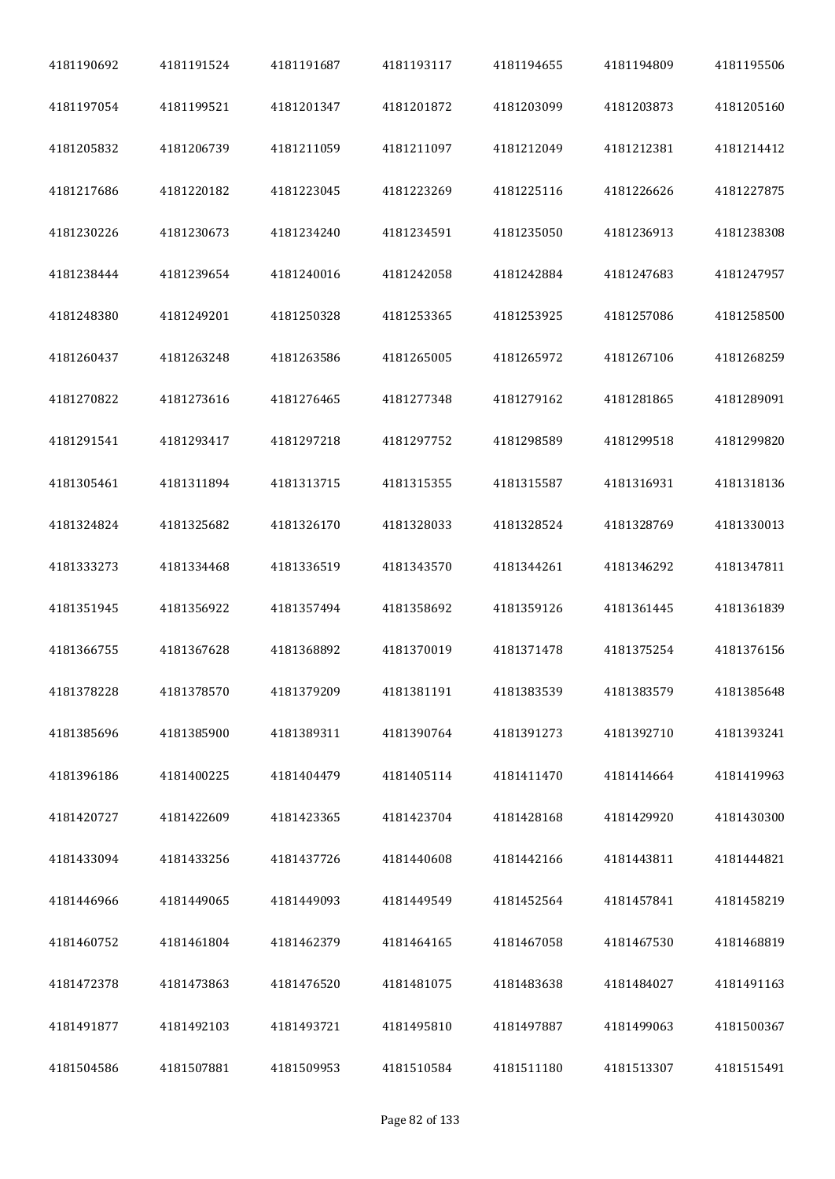| 4181190692 | 4181191524 | 4181191687 | 4181193117 | 4181194655 | 4181194809 | 4181195506 |
|------------|------------|------------|------------|------------|------------|------------|
| 4181197054 | 4181199521 | 4181201347 | 4181201872 | 4181203099 | 4181203873 | 4181205160 |
| 4181205832 | 4181206739 | 4181211059 | 4181211097 | 4181212049 | 4181212381 | 4181214412 |
| 4181217686 | 4181220182 | 4181223045 | 4181223269 | 4181225116 | 4181226626 | 4181227875 |
| 4181230226 | 4181230673 | 4181234240 | 4181234591 | 4181235050 | 4181236913 | 4181238308 |
| 4181238444 | 4181239654 | 4181240016 | 4181242058 | 4181242884 | 4181247683 | 4181247957 |
| 4181248380 | 4181249201 | 4181250328 | 4181253365 | 4181253925 | 4181257086 | 4181258500 |
| 4181260437 | 4181263248 | 4181263586 | 4181265005 | 4181265972 | 4181267106 | 4181268259 |
| 4181270822 | 4181273616 | 4181276465 | 4181277348 | 4181279162 | 4181281865 | 4181289091 |
| 4181291541 | 4181293417 | 4181297218 | 4181297752 | 4181298589 | 4181299518 | 4181299820 |
| 4181305461 | 4181311894 | 4181313715 | 4181315355 | 4181315587 | 4181316931 | 4181318136 |
| 4181324824 | 4181325682 | 4181326170 | 4181328033 | 4181328524 | 4181328769 | 4181330013 |
| 4181333273 | 4181334468 | 4181336519 | 4181343570 | 4181344261 | 4181346292 | 4181347811 |
| 4181351945 | 4181356922 | 4181357494 | 4181358692 | 4181359126 | 4181361445 | 4181361839 |
| 4181366755 | 4181367628 | 4181368892 | 4181370019 | 4181371478 | 4181375254 | 4181376156 |
| 4181378228 | 4181378570 | 4181379209 | 4181381191 | 4181383539 | 4181383579 | 4181385648 |
| 4181385696 | 4181385900 | 4181389311 | 4181390764 | 4181391273 | 4181392710 | 4181393241 |
| 4181396186 | 4181400225 | 4181404479 | 4181405114 | 4181411470 | 4181414664 | 4181419963 |
| 4181420727 | 4181422609 | 4181423365 | 4181423704 | 4181428168 | 4181429920 | 4181430300 |
| 4181433094 | 4181433256 | 4181437726 | 4181440608 | 4181442166 | 4181443811 | 4181444821 |
| 4181446966 | 4181449065 | 4181449093 | 4181449549 | 4181452564 | 4181457841 | 4181458219 |
| 4181460752 | 4181461804 | 4181462379 | 4181464165 | 4181467058 | 4181467530 | 4181468819 |
| 4181472378 | 4181473863 | 4181476520 | 4181481075 | 4181483638 | 4181484027 | 4181491163 |
| 4181491877 | 4181492103 | 4181493721 | 4181495810 | 4181497887 | 4181499063 | 4181500367 |
| 4181504586 | 4181507881 | 4181509953 | 4181510584 | 4181511180 | 4181513307 | 4181515491 |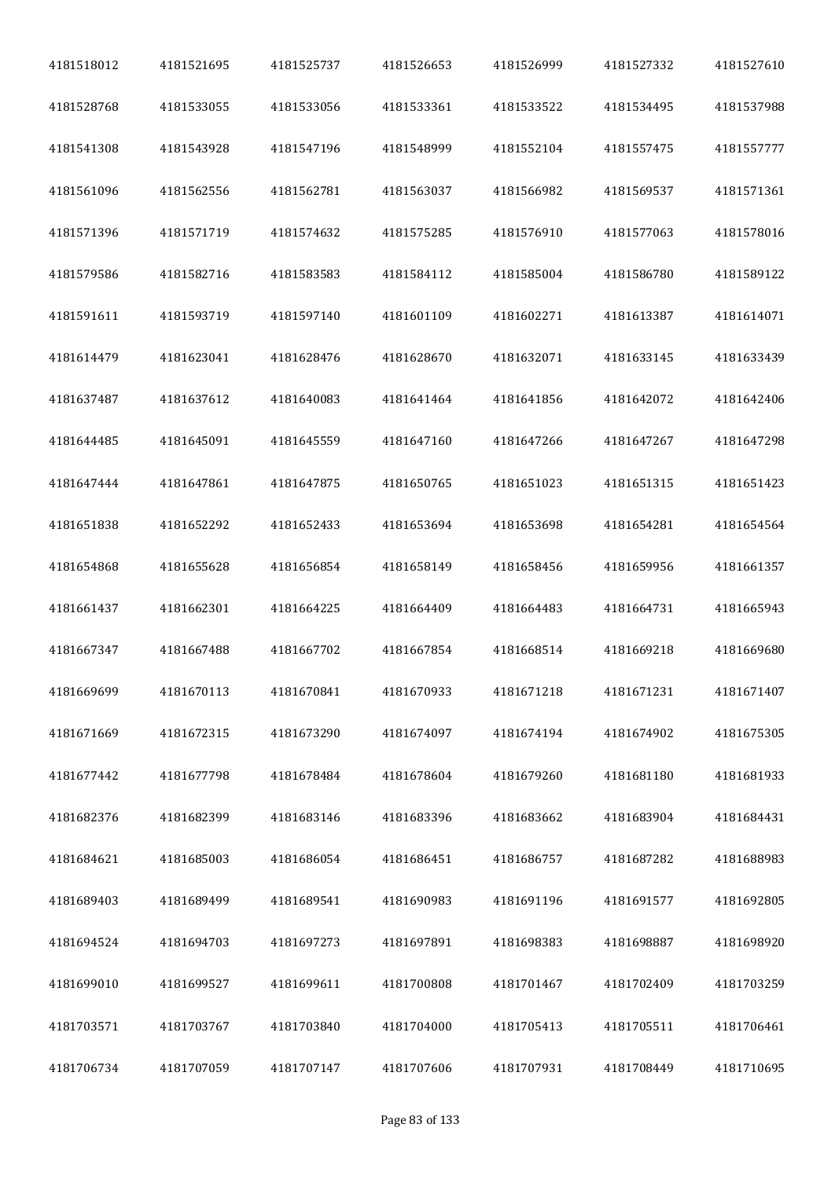| 4181518012 | 4181521695 | 4181525737 | 4181526653 | 4181526999 | 4181527332 | 4181527610 |
|------------|------------|------------|------------|------------|------------|------------|
| 4181528768 | 4181533055 | 4181533056 | 4181533361 | 4181533522 | 4181534495 | 4181537988 |
| 4181541308 | 4181543928 | 4181547196 | 4181548999 | 4181552104 | 4181557475 | 4181557777 |
| 4181561096 | 4181562556 | 4181562781 | 4181563037 | 4181566982 | 4181569537 | 4181571361 |
| 4181571396 | 4181571719 | 4181574632 | 4181575285 | 4181576910 | 4181577063 | 4181578016 |
| 4181579586 | 4181582716 | 4181583583 | 4181584112 | 4181585004 | 4181586780 | 4181589122 |
| 4181591611 | 4181593719 | 4181597140 | 4181601109 | 4181602271 | 4181613387 | 4181614071 |
| 4181614479 | 4181623041 | 4181628476 | 4181628670 | 4181632071 | 4181633145 | 4181633439 |
| 4181637487 | 4181637612 | 4181640083 | 4181641464 | 4181641856 | 4181642072 | 4181642406 |
| 4181644485 | 4181645091 | 4181645559 | 4181647160 | 4181647266 | 4181647267 | 4181647298 |
| 4181647444 | 4181647861 | 4181647875 | 4181650765 | 4181651023 | 4181651315 | 4181651423 |
| 4181651838 | 4181652292 | 4181652433 | 4181653694 | 4181653698 | 4181654281 | 4181654564 |
| 4181654868 | 4181655628 | 4181656854 | 4181658149 | 4181658456 | 4181659956 | 4181661357 |
| 4181661437 | 4181662301 | 4181664225 | 4181664409 | 4181664483 | 4181664731 | 4181665943 |
| 4181667347 | 4181667488 | 4181667702 | 4181667854 | 4181668514 | 4181669218 | 4181669680 |
| 4181669699 | 4181670113 | 4181670841 | 4181670933 | 4181671218 | 4181671231 | 4181671407 |
| 4181671669 | 4181672315 | 4181673290 | 4181674097 | 4181674194 | 4181674902 | 4181675305 |
| 4181677442 | 4181677798 | 4181678484 | 4181678604 | 4181679260 | 4181681180 | 4181681933 |
| 4181682376 | 4181682399 | 4181683146 | 4181683396 | 4181683662 | 4181683904 | 4181684431 |
| 4181684621 | 4181685003 | 4181686054 | 4181686451 | 4181686757 | 4181687282 | 4181688983 |
| 4181689403 | 4181689499 | 4181689541 | 4181690983 | 4181691196 | 4181691577 | 4181692805 |
| 4181694524 | 4181694703 | 4181697273 | 4181697891 | 4181698383 | 4181698887 | 4181698920 |
| 4181699010 | 4181699527 | 4181699611 | 4181700808 | 4181701467 | 4181702409 | 4181703259 |
| 4181703571 | 4181703767 | 4181703840 | 4181704000 | 4181705413 | 4181705511 | 4181706461 |
| 4181706734 | 4181707059 | 4181707147 | 4181707606 | 4181707931 | 4181708449 | 4181710695 |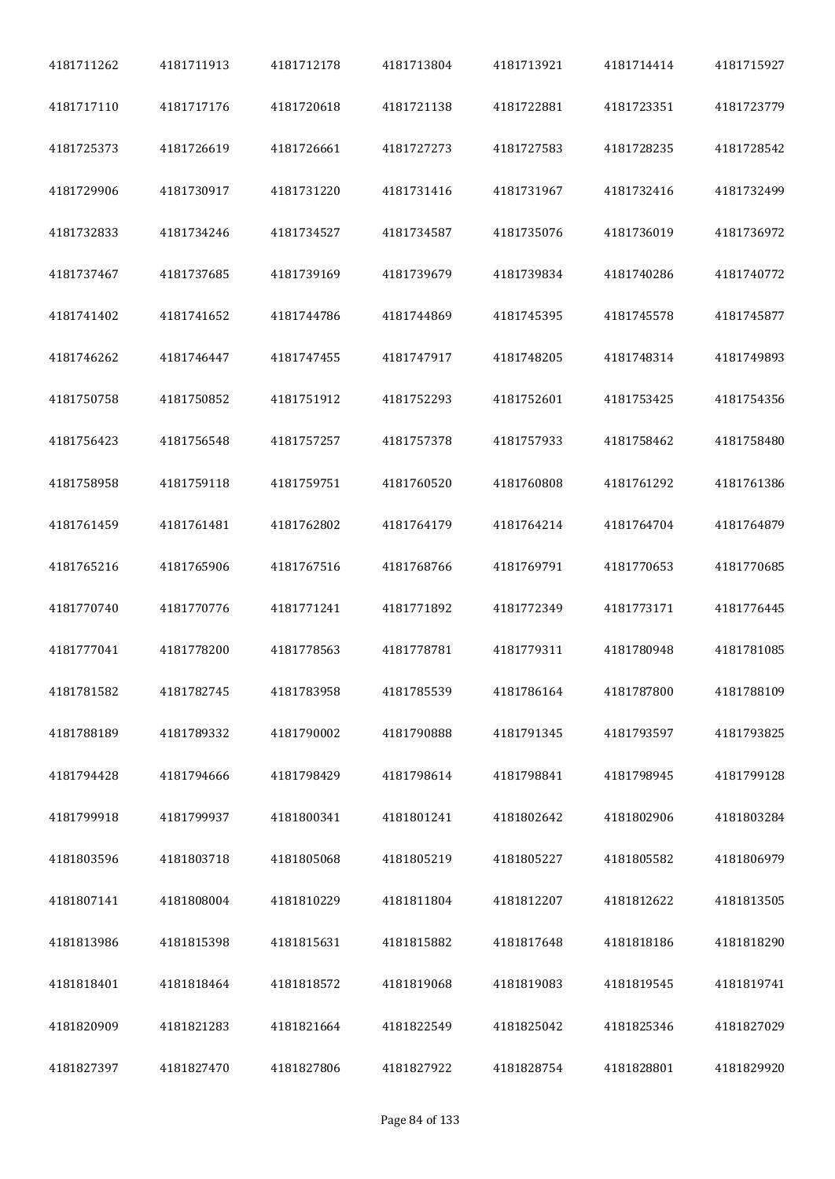| 4181711262 | 4181711913 | 4181712178 | 4181713804 | 4181713921 | 4181714414 | 4181715927 |
|------------|------------|------------|------------|------------|------------|------------|
| 4181717110 | 4181717176 | 4181720618 | 4181721138 | 4181722881 | 4181723351 | 4181723779 |
| 4181725373 | 4181726619 | 4181726661 | 4181727273 | 4181727583 | 4181728235 | 4181728542 |
| 4181729906 | 4181730917 | 4181731220 | 4181731416 | 4181731967 | 4181732416 | 4181732499 |
| 4181732833 | 4181734246 | 4181734527 | 4181734587 | 4181735076 | 4181736019 | 4181736972 |
| 4181737467 | 4181737685 | 4181739169 | 4181739679 | 4181739834 | 4181740286 | 4181740772 |
| 4181741402 | 4181741652 | 4181744786 | 4181744869 | 4181745395 | 4181745578 | 4181745877 |
| 4181746262 | 4181746447 | 4181747455 | 4181747917 | 4181748205 | 4181748314 | 4181749893 |
| 4181750758 | 4181750852 | 4181751912 | 4181752293 | 4181752601 | 4181753425 | 4181754356 |
| 4181756423 | 4181756548 | 4181757257 | 4181757378 | 4181757933 | 4181758462 | 4181758480 |
| 4181758958 | 4181759118 | 4181759751 | 4181760520 | 4181760808 | 4181761292 | 4181761386 |
| 4181761459 | 4181761481 | 4181762802 | 4181764179 | 4181764214 | 4181764704 | 4181764879 |
| 4181765216 | 4181765906 | 4181767516 | 4181768766 | 4181769791 | 4181770653 | 4181770685 |
| 4181770740 | 4181770776 | 4181771241 | 4181771892 | 4181772349 | 4181773171 | 4181776445 |
| 4181777041 | 4181778200 | 4181778563 | 4181778781 | 4181779311 | 4181780948 | 4181781085 |
| 4181781582 | 4181782745 | 4181783958 | 4181785539 | 4181786164 | 4181787800 | 4181788109 |
| 4181788189 | 4181789332 | 4181790002 | 4181790888 | 4181791345 | 4181793597 | 4181793825 |
| 4181794428 | 4181794666 | 4181798429 | 4181798614 | 4181798841 | 4181798945 | 4181799128 |
| 4181799918 | 4181799937 | 4181800341 | 4181801241 | 4181802642 | 4181802906 | 4181803284 |
| 4181803596 | 4181803718 | 4181805068 | 4181805219 | 4181805227 | 4181805582 | 4181806979 |
| 4181807141 | 4181808004 | 4181810229 | 4181811804 | 4181812207 | 4181812622 | 4181813505 |
| 4181813986 | 4181815398 | 4181815631 | 4181815882 | 4181817648 | 4181818186 | 4181818290 |
| 4181818401 | 4181818464 | 4181818572 | 4181819068 | 4181819083 | 4181819545 | 4181819741 |
| 4181820909 | 4181821283 | 4181821664 | 4181822549 | 4181825042 | 4181825346 | 4181827029 |
| 4181827397 | 4181827470 | 4181827806 | 4181827922 | 4181828754 | 4181828801 | 4181829920 |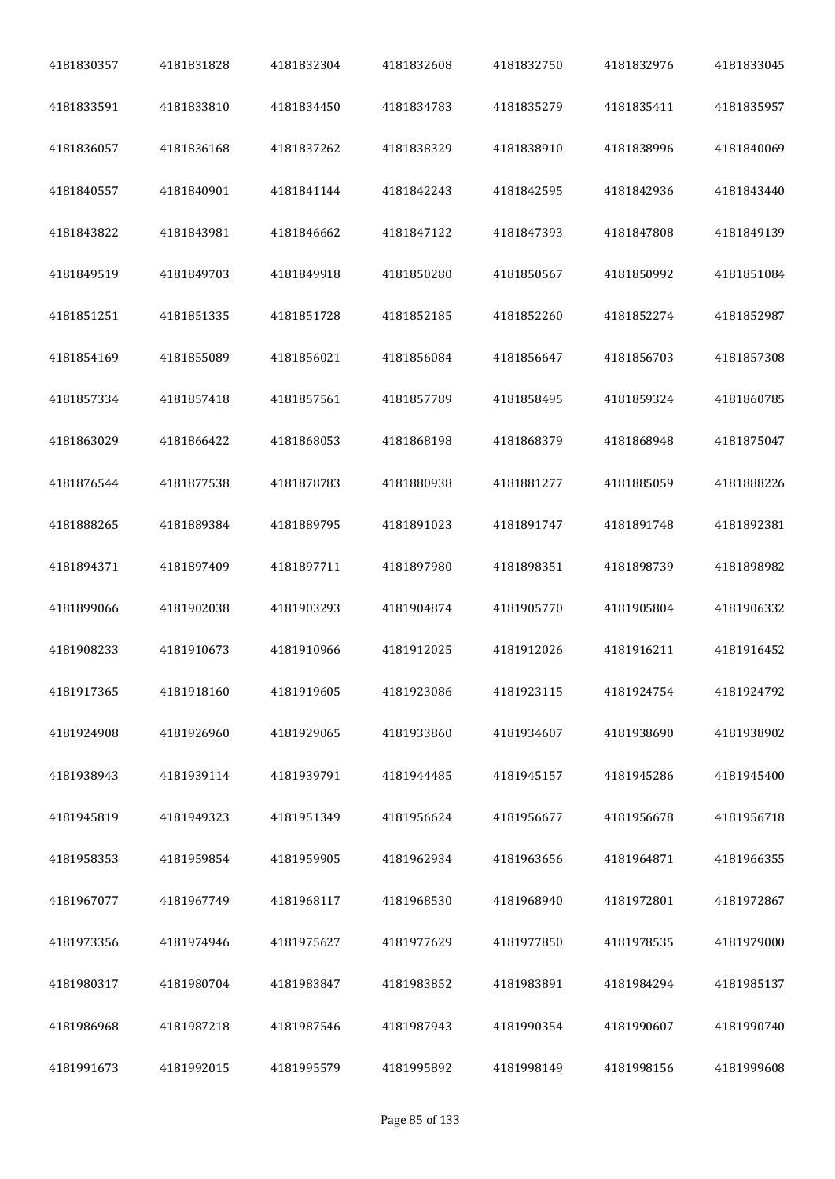| 4181830357 | 4181831828 | 4181832304 | 4181832608 | 4181832750 | 4181832976 | 4181833045 |
|------------|------------|------------|------------|------------|------------|------------|
| 4181833591 | 4181833810 | 4181834450 | 4181834783 | 4181835279 | 4181835411 | 4181835957 |
| 4181836057 | 4181836168 | 4181837262 | 4181838329 | 4181838910 | 4181838996 | 4181840069 |
| 4181840557 | 4181840901 | 4181841144 | 4181842243 | 4181842595 | 4181842936 | 4181843440 |
| 4181843822 | 4181843981 | 4181846662 | 4181847122 | 4181847393 | 4181847808 | 4181849139 |
| 4181849519 | 4181849703 | 4181849918 | 4181850280 | 4181850567 | 4181850992 | 4181851084 |
| 4181851251 | 4181851335 | 4181851728 | 4181852185 | 4181852260 | 4181852274 | 4181852987 |
| 4181854169 | 4181855089 | 4181856021 | 4181856084 | 4181856647 | 4181856703 | 4181857308 |
| 4181857334 | 4181857418 | 4181857561 | 4181857789 | 4181858495 | 4181859324 | 4181860785 |
| 4181863029 | 4181866422 | 4181868053 | 4181868198 | 4181868379 | 4181868948 | 4181875047 |
| 4181876544 | 4181877538 | 4181878783 | 4181880938 | 4181881277 | 4181885059 | 4181888226 |
| 4181888265 | 4181889384 | 4181889795 | 4181891023 | 4181891747 | 4181891748 | 4181892381 |
| 4181894371 | 4181897409 | 4181897711 | 4181897980 | 4181898351 | 4181898739 | 4181898982 |
| 4181899066 | 4181902038 | 4181903293 | 4181904874 | 4181905770 | 4181905804 | 4181906332 |
| 4181908233 | 4181910673 | 4181910966 | 4181912025 | 4181912026 | 4181916211 | 4181916452 |
| 4181917365 | 4181918160 | 4181919605 | 4181923086 | 4181923115 | 4181924754 | 4181924792 |
| 4181924908 | 4181926960 | 4181929065 | 4181933860 | 4181934607 | 4181938690 | 4181938902 |
| 4181938943 | 4181939114 | 4181939791 | 4181944485 | 4181945157 | 4181945286 | 4181945400 |
| 4181945819 | 4181949323 | 4181951349 | 4181956624 | 4181956677 | 4181956678 | 4181956718 |
| 4181958353 | 4181959854 | 4181959905 | 4181962934 | 4181963656 | 4181964871 | 4181966355 |
| 4181967077 | 4181967749 | 4181968117 | 4181968530 | 4181968940 | 4181972801 | 4181972867 |
| 4181973356 | 4181974946 | 4181975627 | 4181977629 | 4181977850 | 4181978535 | 4181979000 |
| 4181980317 | 4181980704 | 4181983847 | 4181983852 | 4181983891 | 4181984294 | 4181985137 |
| 4181986968 | 4181987218 | 4181987546 | 4181987943 | 4181990354 | 4181990607 | 4181990740 |
| 4181991673 | 4181992015 | 4181995579 | 4181995892 | 4181998149 | 4181998156 | 4181999608 |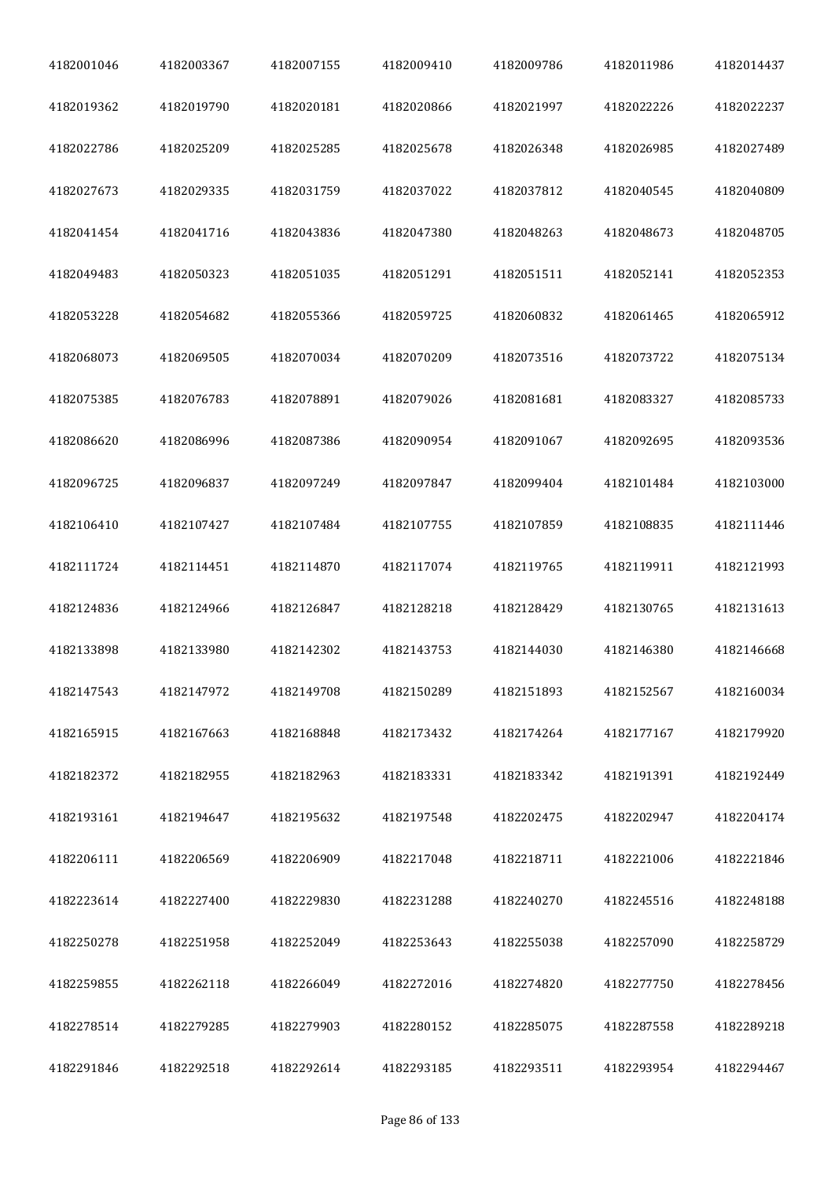| 4182001046 | 4182003367 | 4182007155 | 4182009410 | 4182009786 | 4182011986 | 4182014437 |
|------------|------------|------------|------------|------------|------------|------------|
| 4182019362 | 4182019790 | 4182020181 | 4182020866 | 4182021997 | 4182022226 | 4182022237 |
| 4182022786 | 4182025209 | 4182025285 | 4182025678 | 4182026348 | 4182026985 | 4182027489 |
| 4182027673 | 4182029335 | 4182031759 | 4182037022 | 4182037812 | 4182040545 | 4182040809 |
| 4182041454 | 4182041716 | 4182043836 | 4182047380 | 4182048263 | 4182048673 | 4182048705 |
| 4182049483 | 4182050323 | 4182051035 | 4182051291 | 4182051511 | 4182052141 | 4182052353 |
| 4182053228 | 4182054682 | 4182055366 | 4182059725 | 4182060832 | 4182061465 | 4182065912 |
| 4182068073 | 4182069505 | 4182070034 | 4182070209 | 4182073516 | 4182073722 | 4182075134 |
| 4182075385 | 4182076783 | 4182078891 | 4182079026 | 4182081681 | 4182083327 | 4182085733 |
| 4182086620 | 4182086996 | 4182087386 | 4182090954 | 4182091067 | 4182092695 | 4182093536 |
| 4182096725 | 4182096837 | 4182097249 | 4182097847 | 4182099404 | 4182101484 | 4182103000 |
| 4182106410 | 4182107427 | 4182107484 | 4182107755 | 4182107859 | 4182108835 | 4182111446 |
| 4182111724 | 4182114451 | 4182114870 | 4182117074 | 4182119765 | 4182119911 | 4182121993 |
| 4182124836 | 4182124966 | 4182126847 | 4182128218 | 4182128429 | 4182130765 | 4182131613 |
| 4182133898 | 4182133980 | 4182142302 | 4182143753 | 4182144030 | 4182146380 | 4182146668 |
| 4182147543 | 4182147972 | 4182149708 | 4182150289 | 4182151893 | 4182152567 | 4182160034 |
| 4182165915 | 4182167663 | 4182168848 | 4182173432 | 4182174264 | 4182177167 | 4182179920 |
| 4182182372 | 4182182955 | 4182182963 | 4182183331 | 4182183342 | 4182191391 | 4182192449 |
| 4182193161 | 4182194647 | 4182195632 | 4182197548 | 4182202475 | 4182202947 | 4182204174 |
| 4182206111 | 4182206569 | 4182206909 | 4182217048 | 4182218711 | 4182221006 | 4182221846 |
| 4182223614 | 4182227400 | 4182229830 | 4182231288 | 4182240270 | 4182245516 | 4182248188 |
| 4182250278 | 4182251958 | 4182252049 | 4182253643 | 4182255038 | 4182257090 | 4182258729 |
| 4182259855 | 4182262118 | 4182266049 | 4182272016 | 4182274820 | 4182277750 | 4182278456 |
| 4182278514 | 4182279285 | 4182279903 | 4182280152 | 4182285075 | 4182287558 | 4182289218 |
| 4182291846 | 4182292518 | 4182292614 | 4182293185 | 4182293511 | 4182293954 | 4182294467 |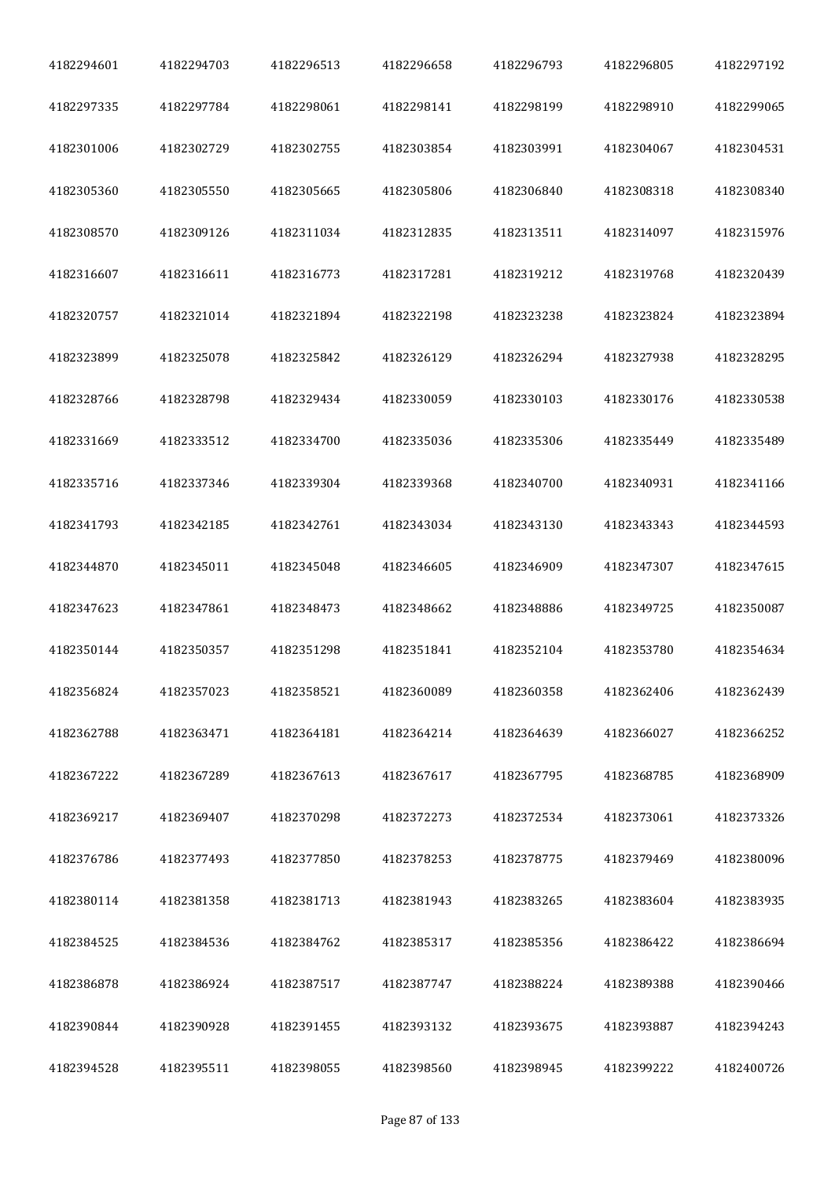| 4182294601 | 4182294703 | 4182296513 | 4182296658 | 4182296793 | 4182296805 | 4182297192 |
|------------|------------|------------|------------|------------|------------|------------|
| 4182297335 | 4182297784 | 4182298061 | 4182298141 | 4182298199 | 4182298910 | 4182299065 |
| 4182301006 | 4182302729 | 4182302755 | 4182303854 | 4182303991 | 4182304067 | 4182304531 |
| 4182305360 | 4182305550 | 4182305665 | 4182305806 | 4182306840 | 4182308318 | 4182308340 |
| 4182308570 | 4182309126 | 4182311034 | 4182312835 | 4182313511 | 4182314097 | 4182315976 |
| 4182316607 | 4182316611 | 4182316773 | 4182317281 | 4182319212 | 4182319768 | 4182320439 |
| 4182320757 | 4182321014 | 4182321894 | 4182322198 | 4182323238 | 4182323824 | 4182323894 |
| 4182323899 | 4182325078 | 4182325842 | 4182326129 | 4182326294 | 4182327938 | 4182328295 |
| 4182328766 | 4182328798 | 4182329434 | 4182330059 | 4182330103 | 4182330176 | 4182330538 |
| 4182331669 | 4182333512 | 4182334700 | 4182335036 | 4182335306 | 4182335449 | 4182335489 |
| 4182335716 | 4182337346 | 4182339304 | 4182339368 | 4182340700 | 4182340931 | 4182341166 |
| 4182341793 | 4182342185 | 4182342761 | 4182343034 | 4182343130 | 4182343343 | 4182344593 |
| 4182344870 | 4182345011 | 4182345048 | 4182346605 | 4182346909 | 4182347307 | 4182347615 |
| 4182347623 | 4182347861 | 4182348473 | 4182348662 | 4182348886 | 4182349725 | 4182350087 |
| 4182350144 | 4182350357 | 4182351298 | 4182351841 | 4182352104 | 4182353780 | 4182354634 |
| 4182356824 | 4182357023 | 4182358521 | 4182360089 | 4182360358 | 4182362406 | 4182362439 |
| 4182362788 | 4182363471 | 4182364181 | 4182364214 | 4182364639 | 4182366027 | 4182366252 |
| 4182367222 | 4182367289 | 4182367613 | 4182367617 | 4182367795 | 4182368785 | 4182368909 |
| 4182369217 | 4182369407 | 4182370298 | 4182372273 | 4182372534 | 4182373061 | 4182373326 |
| 4182376786 | 4182377493 | 4182377850 | 4182378253 | 4182378775 | 4182379469 | 4182380096 |
| 4182380114 | 4182381358 | 4182381713 | 4182381943 | 4182383265 | 4182383604 | 4182383935 |
| 4182384525 | 4182384536 | 4182384762 | 4182385317 | 4182385356 | 4182386422 | 4182386694 |
| 4182386878 | 4182386924 | 4182387517 | 4182387747 | 4182388224 | 4182389388 | 4182390466 |
| 4182390844 | 4182390928 | 4182391455 | 4182393132 | 4182393675 | 4182393887 | 4182394243 |
| 4182394528 | 4182395511 | 4182398055 | 4182398560 | 4182398945 | 4182399222 | 4182400726 |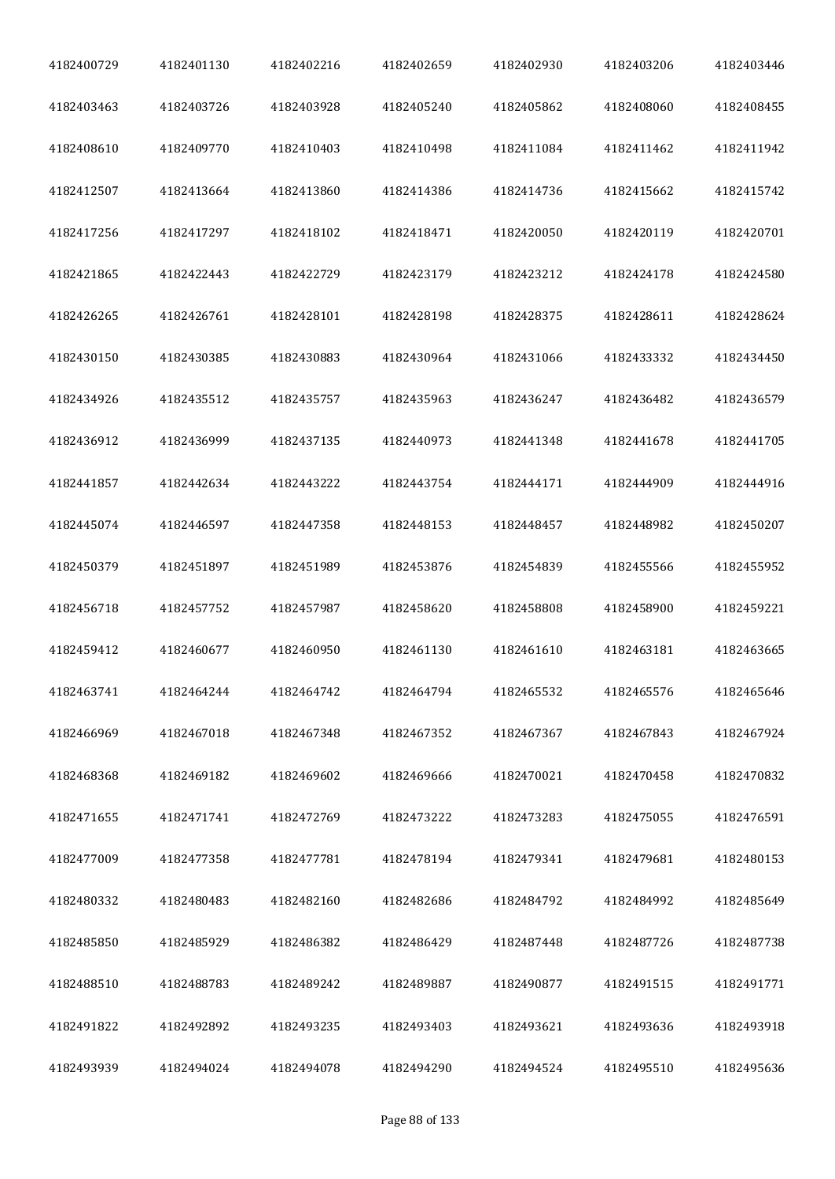| 4182400729 | 4182401130 | 4182402216 | 4182402659 | 4182402930 | 4182403206 | 4182403446 |
|------------|------------|------------|------------|------------|------------|------------|
| 4182403463 | 4182403726 | 4182403928 | 4182405240 | 4182405862 | 4182408060 | 4182408455 |
| 4182408610 | 4182409770 | 4182410403 | 4182410498 | 4182411084 | 4182411462 | 4182411942 |
| 4182412507 | 4182413664 | 4182413860 | 4182414386 | 4182414736 | 4182415662 | 4182415742 |
| 4182417256 | 4182417297 | 4182418102 | 4182418471 | 4182420050 | 4182420119 | 4182420701 |
| 4182421865 | 4182422443 | 4182422729 | 4182423179 | 4182423212 | 4182424178 | 4182424580 |
| 4182426265 | 4182426761 | 4182428101 | 4182428198 | 4182428375 | 4182428611 | 4182428624 |
| 4182430150 | 4182430385 | 4182430883 | 4182430964 | 4182431066 | 4182433332 | 4182434450 |
| 4182434926 | 4182435512 | 4182435757 | 4182435963 | 4182436247 | 4182436482 | 4182436579 |
| 4182436912 | 4182436999 | 4182437135 | 4182440973 | 4182441348 | 4182441678 | 4182441705 |
| 4182441857 | 4182442634 | 4182443222 | 4182443754 | 4182444171 | 4182444909 | 4182444916 |
| 4182445074 | 4182446597 | 4182447358 | 4182448153 | 4182448457 | 4182448982 | 4182450207 |
| 4182450379 | 4182451897 | 4182451989 | 4182453876 | 4182454839 | 4182455566 | 4182455952 |
| 4182456718 | 4182457752 | 4182457987 | 4182458620 | 4182458808 | 4182458900 | 4182459221 |
| 4182459412 | 4182460677 | 4182460950 | 4182461130 | 4182461610 | 4182463181 | 4182463665 |
| 4182463741 | 4182464244 | 4182464742 | 4182464794 | 4182465532 | 4182465576 | 4182465646 |
| 4182466969 | 4182467018 | 4182467348 | 4182467352 | 4182467367 | 4182467843 | 4182467924 |
| 4182468368 | 4182469182 | 4182469602 | 4182469666 | 4182470021 | 4182470458 | 4182470832 |
| 4182471655 | 4182471741 | 4182472769 | 4182473222 | 4182473283 | 4182475055 | 4182476591 |
| 4182477009 | 4182477358 | 4182477781 | 4182478194 | 4182479341 | 4182479681 | 4182480153 |
| 4182480332 | 4182480483 | 4182482160 | 4182482686 | 4182484792 | 4182484992 | 4182485649 |
| 4182485850 | 4182485929 | 4182486382 | 4182486429 | 4182487448 | 4182487726 | 4182487738 |
| 4182488510 | 4182488783 | 4182489242 | 4182489887 | 4182490877 | 4182491515 | 4182491771 |
| 4182491822 | 4182492892 | 4182493235 | 4182493403 | 4182493621 | 4182493636 | 4182493918 |
| 4182493939 | 4182494024 | 4182494078 | 4182494290 | 4182494524 | 4182495510 | 4182495636 |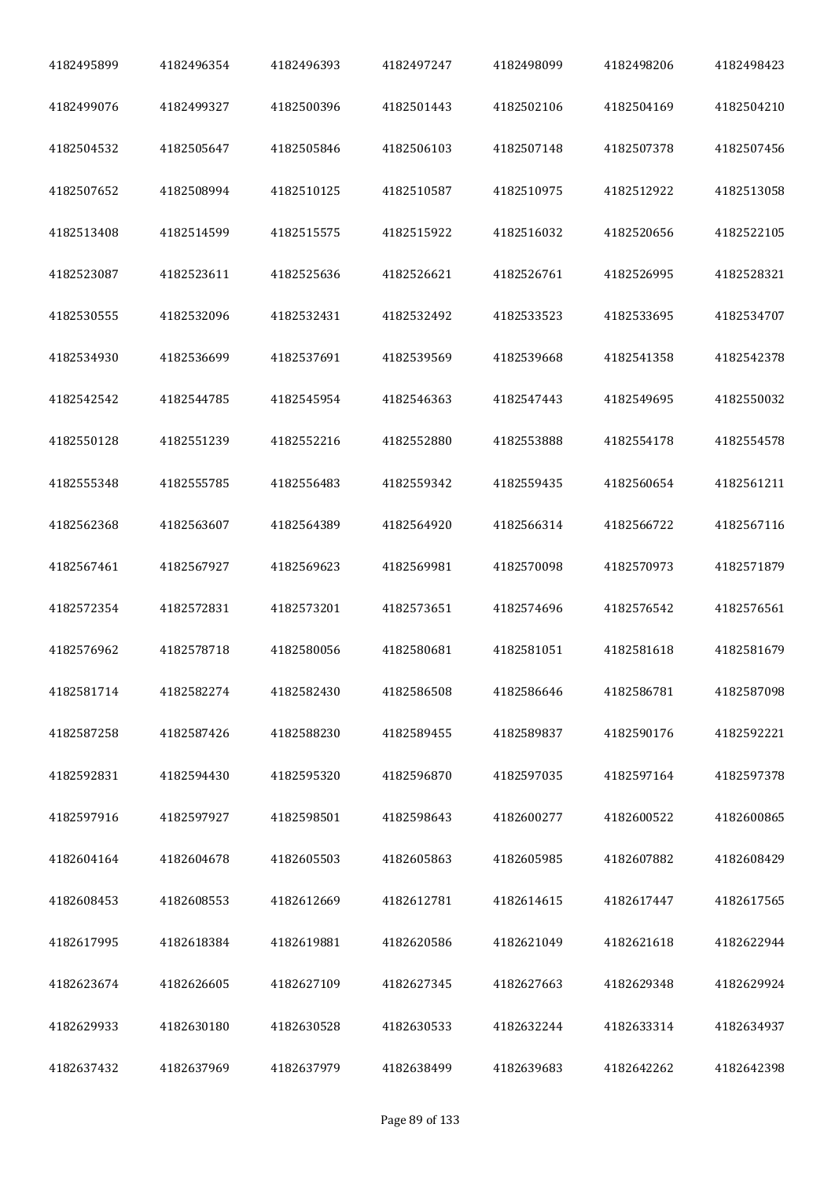| 4182495899 | 4182496354 | 4182496393 | 4182497247 | 4182498099 | 4182498206 | 4182498423 |
|------------|------------|------------|------------|------------|------------|------------|
| 4182499076 | 4182499327 | 4182500396 | 4182501443 | 4182502106 | 4182504169 | 4182504210 |
| 4182504532 | 4182505647 | 4182505846 | 4182506103 | 4182507148 | 4182507378 | 4182507456 |
| 4182507652 | 4182508994 | 4182510125 | 4182510587 | 4182510975 | 4182512922 | 4182513058 |
| 4182513408 | 4182514599 | 4182515575 | 4182515922 | 4182516032 | 4182520656 | 4182522105 |
| 4182523087 | 4182523611 | 4182525636 | 4182526621 | 4182526761 | 4182526995 | 4182528321 |
| 4182530555 | 4182532096 | 4182532431 | 4182532492 | 4182533523 | 4182533695 | 4182534707 |
| 4182534930 | 4182536699 | 4182537691 | 4182539569 | 4182539668 | 4182541358 | 4182542378 |
| 4182542542 | 4182544785 | 4182545954 | 4182546363 | 4182547443 | 4182549695 | 4182550032 |
| 4182550128 | 4182551239 | 4182552216 | 4182552880 | 4182553888 | 4182554178 | 4182554578 |
| 4182555348 | 4182555785 | 4182556483 | 4182559342 | 4182559435 | 4182560654 | 4182561211 |
| 4182562368 | 4182563607 | 4182564389 | 4182564920 | 4182566314 | 4182566722 | 4182567116 |
| 4182567461 | 4182567927 | 4182569623 | 4182569981 | 4182570098 | 4182570973 | 4182571879 |
| 4182572354 | 4182572831 | 4182573201 | 4182573651 | 4182574696 | 4182576542 | 4182576561 |
| 4182576962 | 4182578718 | 4182580056 | 4182580681 | 4182581051 | 4182581618 | 4182581679 |
| 4182581714 | 4182582274 | 4182582430 | 4182586508 | 4182586646 | 4182586781 | 4182587098 |
| 4182587258 | 4182587426 | 4182588230 | 4182589455 | 4182589837 | 4182590176 | 4182592221 |
| 4182592831 | 4182594430 | 4182595320 | 4182596870 | 4182597035 | 4182597164 | 4182597378 |
| 4182597916 | 4182597927 | 4182598501 | 4182598643 | 4182600277 | 4182600522 | 4182600865 |
| 4182604164 | 4182604678 | 4182605503 | 4182605863 | 4182605985 | 4182607882 | 4182608429 |
| 4182608453 | 4182608553 | 4182612669 | 4182612781 | 4182614615 | 4182617447 | 4182617565 |
| 4182617995 | 4182618384 | 4182619881 | 4182620586 | 4182621049 | 4182621618 | 4182622944 |
| 4182623674 | 4182626605 | 4182627109 | 4182627345 | 4182627663 | 4182629348 | 4182629924 |
| 4182629933 | 4182630180 | 4182630528 | 4182630533 | 4182632244 | 4182633314 | 4182634937 |
| 4182637432 | 4182637969 | 4182637979 | 4182638499 | 4182639683 | 4182642262 | 4182642398 |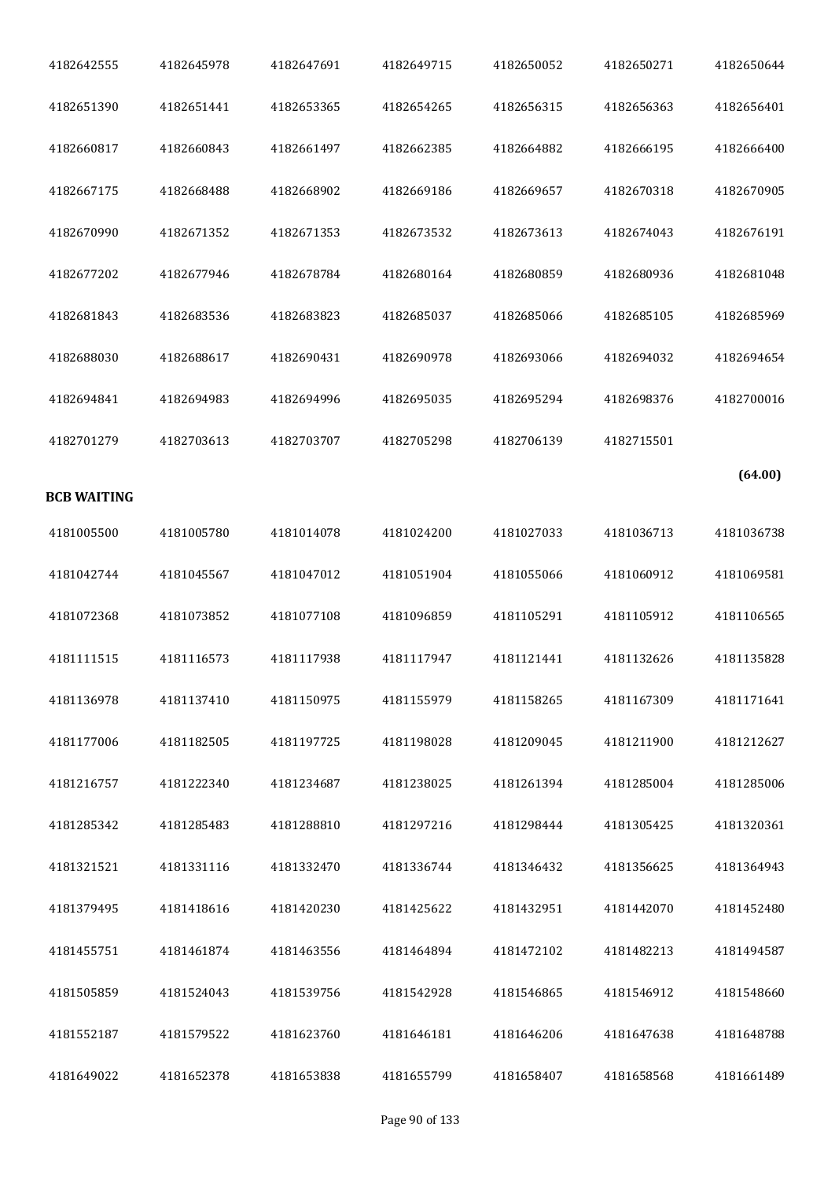| 4182642555         | 4182645978 | 4182647691 | 4182649715 | 4182650052 | 4182650271 | 4182650644 |
|--------------------|------------|------------|------------|------------|------------|------------|
| 4182651390         | 4182651441 | 4182653365 | 4182654265 | 4182656315 | 4182656363 | 4182656401 |
| 4182660817         | 4182660843 | 4182661497 | 4182662385 | 4182664882 | 4182666195 | 4182666400 |
| 4182667175         | 4182668488 | 4182668902 | 4182669186 | 4182669657 | 4182670318 | 4182670905 |
| 4182670990         | 4182671352 | 4182671353 | 4182673532 | 4182673613 | 4182674043 | 4182676191 |
| 4182677202         | 4182677946 | 4182678784 | 4182680164 | 4182680859 | 4182680936 | 4182681048 |
| 4182681843         | 4182683536 | 4182683823 | 4182685037 | 4182685066 | 4182685105 | 4182685969 |
| 4182688030         | 4182688617 | 4182690431 | 4182690978 | 4182693066 | 4182694032 | 4182694654 |
| 4182694841         | 4182694983 | 4182694996 | 4182695035 | 4182695294 | 4182698376 | 4182700016 |
| 4182701279         | 4182703613 | 4182703707 | 4182705298 | 4182706139 | 4182715501 |            |
| <b>BCB WAITING</b> |            |            |            |            |            | (64.00)    |
| 4181005500         | 4181005780 | 4181014078 | 4181024200 | 4181027033 | 4181036713 | 4181036738 |
| 4181042744         | 4181045567 | 4181047012 | 4181051904 | 4181055066 | 4181060912 | 4181069581 |
| 4181072368         | 4181073852 | 4181077108 | 4181096859 | 4181105291 | 4181105912 | 4181106565 |
| 4181111515         | 4181116573 | 4181117938 | 4181117947 | 4181121441 | 4181132626 | 4181135828 |
| 4181136978         | 4181137410 | 4181150975 | 4181155979 | 4181158265 | 4181167309 | 4181171641 |
| 4181177006         | 4181182505 | 4181197725 | 4181198028 | 4181209045 | 4181211900 | 4181212627 |
| 4181216757         | 4181222340 | 4181234687 | 4181238025 | 4181261394 | 4181285004 | 4181285006 |
| 4181285342         | 4181285483 | 4181288810 | 4181297216 | 4181298444 | 4181305425 | 4181320361 |
| 4181321521         | 4181331116 | 4181332470 | 4181336744 | 4181346432 | 4181356625 | 4181364943 |
| 4181379495         | 4181418616 | 4181420230 | 4181425622 | 4181432951 | 4181442070 | 4181452480 |
| 4181455751         | 4181461874 | 4181463556 | 4181464894 | 4181472102 | 4181482213 | 4181494587 |
| 4181505859         | 4181524043 | 4181539756 | 4181542928 | 4181546865 | 4181546912 | 4181548660 |
| 4181552187         | 4181579522 | 4181623760 | 4181646181 | 4181646206 | 4181647638 | 4181648788 |
| 4181649022         | 4181652378 | 4181653838 | 4181655799 | 4181658407 | 4181658568 | 4181661489 |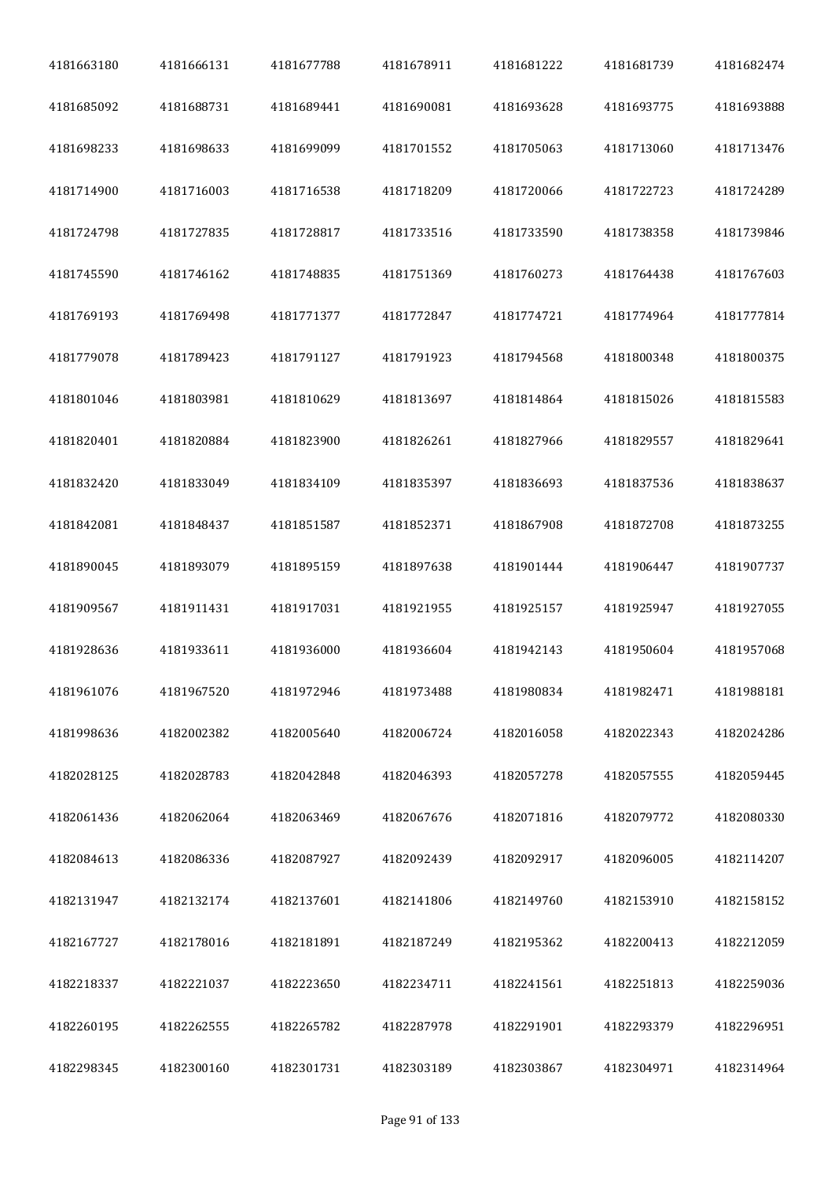| 4181663180 | 4181666131 | 4181677788 | 4181678911 | 4181681222 | 4181681739 | 4181682474 |
|------------|------------|------------|------------|------------|------------|------------|
| 4181685092 | 4181688731 | 4181689441 | 4181690081 | 4181693628 | 4181693775 | 4181693888 |
| 4181698233 | 4181698633 | 4181699099 | 4181701552 | 4181705063 | 4181713060 | 4181713476 |
| 4181714900 | 4181716003 | 4181716538 | 4181718209 | 4181720066 | 4181722723 | 4181724289 |
| 4181724798 | 4181727835 | 4181728817 | 4181733516 | 4181733590 | 4181738358 | 4181739846 |
| 4181745590 | 4181746162 | 4181748835 | 4181751369 | 4181760273 | 4181764438 | 4181767603 |
| 4181769193 | 4181769498 | 4181771377 | 4181772847 | 4181774721 | 4181774964 | 4181777814 |
| 4181779078 | 4181789423 | 4181791127 | 4181791923 | 4181794568 | 4181800348 | 4181800375 |
| 4181801046 | 4181803981 | 4181810629 | 4181813697 | 4181814864 | 4181815026 | 4181815583 |
| 4181820401 | 4181820884 | 4181823900 | 4181826261 | 4181827966 | 4181829557 | 4181829641 |
| 4181832420 | 4181833049 | 4181834109 | 4181835397 | 4181836693 | 4181837536 | 4181838637 |
| 4181842081 | 4181848437 | 4181851587 | 4181852371 | 4181867908 | 4181872708 | 4181873255 |
| 4181890045 | 4181893079 | 4181895159 | 4181897638 | 4181901444 | 4181906447 | 4181907737 |
| 4181909567 | 4181911431 | 4181917031 | 4181921955 | 4181925157 | 4181925947 | 4181927055 |
| 4181928636 | 4181933611 | 4181936000 | 4181936604 | 4181942143 | 4181950604 | 4181957068 |
| 4181961076 | 4181967520 | 4181972946 | 4181973488 | 4181980834 | 4181982471 | 4181988181 |
| 4181998636 | 4182002382 | 4182005640 | 4182006724 | 4182016058 | 4182022343 | 4182024286 |
| 4182028125 | 4182028783 | 4182042848 | 4182046393 | 4182057278 | 4182057555 | 4182059445 |
| 4182061436 | 4182062064 | 4182063469 | 4182067676 | 4182071816 | 4182079772 | 4182080330 |
| 4182084613 | 4182086336 | 4182087927 | 4182092439 | 4182092917 | 4182096005 | 4182114207 |
| 4182131947 | 4182132174 | 4182137601 | 4182141806 | 4182149760 | 4182153910 | 4182158152 |
| 4182167727 | 4182178016 | 4182181891 | 4182187249 | 4182195362 | 4182200413 | 4182212059 |
| 4182218337 | 4182221037 | 4182223650 | 4182234711 | 4182241561 | 4182251813 | 4182259036 |
| 4182260195 | 4182262555 | 4182265782 | 4182287978 | 4182291901 | 4182293379 | 4182296951 |
| 4182298345 | 4182300160 | 4182301731 | 4182303189 | 4182303867 | 4182304971 | 4182314964 |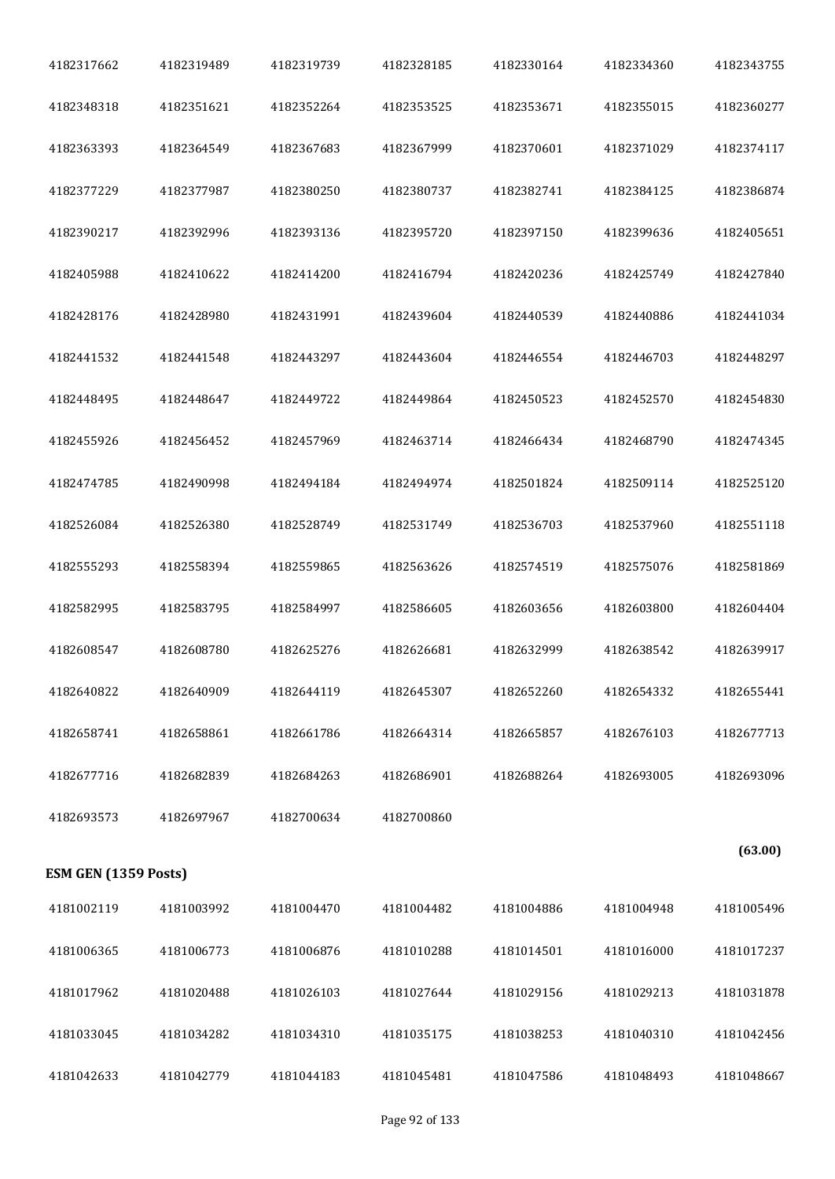| 4182317662           | 4182319489 | 4182319739 | 4182328185 | 4182330164 | 4182334360 | 4182343755 |
|----------------------|------------|------------|------------|------------|------------|------------|
| 4182348318           | 4182351621 | 4182352264 | 4182353525 | 4182353671 | 4182355015 | 4182360277 |
| 4182363393           | 4182364549 | 4182367683 | 4182367999 | 4182370601 | 4182371029 | 4182374117 |
| 4182377229           | 4182377987 | 4182380250 | 4182380737 | 4182382741 | 4182384125 | 4182386874 |
| 4182390217           | 4182392996 | 4182393136 | 4182395720 | 4182397150 | 4182399636 | 4182405651 |
| 4182405988           | 4182410622 | 4182414200 | 4182416794 | 4182420236 | 4182425749 | 4182427840 |
| 4182428176           | 4182428980 | 4182431991 | 4182439604 | 4182440539 | 4182440886 | 4182441034 |
| 4182441532           | 4182441548 | 4182443297 | 4182443604 | 4182446554 | 4182446703 | 4182448297 |
| 4182448495           | 4182448647 | 4182449722 | 4182449864 | 4182450523 | 4182452570 | 4182454830 |
| 4182455926           | 4182456452 | 4182457969 | 4182463714 | 4182466434 | 4182468790 | 4182474345 |
| 4182474785           | 4182490998 | 4182494184 | 4182494974 | 4182501824 | 4182509114 | 4182525120 |
| 4182526084           | 4182526380 | 4182528749 | 4182531749 | 4182536703 | 4182537960 | 4182551118 |
| 4182555293           | 4182558394 | 4182559865 | 4182563626 | 4182574519 | 4182575076 | 4182581869 |
| 4182582995           | 4182583795 | 4182584997 | 4182586605 | 4182603656 | 4182603800 | 4182604404 |
| 4182608547           | 4182608780 | 4182625276 | 4182626681 | 4182632999 | 4182638542 | 4182639917 |
| 4182640822           | 4182640909 | 4182644119 | 4182645307 | 4182652260 | 4182654332 | 4182655441 |
| 4182658741           | 4182658861 | 4182661786 | 4182664314 | 4182665857 | 4182676103 | 4182677713 |
| 4182677716           | 4182682839 | 4182684263 | 4182686901 | 4182688264 | 4182693005 | 4182693096 |
| 4182693573           | 4182697967 | 4182700634 | 4182700860 |            |            |            |
| ESM GEN (1359 Posts) |            |            |            |            |            | (63.00)    |
| 4181002119           | 4181003992 | 4181004470 | 4181004482 | 4181004886 | 4181004948 | 4181005496 |
| 4181006365           | 4181006773 | 4181006876 | 4181010288 | 4181014501 | 4181016000 | 4181017237 |
| 4181017962           | 4181020488 | 4181026103 | 4181027644 | 4181029156 | 4181029213 | 4181031878 |
| 4181033045           | 4181034282 | 4181034310 | 4181035175 | 4181038253 | 4181040310 | 4181042456 |
| 4181042633           | 4181042779 | 4181044183 | 4181045481 | 4181047586 | 4181048493 | 4181048667 |
|                      |            |            |            |            |            |            |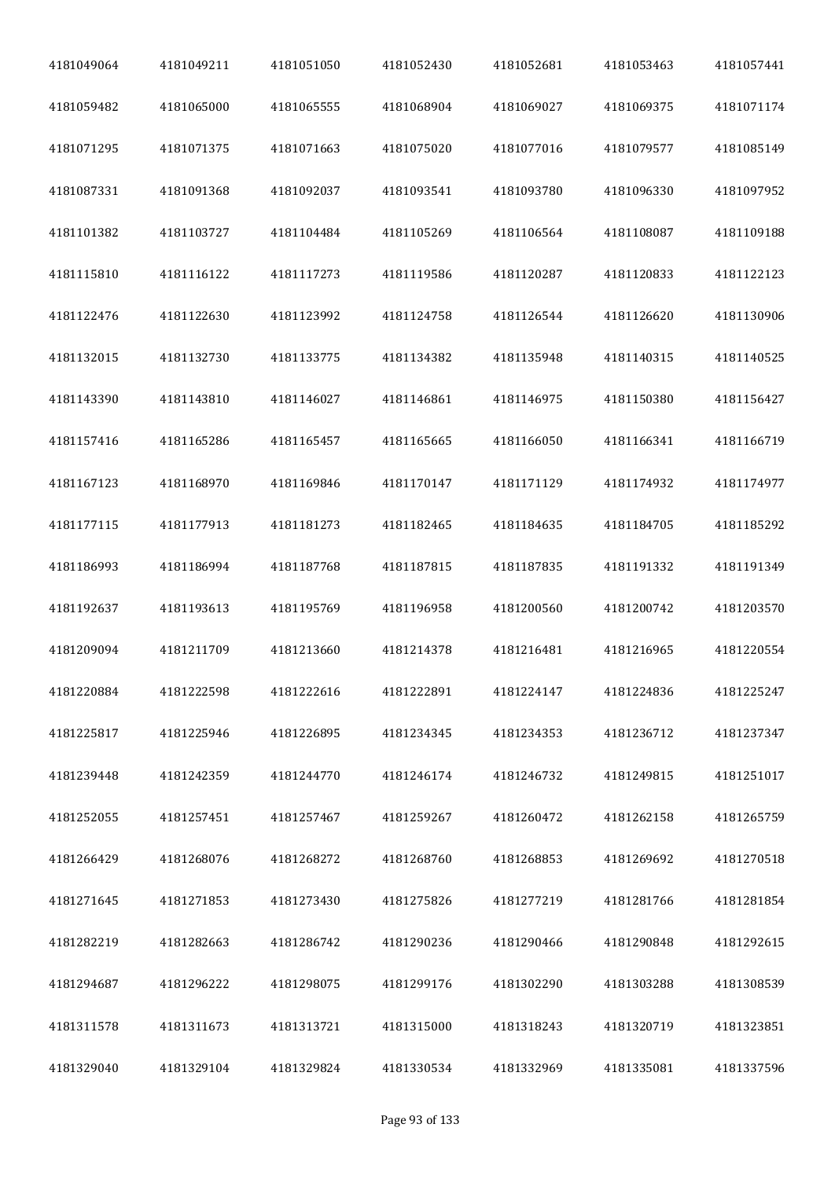| 4181049064 | 4181049211 | 4181051050 | 4181052430 | 4181052681 | 4181053463 | 4181057441 |
|------------|------------|------------|------------|------------|------------|------------|
| 4181059482 | 4181065000 | 4181065555 | 4181068904 | 4181069027 | 4181069375 | 4181071174 |
| 4181071295 | 4181071375 | 4181071663 | 4181075020 | 4181077016 | 4181079577 | 4181085149 |
| 4181087331 | 4181091368 | 4181092037 | 4181093541 | 4181093780 | 4181096330 | 4181097952 |
| 4181101382 | 4181103727 | 4181104484 | 4181105269 | 4181106564 | 4181108087 | 4181109188 |
| 4181115810 | 4181116122 | 4181117273 | 4181119586 | 4181120287 | 4181120833 | 4181122123 |
| 4181122476 | 4181122630 | 4181123992 | 4181124758 | 4181126544 | 4181126620 | 4181130906 |
| 4181132015 | 4181132730 | 4181133775 | 4181134382 | 4181135948 | 4181140315 | 4181140525 |
| 4181143390 | 4181143810 | 4181146027 | 4181146861 | 4181146975 | 4181150380 | 4181156427 |
| 4181157416 | 4181165286 | 4181165457 | 4181165665 | 4181166050 | 4181166341 | 4181166719 |
| 4181167123 | 4181168970 | 4181169846 | 4181170147 | 4181171129 | 4181174932 | 4181174977 |
| 4181177115 | 4181177913 | 4181181273 | 4181182465 | 4181184635 | 4181184705 | 4181185292 |
| 4181186993 | 4181186994 | 4181187768 | 4181187815 | 4181187835 | 4181191332 | 4181191349 |
| 4181192637 | 4181193613 | 4181195769 | 4181196958 | 4181200560 | 4181200742 | 4181203570 |
| 4181209094 | 4181211709 | 4181213660 | 4181214378 | 4181216481 | 4181216965 | 4181220554 |
| 4181220884 | 4181222598 | 4181222616 | 4181222891 | 4181224147 | 4181224836 | 4181225247 |
| 4181225817 | 4181225946 | 4181226895 | 4181234345 | 4181234353 | 4181236712 | 4181237347 |
| 4181239448 | 4181242359 | 4181244770 | 4181246174 | 4181246732 | 4181249815 | 4181251017 |
| 4181252055 | 4181257451 | 4181257467 | 4181259267 | 4181260472 | 4181262158 | 4181265759 |
| 4181266429 | 4181268076 | 4181268272 | 4181268760 | 4181268853 | 4181269692 | 4181270518 |
| 4181271645 | 4181271853 | 4181273430 | 4181275826 | 4181277219 | 4181281766 | 4181281854 |
| 4181282219 | 4181282663 | 4181286742 | 4181290236 | 4181290466 | 4181290848 | 4181292615 |
| 4181294687 | 4181296222 | 4181298075 | 4181299176 | 4181302290 | 4181303288 | 4181308539 |
| 4181311578 | 4181311673 | 4181313721 | 4181315000 | 4181318243 | 4181320719 | 4181323851 |
| 4181329040 | 4181329104 | 4181329824 | 4181330534 | 4181332969 | 4181335081 | 4181337596 |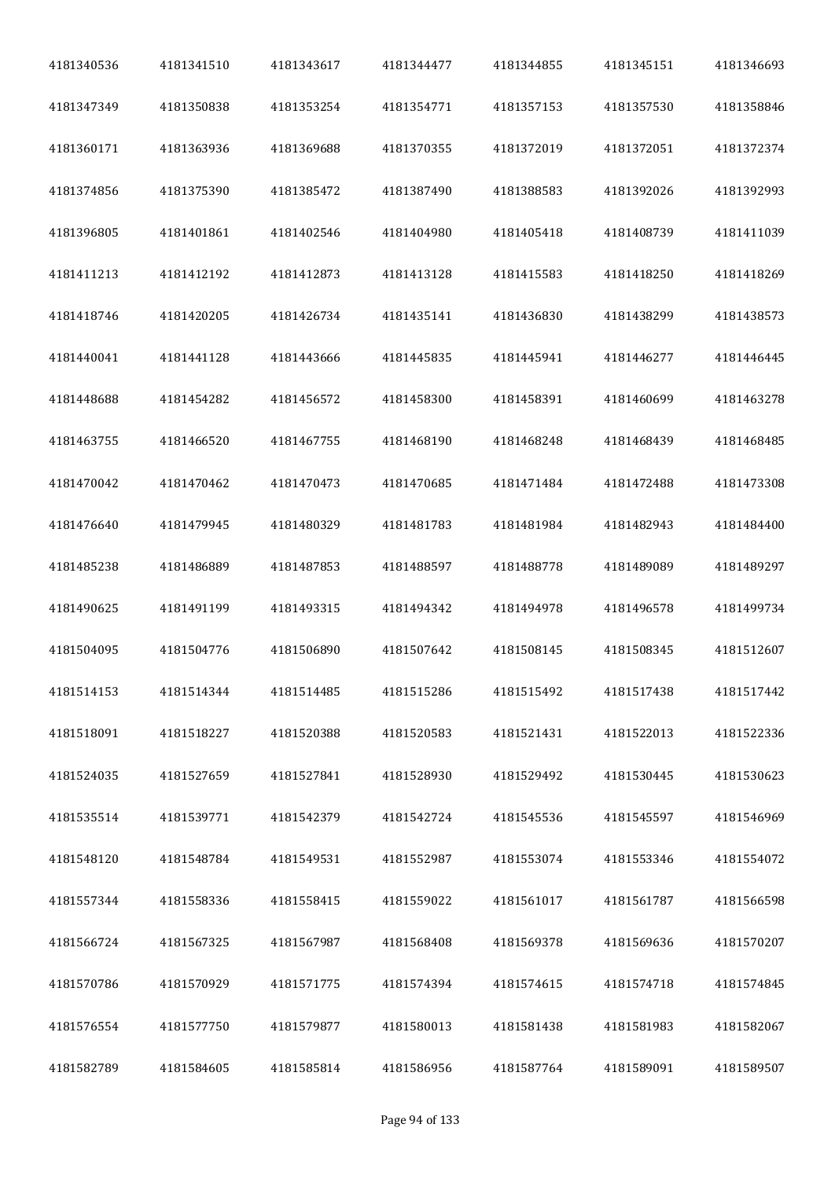| 4181340536 | 4181341510 | 4181343617 | 4181344477 | 4181344855 | 4181345151 | 4181346693 |
|------------|------------|------------|------------|------------|------------|------------|
| 4181347349 | 4181350838 | 4181353254 | 4181354771 | 4181357153 | 4181357530 | 4181358846 |
| 4181360171 | 4181363936 | 4181369688 | 4181370355 | 4181372019 | 4181372051 | 4181372374 |
| 4181374856 | 4181375390 | 4181385472 | 4181387490 | 4181388583 | 4181392026 | 4181392993 |
| 4181396805 | 4181401861 | 4181402546 | 4181404980 | 4181405418 | 4181408739 | 4181411039 |
| 4181411213 | 4181412192 | 4181412873 | 4181413128 | 4181415583 | 4181418250 | 4181418269 |
| 4181418746 | 4181420205 | 4181426734 | 4181435141 | 4181436830 | 4181438299 | 4181438573 |
| 4181440041 | 4181441128 | 4181443666 | 4181445835 | 4181445941 | 4181446277 | 4181446445 |
| 4181448688 | 4181454282 | 4181456572 | 4181458300 | 4181458391 | 4181460699 | 4181463278 |
| 4181463755 | 4181466520 | 4181467755 | 4181468190 | 4181468248 | 4181468439 | 4181468485 |
| 4181470042 | 4181470462 | 4181470473 | 4181470685 | 4181471484 | 4181472488 | 4181473308 |
| 4181476640 | 4181479945 | 4181480329 | 4181481783 | 4181481984 | 4181482943 | 4181484400 |
| 4181485238 | 4181486889 | 4181487853 | 4181488597 | 4181488778 | 4181489089 | 4181489297 |
| 4181490625 | 4181491199 | 4181493315 | 4181494342 | 4181494978 | 4181496578 | 4181499734 |
| 4181504095 | 4181504776 | 4181506890 | 4181507642 | 4181508145 | 4181508345 | 4181512607 |
| 4181514153 | 4181514344 | 4181514485 | 4181515286 | 4181515492 | 4181517438 | 4181517442 |
| 4181518091 | 4181518227 | 4181520388 | 4181520583 | 4181521431 | 4181522013 | 4181522336 |
| 4181524035 | 4181527659 | 4181527841 | 4181528930 | 4181529492 | 4181530445 | 4181530623 |
| 4181535514 | 4181539771 | 4181542379 | 4181542724 | 4181545536 | 4181545597 | 4181546969 |
| 4181548120 | 4181548784 | 4181549531 | 4181552987 | 4181553074 | 4181553346 | 4181554072 |
| 4181557344 | 4181558336 | 4181558415 | 4181559022 | 4181561017 | 4181561787 | 4181566598 |
| 4181566724 | 4181567325 | 4181567987 | 4181568408 | 4181569378 | 4181569636 | 4181570207 |
| 4181570786 | 4181570929 | 4181571775 | 4181574394 | 4181574615 | 4181574718 | 4181574845 |
| 4181576554 | 4181577750 | 4181579877 | 4181580013 | 4181581438 | 4181581983 | 4181582067 |
| 4181582789 | 4181584605 | 4181585814 | 4181586956 | 4181587764 | 4181589091 | 4181589507 |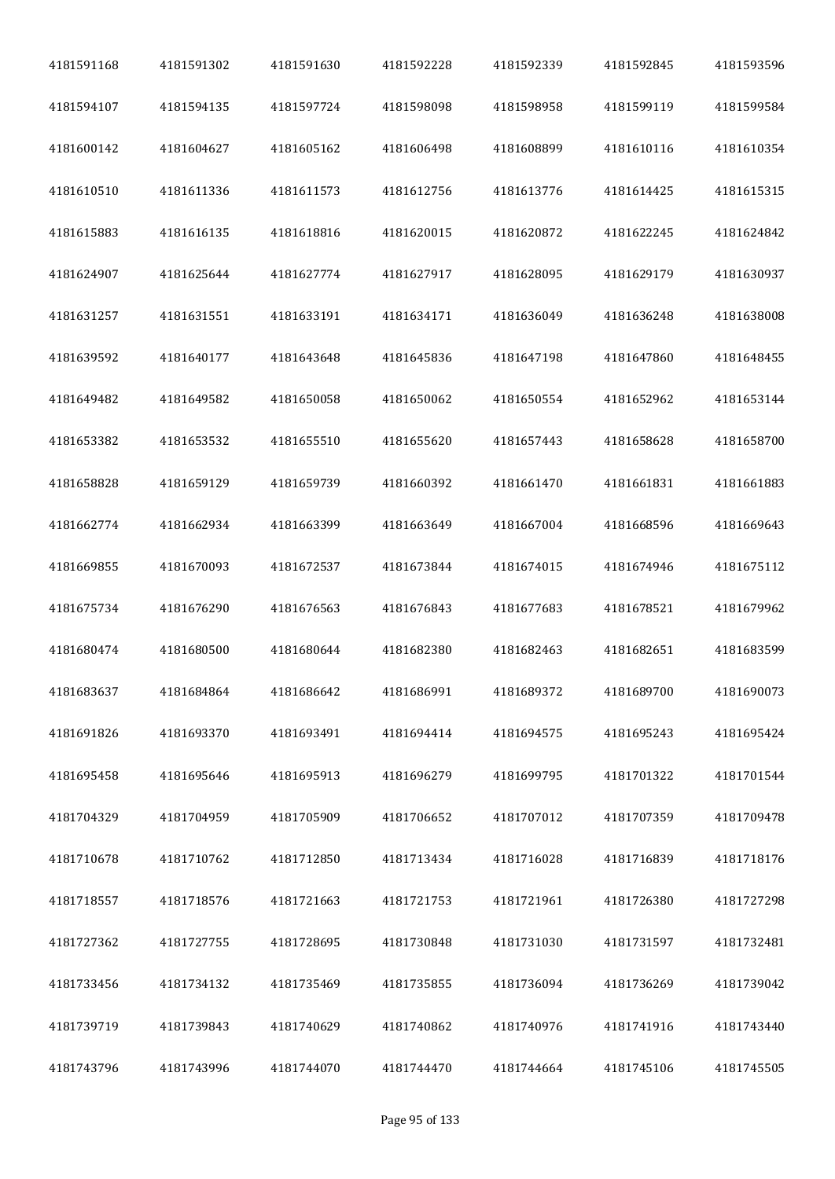| 4181591168 | 4181591302 | 4181591630 | 4181592228 | 4181592339 | 4181592845 | 4181593596 |
|------------|------------|------------|------------|------------|------------|------------|
| 4181594107 | 4181594135 | 4181597724 | 4181598098 | 4181598958 | 4181599119 | 4181599584 |
| 4181600142 | 4181604627 | 4181605162 | 4181606498 | 4181608899 | 4181610116 | 4181610354 |
| 4181610510 | 4181611336 | 4181611573 | 4181612756 | 4181613776 | 4181614425 | 4181615315 |
| 4181615883 | 4181616135 | 4181618816 | 4181620015 | 4181620872 | 4181622245 | 4181624842 |
| 4181624907 | 4181625644 | 4181627774 | 4181627917 | 4181628095 | 4181629179 | 4181630937 |
| 4181631257 | 4181631551 | 4181633191 | 4181634171 | 4181636049 | 4181636248 | 4181638008 |
| 4181639592 | 4181640177 | 4181643648 | 4181645836 | 4181647198 | 4181647860 | 4181648455 |
| 4181649482 | 4181649582 | 4181650058 | 4181650062 | 4181650554 | 4181652962 | 4181653144 |
| 4181653382 | 4181653532 | 4181655510 | 4181655620 | 4181657443 | 4181658628 | 4181658700 |
| 4181658828 | 4181659129 | 4181659739 | 4181660392 | 4181661470 | 4181661831 | 4181661883 |
| 4181662774 | 4181662934 | 4181663399 | 4181663649 | 4181667004 | 4181668596 | 4181669643 |
| 4181669855 | 4181670093 | 4181672537 | 4181673844 | 4181674015 | 4181674946 | 4181675112 |
| 4181675734 | 4181676290 | 4181676563 | 4181676843 | 4181677683 | 4181678521 | 4181679962 |
| 4181680474 | 4181680500 | 4181680644 | 4181682380 | 4181682463 | 4181682651 | 4181683599 |
| 4181683637 | 4181684864 | 4181686642 | 4181686991 | 4181689372 | 4181689700 | 4181690073 |
| 4181691826 | 4181693370 | 4181693491 | 4181694414 | 4181694575 | 4181695243 | 4181695424 |
| 4181695458 | 4181695646 | 4181695913 | 4181696279 | 4181699795 | 4181701322 | 4181701544 |
| 4181704329 | 4181704959 | 4181705909 | 4181706652 | 4181707012 | 4181707359 | 4181709478 |
| 4181710678 | 4181710762 | 4181712850 | 4181713434 | 4181716028 | 4181716839 | 4181718176 |
| 4181718557 | 4181718576 | 4181721663 | 4181721753 | 4181721961 | 4181726380 | 4181727298 |
| 4181727362 | 4181727755 | 4181728695 | 4181730848 | 4181731030 | 4181731597 | 4181732481 |
| 4181733456 | 4181734132 | 4181735469 | 4181735855 | 4181736094 | 4181736269 | 4181739042 |
| 4181739719 | 4181739843 | 4181740629 | 4181740862 | 4181740976 | 4181741916 | 4181743440 |
| 4181743796 | 4181743996 | 4181744070 | 4181744470 | 4181744664 | 4181745106 | 4181745505 |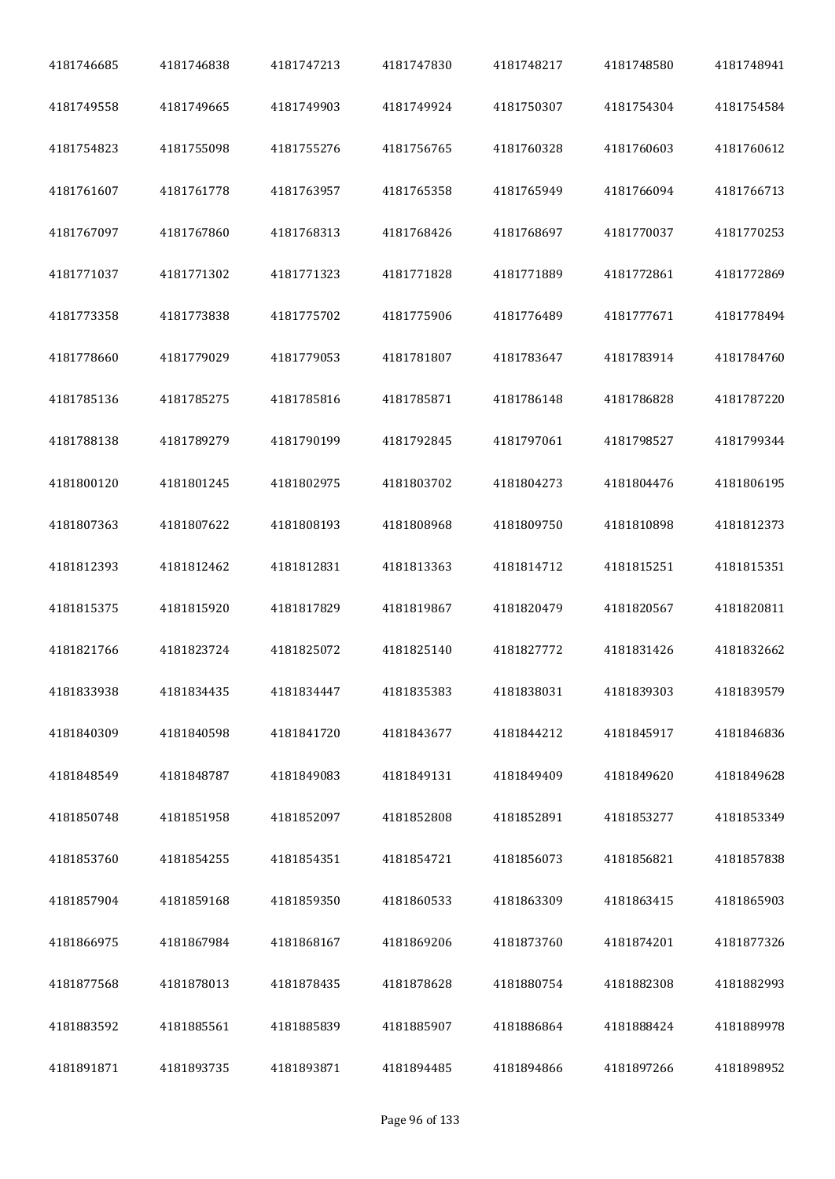| 4181746685 | 4181746838 | 4181747213 | 4181747830 | 4181748217 | 4181748580 | 4181748941 |
|------------|------------|------------|------------|------------|------------|------------|
| 4181749558 | 4181749665 | 4181749903 | 4181749924 | 4181750307 | 4181754304 | 4181754584 |
| 4181754823 | 4181755098 | 4181755276 | 4181756765 | 4181760328 | 4181760603 | 4181760612 |
| 4181761607 | 4181761778 | 4181763957 | 4181765358 | 4181765949 | 4181766094 | 4181766713 |
| 4181767097 | 4181767860 | 4181768313 | 4181768426 | 4181768697 | 4181770037 | 4181770253 |
| 4181771037 | 4181771302 | 4181771323 | 4181771828 | 4181771889 | 4181772861 | 4181772869 |
| 4181773358 | 4181773838 | 4181775702 | 4181775906 | 4181776489 | 4181777671 | 4181778494 |
| 4181778660 | 4181779029 | 4181779053 | 4181781807 | 4181783647 | 4181783914 | 4181784760 |
| 4181785136 | 4181785275 | 4181785816 | 4181785871 | 4181786148 | 4181786828 | 4181787220 |
| 4181788138 | 4181789279 | 4181790199 | 4181792845 | 4181797061 | 4181798527 | 4181799344 |
| 4181800120 | 4181801245 | 4181802975 | 4181803702 | 4181804273 | 4181804476 | 4181806195 |
| 4181807363 | 4181807622 | 4181808193 | 4181808968 | 4181809750 | 4181810898 | 4181812373 |
| 4181812393 | 4181812462 | 4181812831 | 4181813363 | 4181814712 | 4181815251 | 4181815351 |
| 4181815375 | 4181815920 | 4181817829 | 4181819867 | 4181820479 | 4181820567 | 4181820811 |
| 4181821766 | 4181823724 | 4181825072 | 4181825140 | 4181827772 | 4181831426 | 4181832662 |
| 4181833938 | 4181834435 | 4181834447 | 4181835383 | 4181838031 | 4181839303 | 4181839579 |
| 4181840309 | 4181840598 | 4181841720 | 4181843677 | 4181844212 | 4181845917 | 4181846836 |
| 4181848549 | 4181848787 | 4181849083 | 4181849131 | 4181849409 | 4181849620 | 4181849628 |
| 4181850748 | 4181851958 | 4181852097 | 4181852808 | 4181852891 | 4181853277 | 4181853349 |
| 4181853760 | 4181854255 | 4181854351 | 4181854721 | 4181856073 | 4181856821 | 4181857838 |
| 4181857904 | 4181859168 | 4181859350 | 4181860533 | 4181863309 | 4181863415 | 4181865903 |
| 4181866975 | 4181867984 | 4181868167 | 4181869206 | 4181873760 | 4181874201 | 4181877326 |
| 4181877568 | 4181878013 | 4181878435 | 4181878628 | 4181880754 | 4181882308 | 4181882993 |
| 4181883592 | 4181885561 | 4181885839 | 4181885907 | 4181886864 | 4181888424 | 4181889978 |
| 4181891871 | 4181893735 | 4181893871 | 4181894485 | 4181894866 | 4181897266 | 4181898952 |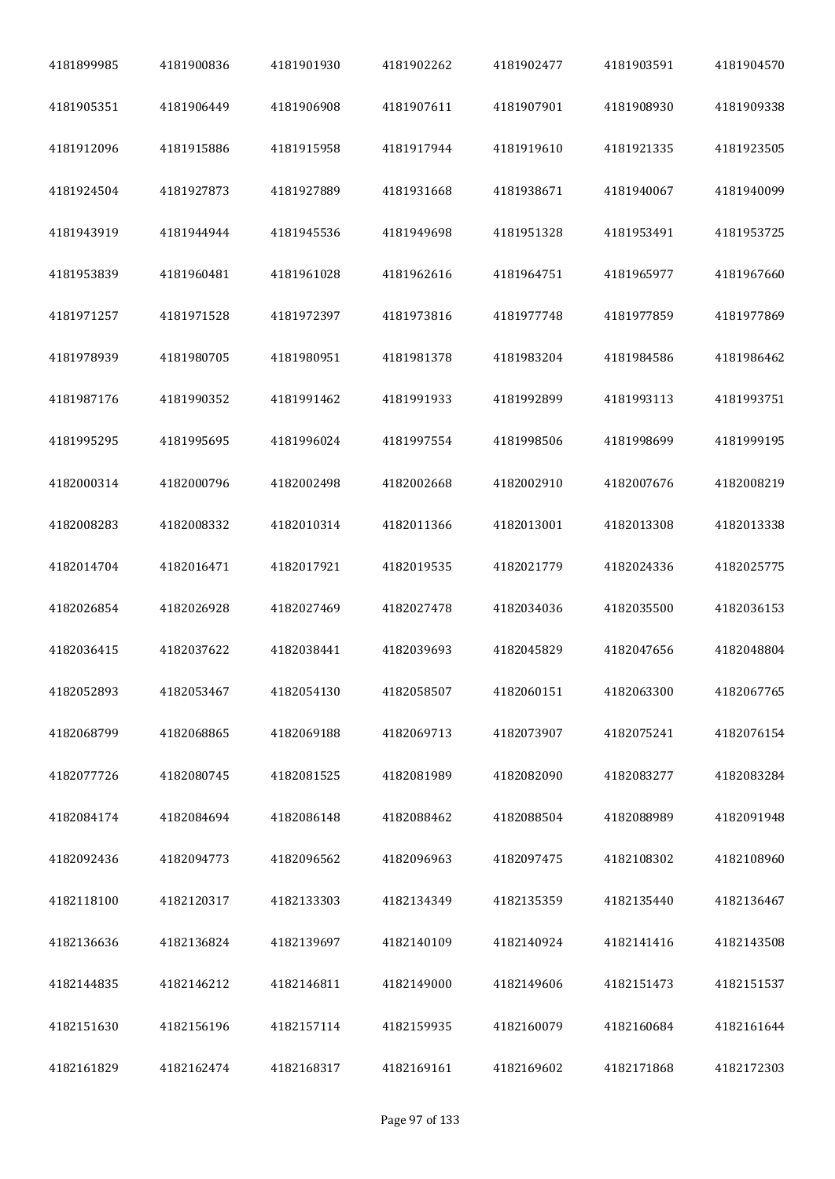| 4181899985 | 4181900836 | 4181901930 | 4181902262 | 4181902477 | 4181903591 | 4181904570 |
|------------|------------|------------|------------|------------|------------|------------|
| 4181905351 | 4181906449 | 4181906908 | 4181907611 | 4181907901 | 4181908930 | 4181909338 |
| 4181912096 | 4181915886 | 4181915958 | 4181917944 | 4181919610 | 4181921335 | 4181923505 |
| 4181924504 | 4181927873 | 4181927889 | 4181931668 | 4181938671 | 4181940067 | 4181940099 |
| 4181943919 | 4181944944 | 4181945536 | 4181949698 | 4181951328 | 4181953491 | 4181953725 |
| 4181953839 | 4181960481 | 4181961028 | 4181962616 | 4181964751 | 4181965977 | 4181967660 |
| 4181971257 | 4181971528 | 4181972397 | 4181973816 | 4181977748 | 4181977859 | 4181977869 |
| 4181978939 | 4181980705 | 4181980951 | 4181981378 | 4181983204 | 4181984586 | 4181986462 |
| 4181987176 | 4181990352 | 4181991462 | 4181991933 | 4181992899 | 4181993113 | 4181993751 |
| 4181995295 | 4181995695 | 4181996024 | 4181997554 | 4181998506 | 4181998699 | 4181999195 |
| 4182000314 | 4182000796 | 4182002498 | 4182002668 | 4182002910 | 4182007676 | 4182008219 |
| 4182008283 | 4182008332 | 4182010314 | 4182011366 | 4182013001 | 4182013308 | 4182013338 |
| 4182014704 | 4182016471 | 4182017921 | 4182019535 | 4182021779 | 4182024336 | 4182025775 |
| 4182026854 | 4182026928 | 4182027469 | 4182027478 | 4182034036 | 4182035500 | 4182036153 |
| 4182036415 | 4182037622 | 4182038441 | 4182039693 | 4182045829 | 4182047656 | 4182048804 |
| 4182052893 | 4182053467 | 4182054130 | 4182058507 | 4182060151 | 4182063300 | 4182067765 |
| 4182068799 | 4182068865 | 4182069188 | 4182069713 | 4182073907 | 4182075241 | 4182076154 |
| 4182077726 | 4182080745 | 4182081525 | 4182081989 | 4182082090 | 4182083277 | 4182083284 |
| 4182084174 | 4182084694 | 4182086148 | 4182088462 | 4182088504 | 4182088989 | 4182091948 |
| 4182092436 | 4182094773 | 4182096562 | 4182096963 | 4182097475 | 4182108302 | 4182108960 |
| 4182118100 | 4182120317 | 4182133303 | 4182134349 | 4182135359 | 4182135440 | 4182136467 |
| 4182136636 | 4182136824 | 4182139697 | 4182140109 | 4182140924 | 4182141416 | 4182143508 |
| 4182144835 | 4182146212 | 4182146811 | 4182149000 | 4182149606 | 4182151473 | 4182151537 |
| 4182151630 | 4182156196 | 4182157114 | 4182159935 | 4182160079 | 4182160684 | 4182161644 |
| 4182161829 | 4182162474 | 4182168317 | 4182169161 | 4182169602 | 4182171868 | 4182172303 |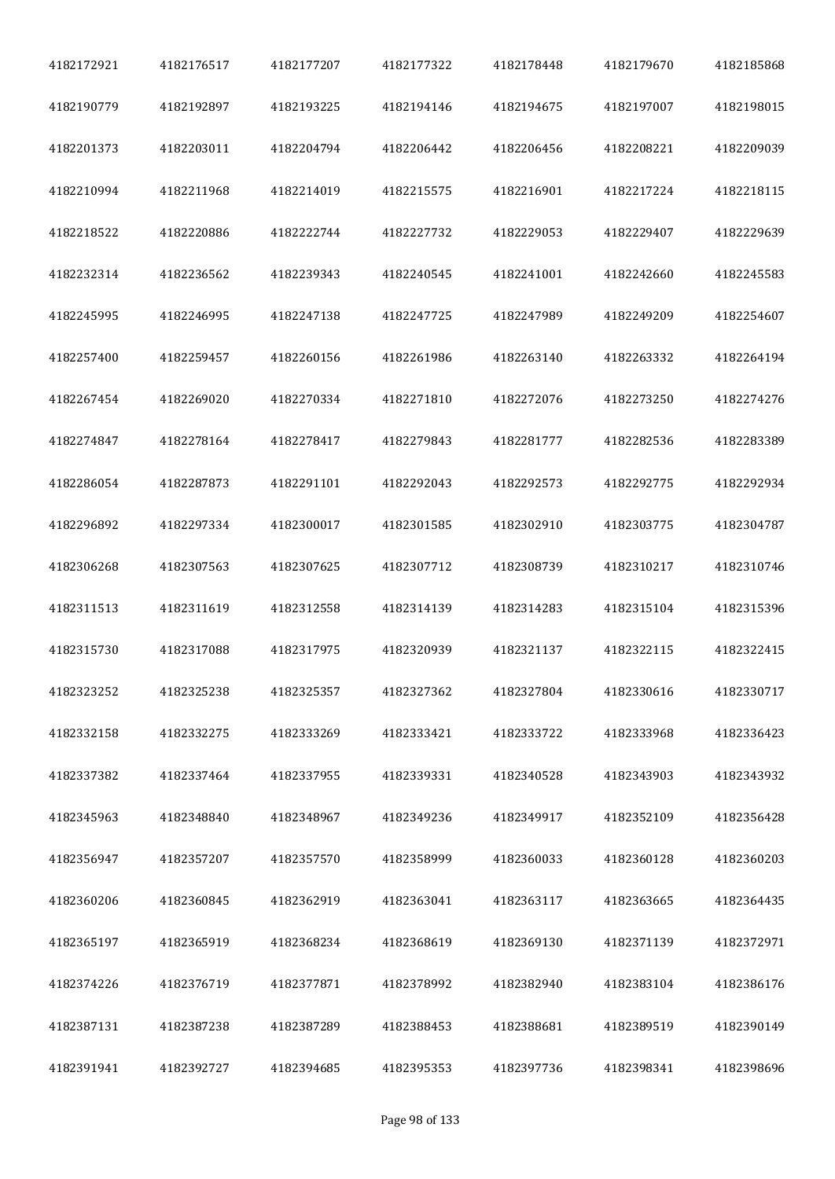| 4182172921 | 4182176517 | 4182177207 | 4182177322 | 4182178448 | 4182179670 | 4182185868 |
|------------|------------|------------|------------|------------|------------|------------|
| 4182190779 | 4182192897 | 4182193225 | 4182194146 | 4182194675 | 4182197007 | 4182198015 |
| 4182201373 | 4182203011 | 4182204794 | 4182206442 | 4182206456 | 4182208221 | 4182209039 |
| 4182210994 | 4182211968 | 4182214019 | 4182215575 | 4182216901 | 4182217224 | 4182218115 |
| 4182218522 | 4182220886 | 4182222744 | 4182227732 | 4182229053 | 4182229407 | 4182229639 |
| 4182232314 | 4182236562 | 4182239343 | 4182240545 | 4182241001 | 4182242660 | 4182245583 |
| 4182245995 | 4182246995 | 4182247138 | 4182247725 | 4182247989 | 4182249209 | 4182254607 |
| 4182257400 | 4182259457 | 4182260156 | 4182261986 | 4182263140 | 4182263332 | 4182264194 |
| 4182267454 | 4182269020 | 4182270334 | 4182271810 | 4182272076 | 4182273250 | 4182274276 |
| 4182274847 | 4182278164 | 4182278417 | 4182279843 | 4182281777 | 4182282536 | 4182283389 |
| 4182286054 | 4182287873 | 4182291101 | 4182292043 | 4182292573 | 4182292775 | 4182292934 |
| 4182296892 | 4182297334 | 4182300017 | 4182301585 | 4182302910 | 4182303775 | 4182304787 |
| 4182306268 | 4182307563 | 4182307625 | 4182307712 | 4182308739 | 4182310217 | 4182310746 |
| 4182311513 | 4182311619 | 4182312558 | 4182314139 | 4182314283 | 4182315104 | 4182315396 |
| 4182315730 | 4182317088 | 4182317975 | 4182320939 | 4182321137 | 4182322115 | 4182322415 |
| 4182323252 | 4182325238 | 4182325357 | 4182327362 | 4182327804 | 4182330616 | 4182330717 |
| 4182332158 | 4182332275 | 4182333269 | 4182333421 | 4182333722 | 4182333968 | 4182336423 |
| 4182337382 | 4182337464 | 4182337955 | 4182339331 | 4182340528 | 4182343903 | 4182343932 |
| 4182345963 | 4182348840 | 4182348967 | 4182349236 | 4182349917 | 4182352109 | 4182356428 |
| 4182356947 | 4182357207 | 4182357570 | 4182358999 | 4182360033 | 4182360128 | 4182360203 |
| 4182360206 | 4182360845 | 4182362919 | 4182363041 | 4182363117 | 4182363665 | 4182364435 |
| 4182365197 | 4182365919 | 4182368234 | 4182368619 | 4182369130 | 4182371139 | 4182372971 |
| 4182374226 | 4182376719 | 4182377871 | 4182378992 | 4182382940 | 4182383104 | 4182386176 |
| 4182387131 | 4182387238 | 4182387289 | 4182388453 | 4182388681 | 4182389519 | 4182390149 |
| 4182391941 | 4182392727 | 4182394685 | 4182395353 | 4182397736 | 4182398341 | 4182398696 |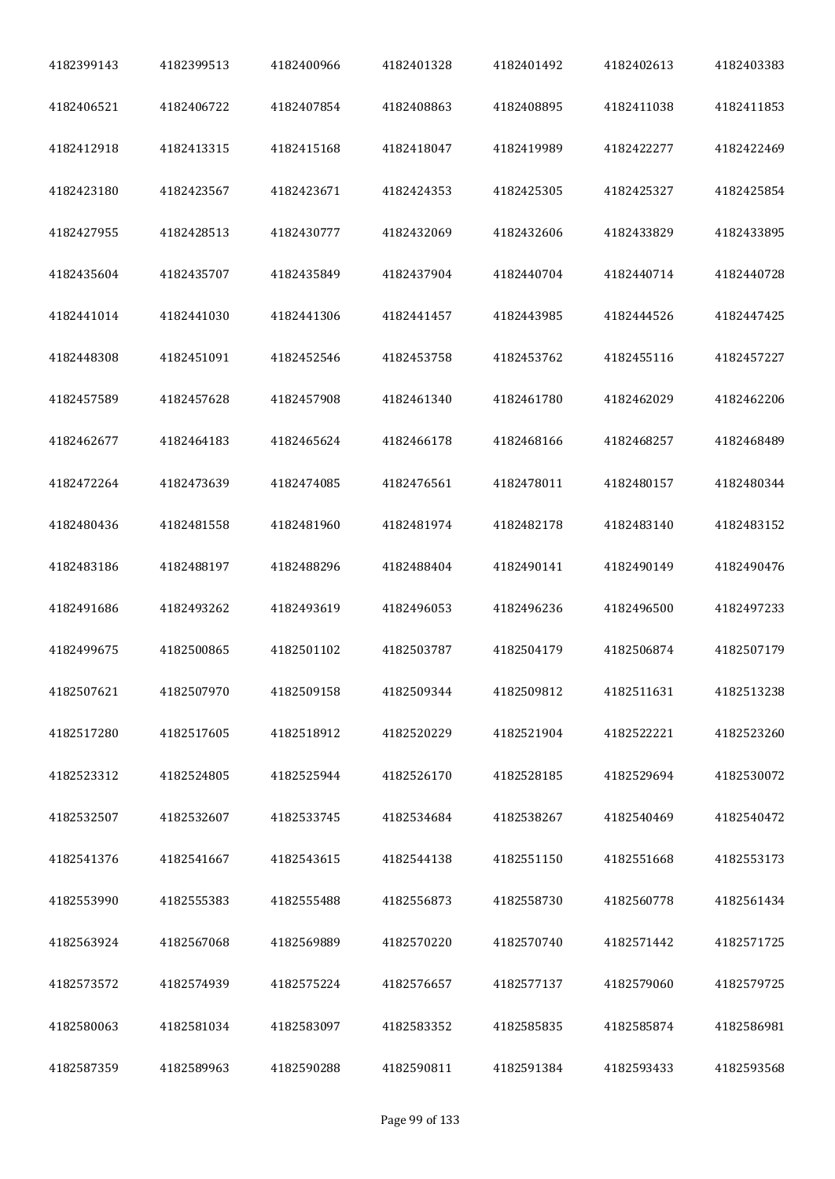| 4182399143 | 4182399513 | 4182400966 | 4182401328 | 4182401492 | 4182402613 | 4182403383 |
|------------|------------|------------|------------|------------|------------|------------|
| 4182406521 | 4182406722 | 4182407854 | 4182408863 | 4182408895 | 4182411038 | 4182411853 |
| 4182412918 | 4182413315 | 4182415168 | 4182418047 | 4182419989 | 4182422277 | 4182422469 |
| 4182423180 | 4182423567 | 4182423671 | 4182424353 | 4182425305 | 4182425327 | 4182425854 |
| 4182427955 | 4182428513 | 4182430777 | 4182432069 | 4182432606 | 4182433829 | 4182433895 |
| 4182435604 | 4182435707 | 4182435849 | 4182437904 | 4182440704 | 4182440714 | 4182440728 |
| 4182441014 | 4182441030 | 4182441306 | 4182441457 | 4182443985 | 4182444526 | 4182447425 |
| 4182448308 | 4182451091 | 4182452546 | 4182453758 | 4182453762 | 4182455116 | 4182457227 |
| 4182457589 | 4182457628 | 4182457908 | 4182461340 | 4182461780 | 4182462029 | 4182462206 |
| 4182462677 | 4182464183 | 4182465624 | 4182466178 | 4182468166 | 4182468257 | 4182468489 |
| 4182472264 | 4182473639 | 4182474085 | 4182476561 | 4182478011 | 4182480157 | 4182480344 |
| 4182480436 | 4182481558 | 4182481960 | 4182481974 | 4182482178 | 4182483140 | 4182483152 |
| 4182483186 | 4182488197 | 4182488296 | 4182488404 | 4182490141 | 4182490149 | 4182490476 |
| 4182491686 | 4182493262 | 4182493619 | 4182496053 | 4182496236 | 4182496500 | 4182497233 |
| 4182499675 | 4182500865 | 4182501102 | 4182503787 | 4182504179 | 4182506874 | 4182507179 |
| 4182507621 | 4182507970 | 4182509158 | 4182509344 | 4182509812 | 4182511631 | 4182513238 |
| 4182517280 | 4182517605 | 4182518912 | 4182520229 | 4182521904 | 4182522221 | 4182523260 |
| 4182523312 | 4182524805 | 4182525944 | 4182526170 | 4182528185 | 4182529694 | 4182530072 |
| 4182532507 | 4182532607 | 4182533745 | 4182534684 | 4182538267 | 4182540469 | 4182540472 |
| 4182541376 | 4182541667 | 4182543615 | 4182544138 | 4182551150 | 4182551668 | 4182553173 |
| 4182553990 | 4182555383 | 4182555488 | 4182556873 | 4182558730 | 4182560778 | 4182561434 |
| 4182563924 | 4182567068 | 4182569889 | 4182570220 | 4182570740 | 4182571442 | 4182571725 |
| 4182573572 | 4182574939 | 4182575224 | 4182576657 | 4182577137 | 4182579060 | 4182579725 |
| 4182580063 | 4182581034 | 4182583097 | 4182583352 | 4182585835 | 4182585874 | 4182586981 |
| 4182587359 | 4182589963 | 4182590288 | 4182590811 | 4182591384 | 4182593433 | 4182593568 |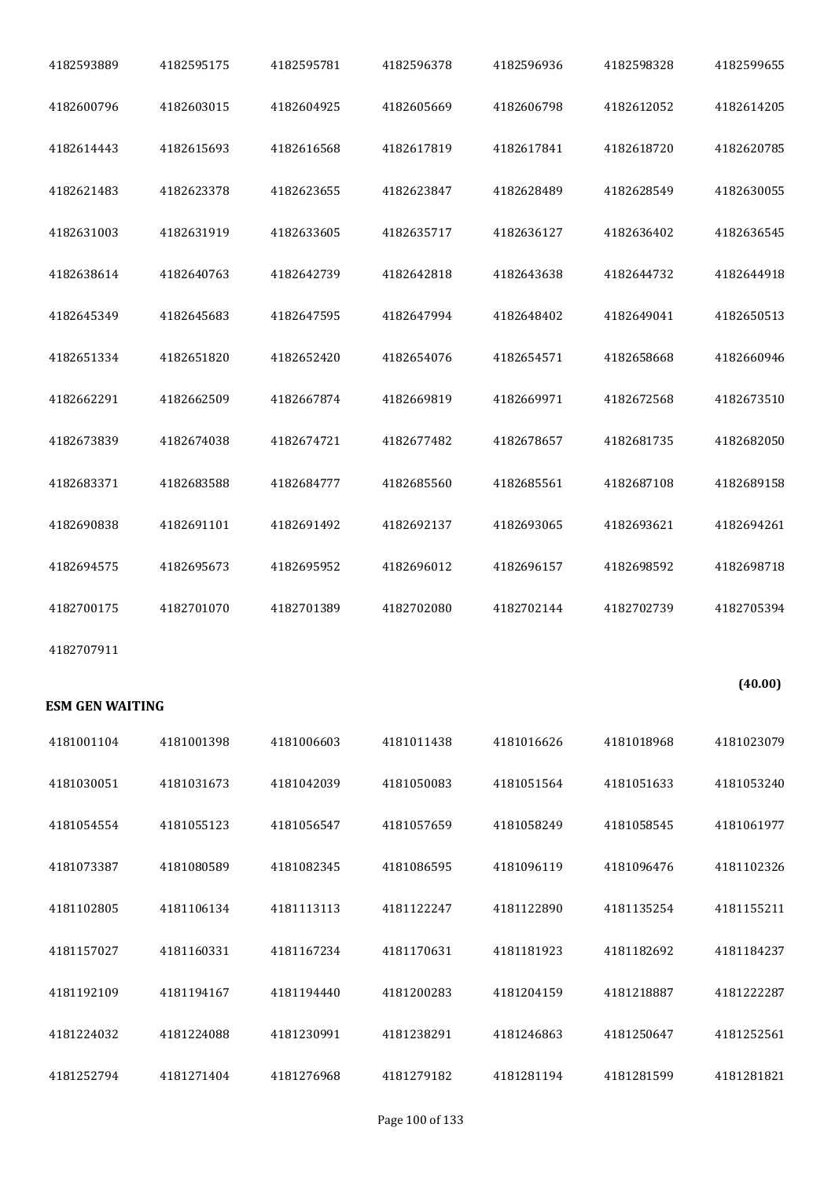| 4182593889             | 4182595175 | 4182595781 | 4182596378 | 4182596936 | 4182598328 | 4182599655 |
|------------------------|------------|------------|------------|------------|------------|------------|
| 4182600796             | 4182603015 | 4182604925 | 4182605669 | 4182606798 | 4182612052 | 4182614205 |
| 4182614443             | 4182615693 | 4182616568 | 4182617819 | 4182617841 | 4182618720 | 4182620785 |
| 4182621483             | 4182623378 | 4182623655 | 4182623847 | 4182628489 | 4182628549 | 4182630055 |
| 4182631003             | 4182631919 | 4182633605 | 4182635717 | 4182636127 | 4182636402 | 4182636545 |
| 4182638614             | 4182640763 | 4182642739 | 4182642818 | 4182643638 | 4182644732 | 4182644918 |
| 4182645349             | 4182645683 | 4182647595 | 4182647994 | 4182648402 | 4182649041 | 4182650513 |
| 4182651334             | 4182651820 | 4182652420 | 4182654076 | 4182654571 | 4182658668 | 4182660946 |
| 4182662291             | 4182662509 | 4182667874 | 4182669819 | 4182669971 | 4182672568 | 4182673510 |
| 4182673839             | 4182674038 | 4182674721 | 4182677482 | 4182678657 | 4182681735 | 4182682050 |
| 4182683371             | 4182683588 | 4182684777 | 4182685560 | 4182685561 | 4182687108 | 4182689158 |
| 4182690838             | 4182691101 | 4182691492 | 4182692137 | 4182693065 | 4182693621 | 4182694261 |
|                        |            |            |            |            |            |            |
| 4182694575             | 4182695673 | 4182695952 | 4182696012 | 4182696157 | 4182698592 | 4182698718 |
| 4182700175             | 4182701070 | 4182701389 | 4182702080 | 4182702144 | 4182702739 | 4182705394 |
| 4182707911             |            |            |            |            |            |            |
| <b>ESM GEN WAITING</b> |            |            |            |            |            | (40.00)    |
| 4181001104             | 4181001398 | 4181006603 | 4181011438 | 4181016626 | 4181018968 | 4181023079 |
| 4181030051             | 4181031673 | 4181042039 | 4181050083 | 4181051564 | 4181051633 | 4181053240 |
| 4181054554             | 4181055123 | 4181056547 | 4181057659 | 4181058249 | 4181058545 | 4181061977 |
| 4181073387             | 4181080589 | 4181082345 | 4181086595 | 4181096119 | 4181096476 | 4181102326 |
| 4181102805             | 4181106134 | 4181113113 | 4181122247 | 4181122890 | 4181135254 | 4181155211 |
| 4181157027             | 4181160331 | 4181167234 | 4181170631 | 4181181923 | 4181182692 | 4181184237 |
| 4181192109             | 4181194167 | 4181194440 | 4181200283 | 4181204159 | 4181218887 | 4181222287 |
| 4181224032             | 4181224088 | 4181230991 | 4181238291 | 4181246863 | 4181250647 | 4181252561 |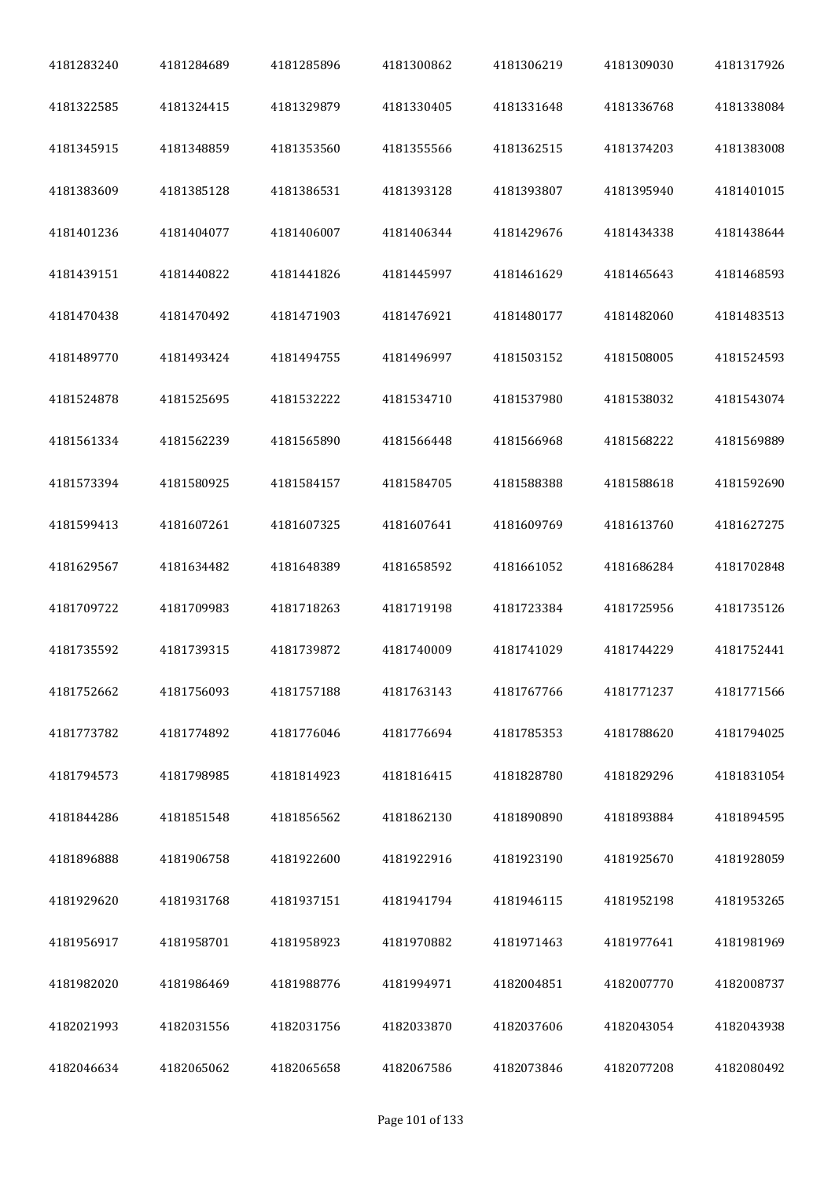| 4181283240 | 4181284689 | 4181285896 | 4181300862 | 4181306219 | 4181309030 | 4181317926 |
|------------|------------|------------|------------|------------|------------|------------|
| 4181322585 | 4181324415 | 4181329879 | 4181330405 | 4181331648 | 4181336768 | 4181338084 |
| 4181345915 | 4181348859 | 4181353560 | 4181355566 | 4181362515 | 4181374203 | 4181383008 |
| 4181383609 | 4181385128 | 4181386531 | 4181393128 | 4181393807 | 4181395940 | 4181401015 |
| 4181401236 | 4181404077 | 4181406007 | 4181406344 | 4181429676 | 4181434338 | 4181438644 |
| 4181439151 | 4181440822 | 4181441826 | 4181445997 | 4181461629 | 4181465643 | 4181468593 |
| 4181470438 | 4181470492 | 4181471903 | 4181476921 | 4181480177 | 4181482060 | 4181483513 |
| 4181489770 | 4181493424 | 4181494755 | 4181496997 | 4181503152 | 4181508005 | 4181524593 |
| 4181524878 | 4181525695 | 4181532222 | 4181534710 | 4181537980 | 4181538032 | 4181543074 |
| 4181561334 | 4181562239 | 4181565890 | 4181566448 | 4181566968 | 4181568222 | 4181569889 |
| 4181573394 | 4181580925 | 4181584157 | 4181584705 | 4181588388 | 4181588618 | 4181592690 |
| 4181599413 | 4181607261 | 4181607325 | 4181607641 | 4181609769 | 4181613760 | 4181627275 |
| 4181629567 | 4181634482 | 4181648389 | 4181658592 | 4181661052 | 4181686284 | 4181702848 |
| 4181709722 | 4181709983 | 4181718263 | 4181719198 | 4181723384 | 4181725956 | 4181735126 |
| 4181735592 | 4181739315 | 4181739872 | 4181740009 | 4181741029 | 4181744229 | 4181752441 |
| 4181752662 | 4181756093 | 4181757188 | 4181763143 | 4181767766 | 4181771237 | 4181771566 |
| 4181773782 | 4181774892 | 4181776046 | 4181776694 | 4181785353 | 4181788620 | 4181794025 |
| 4181794573 | 4181798985 | 4181814923 | 4181816415 | 4181828780 | 4181829296 | 4181831054 |
| 4181844286 | 4181851548 | 4181856562 | 4181862130 | 4181890890 | 4181893884 | 4181894595 |
| 4181896888 | 4181906758 | 4181922600 | 4181922916 | 4181923190 | 4181925670 | 4181928059 |
| 4181929620 | 4181931768 | 4181937151 | 4181941794 | 4181946115 | 4181952198 | 4181953265 |
| 4181956917 | 4181958701 | 4181958923 | 4181970882 | 4181971463 | 4181977641 | 4181981969 |
| 4181982020 | 4181986469 | 4181988776 | 4181994971 | 4182004851 | 4182007770 | 4182008737 |
| 4182021993 | 4182031556 | 4182031756 | 4182033870 | 4182037606 | 4182043054 | 4182043938 |
| 4182046634 | 4182065062 | 4182065658 | 4182067586 | 4182073846 | 4182077208 | 4182080492 |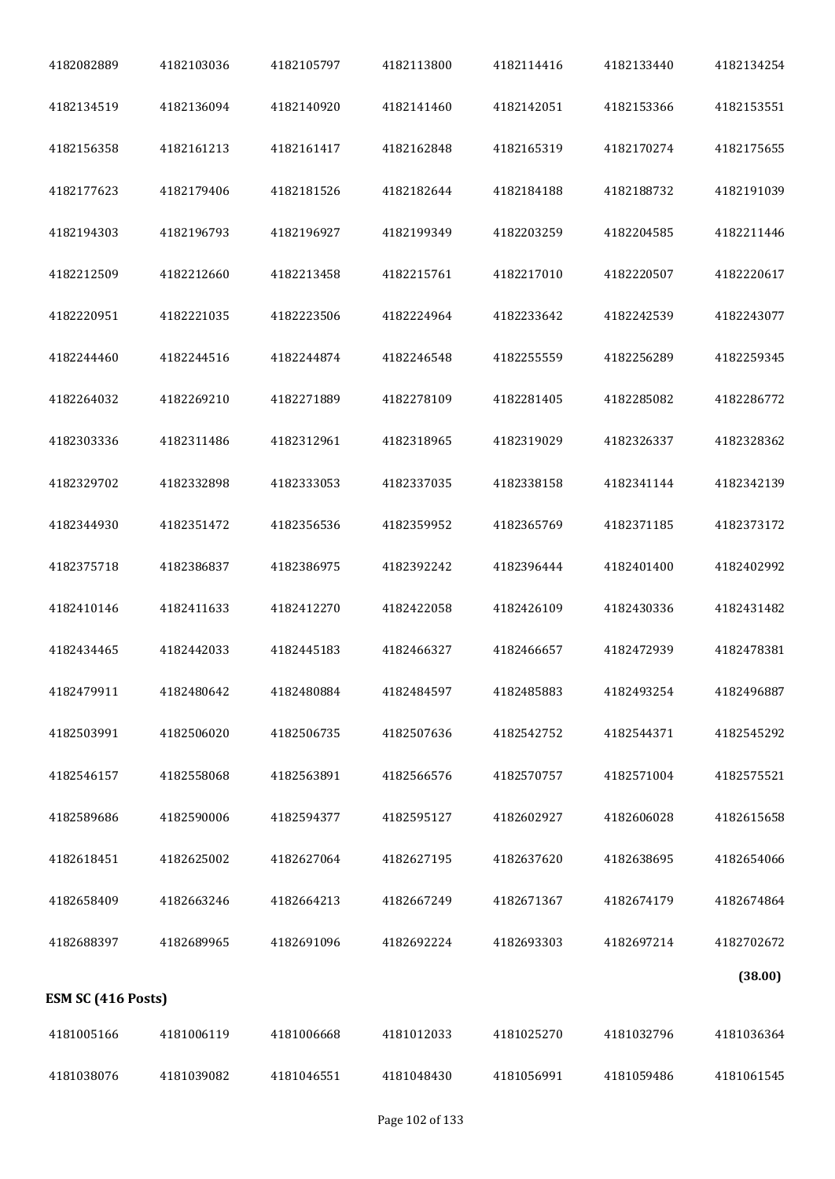| 4182082889         | 4182103036 | 4182105797 | 4182113800 | 4182114416 | 4182133440 | 4182134254 |
|--------------------|------------|------------|------------|------------|------------|------------|
| 4182134519         | 4182136094 | 4182140920 | 4182141460 | 4182142051 | 4182153366 | 4182153551 |
| 4182156358         | 4182161213 | 4182161417 | 4182162848 | 4182165319 | 4182170274 | 4182175655 |
| 4182177623         | 4182179406 | 4182181526 | 4182182644 | 4182184188 | 4182188732 | 4182191039 |
| 4182194303         | 4182196793 | 4182196927 | 4182199349 | 4182203259 | 4182204585 | 4182211446 |
| 4182212509         | 4182212660 | 4182213458 | 4182215761 | 4182217010 | 4182220507 | 4182220617 |
| 4182220951         | 4182221035 | 4182223506 | 4182224964 | 4182233642 | 4182242539 | 4182243077 |
| 4182244460         | 4182244516 | 4182244874 | 4182246548 | 4182255559 | 4182256289 | 4182259345 |
| 4182264032         | 4182269210 | 4182271889 | 4182278109 | 4182281405 | 4182285082 | 4182286772 |
| 4182303336         | 4182311486 | 4182312961 | 4182318965 | 4182319029 | 4182326337 | 4182328362 |
| 4182329702         | 4182332898 | 4182333053 | 4182337035 | 4182338158 | 4182341144 | 4182342139 |
| 4182344930         | 4182351472 | 4182356536 | 4182359952 | 4182365769 | 4182371185 | 4182373172 |
| 4182375718         | 4182386837 | 4182386975 | 4182392242 | 4182396444 | 4182401400 | 4182402992 |
| 4182410146         | 4182411633 | 4182412270 | 4182422058 | 4182426109 | 4182430336 | 4182431482 |
| 4182434465         | 4182442033 | 4182445183 | 4182466327 | 4182466657 | 4182472939 | 4182478381 |
| 4182479911         | 4182480642 | 4182480884 | 4182484597 | 4182485883 | 4182493254 | 4182496887 |
| 4182503991         | 4182506020 | 4182506735 | 4182507636 | 4182542752 | 4182544371 | 4182545292 |
| 4182546157         | 4182558068 | 4182563891 | 4182566576 | 4182570757 | 4182571004 | 4182575521 |
| 4182589686         | 4182590006 | 4182594377 | 4182595127 | 4182602927 | 4182606028 | 4182615658 |
| 4182618451         | 4182625002 | 4182627064 | 4182627195 | 4182637620 | 4182638695 | 4182654066 |
| 4182658409         | 4182663246 | 4182664213 | 4182667249 | 4182671367 | 4182674179 | 4182674864 |
| 4182688397         | 4182689965 | 4182691096 | 4182692224 | 4182693303 | 4182697214 | 4182702672 |
| ESM SC (416 Posts) |            |            |            |            |            | (38.00)    |
| 4181005166         | 4181006119 | 4181006668 | 4181012033 | 4181025270 | 4181032796 | 4181036364 |
| 4181038076         | 4181039082 | 4181046551 | 4181048430 | 4181056991 | 4181059486 | 4181061545 |
|                    |            |            |            |            |            |            |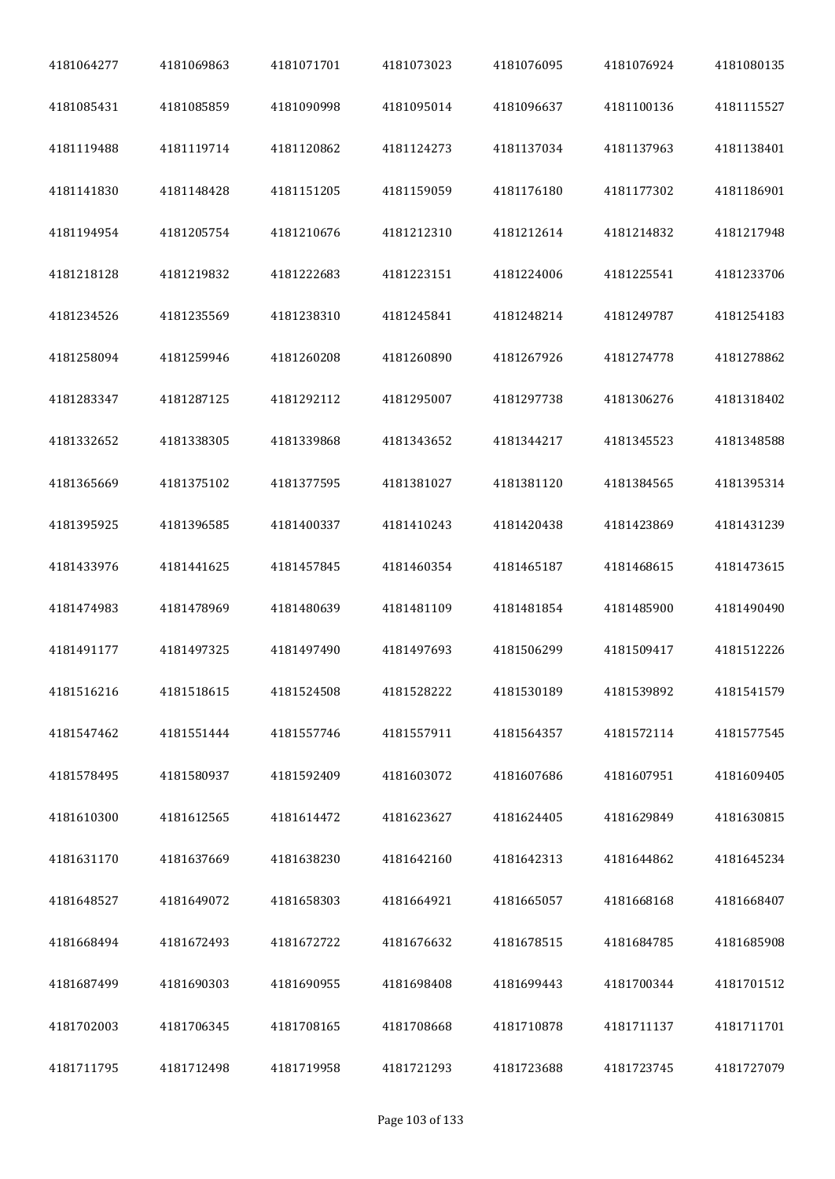| 4181064277 | 4181069863 | 4181071701 | 4181073023 | 4181076095 | 4181076924 | 4181080135 |
|------------|------------|------------|------------|------------|------------|------------|
| 4181085431 | 4181085859 | 4181090998 | 4181095014 | 4181096637 | 4181100136 | 4181115527 |
| 4181119488 | 4181119714 | 4181120862 | 4181124273 | 4181137034 | 4181137963 | 4181138401 |
| 4181141830 | 4181148428 | 4181151205 | 4181159059 | 4181176180 | 4181177302 | 4181186901 |
| 4181194954 | 4181205754 | 4181210676 | 4181212310 | 4181212614 | 4181214832 | 4181217948 |
| 4181218128 | 4181219832 | 4181222683 | 4181223151 | 4181224006 | 4181225541 | 4181233706 |
| 4181234526 | 4181235569 | 4181238310 | 4181245841 | 4181248214 | 4181249787 | 4181254183 |
| 4181258094 | 4181259946 | 4181260208 | 4181260890 | 4181267926 | 4181274778 | 4181278862 |
| 4181283347 | 4181287125 | 4181292112 | 4181295007 | 4181297738 | 4181306276 | 4181318402 |
| 4181332652 | 4181338305 | 4181339868 | 4181343652 | 4181344217 | 4181345523 | 4181348588 |
| 4181365669 | 4181375102 | 4181377595 | 4181381027 | 4181381120 | 4181384565 | 4181395314 |
| 4181395925 | 4181396585 | 4181400337 | 4181410243 | 4181420438 | 4181423869 | 4181431239 |
| 4181433976 | 4181441625 | 4181457845 | 4181460354 | 4181465187 | 4181468615 | 4181473615 |
| 4181474983 | 4181478969 | 4181480639 | 4181481109 | 4181481854 | 4181485900 | 4181490490 |
| 4181491177 | 4181497325 | 4181497490 | 4181497693 | 4181506299 | 4181509417 | 4181512226 |
| 4181516216 | 4181518615 | 4181524508 | 4181528222 | 4181530189 | 4181539892 | 4181541579 |
| 4181547462 | 4181551444 | 4181557746 | 4181557911 | 4181564357 | 4181572114 | 4181577545 |
| 4181578495 | 4181580937 | 4181592409 | 4181603072 | 4181607686 | 4181607951 | 4181609405 |
| 4181610300 | 4181612565 | 4181614472 | 4181623627 | 4181624405 | 4181629849 | 4181630815 |
| 4181631170 | 4181637669 | 4181638230 | 4181642160 | 4181642313 | 4181644862 | 4181645234 |
| 4181648527 | 4181649072 | 4181658303 | 4181664921 | 4181665057 | 4181668168 | 4181668407 |
| 4181668494 | 4181672493 | 4181672722 | 4181676632 | 4181678515 | 4181684785 | 4181685908 |
| 4181687499 | 4181690303 | 4181690955 | 4181698408 | 4181699443 | 4181700344 | 4181701512 |
| 4181702003 | 4181706345 | 4181708165 | 4181708668 | 4181710878 | 4181711137 | 4181711701 |
| 4181711795 | 4181712498 | 4181719958 | 4181721293 | 4181723688 | 4181723745 | 4181727079 |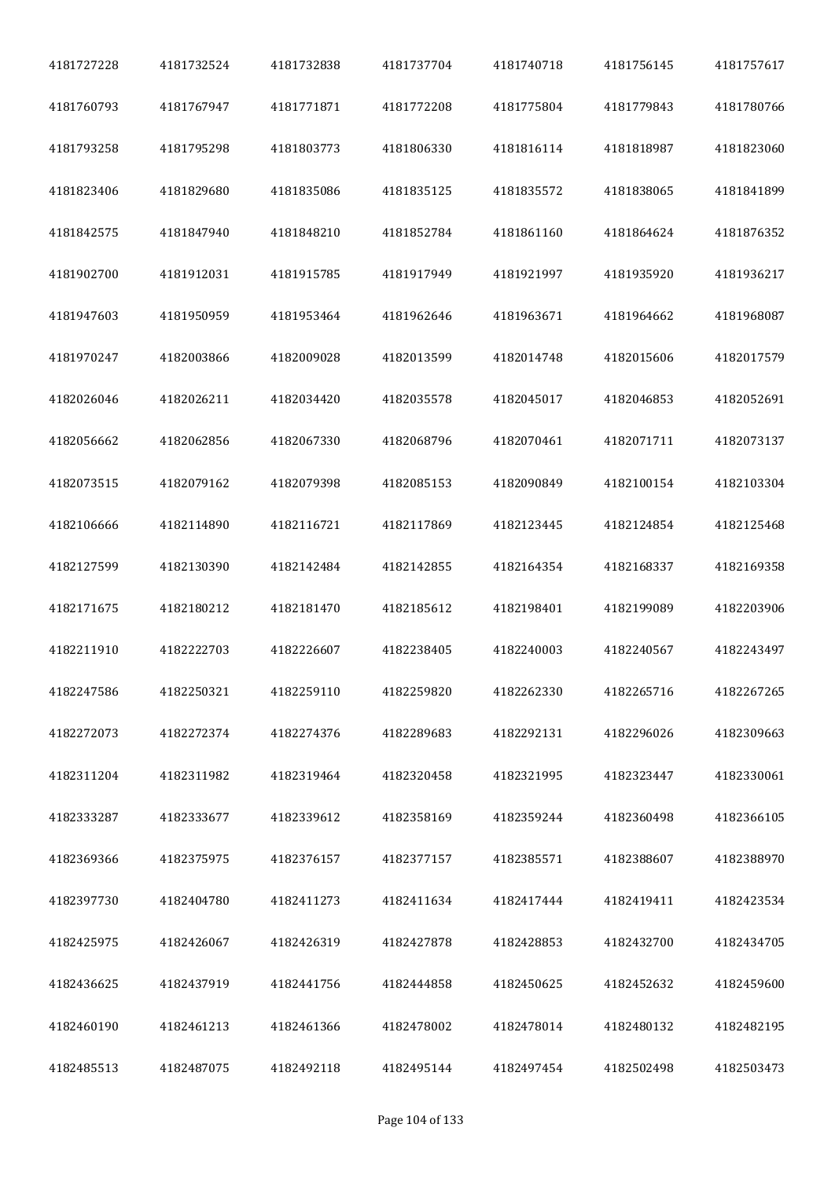| 4181727228 | 4181732524 | 4181732838 | 4181737704 | 4181740718 | 4181756145 | 4181757617 |
|------------|------------|------------|------------|------------|------------|------------|
| 4181760793 | 4181767947 | 4181771871 | 4181772208 | 4181775804 | 4181779843 | 4181780766 |
| 4181793258 | 4181795298 | 4181803773 | 4181806330 | 4181816114 | 4181818987 | 4181823060 |
| 4181823406 | 4181829680 | 4181835086 | 4181835125 | 4181835572 | 4181838065 | 4181841899 |
| 4181842575 | 4181847940 | 4181848210 | 4181852784 | 4181861160 | 4181864624 | 4181876352 |
| 4181902700 | 4181912031 | 4181915785 | 4181917949 | 4181921997 | 4181935920 | 4181936217 |
| 4181947603 | 4181950959 | 4181953464 | 4181962646 | 4181963671 | 4181964662 | 4181968087 |
| 4181970247 | 4182003866 | 4182009028 | 4182013599 | 4182014748 | 4182015606 | 4182017579 |
| 4182026046 | 4182026211 | 4182034420 | 4182035578 | 4182045017 | 4182046853 | 4182052691 |
| 4182056662 | 4182062856 | 4182067330 | 4182068796 | 4182070461 | 4182071711 | 4182073137 |
| 4182073515 | 4182079162 | 4182079398 | 4182085153 | 4182090849 | 4182100154 | 4182103304 |
| 4182106666 | 4182114890 | 4182116721 | 4182117869 | 4182123445 | 4182124854 | 4182125468 |
| 4182127599 | 4182130390 | 4182142484 | 4182142855 | 4182164354 | 4182168337 | 4182169358 |
| 4182171675 | 4182180212 | 4182181470 | 4182185612 | 4182198401 | 4182199089 | 4182203906 |
| 4182211910 | 4182222703 | 4182226607 | 4182238405 | 4182240003 | 4182240567 | 4182243497 |
| 4182247586 | 4182250321 | 4182259110 | 4182259820 | 4182262330 | 4182265716 | 4182267265 |
| 4182272073 | 4182272374 | 4182274376 | 4182289683 | 4182292131 | 4182296026 | 4182309663 |
| 4182311204 | 4182311982 | 4182319464 | 4182320458 | 4182321995 | 4182323447 | 4182330061 |
| 4182333287 | 4182333677 | 4182339612 | 4182358169 | 4182359244 | 4182360498 | 4182366105 |
| 4182369366 | 4182375975 | 4182376157 | 4182377157 | 4182385571 | 4182388607 | 4182388970 |
| 4182397730 | 4182404780 | 4182411273 | 4182411634 | 4182417444 | 4182419411 | 4182423534 |
| 4182425975 | 4182426067 | 4182426319 | 4182427878 | 4182428853 | 4182432700 | 4182434705 |
| 4182436625 | 4182437919 | 4182441756 | 4182444858 | 4182450625 | 4182452632 | 4182459600 |
| 4182460190 | 4182461213 | 4182461366 | 4182478002 | 4182478014 | 4182480132 | 4182482195 |
| 4182485513 | 4182487075 | 4182492118 | 4182495144 | 4182497454 | 4182502498 | 4182503473 |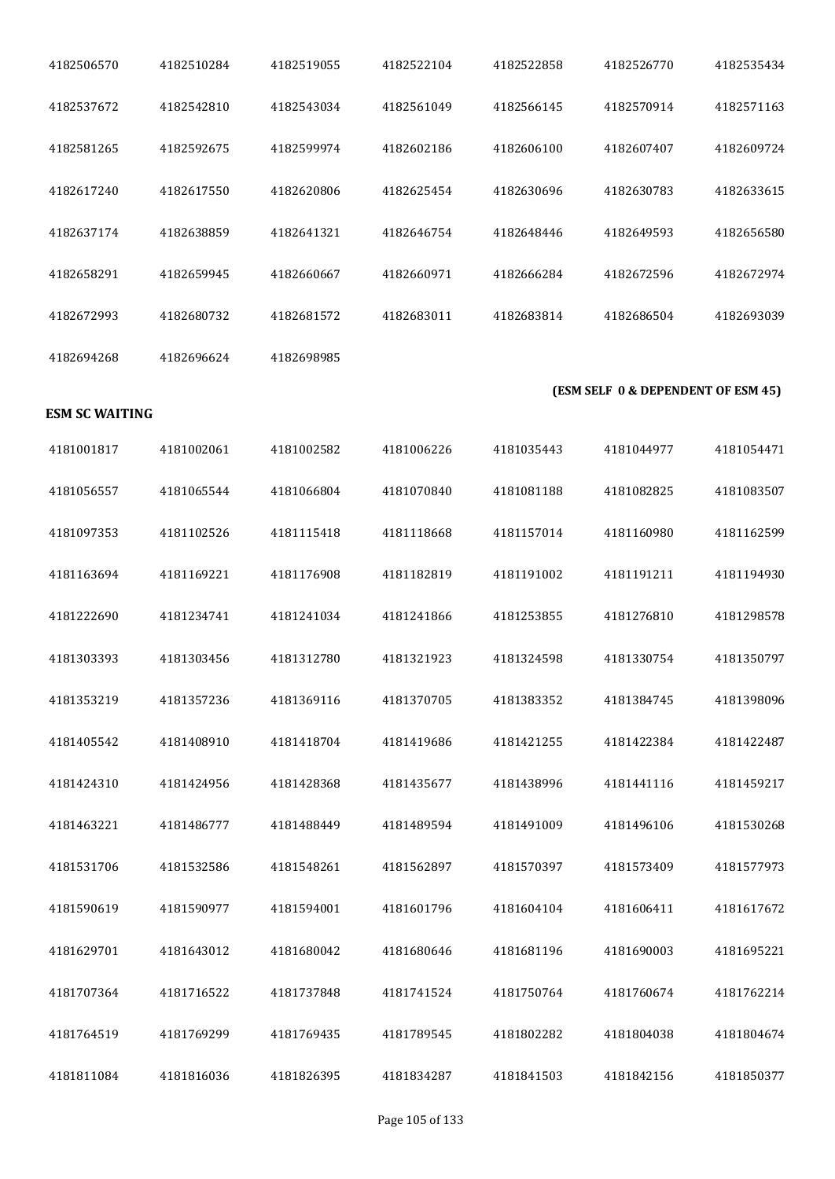| 4182506570            | 4182510284 | 4182519055 | 4182522104 | 4182522858 | 4182526770                         | 4182535434 |
|-----------------------|------------|------------|------------|------------|------------------------------------|------------|
| 4182537672            | 4182542810 | 4182543034 | 4182561049 | 4182566145 | 4182570914                         | 4182571163 |
| 4182581265            | 4182592675 | 4182599974 | 4182602186 | 4182606100 | 4182607407                         | 4182609724 |
| 4182617240            | 4182617550 | 4182620806 | 4182625454 | 4182630696 | 4182630783                         | 4182633615 |
| 4182637174            | 4182638859 | 4182641321 | 4182646754 | 4182648446 | 4182649593                         | 4182656580 |
| 4182658291            | 4182659945 | 4182660667 | 4182660971 | 4182666284 | 4182672596                         | 4182672974 |
| 4182672993            | 4182680732 | 4182681572 | 4182683011 | 4182683814 | 4182686504                         | 4182693039 |
| 4182694268            | 4182696624 | 4182698985 |            |            |                                    |            |
| <b>ESM SC WAITING</b> |            |            |            |            | (ESM SELF 0 & DEPENDENT OF ESM 45) |            |
| 4181001817            | 4181002061 | 4181002582 | 4181006226 | 4181035443 | 4181044977                         | 4181054471 |
| 4181056557            | 4181065544 | 4181066804 | 4181070840 | 4181081188 | 4181082825                         | 4181083507 |
| 4181097353            | 4181102526 | 4181115418 | 4181118668 | 4181157014 | 4181160980                         | 4181162599 |
| 4181163694            | 4181169221 | 4181176908 | 4181182819 | 4181191002 | 4181191211                         | 4181194930 |
| 4181222690            | 4181234741 | 4181241034 | 4181241866 | 4181253855 | 4181276810                         | 4181298578 |
| 4181303393            | 4181303456 | 4181312780 | 4181321923 | 4181324598 | 4181330754                         | 4181350797 |
| 4181353219            | 4181357236 | 4181369116 | 4181370705 | 4181383352 | 4181384745                         | 4181398096 |
| 4181405542            | 4181408910 | 4181418704 | 4181419686 | 4181421255 | 4181422384                         | 4181422487 |
| 4181424310            | 4181424956 | 4181428368 | 4181435677 | 4181438996 | 4181441116                         | 4181459217 |
| 4181463221            | 4181486777 | 4181488449 | 4181489594 | 4181491009 | 4181496106                         | 4181530268 |
| 4181531706            | 4181532586 | 4181548261 | 4181562897 | 4181570397 | 4181573409                         | 4181577973 |
| 4181590619            | 4181590977 | 4181594001 | 4181601796 | 4181604104 | 4181606411                         | 4181617672 |
| 4181629701            | 4181643012 | 4181680042 | 4181680646 | 4181681196 | 4181690003                         | 4181695221 |
| 4181707364            | 4181716522 | 4181737848 | 4181741524 | 4181750764 | 4181760674                         | 4181762214 |
| 4181764519            | 4181769299 | 4181769435 | 4181789545 | 4181802282 | 4181804038                         | 4181804674 |
| 4181811084            | 4181816036 | 4181826395 | 4181834287 | 4181841503 | 4181842156                         | 4181850377 |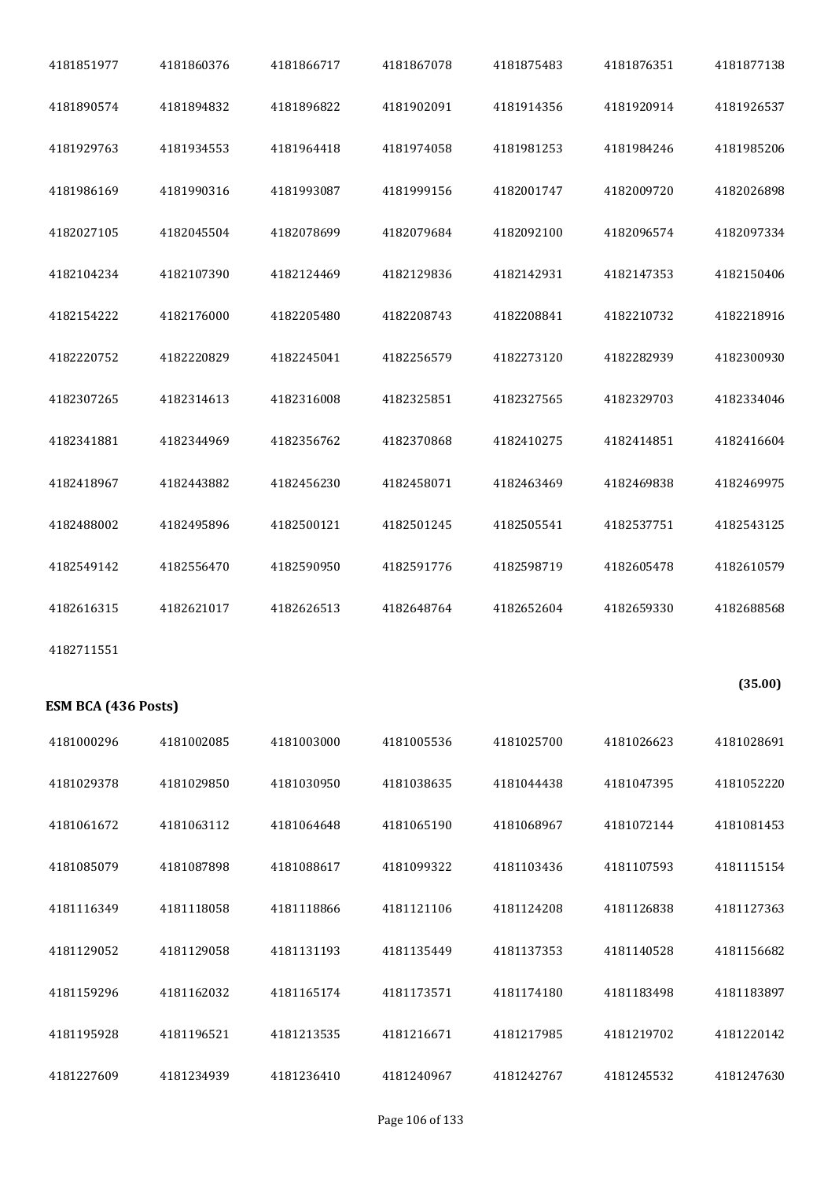| 4181851977          | 4181860376 | 4181866717 | 4181867078 | 4181875483 | 4181876351 | 4181877138 |
|---------------------|------------|------------|------------|------------|------------|------------|
| 4181890574          | 4181894832 | 4181896822 | 4181902091 | 4181914356 | 4181920914 | 4181926537 |
| 4181929763          | 4181934553 | 4181964418 | 4181974058 | 4181981253 | 4181984246 | 4181985206 |
| 4181986169          | 4181990316 | 4181993087 | 4181999156 | 4182001747 | 4182009720 | 4182026898 |
| 4182027105          | 4182045504 | 4182078699 | 4182079684 | 4182092100 | 4182096574 | 4182097334 |
| 4182104234          | 4182107390 | 4182124469 | 4182129836 | 4182142931 | 4182147353 | 4182150406 |
| 4182154222          | 4182176000 | 4182205480 | 4182208743 | 4182208841 | 4182210732 | 4182218916 |
| 4182220752          | 4182220829 | 4182245041 | 4182256579 | 4182273120 | 4182282939 | 4182300930 |
| 4182307265          | 4182314613 | 4182316008 | 4182325851 | 4182327565 | 4182329703 | 4182334046 |
| 4182341881          | 4182344969 | 4182356762 | 4182370868 | 4182410275 | 4182414851 | 4182416604 |
| 4182418967          | 4182443882 | 4182456230 | 4182458071 | 4182463469 | 4182469838 | 4182469975 |
| 4182488002          | 4182495896 | 4182500121 | 4182501245 | 4182505541 | 4182537751 | 4182543125 |
| 4182549142          | 4182556470 | 4182590950 | 4182591776 | 4182598719 | 4182605478 | 4182610579 |
| 4182616315          | 4182621017 | 4182626513 | 4182648764 | 4182652604 | 4182659330 | 4182688568 |
| 4182711551          |            |            |            |            |            |            |
| ESM BCA (436 Posts) |            |            |            |            |            | (35.00)    |
| 4181000296          | 4181002085 | 4181003000 | 4181005536 | 4181025700 | 4181026623 | 4181028691 |
| 4181029378          | 4181029850 | 4181030950 | 4181038635 | 4181044438 | 4181047395 | 4181052220 |
| 4181061672          | 4181063112 | 4181064648 | 4181065190 | 4181068967 | 4181072144 | 4181081453 |
| 4181085079          | 4181087898 | 4181088617 | 4181099322 | 4181103436 | 4181107593 | 4181115154 |
| 4181116349          | 4181118058 | 4181118866 | 4181121106 | 4181124208 | 4181126838 | 4181127363 |
| 4181129052          | 4181129058 | 4181131193 | 4181135449 | 4181137353 | 4181140528 | 4181156682 |
| 4181159296          | 4181162032 | 4181165174 | 4181173571 | 4181174180 | 4181183498 | 4181183897 |
| 4181195928          | 4181196521 | 4181213535 | 4181216671 | 4181217985 | 4181219702 | 4181220142 |
| 4181227609          |            |            |            |            |            |            |
|                     | 4181234939 | 4181236410 | 4181240967 | 4181242767 | 4181245532 | 4181247630 |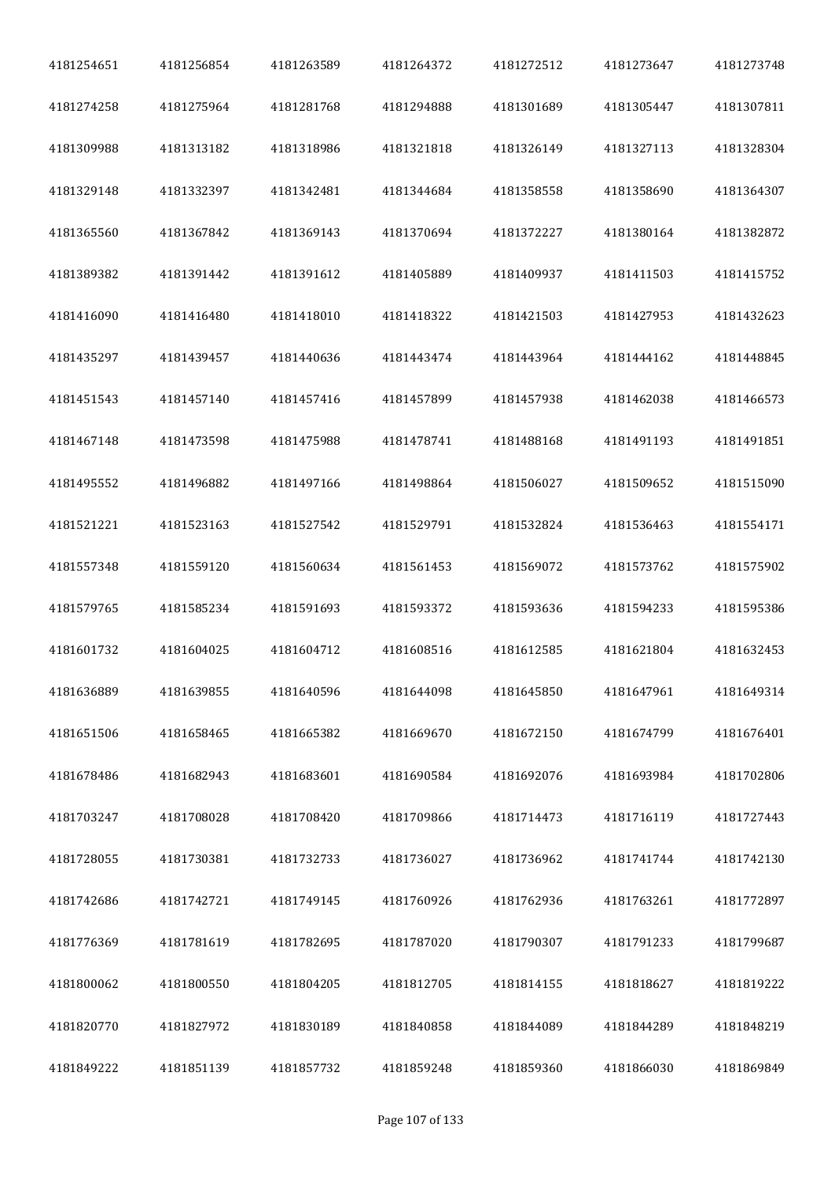| 4181254651 | 4181256854 | 4181263589 | 4181264372 | 4181272512 | 4181273647 | 4181273748 |
|------------|------------|------------|------------|------------|------------|------------|
| 4181274258 | 4181275964 | 4181281768 | 4181294888 | 4181301689 | 4181305447 | 4181307811 |
| 4181309988 | 4181313182 | 4181318986 | 4181321818 | 4181326149 | 4181327113 | 4181328304 |
| 4181329148 | 4181332397 | 4181342481 | 4181344684 | 4181358558 | 4181358690 | 4181364307 |
| 4181365560 | 4181367842 | 4181369143 | 4181370694 | 4181372227 | 4181380164 | 4181382872 |
| 4181389382 | 4181391442 | 4181391612 | 4181405889 | 4181409937 | 4181411503 | 4181415752 |
| 4181416090 | 4181416480 | 4181418010 | 4181418322 | 4181421503 | 4181427953 | 4181432623 |
| 4181435297 | 4181439457 | 4181440636 | 4181443474 | 4181443964 | 4181444162 | 4181448845 |
| 4181451543 | 4181457140 | 4181457416 | 4181457899 | 4181457938 | 4181462038 | 4181466573 |
| 4181467148 | 4181473598 | 4181475988 | 4181478741 | 4181488168 | 4181491193 | 4181491851 |
| 4181495552 | 4181496882 | 4181497166 | 4181498864 | 4181506027 | 4181509652 | 4181515090 |
| 4181521221 | 4181523163 | 4181527542 | 4181529791 | 4181532824 | 4181536463 | 4181554171 |
| 4181557348 | 4181559120 | 4181560634 | 4181561453 | 4181569072 | 4181573762 | 4181575902 |
| 4181579765 | 4181585234 | 4181591693 | 4181593372 | 4181593636 | 4181594233 | 4181595386 |
| 4181601732 | 4181604025 | 4181604712 | 4181608516 | 4181612585 | 4181621804 | 4181632453 |
| 4181636889 | 4181639855 | 4181640596 | 4181644098 | 4181645850 | 4181647961 | 4181649314 |
| 4181651506 | 4181658465 | 4181665382 | 4181669670 | 4181672150 | 4181674799 | 4181676401 |
| 4181678486 | 4181682943 | 4181683601 | 4181690584 | 4181692076 | 4181693984 | 4181702806 |
| 4181703247 | 4181708028 | 4181708420 | 4181709866 | 4181714473 | 4181716119 | 4181727443 |
| 4181728055 | 4181730381 | 4181732733 | 4181736027 | 4181736962 | 4181741744 | 4181742130 |
| 4181742686 | 4181742721 | 4181749145 | 4181760926 | 4181762936 | 4181763261 | 4181772897 |
| 4181776369 | 4181781619 | 4181782695 | 4181787020 | 4181790307 | 4181791233 | 4181799687 |
| 4181800062 | 4181800550 | 4181804205 | 4181812705 | 4181814155 | 4181818627 | 4181819222 |
| 4181820770 | 4181827972 | 4181830189 | 4181840858 | 4181844089 | 4181844289 | 4181848219 |
| 4181849222 | 4181851139 | 4181857732 | 4181859248 | 4181859360 | 4181866030 | 4181869849 |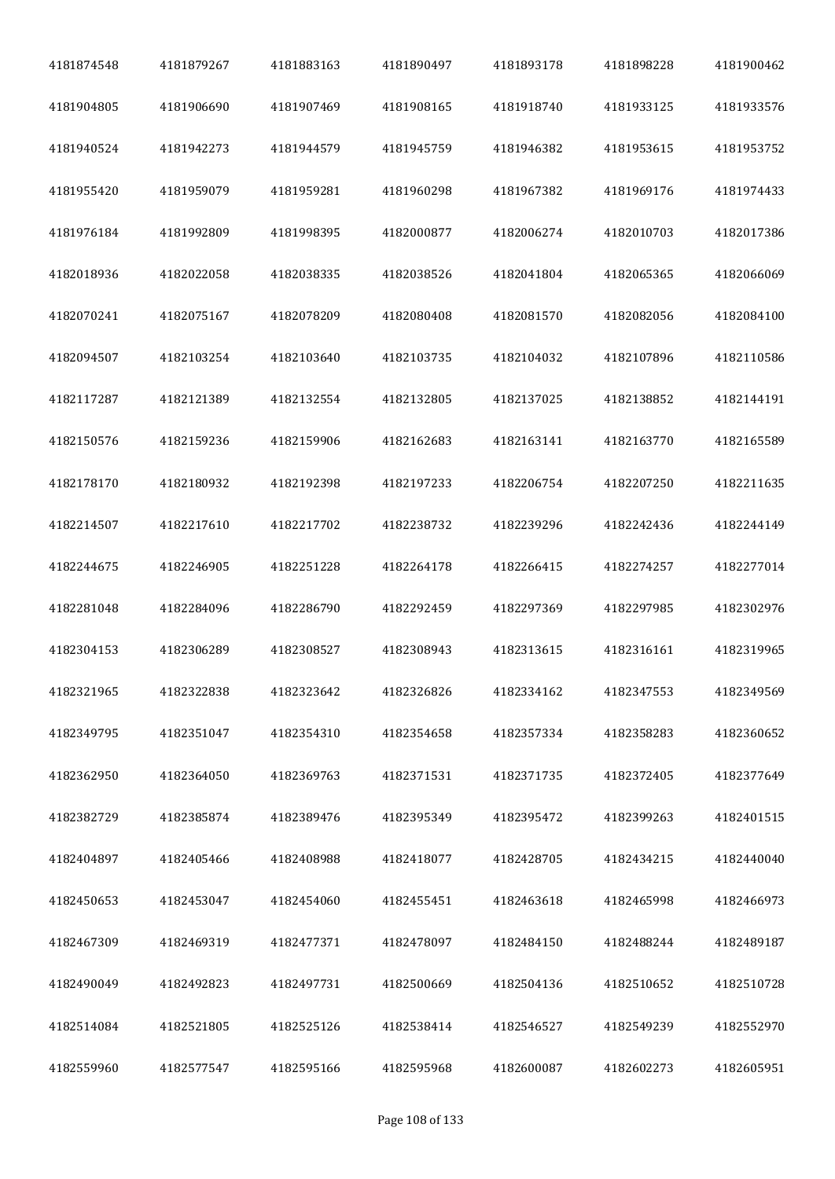| 4181874548 | 4181879267 | 4181883163 | 4181890497 | 4181893178 | 4181898228 | 4181900462 |
|------------|------------|------------|------------|------------|------------|------------|
| 4181904805 | 4181906690 | 4181907469 | 4181908165 | 4181918740 | 4181933125 | 4181933576 |
| 4181940524 | 4181942273 | 4181944579 | 4181945759 | 4181946382 | 4181953615 | 4181953752 |
| 4181955420 | 4181959079 | 4181959281 | 4181960298 | 4181967382 | 4181969176 | 4181974433 |
| 4181976184 | 4181992809 | 4181998395 | 4182000877 | 4182006274 | 4182010703 | 4182017386 |
| 4182018936 | 4182022058 | 4182038335 | 4182038526 | 4182041804 | 4182065365 | 4182066069 |
| 4182070241 | 4182075167 | 4182078209 | 4182080408 | 4182081570 | 4182082056 | 4182084100 |
| 4182094507 | 4182103254 | 4182103640 | 4182103735 | 4182104032 | 4182107896 | 4182110586 |
| 4182117287 | 4182121389 | 4182132554 | 4182132805 | 4182137025 | 4182138852 | 4182144191 |
| 4182150576 | 4182159236 | 4182159906 | 4182162683 | 4182163141 | 4182163770 | 4182165589 |
| 4182178170 | 4182180932 | 4182192398 | 4182197233 | 4182206754 | 4182207250 | 4182211635 |
| 4182214507 | 4182217610 | 4182217702 | 4182238732 | 4182239296 | 4182242436 | 4182244149 |
| 4182244675 | 4182246905 | 4182251228 | 4182264178 | 4182266415 | 4182274257 | 4182277014 |
| 4182281048 | 4182284096 | 4182286790 | 4182292459 | 4182297369 | 4182297985 | 4182302976 |
| 4182304153 | 4182306289 | 4182308527 | 4182308943 | 4182313615 | 4182316161 | 4182319965 |
| 4182321965 | 4182322838 | 4182323642 | 4182326826 | 4182334162 | 4182347553 | 4182349569 |
| 4182349795 | 4182351047 | 4182354310 | 4182354658 | 4182357334 | 4182358283 | 4182360652 |
| 4182362950 | 4182364050 | 4182369763 | 4182371531 | 4182371735 | 4182372405 | 4182377649 |
| 4182382729 | 4182385874 | 4182389476 | 4182395349 | 4182395472 | 4182399263 | 4182401515 |
| 4182404897 | 4182405466 | 4182408988 | 4182418077 | 4182428705 | 4182434215 | 4182440040 |
| 4182450653 | 4182453047 | 4182454060 | 4182455451 | 4182463618 | 4182465998 | 4182466973 |
| 4182467309 | 4182469319 | 4182477371 | 4182478097 | 4182484150 | 4182488244 | 4182489187 |
| 4182490049 | 4182492823 | 4182497731 | 4182500669 | 4182504136 | 4182510652 | 4182510728 |
| 4182514084 | 4182521805 | 4182525126 | 4182538414 | 4182546527 | 4182549239 | 4182552970 |
| 4182559960 | 4182577547 | 4182595166 | 4182595968 | 4182600087 | 4182602273 | 4182605951 |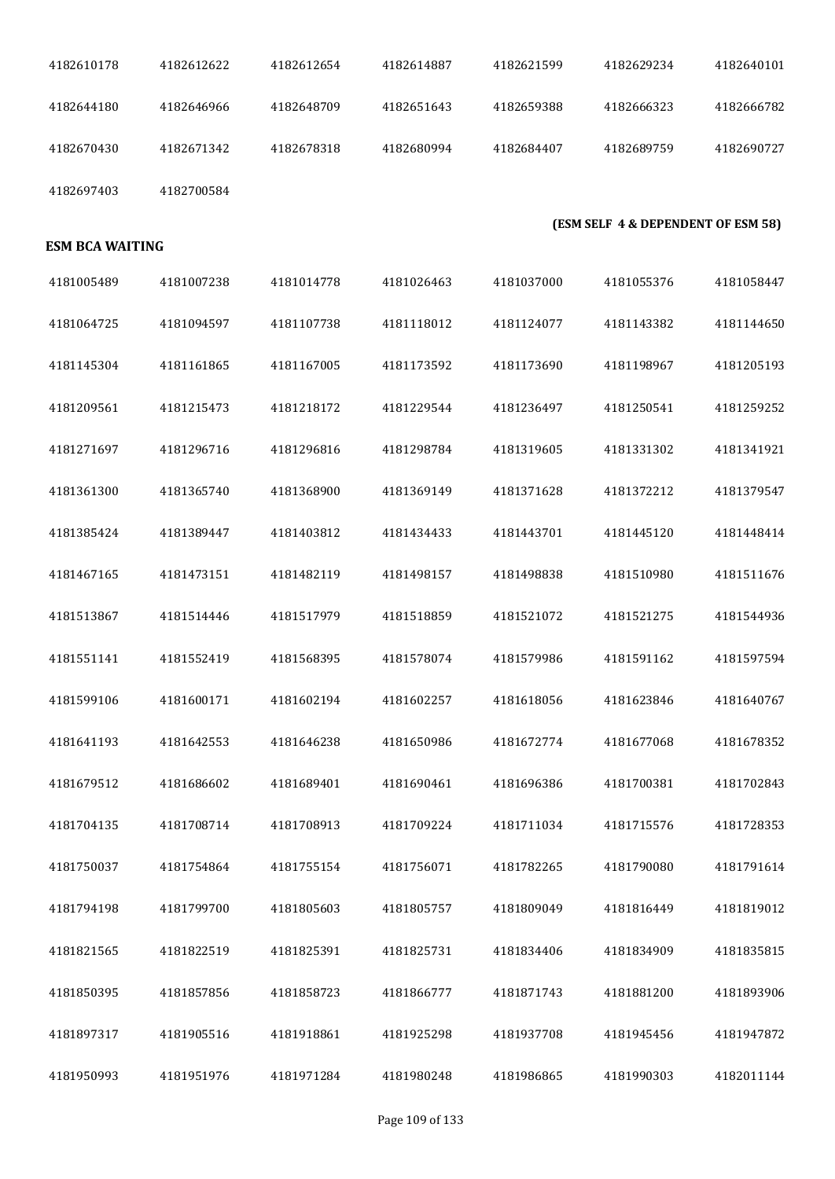| 4182610178             | 4182612622 | 4182612654 | 4182614887 | 4182621599 | 4182629234                         | 4182640101 |
|------------------------|------------|------------|------------|------------|------------------------------------|------------|
| 4182644180             | 4182646966 | 4182648709 | 4182651643 | 4182659388 | 4182666323                         | 4182666782 |
| 4182670430             | 4182671342 | 4182678318 | 4182680994 | 4182684407 | 4182689759                         | 4182690727 |
| 4182697403             | 4182700584 |            |            |            |                                    |            |
| <b>ESM BCA WAITING</b> |            |            |            |            | (ESM SELF 4 & DEPENDENT OF ESM 58) |            |
| 4181005489             | 4181007238 | 4181014778 | 4181026463 | 4181037000 | 4181055376                         | 4181058447 |
| 4181064725             | 4181094597 | 4181107738 | 4181118012 | 4181124077 | 4181143382                         | 4181144650 |
| 4181145304             | 4181161865 | 4181167005 | 4181173592 | 4181173690 | 4181198967                         | 4181205193 |
| 4181209561             | 4181215473 | 4181218172 | 4181229544 | 4181236497 | 4181250541                         | 4181259252 |
| 4181271697             | 4181296716 | 4181296816 | 4181298784 | 4181319605 | 4181331302                         | 4181341921 |
| 4181361300             | 4181365740 | 4181368900 | 4181369149 | 4181371628 | 4181372212                         | 4181379547 |
| 4181385424             | 4181389447 | 4181403812 | 4181434433 | 4181443701 | 4181445120                         | 4181448414 |
| 4181467165             | 4181473151 | 4181482119 | 4181498157 | 4181498838 | 4181510980                         | 4181511676 |
| 4181513867             | 4181514446 | 4181517979 | 4181518859 | 4181521072 | 4181521275                         | 4181544936 |
| 4181551141             | 4181552419 | 4181568395 | 4181578074 | 4181579986 | 4181591162                         | 4181597594 |
| 4181599106             | 4181600171 | 4181602194 | 4181602257 | 4181618056 | 4181623846                         | 4181640767 |
| 4181641193             | 4181642553 | 4181646238 | 4181650986 | 4181672774 | 4181677068                         | 4181678352 |
| 4181679512             | 4181686602 | 4181689401 | 4181690461 | 4181696386 | 4181700381                         | 4181702843 |
| 4181704135             | 4181708714 | 4181708913 | 4181709224 | 4181711034 | 4181715576                         | 4181728353 |
| 4181750037             | 4181754864 | 4181755154 | 4181756071 | 4181782265 | 4181790080                         | 4181791614 |
| 4181794198             | 4181799700 | 4181805603 | 4181805757 | 4181809049 | 4181816449                         | 4181819012 |
| 4181821565             | 4181822519 | 4181825391 | 4181825731 | 4181834406 | 4181834909                         | 4181835815 |
| 4181850395             | 4181857856 | 4181858723 | 4181866777 | 4181871743 | 4181881200                         | 4181893906 |
| 4181897317             | 4181905516 | 4181918861 | 4181925298 | 4181937708 | 4181945456                         | 4181947872 |
| 4181950993             | 4181951976 | 4181971284 | 4181980248 | 4181986865 | 4181990303                         | 4182011144 |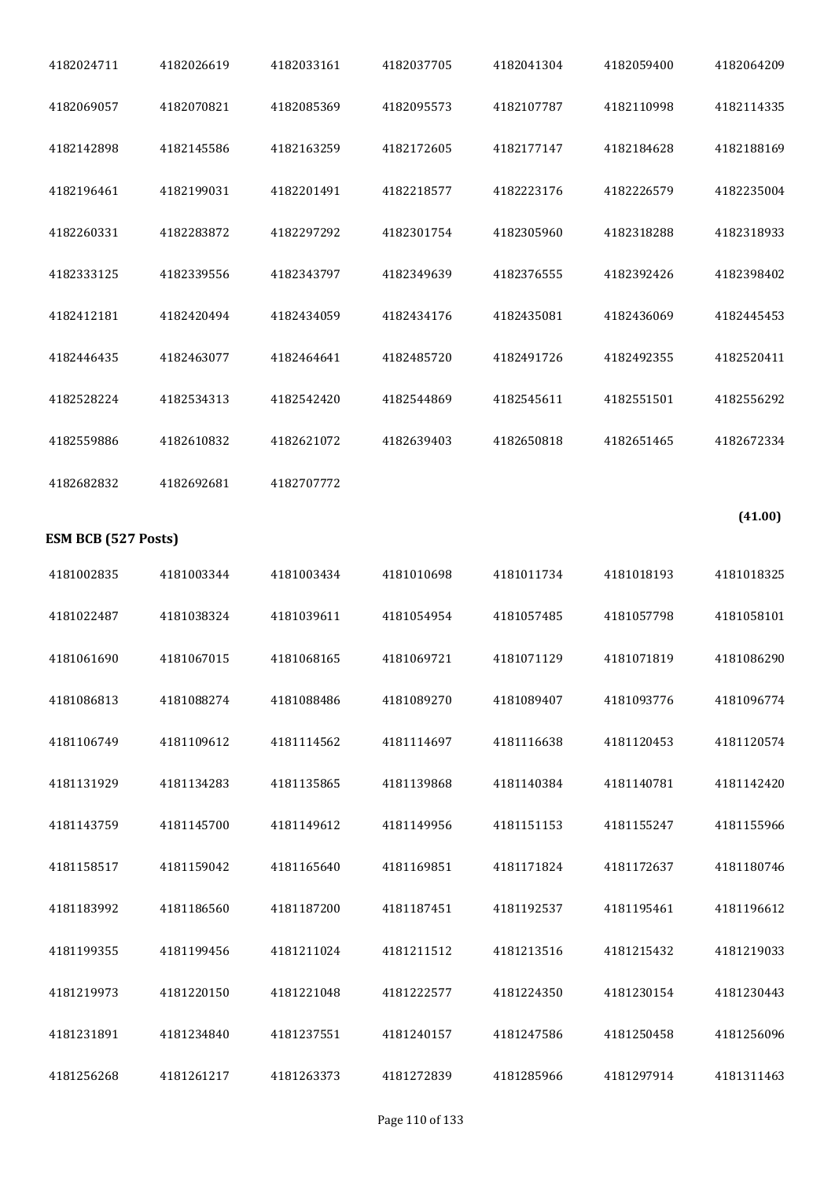| 4182024711                 | 4182026619 | 4182033161 | 4182037705 | 4182041304 | 4182059400 | 4182064209 |
|----------------------------|------------|------------|------------|------------|------------|------------|
| 4182069057                 | 4182070821 | 4182085369 | 4182095573 | 4182107787 | 4182110998 | 4182114335 |
| 4182142898                 | 4182145586 | 4182163259 | 4182172605 | 4182177147 | 4182184628 | 4182188169 |
| 4182196461                 | 4182199031 | 4182201491 | 4182218577 | 4182223176 | 4182226579 | 4182235004 |
| 4182260331                 | 4182283872 | 4182297292 | 4182301754 | 4182305960 | 4182318288 | 4182318933 |
| 4182333125                 | 4182339556 | 4182343797 | 4182349639 | 4182376555 | 4182392426 | 4182398402 |
| 4182412181                 | 4182420494 | 4182434059 | 4182434176 | 4182435081 | 4182436069 | 4182445453 |
| 4182446435                 | 4182463077 | 4182464641 | 4182485720 | 4182491726 | 4182492355 | 4182520411 |
| 4182528224                 | 4182534313 | 4182542420 | 4182544869 | 4182545611 | 4182551501 | 4182556292 |
| 4182559886                 | 4182610832 | 4182621072 | 4182639403 | 4182650818 | 4182651465 | 4182672334 |
| 4182682832                 | 4182692681 | 4182707772 |            |            |            |            |
| <b>ESM BCB (527 Posts)</b> |            |            |            |            |            | (41.00)    |
|                            |            |            |            |            |            |            |
| 4181002835                 | 4181003344 | 4181003434 | 4181010698 | 4181011734 | 4181018193 | 4181018325 |
| 4181022487                 | 4181038324 | 4181039611 | 4181054954 | 4181057485 | 4181057798 | 4181058101 |
| 4181061690                 | 4181067015 | 4181068165 | 4181069721 | 4181071129 | 4181071819 | 4181086290 |
| 4181086813                 | 4181088274 | 4181088486 | 4181089270 | 4181089407 | 4181093776 | 4181096774 |
| 4181106749                 | 4181109612 | 4181114562 | 4181114697 | 4181116638 | 4181120453 | 4181120574 |
| 4181131929                 | 4181134283 | 4181135865 | 4181139868 | 4181140384 | 4181140781 | 4181142420 |
| 4181143759                 | 4181145700 | 4181149612 | 4181149956 | 4181151153 | 4181155247 | 4181155966 |
| 4181158517                 | 4181159042 | 4181165640 | 4181169851 | 4181171824 | 4181172637 | 4181180746 |
| 4181183992                 | 4181186560 | 4181187200 | 4181187451 | 4181192537 | 4181195461 | 4181196612 |
| 4181199355                 | 4181199456 | 4181211024 | 4181211512 | 4181213516 | 4181215432 | 4181219033 |
| 4181219973                 | 4181220150 | 4181221048 | 4181222577 | 4181224350 | 4181230154 | 4181230443 |
| 4181231891                 | 4181234840 | 4181237551 | 4181240157 | 4181247586 | 4181250458 | 4181256096 |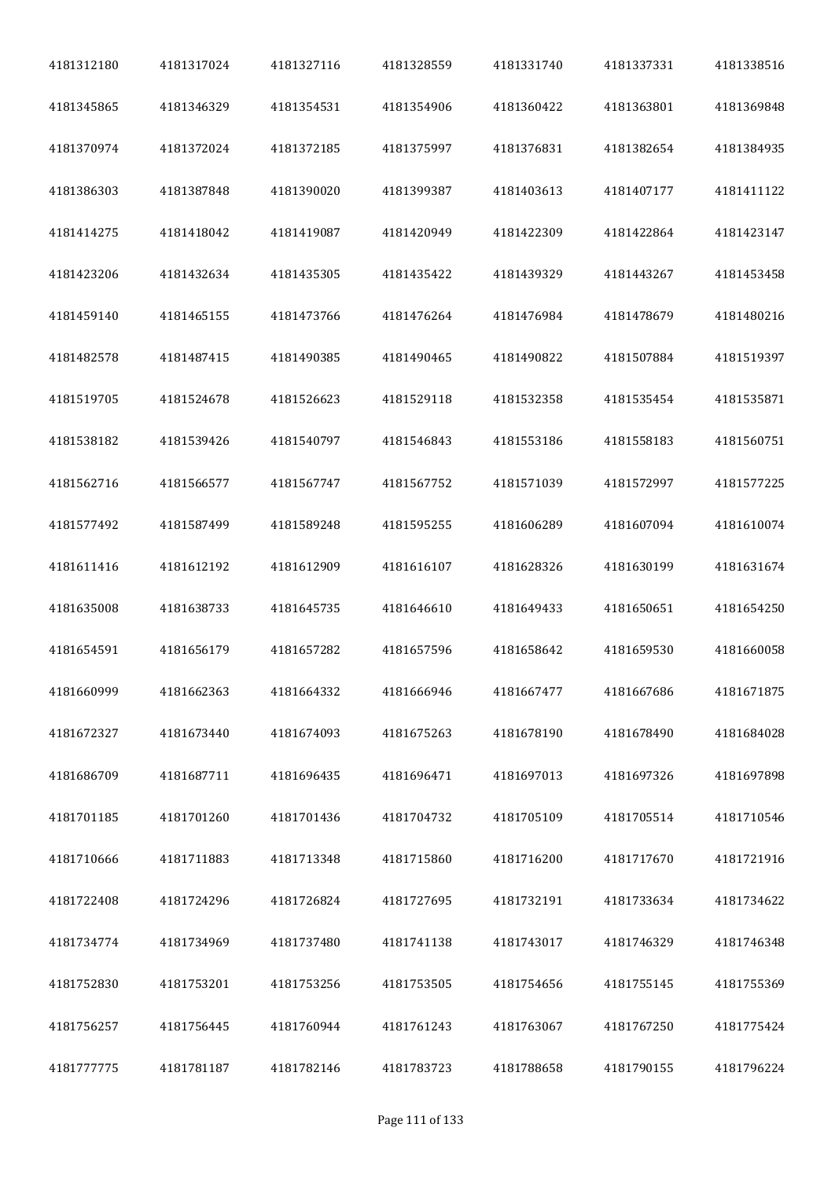| 4181312180 | 4181317024 | 4181327116 | 4181328559 | 4181331740 | 4181337331 | 4181338516 |
|------------|------------|------------|------------|------------|------------|------------|
| 4181345865 | 4181346329 | 4181354531 | 4181354906 | 4181360422 | 4181363801 | 4181369848 |
| 4181370974 | 4181372024 | 4181372185 | 4181375997 | 4181376831 | 4181382654 | 4181384935 |
| 4181386303 | 4181387848 | 4181390020 | 4181399387 | 4181403613 | 4181407177 | 4181411122 |
| 4181414275 | 4181418042 | 4181419087 | 4181420949 | 4181422309 | 4181422864 | 4181423147 |
| 4181423206 | 4181432634 | 4181435305 | 4181435422 | 4181439329 | 4181443267 | 4181453458 |
| 4181459140 | 4181465155 | 4181473766 | 4181476264 | 4181476984 | 4181478679 | 4181480216 |
| 4181482578 | 4181487415 | 4181490385 | 4181490465 | 4181490822 | 4181507884 | 4181519397 |
| 4181519705 | 4181524678 | 4181526623 | 4181529118 | 4181532358 | 4181535454 | 4181535871 |
| 4181538182 | 4181539426 | 4181540797 | 4181546843 | 4181553186 | 4181558183 | 4181560751 |
| 4181562716 | 4181566577 | 4181567747 | 4181567752 | 4181571039 | 4181572997 | 4181577225 |
| 4181577492 | 4181587499 | 4181589248 | 4181595255 | 4181606289 | 4181607094 | 4181610074 |
| 4181611416 | 4181612192 | 4181612909 | 4181616107 | 4181628326 | 4181630199 | 4181631674 |
| 4181635008 | 4181638733 | 4181645735 | 4181646610 | 4181649433 | 4181650651 | 4181654250 |
| 4181654591 | 4181656179 | 4181657282 | 4181657596 | 4181658642 | 4181659530 | 4181660058 |
| 4181660999 | 4181662363 | 4181664332 | 4181666946 | 4181667477 | 4181667686 | 4181671875 |
| 4181672327 | 4181673440 | 4181674093 | 4181675263 | 4181678190 | 4181678490 | 4181684028 |
| 4181686709 | 4181687711 | 4181696435 | 4181696471 | 4181697013 | 4181697326 | 4181697898 |
| 4181701185 | 4181701260 | 4181701436 | 4181704732 | 4181705109 | 4181705514 | 4181710546 |
| 4181710666 | 4181711883 | 4181713348 | 4181715860 | 4181716200 | 4181717670 | 4181721916 |
| 4181722408 | 4181724296 | 4181726824 | 4181727695 | 4181732191 | 4181733634 | 4181734622 |
| 4181734774 | 4181734969 | 4181737480 | 4181741138 | 4181743017 | 4181746329 | 4181746348 |
| 4181752830 | 4181753201 | 4181753256 | 4181753505 | 4181754656 | 4181755145 | 4181755369 |
| 4181756257 | 4181756445 | 4181760944 | 4181761243 | 4181763067 | 4181767250 | 4181775424 |
| 4181777775 | 4181781187 | 4181782146 | 4181783723 | 4181788658 | 4181790155 | 4181796224 |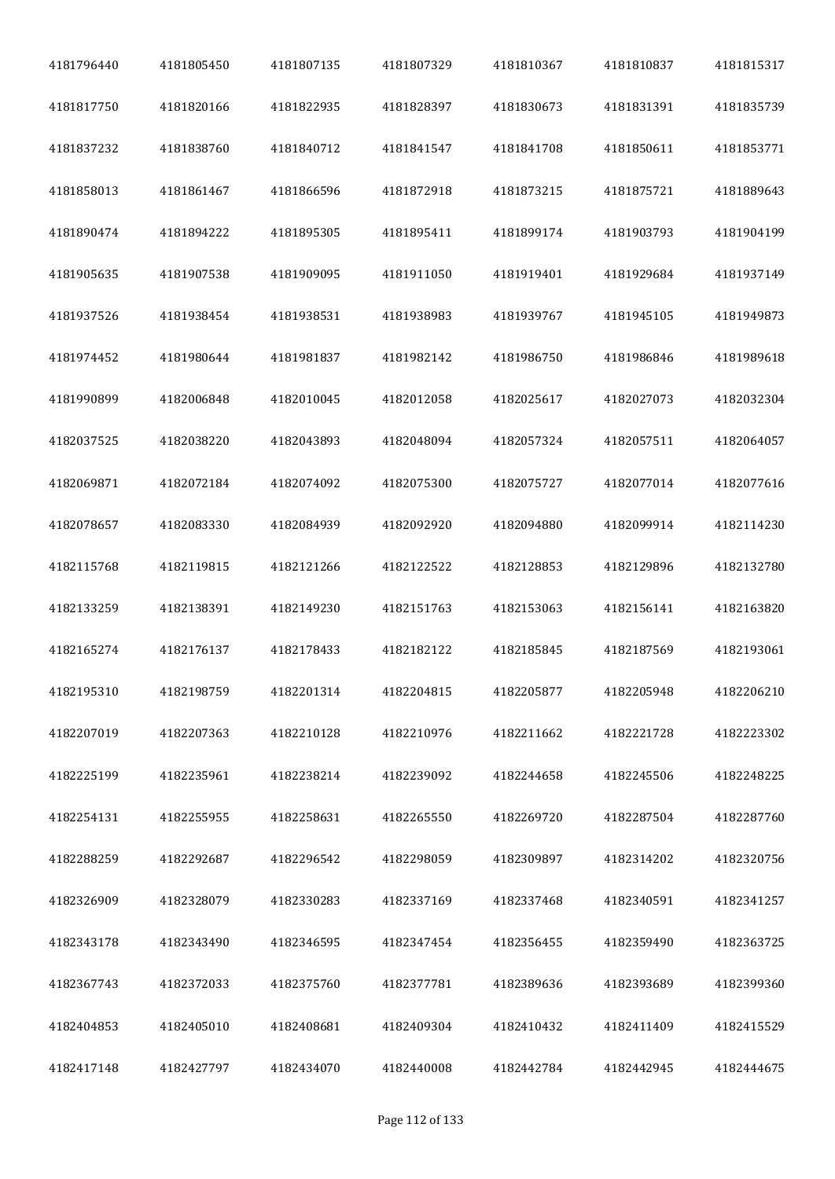| 4181796440 | 4181805450 | 4181807135 | 4181807329 | 4181810367 | 4181810837 | 4181815317 |
|------------|------------|------------|------------|------------|------------|------------|
| 4181817750 | 4181820166 | 4181822935 | 4181828397 | 4181830673 | 4181831391 | 4181835739 |
| 4181837232 | 4181838760 | 4181840712 | 4181841547 | 4181841708 | 4181850611 | 4181853771 |
| 4181858013 | 4181861467 | 4181866596 | 4181872918 | 4181873215 | 4181875721 | 4181889643 |
| 4181890474 | 4181894222 | 4181895305 | 4181895411 | 4181899174 | 4181903793 | 4181904199 |
| 4181905635 | 4181907538 | 4181909095 | 4181911050 | 4181919401 | 4181929684 | 4181937149 |
| 4181937526 | 4181938454 | 4181938531 | 4181938983 | 4181939767 | 4181945105 | 4181949873 |
| 4181974452 | 4181980644 | 4181981837 | 4181982142 | 4181986750 | 4181986846 | 4181989618 |
| 4181990899 | 4182006848 | 4182010045 | 4182012058 | 4182025617 | 4182027073 | 4182032304 |
| 4182037525 | 4182038220 | 4182043893 | 4182048094 | 4182057324 | 4182057511 | 4182064057 |
| 4182069871 | 4182072184 | 4182074092 | 4182075300 | 4182075727 | 4182077014 | 4182077616 |
| 4182078657 | 4182083330 | 4182084939 | 4182092920 | 4182094880 | 4182099914 | 4182114230 |
| 4182115768 | 4182119815 | 4182121266 | 4182122522 | 4182128853 | 4182129896 | 4182132780 |
| 4182133259 | 4182138391 | 4182149230 | 4182151763 | 4182153063 | 4182156141 | 4182163820 |
| 4182165274 | 4182176137 | 4182178433 | 4182182122 | 4182185845 | 4182187569 | 4182193061 |
| 4182195310 | 4182198759 | 4182201314 | 4182204815 | 4182205877 | 4182205948 | 4182206210 |
| 4182207019 | 4182207363 | 4182210128 | 4182210976 | 4182211662 | 4182221728 | 4182223302 |
| 4182225199 | 4182235961 | 4182238214 | 4182239092 | 4182244658 | 4182245506 | 4182248225 |
| 4182254131 | 4182255955 | 4182258631 | 4182265550 | 4182269720 | 4182287504 | 4182287760 |
| 4182288259 | 4182292687 | 4182296542 | 4182298059 | 4182309897 | 4182314202 | 4182320756 |
| 4182326909 | 4182328079 | 4182330283 | 4182337169 | 4182337468 | 4182340591 | 4182341257 |
| 4182343178 | 4182343490 | 4182346595 | 4182347454 | 4182356455 | 4182359490 | 4182363725 |
| 4182367743 | 4182372033 | 4182375760 | 4182377781 | 4182389636 | 4182393689 | 4182399360 |
| 4182404853 | 4182405010 | 4182408681 | 4182409304 | 4182410432 | 4182411409 | 4182415529 |
| 4182417148 | 4182427797 | 4182434070 | 4182440008 | 4182442784 | 4182442945 | 4182444675 |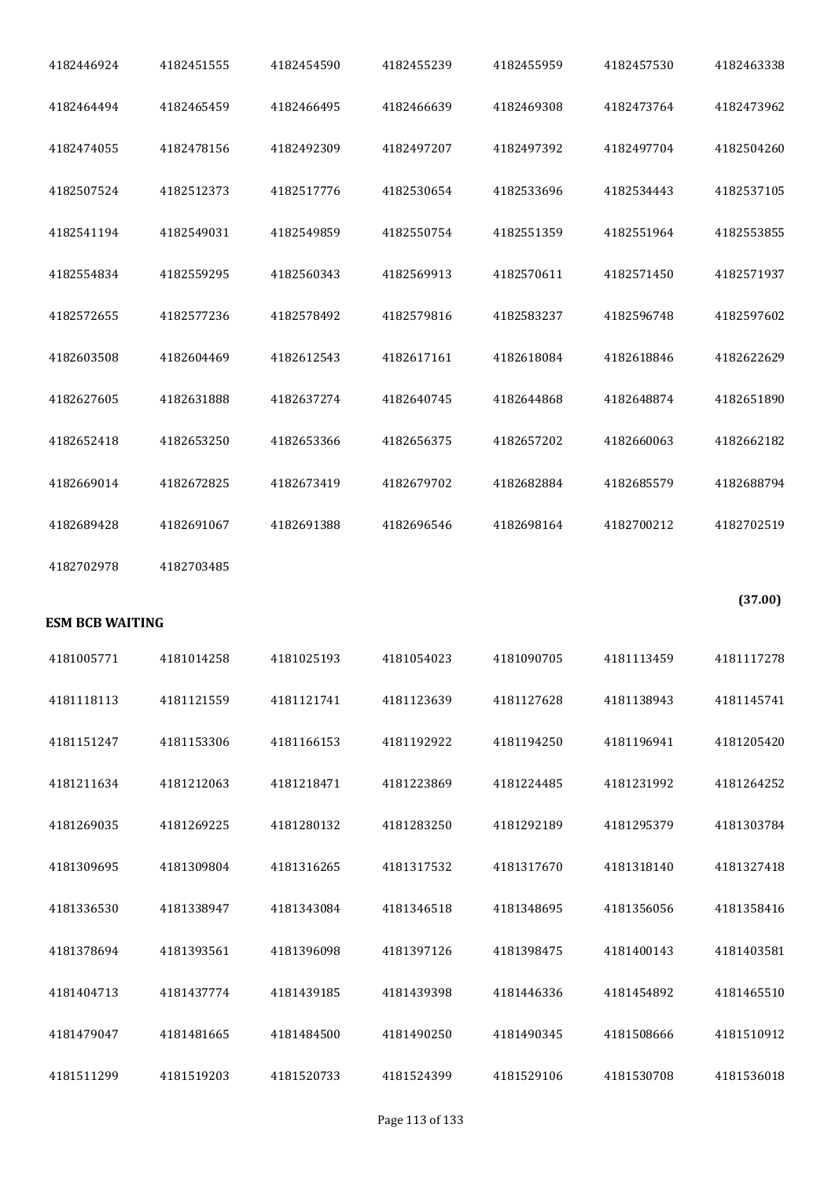| 4182446924             | 4182451555 | 4182454590 | 4182455239 | 4182455959 | 4182457530 | 4182463338 |
|------------------------|------------|------------|------------|------------|------------|------------|
| 4182464494             | 4182465459 | 4182466495 | 4182466639 | 4182469308 | 4182473764 | 4182473962 |
| 4182474055             | 4182478156 | 4182492309 | 4182497207 | 4182497392 | 4182497704 | 4182504260 |
| 4182507524             | 4182512373 | 4182517776 | 4182530654 | 4182533696 | 4182534443 | 4182537105 |
| 4182541194             | 4182549031 | 4182549859 | 4182550754 | 4182551359 | 4182551964 | 4182553855 |
| 4182554834             | 4182559295 | 4182560343 | 4182569913 | 4182570611 | 4182571450 | 4182571937 |
| 4182572655             | 4182577236 | 4182578492 | 4182579816 | 4182583237 | 4182596748 | 4182597602 |
| 4182603508             | 4182604469 | 4182612543 | 4182617161 | 4182618084 | 4182618846 | 4182622629 |
| 4182627605             | 4182631888 | 4182637274 | 4182640745 | 4182644868 | 4182648874 | 4182651890 |
| 4182652418             | 4182653250 | 4182653366 | 4182656375 | 4182657202 | 4182660063 | 4182662182 |
| 4182669014             | 4182672825 | 4182673419 | 4182679702 | 4182682884 | 4182685579 | 4182688794 |
| 4182689428             | 4182691067 | 4182691388 | 4182696546 | 4182698164 | 4182700212 | 4182702519 |
| 4182702978             | 4182703485 |            |            |            |            |            |
|                        |            |            |            |            |            |            |
| <b>ESM BCB WAITING</b> |            |            |            |            |            | (37.00)    |
| 4181005771             | 4181014258 | 4181025193 | 4181054023 | 4181090705 | 4181113459 | 4181117278 |
| 4181118113             | 4181121559 | 4181121741 | 4181123639 | 4181127628 | 4181138943 | 4181145741 |
| 4181151247             | 4181153306 | 4181166153 | 4181192922 | 4181194250 | 4181196941 | 4181205420 |
| 4181211634             | 4181212063 | 4181218471 | 4181223869 | 4181224485 | 4181231992 | 4181264252 |
| 4181269035             | 4181269225 | 4181280132 | 4181283250 | 4181292189 | 4181295379 | 4181303784 |
| 4181309695             | 4181309804 | 4181316265 | 4181317532 | 4181317670 | 4181318140 | 4181327418 |
| 4181336530             | 4181338947 | 4181343084 | 4181346518 | 4181348695 | 4181356056 | 4181358416 |
| 4181378694             | 4181393561 | 4181396098 | 4181397126 | 4181398475 | 4181400143 | 4181403581 |
| 4181404713             | 4181437774 | 4181439185 | 4181439398 | 4181446336 | 4181454892 | 4181465510 |
| 4181479047             | 4181481665 | 4181484500 | 4181490250 | 4181490345 | 4181508666 | 4181510912 |
| 4181511299             | 4181519203 | 4181520733 | 4181524399 | 4181529106 | 4181530708 | 4181536018 |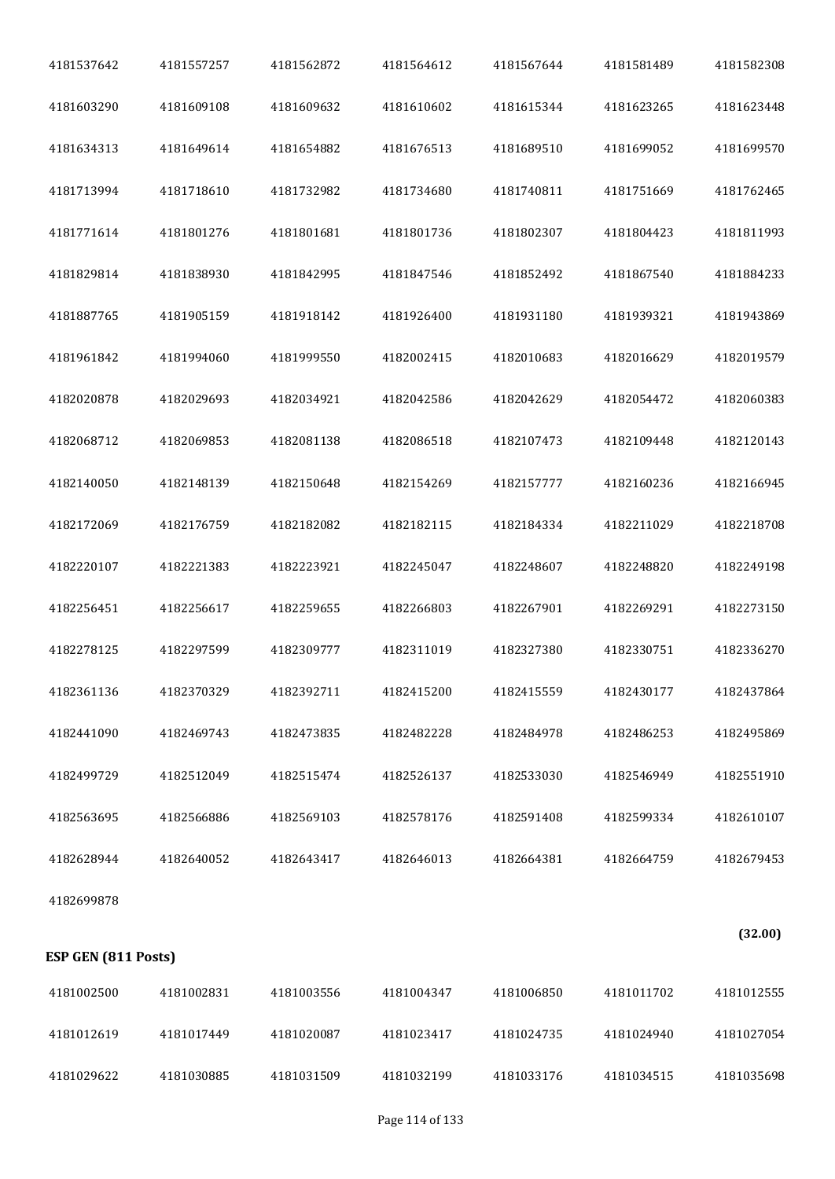| 4181537642 | 4181557257 | 4181562872 | 4181564612 | 4181567644 | 4181581489 | 4181582308 |  |
|------------|------------|------------|------------|------------|------------|------------|--|
| 4181603290 | 4181609108 | 4181609632 | 4181610602 | 4181615344 | 4181623265 | 4181623448 |  |
| 4181634313 | 4181649614 | 4181654882 | 4181676513 | 4181689510 | 4181699052 | 4181699570 |  |
| 4181713994 | 4181718610 | 4181732982 | 4181734680 | 4181740811 | 4181751669 | 4181762465 |  |
| 4181771614 | 4181801276 | 4181801681 | 4181801736 | 4181802307 | 4181804423 | 4181811993 |  |
| 4181829814 | 4181838930 | 4181842995 | 4181847546 | 4181852492 | 4181867540 | 4181884233 |  |
| 4181887765 | 4181905159 | 4181918142 | 4181926400 | 4181931180 | 4181939321 | 4181943869 |  |
| 4181961842 | 4181994060 | 4181999550 | 4182002415 | 4182010683 | 4182016629 | 4182019579 |  |
| 4182020878 | 4182029693 | 4182034921 | 4182042586 | 4182042629 | 4182054472 | 4182060383 |  |
| 4182068712 | 4182069853 | 4182081138 | 4182086518 | 4182107473 | 4182109448 | 4182120143 |  |
| 4182140050 | 4182148139 | 4182150648 | 4182154269 | 4182157777 | 4182160236 | 4182166945 |  |
| 4182172069 | 4182176759 | 4182182082 | 4182182115 | 4182184334 | 4182211029 | 4182218708 |  |
| 4182220107 | 4182221383 | 4182223921 | 4182245047 | 4182248607 | 4182248820 | 4182249198 |  |
| 4182256451 | 4182256617 | 4182259655 | 4182266803 | 4182267901 | 4182269291 | 4182273150 |  |
| 4182278125 | 4182297599 | 4182309777 | 4182311019 | 4182327380 | 4182330751 | 4182336270 |  |
| 4182361136 | 4182370329 | 4182392711 | 4182415200 | 4182415559 | 4182430177 | 4182437864 |  |
| 4182441090 | 4182469743 | 4182473835 | 4182482228 | 4182484978 | 4182486253 | 4182495869 |  |
| 4182499729 | 4182512049 | 4182515474 | 4182526137 | 4182533030 | 4182546949 | 4182551910 |  |
| 4182563695 | 4182566886 | 4182569103 | 4182578176 | 4182591408 | 4182599334 | 4182610107 |  |
| 4182628944 | 4182640052 | 4182643417 | 4182646013 | 4182664381 | 4182664759 | 4182679453 |  |
| 4182699878 |            |            |            |            |            |            |  |
|            |            |            |            |            |            | 22.0       |  |

## **ESP GEN (811 Posts)**

**(32.00)**

| 4181002500 | 4181002831 | 4181003556 | 4181004347 | 4181006850 | 4181011702 | 4181012555 |
|------------|------------|------------|------------|------------|------------|------------|
| 4181012619 | 4181017449 | 4181020087 | 4181023417 | 4181024735 | 4181024940 | 4181027054 |
| 4181029622 | 4181030885 | 4181031509 | 4181032199 | 4181033176 | 4181034515 | 4181035698 |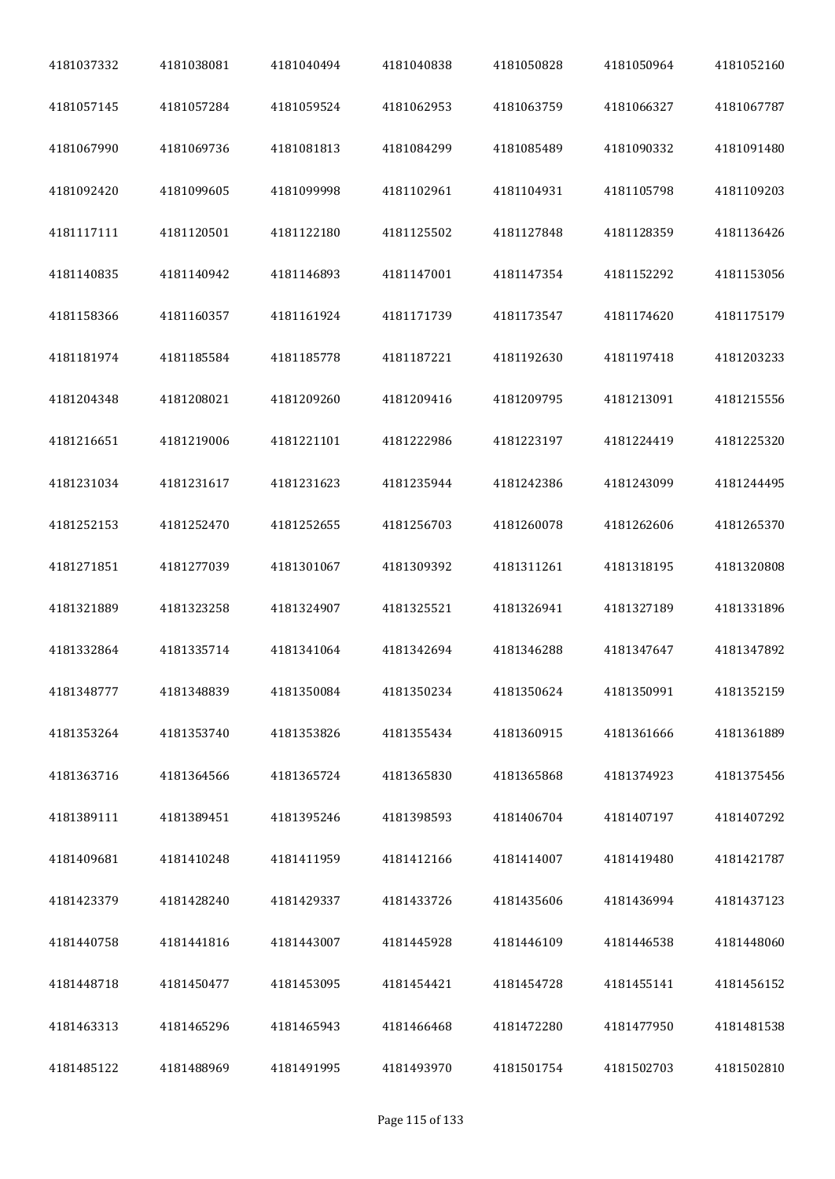| 4181037332 | 4181038081 | 4181040494 | 4181040838 | 4181050828 | 4181050964 | 4181052160 |
|------------|------------|------------|------------|------------|------------|------------|
| 4181057145 | 4181057284 | 4181059524 | 4181062953 | 4181063759 | 4181066327 | 4181067787 |
| 4181067990 | 4181069736 | 4181081813 | 4181084299 | 4181085489 | 4181090332 | 4181091480 |
| 4181092420 | 4181099605 | 4181099998 | 4181102961 | 4181104931 | 4181105798 | 4181109203 |
| 4181117111 | 4181120501 | 4181122180 | 4181125502 | 4181127848 | 4181128359 | 4181136426 |
| 4181140835 | 4181140942 | 4181146893 | 4181147001 | 4181147354 | 4181152292 | 4181153056 |
| 4181158366 | 4181160357 | 4181161924 | 4181171739 | 4181173547 | 4181174620 | 4181175179 |
| 4181181974 | 4181185584 | 4181185778 | 4181187221 | 4181192630 | 4181197418 | 4181203233 |
| 4181204348 | 4181208021 | 4181209260 | 4181209416 | 4181209795 | 4181213091 | 4181215556 |
| 4181216651 | 4181219006 | 4181221101 | 4181222986 | 4181223197 | 4181224419 | 4181225320 |
| 4181231034 | 4181231617 | 4181231623 | 4181235944 | 4181242386 | 4181243099 | 4181244495 |
| 4181252153 | 4181252470 | 4181252655 | 4181256703 | 4181260078 | 4181262606 | 4181265370 |
| 4181271851 | 4181277039 | 4181301067 | 4181309392 | 4181311261 | 4181318195 | 4181320808 |
| 4181321889 | 4181323258 | 4181324907 | 4181325521 | 4181326941 | 4181327189 | 4181331896 |
| 4181332864 | 4181335714 | 4181341064 | 4181342694 | 4181346288 | 4181347647 | 4181347892 |
| 4181348777 | 4181348839 | 4181350084 | 4181350234 | 4181350624 | 4181350991 | 4181352159 |
| 4181353264 | 4181353740 | 4181353826 | 4181355434 | 4181360915 | 4181361666 | 4181361889 |
| 4181363716 | 4181364566 | 4181365724 | 4181365830 | 4181365868 | 4181374923 | 4181375456 |
| 4181389111 | 4181389451 | 4181395246 | 4181398593 | 4181406704 | 4181407197 | 4181407292 |
| 4181409681 | 4181410248 | 4181411959 | 4181412166 | 4181414007 | 4181419480 | 4181421787 |
| 4181423379 | 4181428240 | 4181429337 | 4181433726 | 4181435606 | 4181436994 | 4181437123 |
| 4181440758 | 4181441816 | 4181443007 | 4181445928 | 4181446109 | 4181446538 | 4181448060 |
| 4181448718 | 4181450477 | 4181453095 | 4181454421 | 4181454728 | 4181455141 | 4181456152 |
| 4181463313 | 4181465296 | 4181465943 | 4181466468 | 4181472280 | 4181477950 | 4181481538 |
| 4181485122 | 4181488969 | 4181491995 | 4181493970 | 4181501754 | 4181502703 | 4181502810 |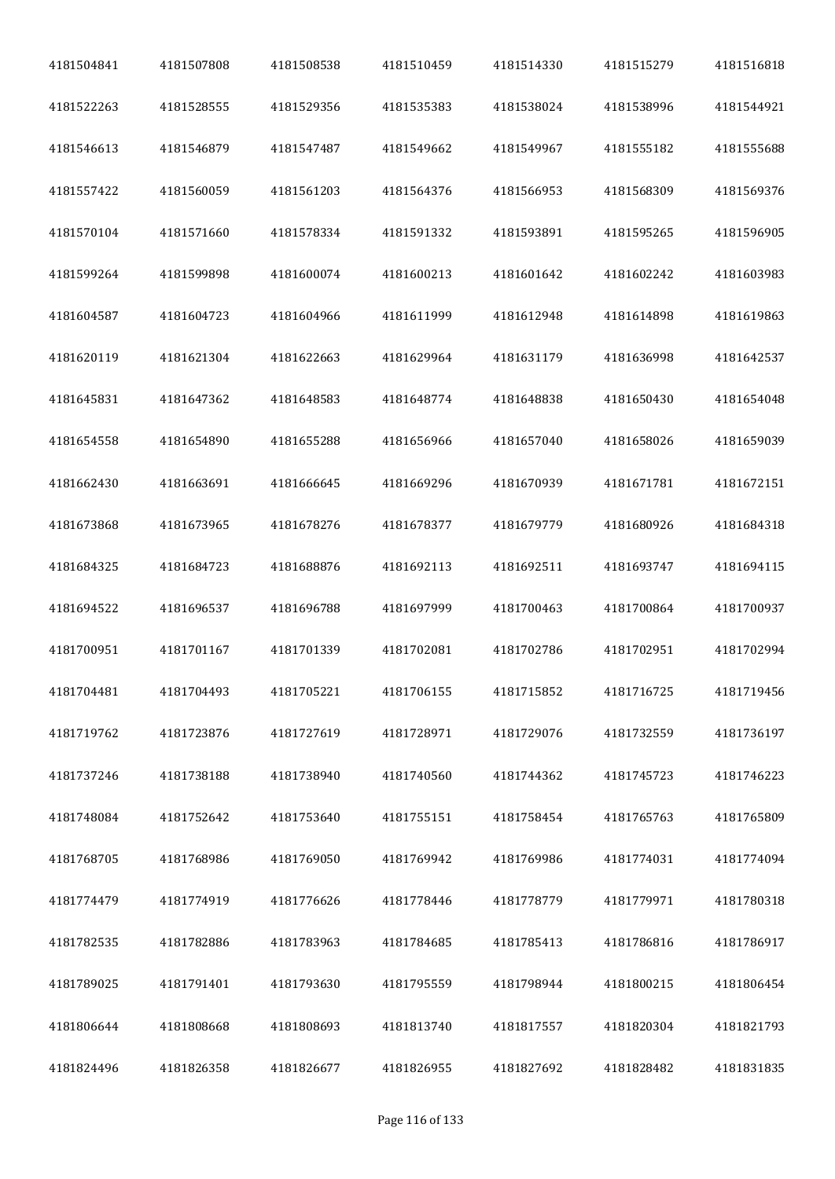| 4181504841 | 4181507808 | 4181508538 | 4181510459 | 4181514330 | 4181515279 | 4181516818 |
|------------|------------|------------|------------|------------|------------|------------|
| 4181522263 | 4181528555 | 4181529356 | 4181535383 | 4181538024 | 4181538996 | 4181544921 |
| 4181546613 | 4181546879 | 4181547487 | 4181549662 | 4181549967 | 4181555182 | 4181555688 |
| 4181557422 | 4181560059 | 4181561203 | 4181564376 | 4181566953 | 4181568309 | 4181569376 |
| 4181570104 | 4181571660 | 4181578334 | 4181591332 | 4181593891 | 4181595265 | 4181596905 |
| 4181599264 | 4181599898 | 4181600074 | 4181600213 | 4181601642 | 4181602242 | 4181603983 |
| 4181604587 | 4181604723 | 4181604966 | 4181611999 | 4181612948 | 4181614898 | 4181619863 |
| 4181620119 | 4181621304 | 4181622663 | 4181629964 | 4181631179 | 4181636998 | 4181642537 |
| 4181645831 | 4181647362 | 4181648583 | 4181648774 | 4181648838 | 4181650430 | 4181654048 |
| 4181654558 | 4181654890 | 4181655288 | 4181656966 | 4181657040 | 4181658026 | 4181659039 |
| 4181662430 | 4181663691 | 4181666645 | 4181669296 | 4181670939 | 4181671781 | 4181672151 |
| 4181673868 | 4181673965 | 4181678276 | 4181678377 | 4181679779 | 4181680926 | 4181684318 |
| 4181684325 | 4181684723 | 4181688876 | 4181692113 | 4181692511 | 4181693747 | 4181694115 |
| 4181694522 | 4181696537 | 4181696788 | 4181697999 | 4181700463 | 4181700864 | 4181700937 |
| 4181700951 | 4181701167 | 4181701339 | 4181702081 | 4181702786 | 4181702951 | 4181702994 |
| 4181704481 | 4181704493 | 4181705221 | 4181706155 | 4181715852 | 4181716725 | 4181719456 |
| 4181719762 | 4181723876 | 4181727619 | 4181728971 | 4181729076 | 4181732559 | 4181736197 |
| 4181737246 | 4181738188 | 4181738940 | 4181740560 | 4181744362 | 4181745723 | 4181746223 |
| 4181748084 | 4181752642 | 4181753640 | 4181755151 | 4181758454 | 4181765763 | 4181765809 |
| 4181768705 | 4181768986 | 4181769050 | 4181769942 | 4181769986 | 4181774031 | 4181774094 |
| 4181774479 | 4181774919 | 4181776626 | 4181778446 | 4181778779 | 4181779971 | 4181780318 |
| 4181782535 | 4181782886 | 4181783963 | 4181784685 | 4181785413 | 4181786816 | 4181786917 |
| 4181789025 | 4181791401 | 4181793630 | 4181795559 | 4181798944 | 4181800215 | 4181806454 |
| 4181806644 | 4181808668 | 4181808693 | 4181813740 | 4181817557 | 4181820304 | 4181821793 |
| 4181824496 | 4181826358 | 4181826677 | 4181826955 | 4181827692 | 4181828482 | 4181831835 |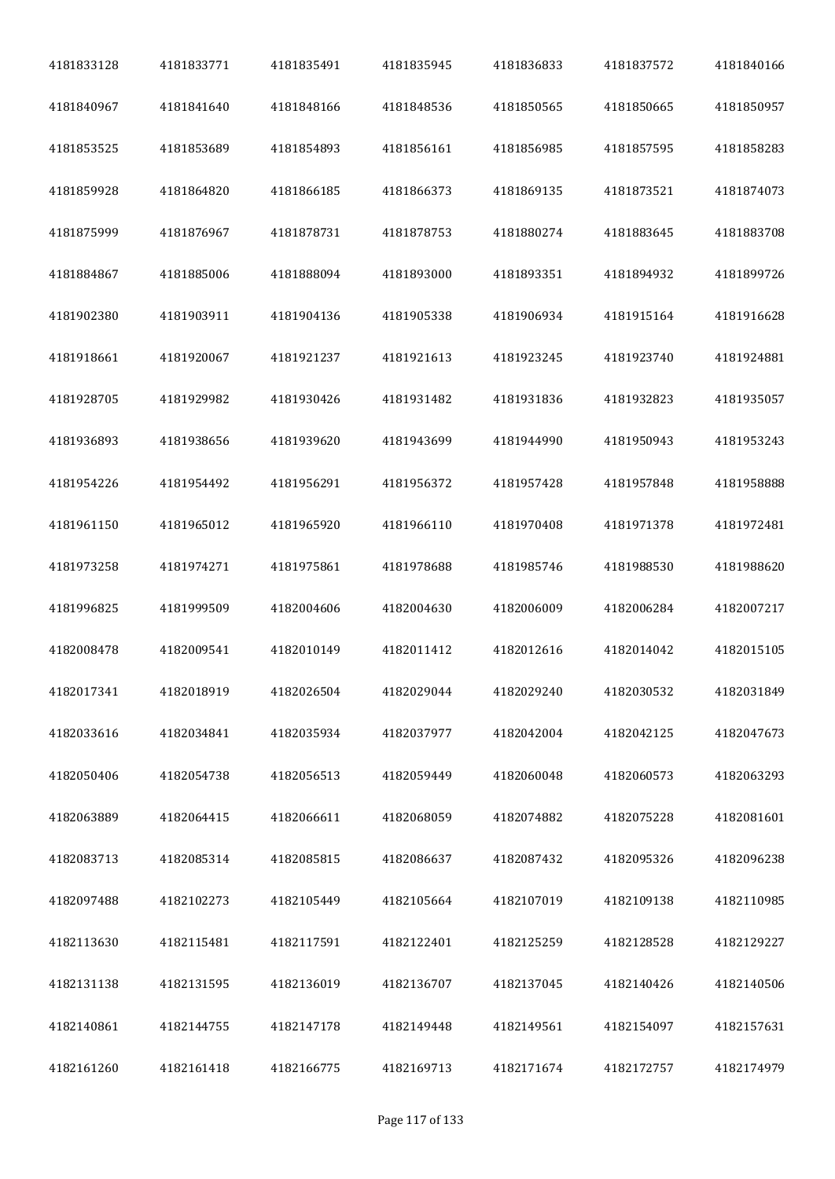| 4181833128 | 4181833771 | 4181835491 | 4181835945 | 4181836833 | 4181837572 | 4181840166 |
|------------|------------|------------|------------|------------|------------|------------|
| 4181840967 | 4181841640 | 4181848166 | 4181848536 | 4181850565 | 4181850665 | 4181850957 |
| 4181853525 | 4181853689 | 4181854893 | 4181856161 | 4181856985 | 4181857595 | 4181858283 |
| 4181859928 | 4181864820 | 4181866185 | 4181866373 | 4181869135 | 4181873521 | 4181874073 |
| 4181875999 | 4181876967 | 4181878731 | 4181878753 | 4181880274 | 4181883645 | 4181883708 |
| 4181884867 | 4181885006 | 4181888094 | 4181893000 | 4181893351 | 4181894932 | 4181899726 |
| 4181902380 | 4181903911 | 4181904136 | 4181905338 | 4181906934 | 4181915164 | 4181916628 |
| 4181918661 | 4181920067 | 4181921237 | 4181921613 | 4181923245 | 4181923740 | 4181924881 |
| 4181928705 | 4181929982 | 4181930426 | 4181931482 | 4181931836 | 4181932823 | 4181935057 |
| 4181936893 | 4181938656 | 4181939620 | 4181943699 | 4181944990 | 4181950943 | 4181953243 |
| 4181954226 | 4181954492 | 4181956291 | 4181956372 | 4181957428 | 4181957848 | 4181958888 |
| 4181961150 | 4181965012 | 4181965920 | 4181966110 | 4181970408 | 4181971378 | 4181972481 |
| 4181973258 | 4181974271 | 4181975861 | 4181978688 | 4181985746 | 4181988530 | 4181988620 |
| 4181996825 | 4181999509 | 4182004606 | 4182004630 | 4182006009 | 4182006284 | 4182007217 |
| 4182008478 | 4182009541 | 4182010149 | 4182011412 | 4182012616 | 4182014042 | 4182015105 |
| 4182017341 | 4182018919 | 4182026504 | 4182029044 | 4182029240 | 4182030532 | 4182031849 |
| 4182033616 | 4182034841 | 4182035934 | 4182037977 | 4182042004 | 4182042125 | 4182047673 |
| 4182050406 | 4182054738 | 4182056513 | 4182059449 | 4182060048 | 4182060573 | 4182063293 |
| 4182063889 | 4182064415 | 4182066611 | 4182068059 | 4182074882 | 4182075228 | 4182081601 |
| 4182083713 | 4182085314 | 4182085815 | 4182086637 | 4182087432 | 4182095326 | 4182096238 |
| 4182097488 | 4182102273 | 4182105449 | 4182105664 | 4182107019 | 4182109138 | 4182110985 |
| 4182113630 | 4182115481 | 4182117591 | 4182122401 | 4182125259 | 4182128528 | 4182129227 |
| 4182131138 | 4182131595 | 4182136019 | 4182136707 | 4182137045 | 4182140426 | 4182140506 |
| 4182140861 | 4182144755 | 4182147178 | 4182149448 | 4182149561 | 4182154097 | 4182157631 |
| 4182161260 | 4182161418 | 4182166775 | 4182169713 | 4182171674 | 4182172757 | 4182174979 |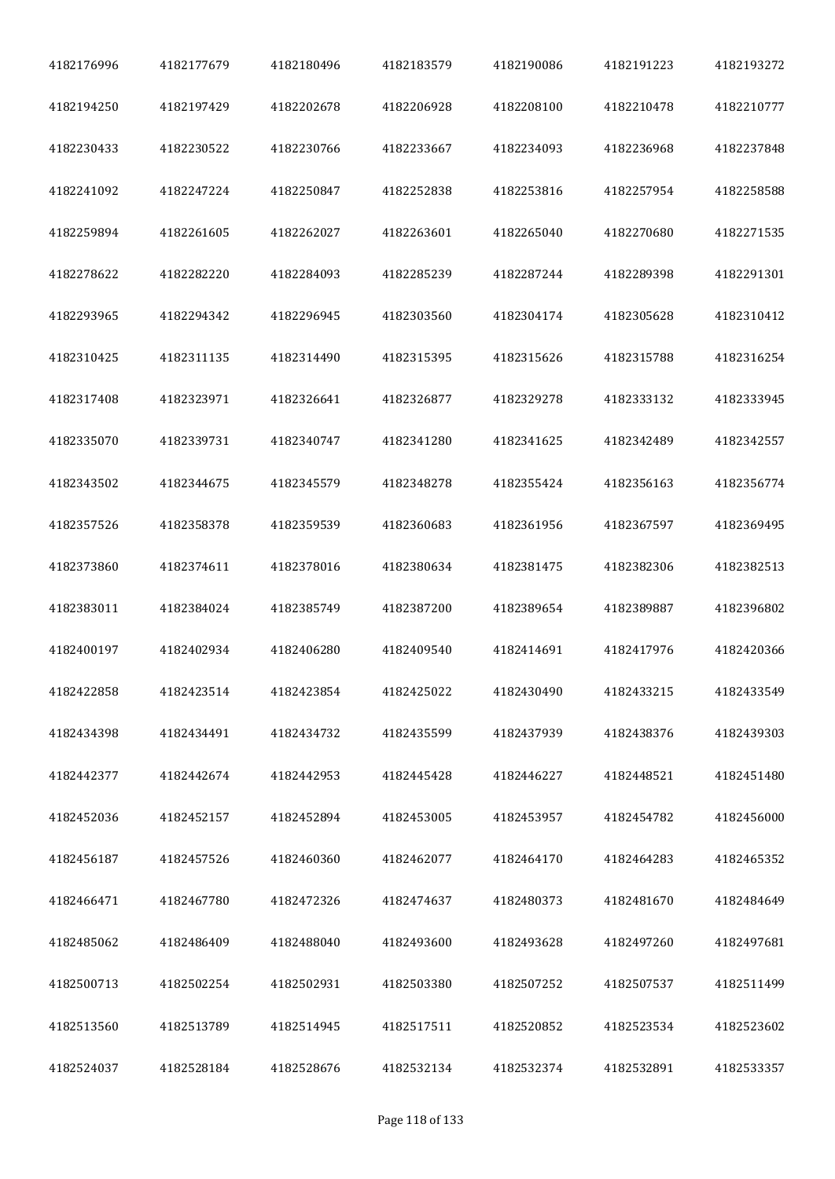| 4182176996 | 4182177679 | 4182180496 | 4182183579 | 4182190086 | 4182191223 | 4182193272 |
|------------|------------|------------|------------|------------|------------|------------|
| 4182194250 | 4182197429 | 4182202678 | 4182206928 | 4182208100 | 4182210478 | 4182210777 |
| 4182230433 | 4182230522 | 4182230766 | 4182233667 | 4182234093 | 4182236968 | 4182237848 |
| 4182241092 | 4182247224 | 4182250847 | 4182252838 | 4182253816 | 4182257954 | 4182258588 |
| 4182259894 | 4182261605 | 4182262027 | 4182263601 | 4182265040 | 4182270680 | 4182271535 |
| 4182278622 | 4182282220 | 4182284093 | 4182285239 | 4182287244 | 4182289398 | 4182291301 |
| 4182293965 | 4182294342 | 4182296945 | 4182303560 | 4182304174 | 4182305628 | 4182310412 |
| 4182310425 | 4182311135 | 4182314490 | 4182315395 | 4182315626 | 4182315788 | 4182316254 |
| 4182317408 | 4182323971 | 4182326641 | 4182326877 | 4182329278 | 4182333132 | 4182333945 |
| 4182335070 | 4182339731 | 4182340747 | 4182341280 | 4182341625 | 4182342489 | 4182342557 |
| 4182343502 | 4182344675 | 4182345579 | 4182348278 | 4182355424 | 4182356163 | 4182356774 |
| 4182357526 | 4182358378 | 4182359539 | 4182360683 | 4182361956 | 4182367597 | 4182369495 |
| 4182373860 | 4182374611 | 4182378016 | 4182380634 | 4182381475 | 4182382306 | 4182382513 |
| 4182383011 | 4182384024 | 4182385749 | 4182387200 | 4182389654 | 4182389887 | 4182396802 |
| 4182400197 | 4182402934 | 4182406280 | 4182409540 | 4182414691 | 4182417976 | 4182420366 |
| 4182422858 | 4182423514 | 4182423854 | 4182425022 | 4182430490 | 4182433215 | 4182433549 |
| 4182434398 | 4182434491 | 4182434732 | 4182435599 | 4182437939 | 4182438376 | 4182439303 |
| 4182442377 | 4182442674 | 4182442953 | 4182445428 | 4182446227 | 4182448521 | 4182451480 |
| 4182452036 | 4182452157 | 4182452894 | 4182453005 | 4182453957 | 4182454782 | 4182456000 |
| 4182456187 | 4182457526 | 4182460360 | 4182462077 | 4182464170 | 4182464283 | 4182465352 |
| 4182466471 | 4182467780 | 4182472326 | 4182474637 | 4182480373 | 4182481670 | 4182484649 |
| 4182485062 | 4182486409 | 4182488040 | 4182493600 | 4182493628 | 4182497260 | 4182497681 |
| 4182500713 | 4182502254 | 4182502931 | 4182503380 | 4182507252 | 4182507537 | 4182511499 |
| 4182513560 | 4182513789 | 4182514945 | 4182517511 | 4182520852 | 4182523534 | 4182523602 |
| 4182524037 | 4182528184 | 4182528676 | 4182532134 | 4182532374 | 4182532891 | 4182533357 |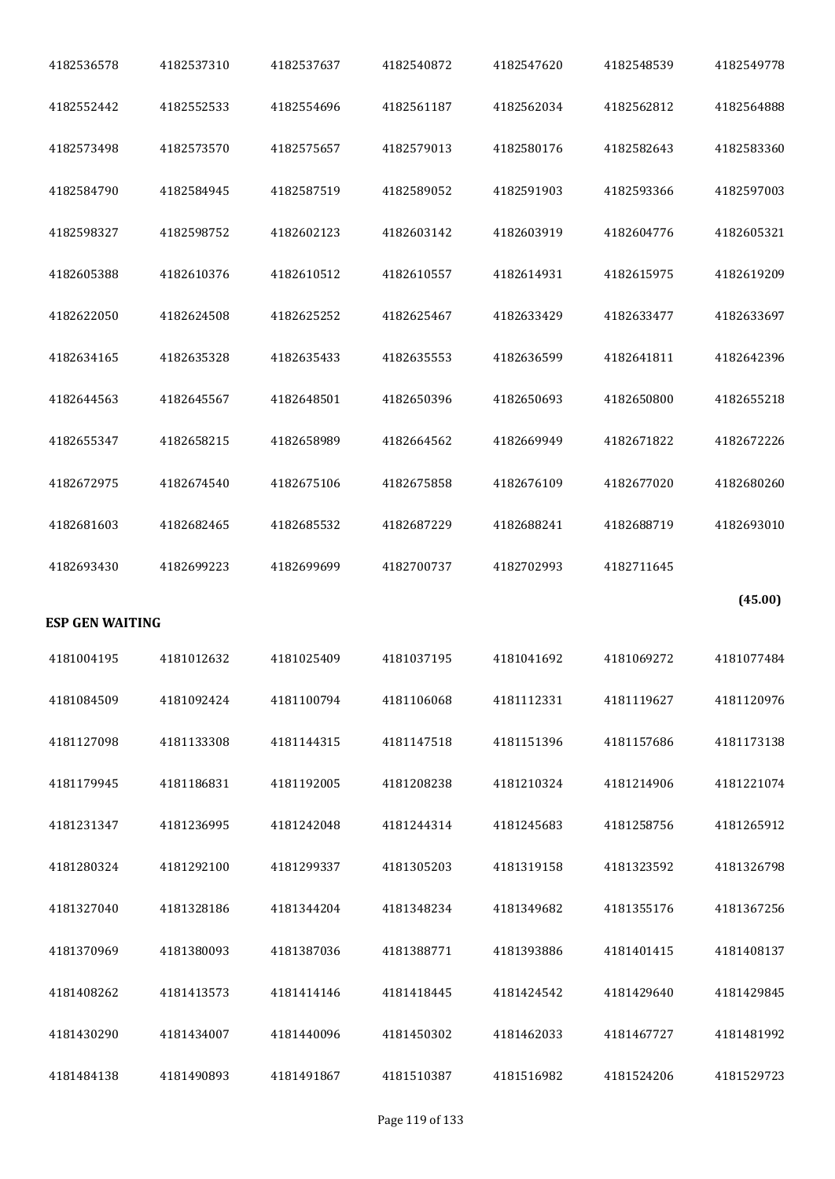| 4182536578             | 4182537310 | 4182537637 | 4182540872 | 4182547620 | 4182548539 | 4182549778 |
|------------------------|------------|------------|------------|------------|------------|------------|
| 4182552442             | 4182552533 | 4182554696 | 4182561187 | 4182562034 | 4182562812 | 4182564888 |
| 4182573498             | 4182573570 | 4182575657 | 4182579013 | 4182580176 | 4182582643 | 4182583360 |
| 4182584790             | 4182584945 | 4182587519 | 4182589052 | 4182591903 | 4182593366 | 4182597003 |
| 4182598327             | 4182598752 | 4182602123 | 4182603142 | 4182603919 | 4182604776 | 4182605321 |
| 4182605388             | 4182610376 | 4182610512 | 4182610557 | 4182614931 | 4182615975 | 4182619209 |
| 4182622050             | 4182624508 | 4182625252 | 4182625467 | 4182633429 | 4182633477 | 4182633697 |
| 4182634165             | 4182635328 | 4182635433 | 4182635553 | 4182636599 | 4182641811 | 4182642396 |
| 4182644563             | 4182645567 | 4182648501 | 4182650396 | 4182650693 | 4182650800 | 4182655218 |
| 4182655347             | 4182658215 | 4182658989 | 4182664562 | 4182669949 | 4182671822 | 4182672226 |
| 4182672975             | 4182674540 | 4182675106 | 4182675858 | 4182676109 | 4182677020 | 4182680260 |
| 4182681603             | 4182682465 | 4182685532 | 4182687229 | 4182688241 | 4182688719 | 4182693010 |
|                        |            |            |            |            |            |            |
| 4182693430             | 4182699223 | 4182699699 | 4182700737 | 4182702993 | 4182711645 |            |
| <b>ESP GEN WAITING</b> |            |            |            |            |            | (45.00)    |
| 4181004195             | 4181012632 | 4181025409 | 4181037195 | 4181041692 | 4181069272 | 4181077484 |
| 4181084509             | 4181092424 | 4181100794 | 4181106068 | 4181112331 | 4181119627 | 4181120976 |
| 4181127098             | 4181133308 | 4181144315 | 4181147518 | 4181151396 | 4181157686 | 4181173138 |
| 4181179945             | 4181186831 | 4181192005 | 4181208238 | 4181210324 | 4181214906 | 4181221074 |
| 4181231347             | 4181236995 | 4181242048 | 4181244314 | 4181245683 | 4181258756 | 4181265912 |
| 4181280324             | 4181292100 | 4181299337 | 4181305203 | 4181319158 | 4181323592 | 4181326798 |
| 4181327040             | 4181328186 | 4181344204 | 4181348234 | 4181349682 | 4181355176 | 4181367256 |
| 4181370969             | 4181380093 | 4181387036 | 4181388771 | 4181393886 | 4181401415 | 4181408137 |
| 4181408262             | 4181413573 | 4181414146 | 4181418445 | 4181424542 | 4181429640 | 4181429845 |
| 4181430290             | 4181434007 | 4181440096 | 4181450302 | 4181462033 | 4181467727 | 4181481992 |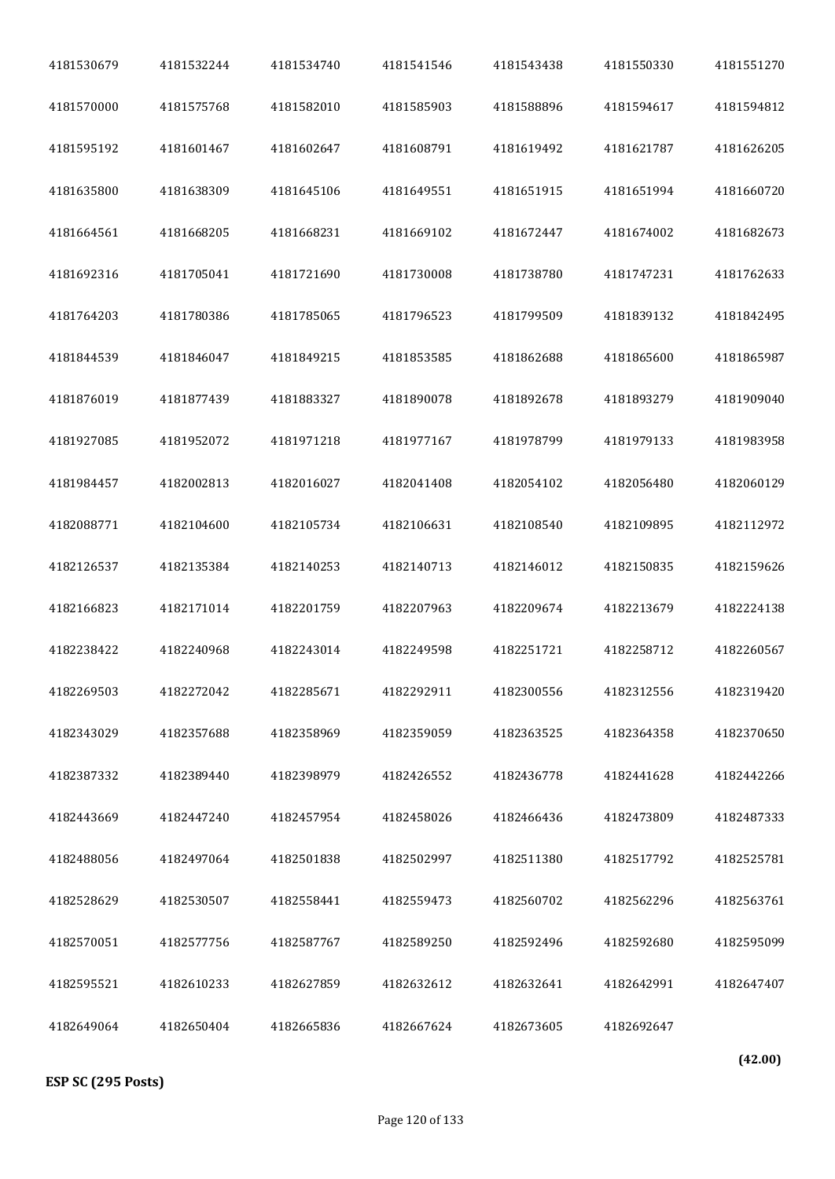| 4181530679 | 4181532244 | 4181534740 | 4181541546 | 4181543438 | 4181550330 | 4181551270 |
|------------|------------|------------|------------|------------|------------|------------|
| 4181570000 | 4181575768 | 4181582010 | 4181585903 | 4181588896 | 4181594617 | 4181594812 |
| 4181595192 | 4181601467 | 4181602647 | 4181608791 | 4181619492 | 4181621787 | 4181626205 |
| 4181635800 | 4181638309 | 4181645106 | 4181649551 | 4181651915 | 4181651994 | 4181660720 |
| 4181664561 | 4181668205 | 4181668231 | 4181669102 | 4181672447 | 4181674002 | 4181682673 |
| 4181692316 | 4181705041 | 4181721690 | 4181730008 | 4181738780 | 4181747231 | 4181762633 |
| 4181764203 | 4181780386 | 4181785065 | 4181796523 | 4181799509 | 4181839132 | 4181842495 |
| 4181844539 | 4181846047 | 4181849215 | 4181853585 | 4181862688 | 4181865600 | 4181865987 |
| 4181876019 | 4181877439 | 4181883327 | 4181890078 | 4181892678 | 4181893279 | 4181909040 |
| 4181927085 | 4181952072 | 4181971218 | 4181977167 | 4181978799 | 4181979133 | 4181983958 |
| 4181984457 | 4182002813 | 4182016027 | 4182041408 | 4182054102 | 4182056480 | 4182060129 |
| 4182088771 | 4182104600 | 4182105734 | 4182106631 | 4182108540 | 4182109895 | 4182112972 |
| 4182126537 | 4182135384 | 4182140253 | 4182140713 | 4182146012 | 4182150835 | 4182159626 |
| 4182166823 | 4182171014 | 4182201759 | 4182207963 | 4182209674 | 4182213679 | 4182224138 |
| 4182238422 | 4182240968 | 4182243014 | 4182249598 | 4182251721 | 4182258712 | 4182260567 |
| 4182269503 | 4182272042 | 4182285671 | 4182292911 | 4182300556 | 4182312556 | 4182319420 |
| 4182343029 | 4182357688 | 4182358969 | 4182359059 | 4182363525 | 4182364358 | 4182370650 |
| 4182387332 | 4182389440 | 4182398979 | 4182426552 | 4182436778 | 4182441628 | 4182442266 |
| 4182443669 | 4182447240 | 4182457954 | 4182458026 | 4182466436 | 4182473809 | 4182487333 |
| 4182488056 | 4182497064 | 4182501838 | 4182502997 | 4182511380 | 4182517792 | 4182525781 |
| 4182528629 | 4182530507 | 4182558441 | 4182559473 | 4182560702 | 4182562296 | 4182563761 |
| 4182570051 | 4182577756 | 4182587767 | 4182589250 | 4182592496 | 4182592680 | 4182595099 |
| 4182595521 | 4182610233 | 4182627859 | 4182632612 | 4182632641 | 4182642991 | 4182647407 |
| 4182649064 | 4182650404 | 4182665836 | 4182667624 | 4182673605 | 4182692647 |            |
|            |            |            |            |            |            | $\sqrt{2}$ |

**ESP SC (295 Posts)**

**(42.00)**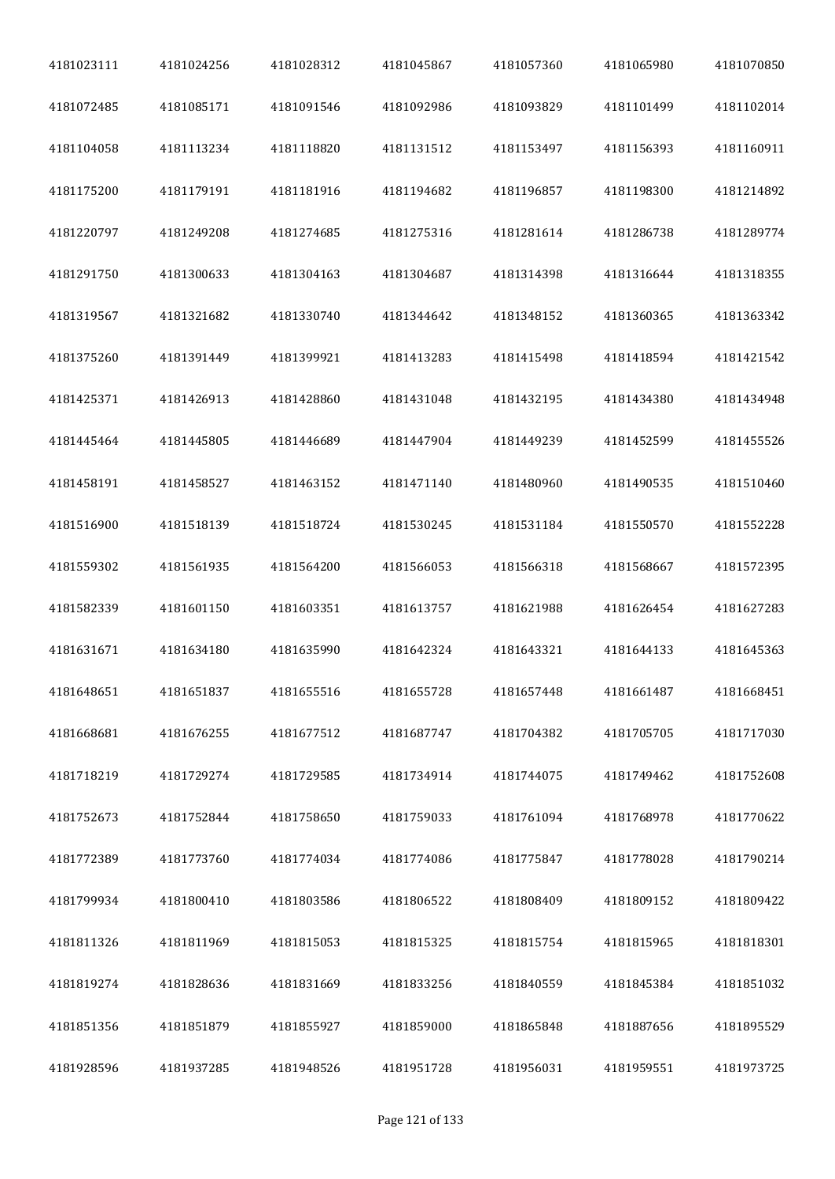| 4181023111 | 4181024256 | 4181028312 | 4181045867 | 4181057360 | 4181065980 | 4181070850 |
|------------|------------|------------|------------|------------|------------|------------|
| 4181072485 | 4181085171 | 4181091546 | 4181092986 | 4181093829 | 4181101499 | 4181102014 |
| 4181104058 | 4181113234 | 4181118820 | 4181131512 | 4181153497 | 4181156393 | 4181160911 |
| 4181175200 | 4181179191 | 4181181916 | 4181194682 | 4181196857 | 4181198300 | 4181214892 |
| 4181220797 | 4181249208 | 4181274685 | 4181275316 | 4181281614 | 4181286738 | 4181289774 |
| 4181291750 | 4181300633 | 4181304163 | 4181304687 | 4181314398 | 4181316644 | 4181318355 |
| 4181319567 | 4181321682 | 4181330740 | 4181344642 | 4181348152 | 4181360365 | 4181363342 |
| 4181375260 | 4181391449 | 4181399921 | 4181413283 | 4181415498 | 4181418594 | 4181421542 |
| 4181425371 | 4181426913 | 4181428860 | 4181431048 | 4181432195 | 4181434380 | 4181434948 |
| 4181445464 | 4181445805 | 4181446689 | 4181447904 | 4181449239 | 4181452599 | 4181455526 |
| 4181458191 | 4181458527 | 4181463152 | 4181471140 | 4181480960 | 4181490535 | 4181510460 |
| 4181516900 | 4181518139 | 4181518724 | 4181530245 | 4181531184 | 4181550570 | 4181552228 |
| 4181559302 | 4181561935 | 4181564200 | 4181566053 | 4181566318 | 4181568667 | 4181572395 |
| 4181582339 | 4181601150 | 4181603351 | 4181613757 | 4181621988 | 4181626454 | 4181627283 |
| 4181631671 | 4181634180 | 4181635990 | 4181642324 | 4181643321 | 4181644133 | 4181645363 |
| 4181648651 | 4181651837 | 4181655516 | 4181655728 | 4181657448 | 4181661487 | 4181668451 |
| 4181668681 | 4181676255 | 4181677512 | 4181687747 | 4181704382 | 4181705705 | 4181717030 |
| 4181718219 | 4181729274 | 4181729585 | 4181734914 | 4181744075 | 4181749462 | 4181752608 |
| 4181752673 | 4181752844 | 4181758650 | 4181759033 | 4181761094 | 4181768978 | 4181770622 |
| 4181772389 | 4181773760 | 4181774034 | 4181774086 | 4181775847 | 4181778028 | 4181790214 |
| 4181799934 | 4181800410 | 4181803586 | 4181806522 | 4181808409 | 4181809152 | 4181809422 |
| 4181811326 | 4181811969 | 4181815053 | 4181815325 | 4181815754 | 4181815965 | 4181818301 |
| 4181819274 | 4181828636 | 4181831669 | 4181833256 | 4181840559 | 4181845384 | 4181851032 |
| 4181851356 | 4181851879 | 4181855927 | 4181859000 | 4181865848 | 4181887656 | 4181895529 |
| 4181928596 | 4181937285 | 4181948526 | 4181951728 | 4181956031 | 4181959551 | 4181973725 |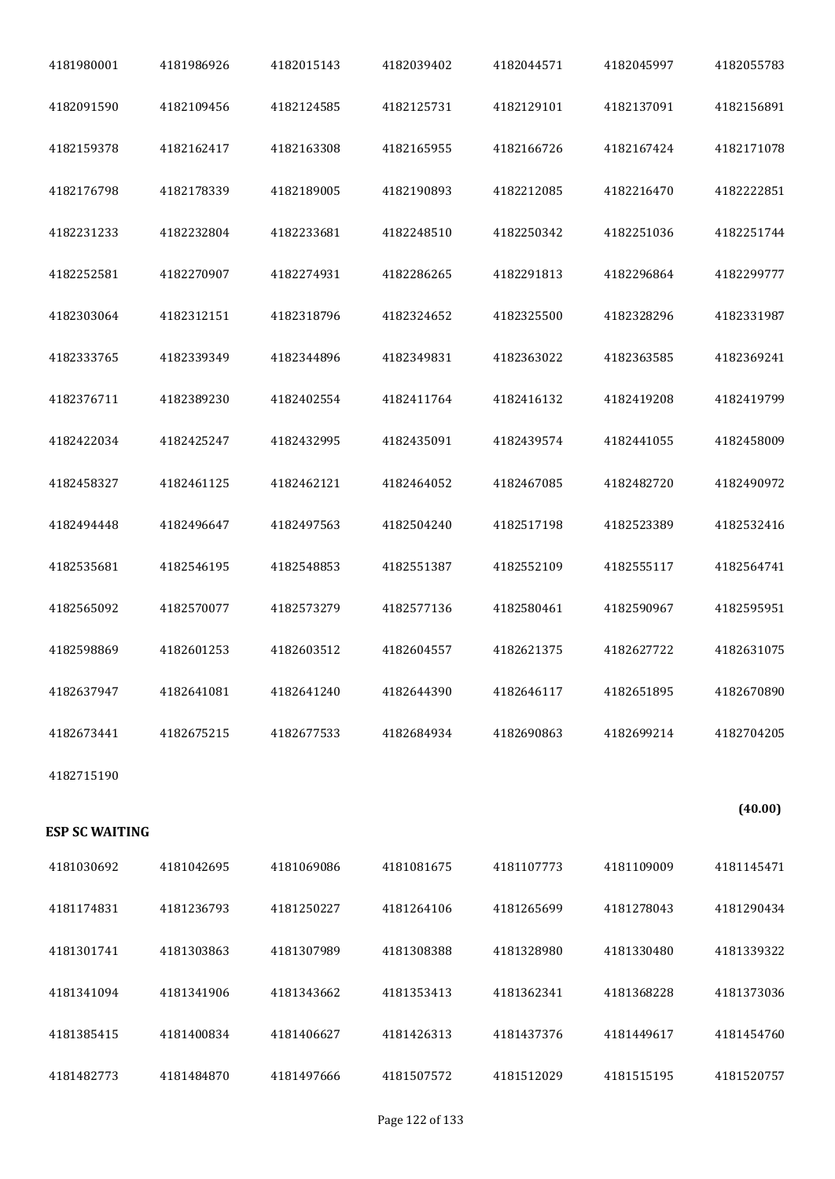| 4181980001            | 4181986926 | 4182015143 | 4182039402 | 4182044571 | 4182045997 | 4182055783 |
|-----------------------|------------|------------|------------|------------|------------|------------|
| 4182091590            | 4182109456 | 4182124585 | 4182125731 | 4182129101 | 4182137091 | 4182156891 |
| 4182159378            | 4182162417 | 4182163308 | 4182165955 | 4182166726 | 4182167424 | 4182171078 |
| 4182176798            | 4182178339 | 4182189005 | 4182190893 | 4182212085 | 4182216470 | 4182222851 |
| 4182231233            | 4182232804 | 4182233681 | 4182248510 | 4182250342 | 4182251036 | 4182251744 |
| 4182252581            | 4182270907 | 4182274931 | 4182286265 | 4182291813 | 4182296864 | 4182299777 |
| 4182303064            | 4182312151 | 4182318796 | 4182324652 | 4182325500 | 4182328296 | 4182331987 |
| 4182333765            | 4182339349 | 4182344896 | 4182349831 | 4182363022 | 4182363585 | 4182369241 |
| 4182376711            | 4182389230 | 4182402554 | 4182411764 | 4182416132 | 4182419208 | 4182419799 |
| 4182422034            | 4182425247 | 4182432995 | 4182435091 | 4182439574 | 4182441055 | 4182458009 |
| 4182458327            | 4182461125 | 4182462121 | 4182464052 | 4182467085 | 4182482720 | 4182490972 |
| 4182494448            | 4182496647 | 4182497563 | 4182504240 | 4182517198 | 4182523389 | 4182532416 |
| 4182535681            | 4182546195 | 4182548853 | 4182551387 | 4182552109 | 4182555117 | 4182564741 |
| 4182565092            | 4182570077 | 4182573279 | 4182577136 | 4182580461 | 4182590967 | 4182595951 |
| 4182598869            | 4182601253 | 4182603512 | 4182604557 | 4182621375 | 4182627722 | 4182631075 |
| 4182637947            | 4182641081 | 4182641240 | 4182644390 | 4182646117 | 4182651895 | 4182670890 |
| 4182673441            | 4182675215 | 4182677533 | 4182684934 | 4182690863 | 4182699214 | 4182704205 |
| 4182715190            |            |            |            |            |            |            |
| <b>ESP SC WAITING</b> |            |            |            |            |            | (40.00)    |
| 4181030692            | 4181042695 | 4181069086 | 4181081675 | 4181107773 | 4181109009 | 4181145471 |
| 4181174831            | 4181236793 | 4181250227 | 4181264106 | 4181265699 | 4181278043 | 4181290434 |
| 4181301741            | 4181303863 | 4181307989 | 4181308388 | 4181328980 | 4181330480 | 4181339322 |
| 4181341094            | 4181341906 | 4181343662 | 4181353413 | 4181362341 | 4181368228 | 4181373036 |
| 4181385415            | 4181400834 | 4181406627 | 4181426313 | 4181437376 | 4181449617 | 4181454760 |
| 4181482773            | 4181484870 | 4181497666 | 4181507572 | 4181512029 | 4181515195 | 4181520757 |
|                       |            |            |            |            |            |            |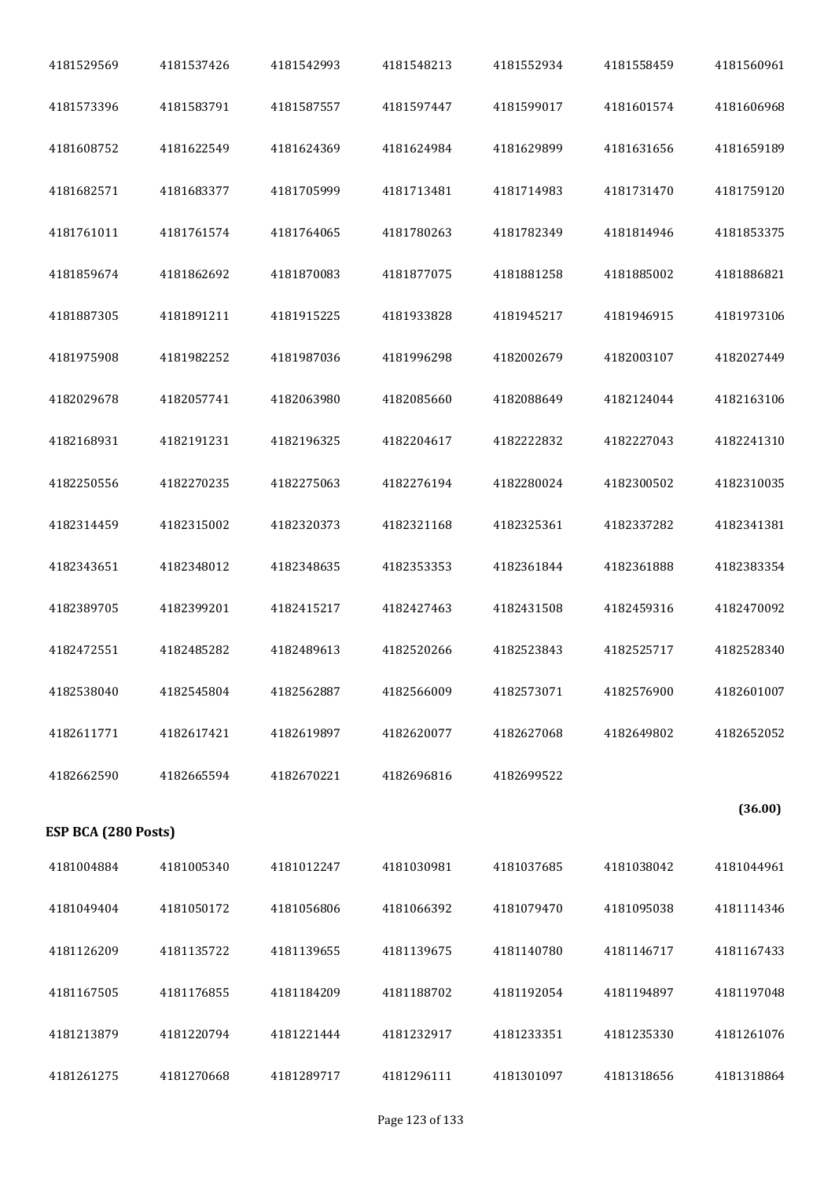| 4181529569          | 4181537426 | 4181542993 | 4181548213 | 4181552934 | 4181558459 | 4181560961 |
|---------------------|------------|------------|------------|------------|------------|------------|
| 4181573396          | 4181583791 | 4181587557 | 4181597447 | 4181599017 | 4181601574 | 4181606968 |
| 4181608752          | 4181622549 | 4181624369 | 4181624984 | 4181629899 | 4181631656 | 4181659189 |
| 4181682571          | 4181683377 | 4181705999 | 4181713481 | 4181714983 | 4181731470 | 4181759120 |
| 4181761011          | 4181761574 | 4181764065 | 4181780263 | 4181782349 | 4181814946 | 4181853375 |
| 4181859674          | 4181862692 | 4181870083 | 4181877075 | 4181881258 | 4181885002 | 4181886821 |
| 4181887305          | 4181891211 | 4181915225 | 4181933828 | 4181945217 | 4181946915 | 4181973106 |
| 4181975908          | 4181982252 | 4181987036 | 4181996298 | 4182002679 | 4182003107 | 4182027449 |
| 4182029678          | 4182057741 | 4182063980 | 4182085660 | 4182088649 | 4182124044 | 4182163106 |
| 4182168931          | 4182191231 | 4182196325 | 4182204617 | 4182222832 | 4182227043 | 4182241310 |
| 4182250556          | 4182270235 | 4182275063 | 4182276194 | 4182280024 | 4182300502 | 4182310035 |
| 4182314459          | 4182315002 | 4182320373 | 4182321168 | 4182325361 | 4182337282 | 4182341381 |
| 4182343651          | 4182348012 | 4182348635 | 4182353353 | 4182361844 | 4182361888 | 4182383354 |
| 4182389705          | 4182399201 | 4182415217 | 4182427463 | 4182431508 | 4182459316 | 4182470092 |
| 4182472551          | 4182485282 | 4182489613 | 4182520266 | 4182523843 | 4182525717 | 4182528340 |
| 4182538040          | 4182545804 | 4182562887 | 4182566009 | 4182573071 | 4182576900 | 4182601007 |
| 4182611771          | 4182617421 | 4182619897 | 4182620077 | 4182627068 | 4182649802 | 4182652052 |
| 4182662590          | 4182665594 | 4182670221 | 4182696816 | 4182699522 |            |            |
| ESP BCA (280 Posts) |            |            |            |            |            | (36.00)    |
| 4181004884          | 4181005340 | 4181012247 | 4181030981 | 4181037685 | 4181038042 | 4181044961 |
| 4181049404          | 4181050172 | 4181056806 | 4181066392 | 4181079470 | 4181095038 | 4181114346 |
| 4181126209          | 4181135722 | 4181139655 | 4181139675 | 4181140780 | 4181146717 | 4181167433 |
| 4181167505          | 4181176855 | 4181184209 | 4181188702 | 4181192054 | 4181194897 | 4181197048 |
| 4181213879          | 4181220794 | 4181221444 | 4181232917 | 4181233351 | 4181235330 | 4181261076 |
| 4181261275          | 4181270668 | 4181289717 | 4181296111 | 4181301097 | 4181318656 | 4181318864 |
|                     |            |            |            |            |            |            |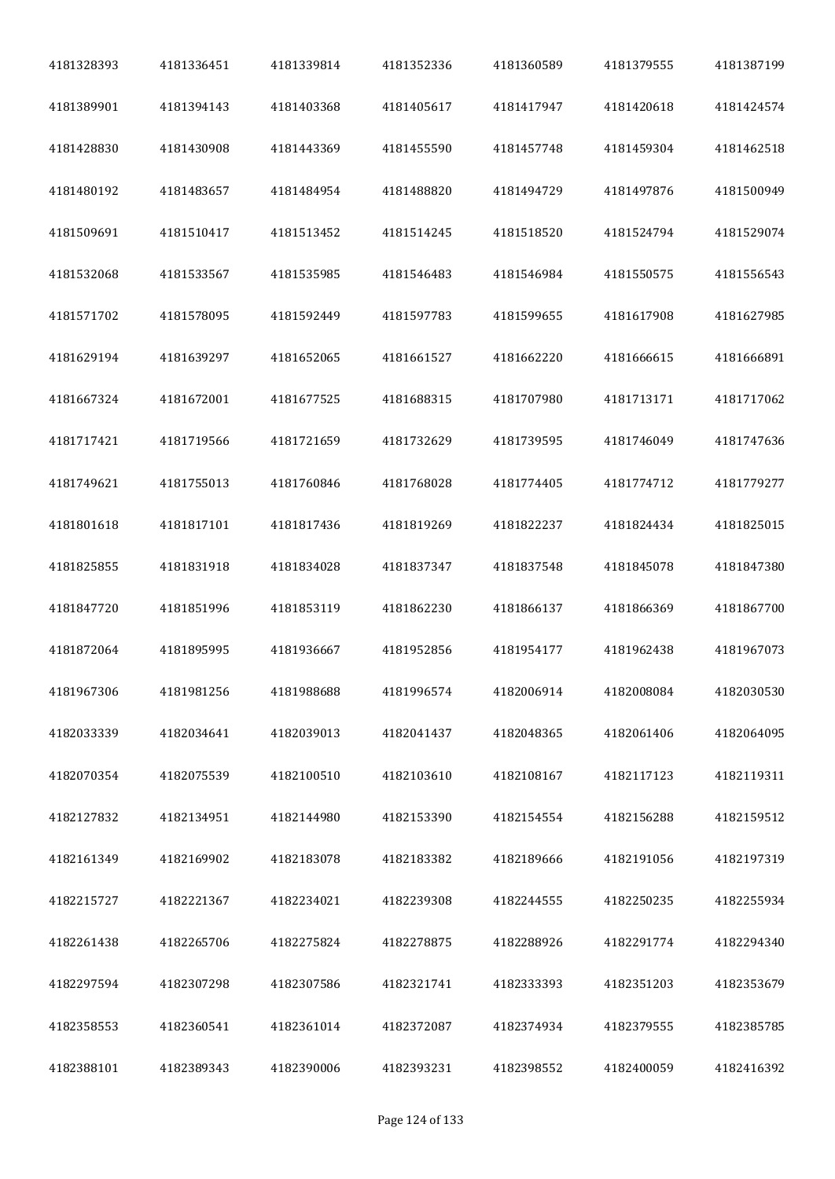| 4181328393 | 4181336451 | 4181339814 | 4181352336 | 4181360589 | 4181379555 | 4181387199 |
|------------|------------|------------|------------|------------|------------|------------|
| 4181389901 | 4181394143 | 4181403368 | 4181405617 | 4181417947 | 4181420618 | 4181424574 |
| 4181428830 | 4181430908 | 4181443369 | 4181455590 | 4181457748 | 4181459304 | 4181462518 |
| 4181480192 | 4181483657 | 4181484954 | 4181488820 | 4181494729 | 4181497876 | 4181500949 |
| 4181509691 | 4181510417 | 4181513452 | 4181514245 | 4181518520 | 4181524794 | 4181529074 |
| 4181532068 | 4181533567 | 4181535985 | 4181546483 | 4181546984 | 4181550575 | 4181556543 |
| 4181571702 | 4181578095 | 4181592449 | 4181597783 | 4181599655 | 4181617908 | 4181627985 |
| 4181629194 | 4181639297 | 4181652065 | 4181661527 | 4181662220 | 4181666615 | 4181666891 |
| 4181667324 | 4181672001 | 4181677525 | 4181688315 | 4181707980 | 4181713171 | 4181717062 |
| 4181717421 | 4181719566 | 4181721659 | 4181732629 | 4181739595 | 4181746049 | 4181747636 |
| 4181749621 | 4181755013 | 4181760846 | 4181768028 | 4181774405 | 4181774712 | 4181779277 |
| 4181801618 | 4181817101 | 4181817436 | 4181819269 | 4181822237 | 4181824434 | 4181825015 |
| 4181825855 | 4181831918 | 4181834028 | 4181837347 | 4181837548 | 4181845078 | 4181847380 |
| 4181847720 | 4181851996 | 4181853119 | 4181862230 | 4181866137 | 4181866369 | 4181867700 |
| 4181872064 | 4181895995 | 4181936667 | 4181952856 | 4181954177 | 4181962438 | 4181967073 |
| 4181967306 | 4181981256 | 4181988688 | 4181996574 | 4182006914 | 4182008084 | 4182030530 |
| 4182033339 | 4182034641 | 4182039013 | 4182041437 | 4182048365 | 4182061406 | 4182064095 |
| 4182070354 | 4182075539 | 4182100510 | 4182103610 | 4182108167 | 4182117123 | 4182119311 |
| 4182127832 | 4182134951 | 4182144980 | 4182153390 | 4182154554 | 4182156288 | 4182159512 |
| 4182161349 | 4182169902 | 4182183078 | 4182183382 | 4182189666 | 4182191056 | 4182197319 |
| 4182215727 | 4182221367 | 4182234021 | 4182239308 | 4182244555 | 4182250235 | 4182255934 |
| 4182261438 | 4182265706 | 4182275824 | 4182278875 | 4182288926 | 4182291774 | 4182294340 |
| 4182297594 | 4182307298 | 4182307586 | 4182321741 | 4182333393 | 4182351203 | 4182353679 |
| 4182358553 | 4182360541 | 4182361014 | 4182372087 | 4182374934 | 4182379555 | 4182385785 |
| 4182388101 | 4182389343 | 4182390006 | 4182393231 | 4182398552 | 4182400059 | 4182416392 |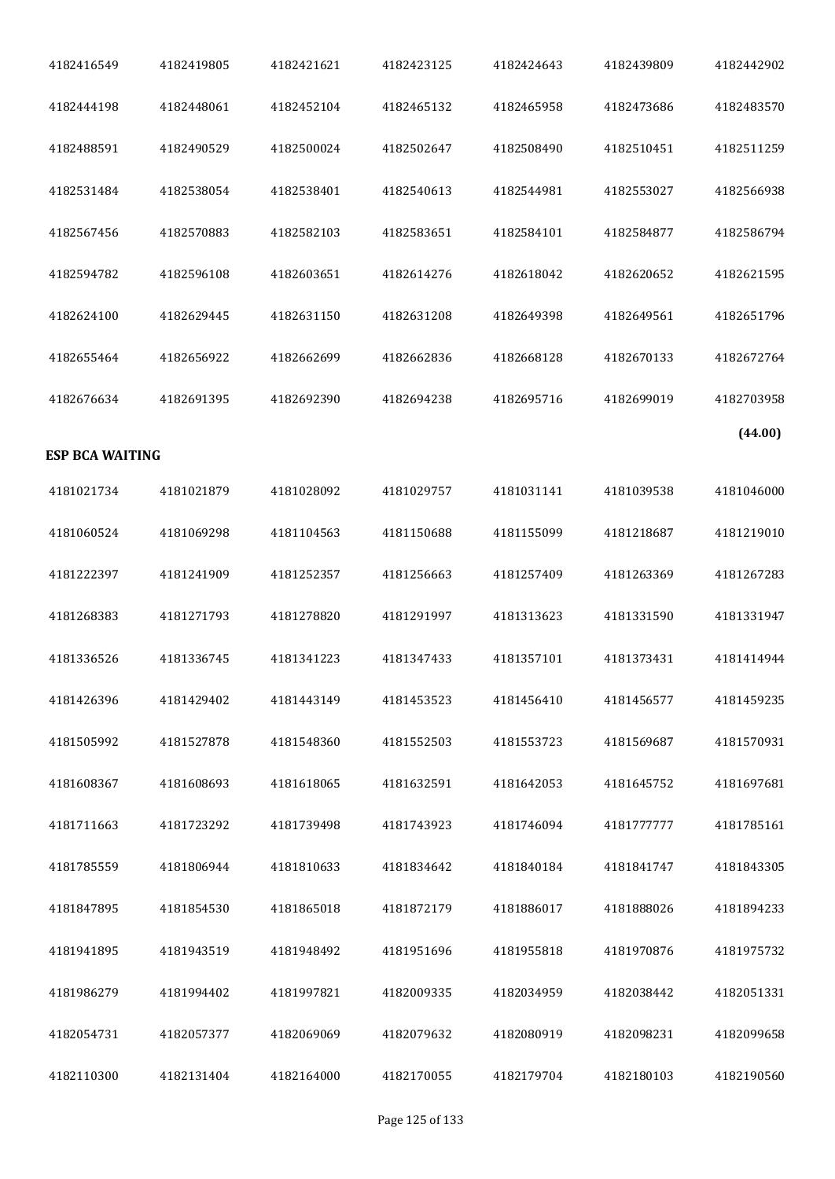| 4182416549             | 4182419805 | 4182421621 | 4182423125 | 4182424643 | 4182439809 | 4182442902 |
|------------------------|------------|------------|------------|------------|------------|------------|
| 4182444198             | 4182448061 | 4182452104 | 4182465132 | 4182465958 | 4182473686 | 4182483570 |
| 4182488591             | 4182490529 | 4182500024 | 4182502647 | 4182508490 | 4182510451 | 4182511259 |
| 4182531484             | 4182538054 | 4182538401 | 4182540613 | 4182544981 | 4182553027 | 4182566938 |
| 4182567456             | 4182570883 | 4182582103 | 4182583651 | 4182584101 | 4182584877 | 4182586794 |
| 4182594782             | 4182596108 | 4182603651 | 4182614276 | 4182618042 | 4182620652 | 4182621595 |
| 4182624100             | 4182629445 | 4182631150 | 4182631208 | 4182649398 | 4182649561 | 4182651796 |
| 4182655464             | 4182656922 | 4182662699 | 4182662836 | 4182668128 | 4182670133 | 4182672764 |
| 4182676634             | 4182691395 | 4182692390 | 4182694238 | 4182695716 | 4182699019 | 4182703958 |
| <b>ESP BCA WAITING</b> |            |            |            |            |            | (44.00)    |
| 4181021734             | 4181021879 | 4181028092 | 4181029757 | 4181031141 | 4181039538 | 4181046000 |
| 4181060524             | 4181069298 | 4181104563 | 4181150688 | 4181155099 | 4181218687 | 4181219010 |
| 4181222397             | 4181241909 | 4181252357 | 4181256663 | 4181257409 | 4181263369 | 4181267283 |
| 4181268383             | 4181271793 | 4181278820 | 4181291997 | 4181313623 | 4181331590 | 4181331947 |
| 4181336526             | 4181336745 | 4181341223 | 4181347433 | 4181357101 | 4181373431 | 4181414944 |
| 4181426396             | 4181429402 | 4181443149 | 4181453523 | 4181456410 | 4181456577 | 4181459235 |
| 4181505992             | 4181527878 | 4181548360 | 4181552503 | 4181553723 | 4181569687 | 4181570931 |
| 4181608367             | 4181608693 | 4181618065 | 4181632591 | 4181642053 | 4181645752 | 4181697681 |
| 4181711663             | 4181723292 | 4181739498 | 4181743923 | 4181746094 | 4181777777 | 4181785161 |
| 4181785559             | 4181806944 | 4181810633 | 4181834642 | 4181840184 | 4181841747 | 4181843305 |
| 4181847895             | 4181854530 | 4181865018 | 4181872179 | 4181886017 | 4181888026 | 4181894233 |
| 4181941895             | 4181943519 | 4181948492 | 4181951696 | 4181955818 | 4181970876 | 4181975732 |
| 4181986279             | 4181994402 | 4181997821 | 4182009335 | 4182034959 | 4182038442 | 4182051331 |
| 4182054731             | 4182057377 | 4182069069 | 4182079632 | 4182080919 | 4182098231 | 4182099658 |
| 4182110300             | 4182131404 | 4182164000 | 4182170055 | 4182179704 | 4182180103 | 4182190560 |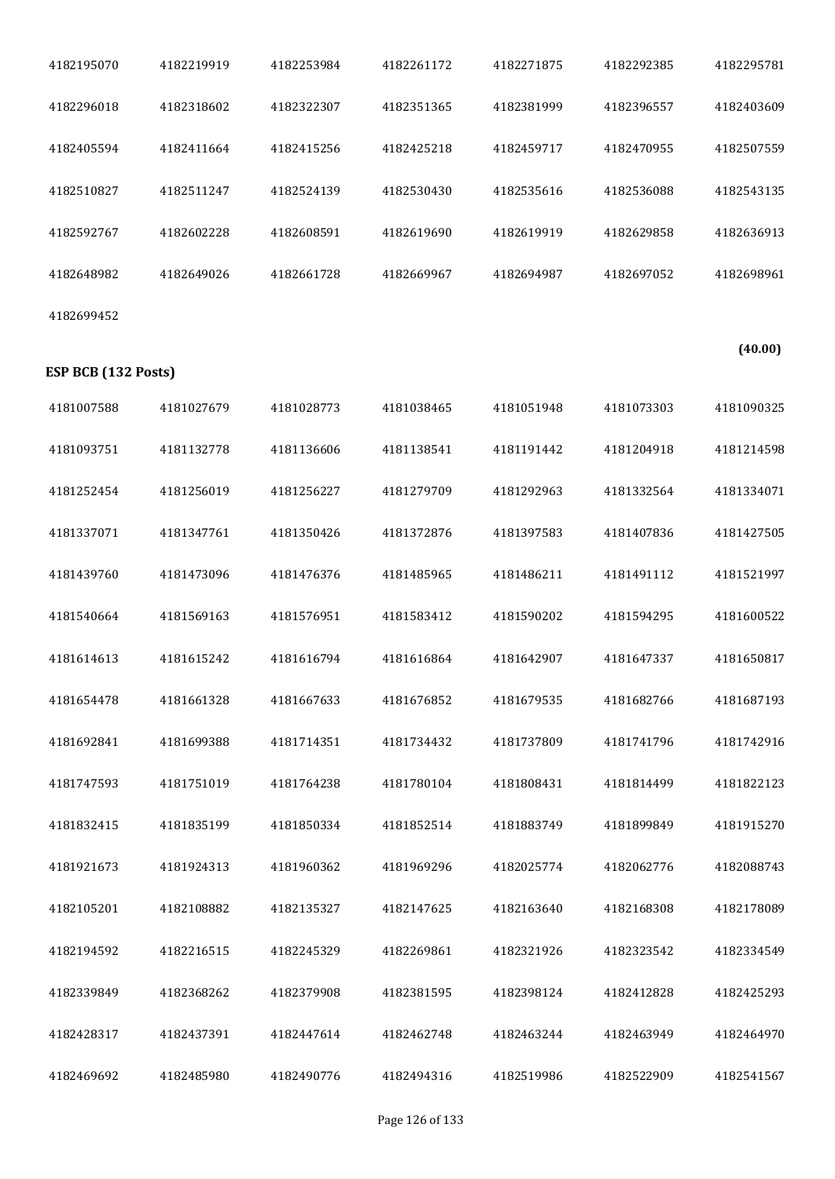| 4182195070          | 4182219919 | 4182253984 | 4182261172 | 4182271875 | 4182292385 | 4182295781 |
|---------------------|------------|------------|------------|------------|------------|------------|
| 4182296018          | 4182318602 | 4182322307 | 4182351365 | 4182381999 | 4182396557 | 4182403609 |
| 4182405594          | 4182411664 | 4182415256 | 4182425218 | 4182459717 | 4182470955 | 4182507559 |
| 4182510827          | 4182511247 | 4182524139 | 4182530430 | 4182535616 | 4182536088 | 4182543135 |
| 4182592767          | 4182602228 | 4182608591 | 4182619690 | 4182619919 | 4182629858 | 4182636913 |
| 4182648982          | 4182649026 | 4182661728 | 4182669967 | 4182694987 | 4182697052 | 4182698961 |
| 4182699452          |            |            |            |            |            |            |
| ESP BCB (132 Posts) |            |            |            |            |            | (40.00)    |
| 4181007588          | 4181027679 | 4181028773 | 4181038465 | 4181051948 | 4181073303 | 4181090325 |
| 4181093751          | 4181132778 | 4181136606 | 4181138541 | 4181191442 | 4181204918 | 4181214598 |
| 4181252454          | 4181256019 | 4181256227 | 4181279709 | 4181292963 | 4181332564 | 4181334071 |
| 4181337071          | 4181347761 | 4181350426 | 4181372876 | 4181397583 | 4181407836 | 4181427505 |
| 4181439760          | 4181473096 | 4181476376 | 4181485965 | 4181486211 | 4181491112 | 4181521997 |
| 4181540664          | 4181569163 | 4181576951 | 4181583412 | 4181590202 | 4181594295 | 4181600522 |
| 4181614613          | 4181615242 | 4181616794 | 4181616864 | 4181642907 | 4181647337 | 4181650817 |
| 4181654478          | 4181661328 | 4181667633 | 4181676852 | 4181679535 | 4181682766 | 4181687193 |
| 4181692841          | 4181699388 | 4181714351 | 4181734432 | 4181737809 | 4181741796 | 4181742916 |
| 4181747593          | 4181751019 | 4181764238 | 4181780104 | 4181808431 | 4181814499 | 4181822123 |
| 4181832415          | 4181835199 | 4181850334 | 4181852514 | 4181883749 | 4181899849 | 4181915270 |
| 4181921673          | 4181924313 | 4181960362 | 4181969296 | 4182025774 | 4182062776 | 4182088743 |
| 4182105201          | 4182108882 | 4182135327 | 4182147625 | 4182163640 | 4182168308 | 4182178089 |
| 4182194592          | 4182216515 | 4182245329 | 4182269861 | 4182321926 | 4182323542 | 4182334549 |
| 4182339849          | 4182368262 | 4182379908 | 4182381595 | 4182398124 | 4182412828 | 4182425293 |
| 4182428317          | 4182437391 | 4182447614 | 4182462748 | 4182463244 | 4182463949 | 4182464970 |
| 4182469692          | 4182485980 | 4182490776 | 4182494316 | 4182519986 | 4182522909 | 4182541567 |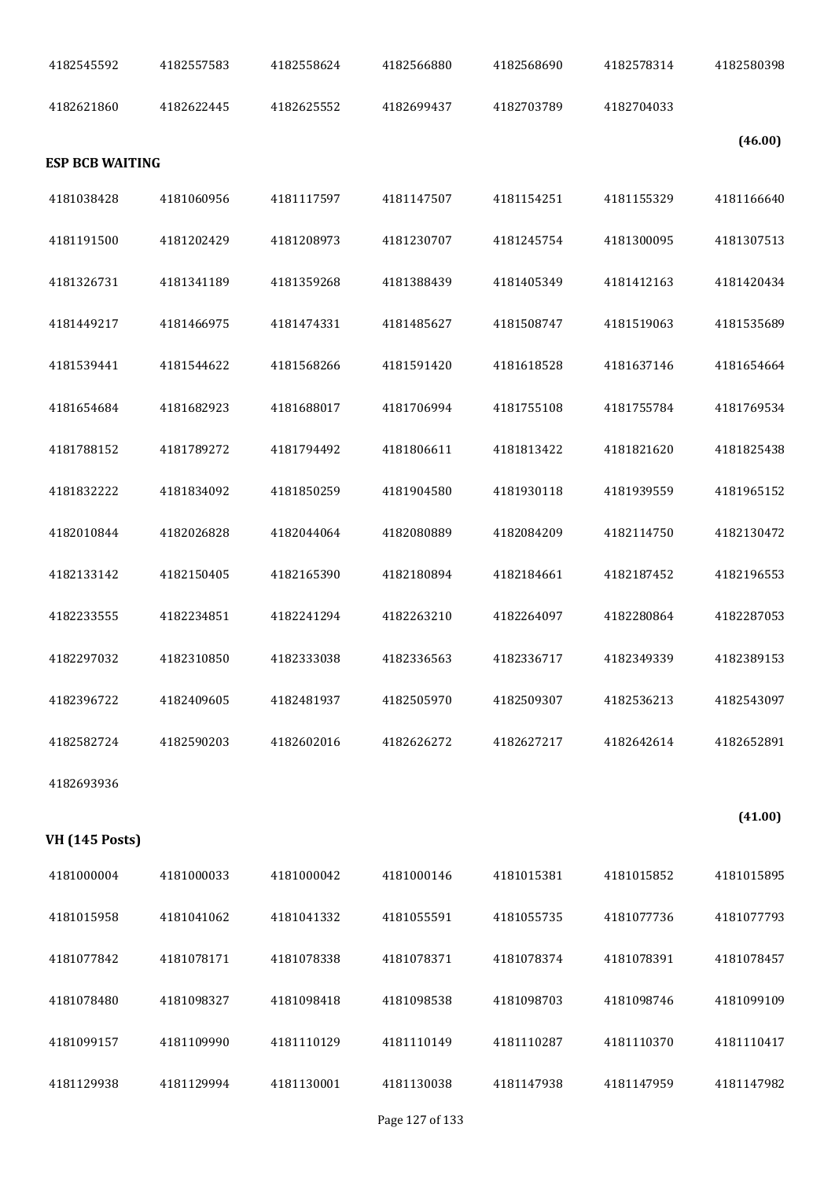| 4182545592             | 4182557583 | 4182558624 | 4182566880 | 4182568690 | 4182578314 | 4182580398 |
|------------------------|------------|------------|------------|------------|------------|------------|
| 4182621860             | 4182622445 | 4182625552 | 4182699437 | 4182703789 | 4182704033 |            |
| <b>ESP BCB WAITING</b> |            |            |            |            |            | (46.00)    |
| 4181038428             | 4181060956 | 4181117597 | 4181147507 | 4181154251 | 4181155329 | 4181166640 |
| 4181191500             | 4181202429 | 4181208973 | 4181230707 | 4181245754 | 4181300095 | 4181307513 |
| 4181326731             | 4181341189 | 4181359268 | 4181388439 | 4181405349 | 4181412163 | 4181420434 |
| 4181449217             | 4181466975 | 4181474331 | 4181485627 | 4181508747 | 4181519063 | 4181535689 |
| 4181539441             | 4181544622 | 4181568266 | 4181591420 | 4181618528 | 4181637146 | 4181654664 |
| 4181654684             | 4181682923 | 4181688017 | 4181706994 | 4181755108 | 4181755784 | 4181769534 |
| 4181788152             | 4181789272 | 4181794492 | 4181806611 | 4181813422 | 4181821620 | 4181825438 |
| 4181832222             | 4181834092 | 4181850259 | 4181904580 | 4181930118 | 4181939559 | 4181965152 |
| 4182010844             | 4182026828 | 4182044064 | 4182080889 | 4182084209 | 4182114750 | 4182130472 |
| 4182133142             | 4182150405 | 4182165390 | 4182180894 | 4182184661 | 4182187452 | 4182196553 |
| 4182233555             | 4182234851 | 4182241294 | 4182263210 | 4182264097 | 4182280864 | 4182287053 |
| 4182297032             | 4182310850 | 4182333038 | 4182336563 | 4182336717 | 4182349339 | 4182389153 |
| 4182396722             | 4182409605 | 4182481937 | 4182505970 | 4182509307 | 4182536213 | 4182543097 |
| 4182582724             | 4182590203 | 4182602016 | 4182626272 | 4182627217 | 4182642614 | 4182652891 |
| 4182693936             |            |            |            |            |            |            |
| <b>VH</b> (145 Posts)  |            |            |            |            |            | (41.00)    |
| 4181000004             | 4181000033 | 4181000042 | 4181000146 | 4181015381 | 4181015852 | 4181015895 |
| 4181015958             | 4181041062 | 4181041332 | 4181055591 | 4181055735 | 4181077736 | 4181077793 |
| 4181077842             | 4181078171 | 4181078338 | 4181078371 | 4181078374 | 4181078391 | 4181078457 |
| 4181078480             | 4181098327 | 4181098418 | 4181098538 | 4181098703 | 4181098746 | 4181099109 |
| 4181099157             | 4181109990 | 4181110129 | 4181110149 | 4181110287 | 4181110370 | 4181110417 |
| 4181129938             | 4181129994 | 4181130001 | 4181130038 | 4181147938 | 4181147959 | 4181147982 |
|                        |            |            |            |            |            |            |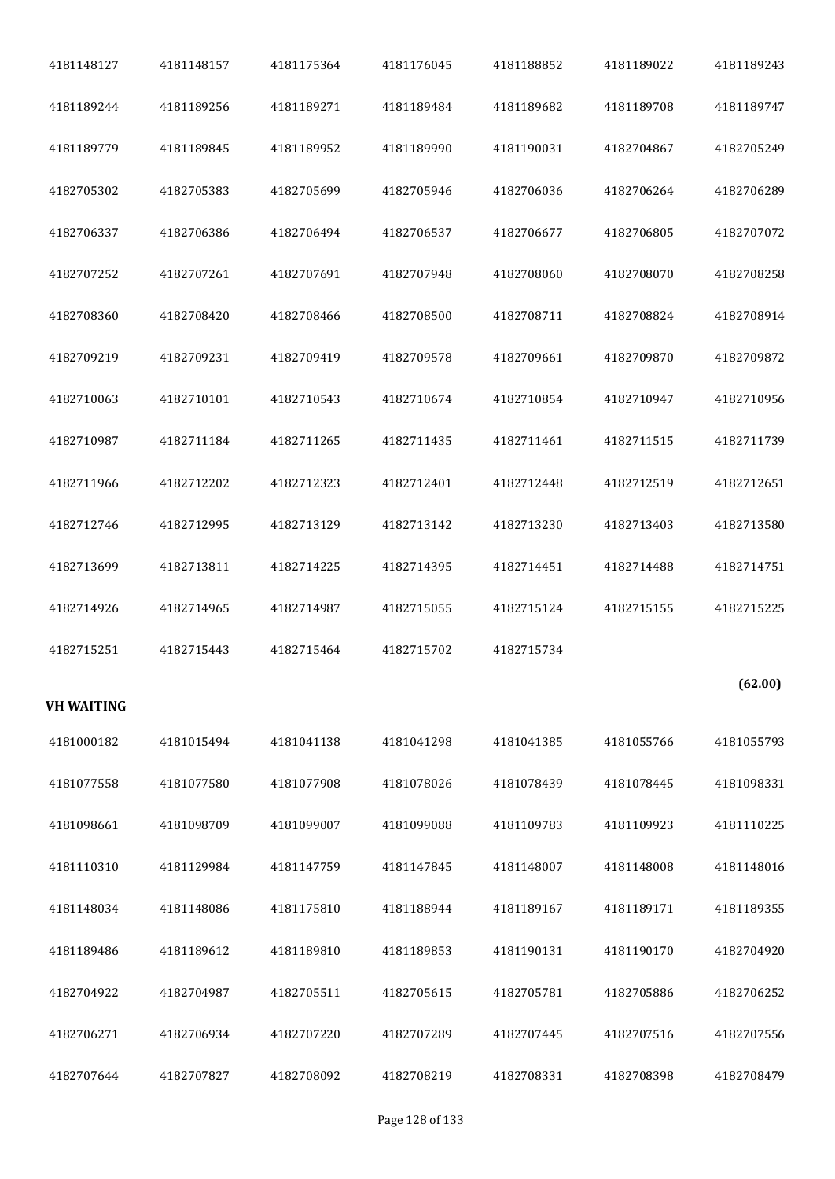|                   | 4181148157 | 4181175364 | 4181176045 | 4181188852 | 4181189022 | 4181189243 |
|-------------------|------------|------------|------------|------------|------------|------------|
| 4181189244        | 4181189256 | 4181189271 | 4181189484 | 4181189682 | 4181189708 | 4181189747 |
| 4181189779        | 4181189845 | 4181189952 | 4181189990 | 4181190031 | 4182704867 | 4182705249 |
| 4182705302        | 4182705383 | 4182705699 | 4182705946 | 4182706036 | 4182706264 | 4182706289 |
| 4182706337        | 4182706386 | 4182706494 | 4182706537 | 4182706677 | 4182706805 | 4182707072 |
| 4182707252        | 4182707261 | 4182707691 | 4182707948 | 4182708060 | 4182708070 | 4182708258 |
| 4182708360        | 4182708420 | 4182708466 | 4182708500 | 4182708711 | 4182708824 | 4182708914 |
| 4182709219        | 4182709231 | 4182709419 | 4182709578 | 4182709661 | 4182709870 | 4182709872 |
| 4182710063        | 4182710101 | 4182710543 | 4182710674 | 4182710854 | 4182710947 | 4182710956 |
| 4182710987        | 4182711184 | 4182711265 | 4182711435 | 4182711461 | 4182711515 | 4182711739 |
| 4182711966        | 4182712202 | 4182712323 | 4182712401 | 4182712448 | 4182712519 | 4182712651 |
| 4182712746        | 4182712995 | 4182713129 | 4182713142 | 4182713230 | 4182713403 | 4182713580 |
| 4182713699        | 4182713811 | 4182714225 | 4182714395 | 4182714451 | 4182714488 | 4182714751 |
| 4182714926        |            | 4182714987 | 4182715055 | 4182715124 | 4182715155 | 4182715225 |
|                   | 4182714965 |            |            |            |            |            |
| 4182715251        | 4182715443 | 4182715464 | 4182715702 | 4182715734 |            |            |
| <b>VH WAITING</b> |            |            |            |            |            | (62.00)    |
| 4181000182        | 4181015494 | 4181041138 | 4181041298 | 4181041385 | 4181055766 | 4181055793 |
| 4181077558        | 4181077580 | 4181077908 | 4181078026 | 4181078439 | 4181078445 | 4181098331 |
| 4181098661        | 4181098709 | 4181099007 | 4181099088 | 4181109783 | 4181109923 | 4181110225 |
| 4181110310        | 4181129984 | 4181147759 | 4181147845 | 4181148007 | 4181148008 | 4181148016 |
| 4181148034        | 4181148086 | 4181175810 | 4181188944 | 4181189167 | 4181189171 | 4181189355 |
| 4181189486        | 4181189612 | 4181189810 | 4181189853 | 4181190131 | 4181190170 | 4182704920 |
| 4182704922        | 4182704987 | 4182705511 | 4182705615 | 4182705781 | 4182705886 | 4182706252 |
| 4182706271        | 4182706934 | 4182707220 | 4182707289 | 4182707445 | 4182707516 | 4182707556 |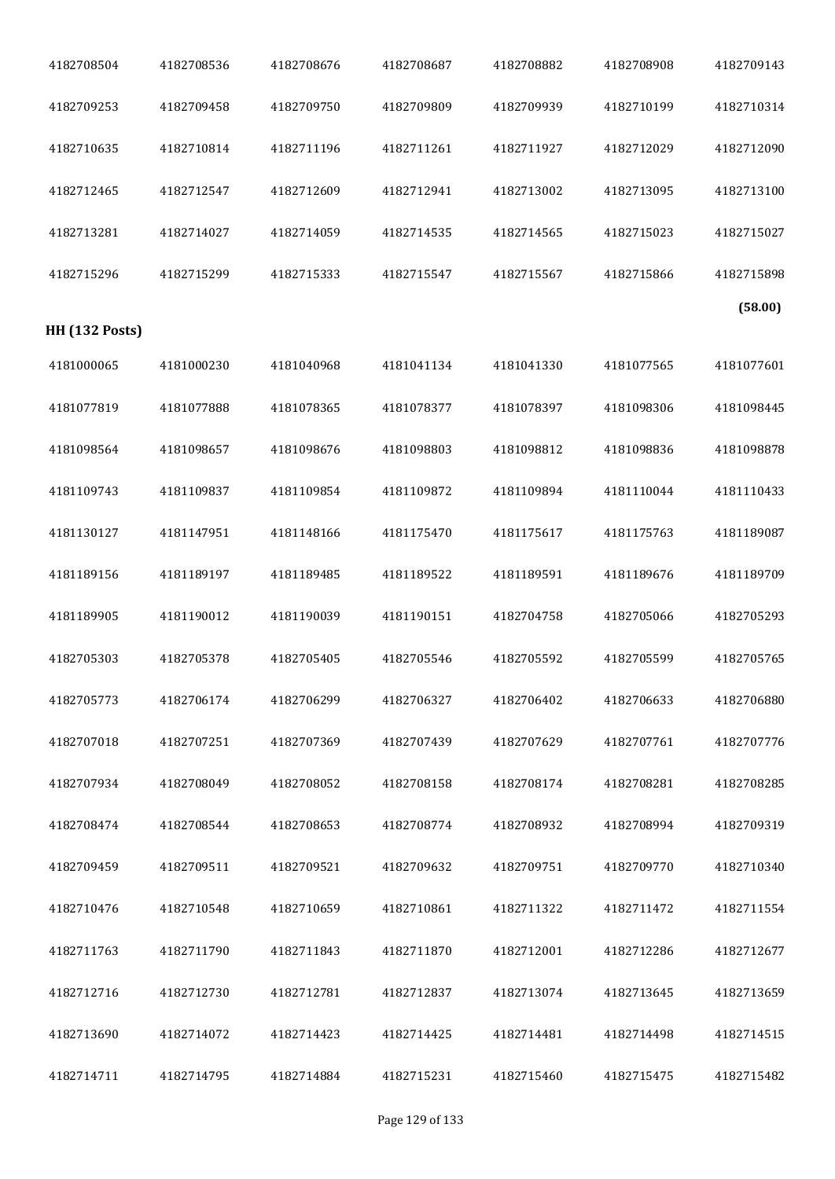| 4182708504            | 4182708536 | 4182708676 | 4182708687 | 4182708882 | 4182708908 | 4182709143 |
|-----------------------|------------|------------|------------|------------|------------|------------|
| 4182709253            | 4182709458 | 4182709750 | 4182709809 | 4182709939 | 4182710199 | 4182710314 |
| 4182710635            | 4182710814 | 4182711196 | 4182711261 | 4182711927 | 4182712029 | 4182712090 |
| 4182712465            | 4182712547 | 4182712609 | 4182712941 | 4182713002 | 4182713095 | 4182713100 |
| 4182713281            | 4182714027 | 4182714059 | 4182714535 | 4182714565 | 4182715023 | 4182715027 |
| 4182715296            | 4182715299 | 4182715333 | 4182715547 | 4182715567 | 4182715866 | 4182715898 |
| <b>HH (132 Posts)</b> |            |            |            |            |            | (58.00)    |
| 4181000065            | 4181000230 | 4181040968 | 4181041134 | 4181041330 | 4181077565 | 4181077601 |
| 4181077819            | 4181077888 | 4181078365 | 4181078377 | 4181078397 | 4181098306 | 4181098445 |
| 4181098564            | 4181098657 | 4181098676 | 4181098803 | 4181098812 | 4181098836 | 4181098878 |
| 4181109743            | 4181109837 | 4181109854 | 4181109872 | 4181109894 | 4181110044 | 4181110433 |
| 4181130127            | 4181147951 | 4181148166 | 4181175470 | 4181175617 | 4181175763 | 4181189087 |
| 4181189156            | 4181189197 | 4181189485 | 4181189522 | 4181189591 | 4181189676 | 4181189709 |
| 4181189905            | 4181190012 | 4181190039 | 4181190151 | 4182704758 | 4182705066 | 4182705293 |
| 4182705303            | 4182705378 | 4182705405 | 4182705546 | 4182705592 | 4182705599 | 4182705765 |
| 4182705773            | 4182706174 | 4182706299 | 4182706327 | 4182706402 | 4182706633 | 4182706880 |
| 4182707018            | 4182707251 | 4182707369 | 4182707439 | 4182707629 | 4182707761 | 4182707776 |
| 4182707934            | 4182708049 | 4182708052 | 4182708158 | 4182708174 | 4182708281 | 4182708285 |
| 4182708474            | 4182708544 | 4182708653 | 4182708774 | 4182708932 | 4182708994 | 4182709319 |
| 4182709459            | 4182709511 | 4182709521 | 4182709632 | 4182709751 | 4182709770 | 4182710340 |
| 4182710476            | 4182710548 | 4182710659 | 4182710861 | 4182711322 | 4182711472 | 4182711554 |
| 4182711763            | 4182711790 | 4182711843 | 4182711870 | 4182712001 | 4182712286 | 4182712677 |
| 4182712716            | 4182712730 | 4182712781 | 4182712837 | 4182713074 | 4182713645 | 4182713659 |
| 4182713690            | 4182714072 | 4182714423 | 4182714425 | 4182714481 | 4182714498 | 4182714515 |
| 4182714711            | 4182714795 | 4182714884 | 4182715231 | 4182715460 | 4182715475 | 4182715482 |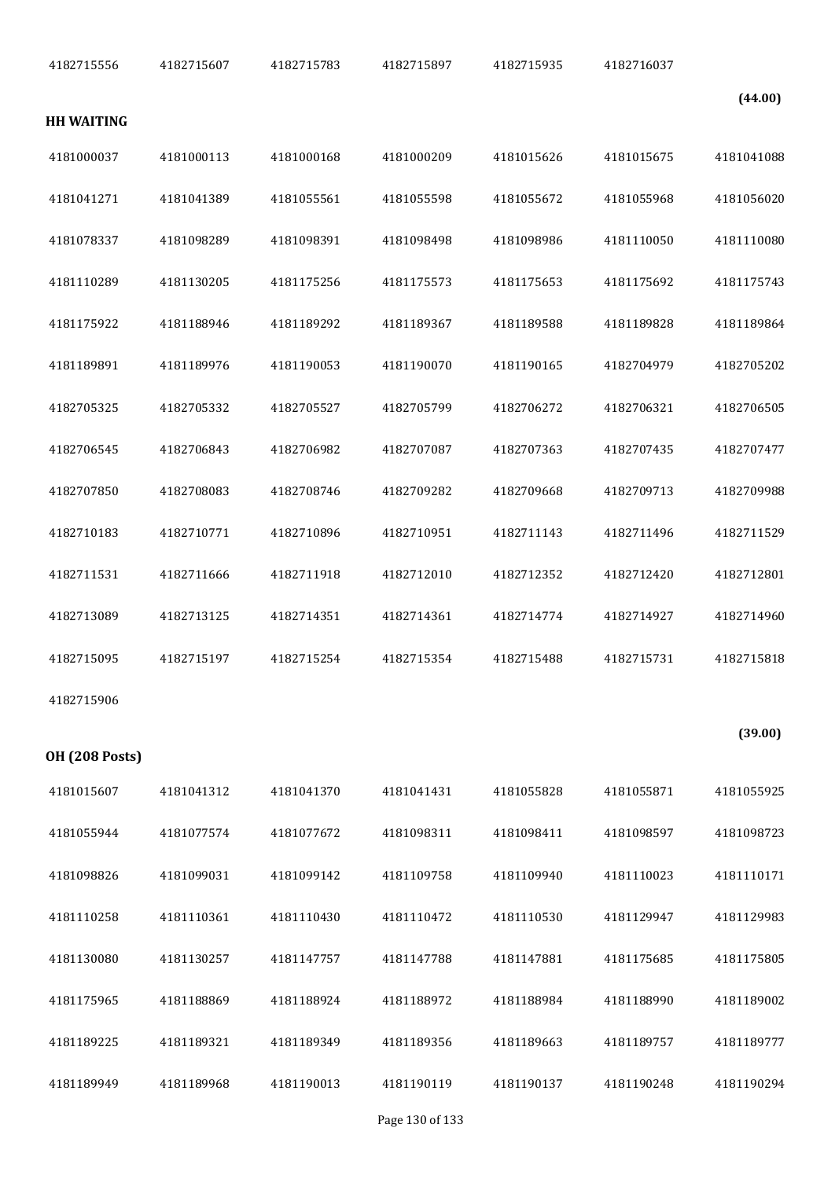|            | 4182716037 | 4182715935 | 4182715897 | 4182715783 | 4182715607 | 4182715556            |
|------------|------------|------------|------------|------------|------------|-----------------------|
| (44.00)    |            |            |            |            |            |                       |
|            |            |            |            |            |            | <b>HH WAITING</b>     |
| 4181041088 | 4181015675 | 4181015626 | 4181000209 | 4181000168 | 4181000113 | 4181000037            |
| 4181056020 | 4181055968 | 4181055672 | 4181055598 | 4181055561 | 4181041389 | 4181041271            |
| 4181110080 | 4181110050 | 4181098986 | 4181098498 | 4181098391 | 4181098289 | 4181078337            |
| 4181175743 | 4181175692 | 4181175653 | 4181175573 | 4181175256 | 4181130205 | 4181110289            |
| 4181189864 | 4181189828 | 4181189588 | 4181189367 | 4181189292 | 4181188946 | 4181175922            |
| 4182705202 | 4182704979 | 4181190165 | 4181190070 | 4181190053 | 4181189976 | 4181189891            |
| 4182706505 | 4182706321 | 4182706272 | 4182705799 | 4182705527 | 4182705332 | 4182705325            |
| 4182707477 | 4182707435 | 4182707363 | 4182707087 | 4182706982 | 4182706843 | 4182706545            |
| 4182709988 | 4182709713 | 4182709668 | 4182709282 | 4182708746 | 4182708083 | 4182707850            |
| 4182711529 | 4182711496 | 4182711143 | 4182710951 | 4182710896 | 4182710771 | 4182710183            |
| 4182712801 | 4182712420 | 4182712352 | 4182712010 | 4182711918 | 4182711666 | 4182711531            |
| 4182714960 | 4182714927 | 4182714774 | 4182714361 | 4182714351 | 4182713125 | 4182713089            |
| 4182715818 | 4182715731 | 4182715488 | 4182715354 | 4182715254 | 4182715197 | 4182715095            |
|            |            |            |            |            |            | 4182715906            |
| (39.00)    |            |            |            |            |            | <b>OH (208 Posts)</b> |
| 4181055925 | 4181055871 | 4181055828 | 4181041431 | 4181041370 | 4181041312 | 4181015607            |
| 4181098723 | 4181098597 | 4181098411 | 4181098311 | 4181077672 | 4181077574 | 4181055944            |
| 4181110171 | 4181110023 | 4181109940 | 4181109758 | 4181099142 | 4181099031 | 4181098826            |
| 4181129983 | 4181129947 | 4181110530 | 4181110472 | 4181110430 | 4181110361 | 4181110258            |
| 4181175805 | 4181175685 | 4181147881 | 4181147788 | 4181147757 | 4181130257 | 4181130080            |
| 4181189002 | 4181188990 | 4181188984 | 4181188972 | 4181188924 | 4181188869 | 4181175965            |
| 4181189777 | 4181189757 | 4181189663 | 4181189356 | 4181189349 | 4181189321 | 4181189225            |
| 4181190294 | 4181190248 | 4181190137 | 4181190119 | 4181190013 | 4181189968 | 4181189949            |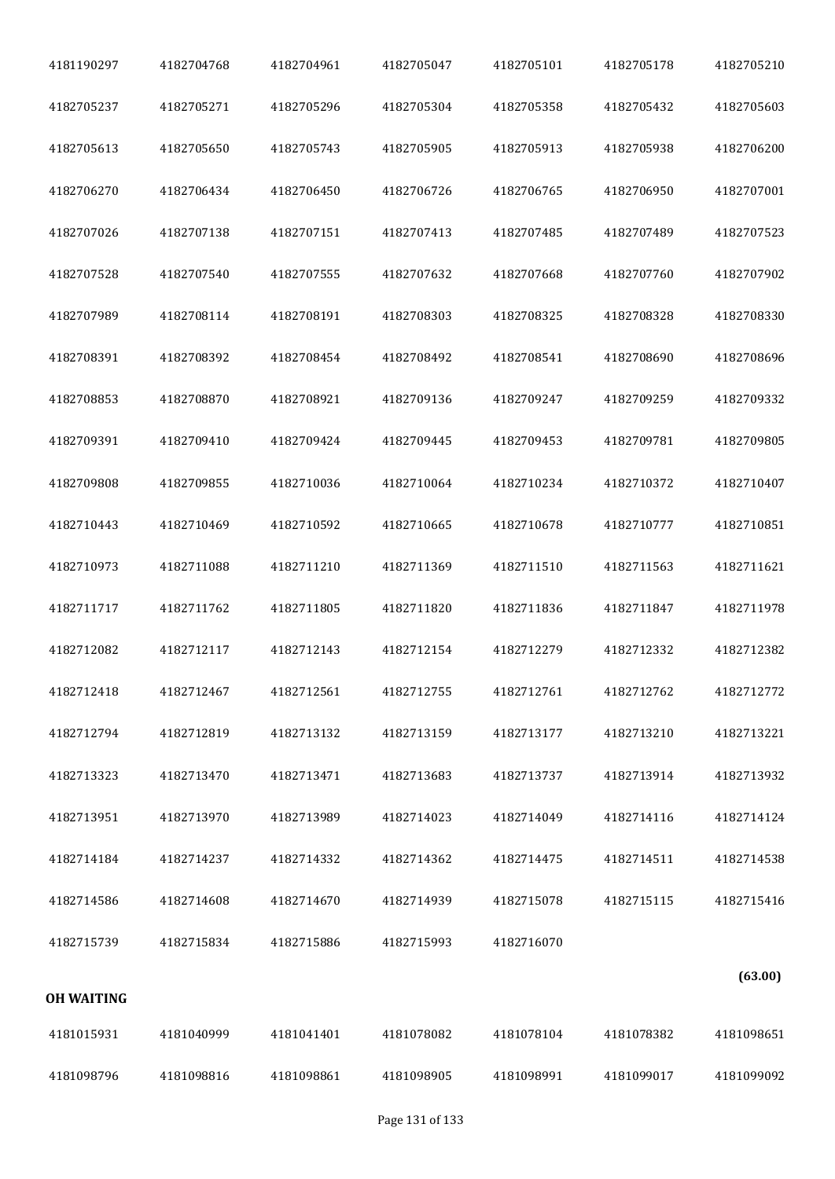| 4181190297        | 4182704768 | 4182704961 | 4182705047 | 4182705101 | 4182705178 | 4182705210 |
|-------------------|------------|------------|------------|------------|------------|------------|
| 4182705237        | 4182705271 | 4182705296 | 4182705304 | 4182705358 | 4182705432 | 4182705603 |
| 4182705613        | 4182705650 | 4182705743 | 4182705905 | 4182705913 | 4182705938 | 4182706200 |
| 4182706270        | 4182706434 | 4182706450 | 4182706726 | 4182706765 | 4182706950 | 4182707001 |
| 4182707026        | 4182707138 | 4182707151 | 4182707413 | 4182707485 | 4182707489 | 4182707523 |
| 4182707528        | 4182707540 | 4182707555 | 4182707632 | 4182707668 | 4182707760 | 4182707902 |
| 4182707989        | 4182708114 | 4182708191 | 4182708303 | 4182708325 | 4182708328 | 4182708330 |
| 4182708391        | 4182708392 | 4182708454 | 4182708492 | 4182708541 | 4182708690 | 4182708696 |
| 4182708853        | 4182708870 | 4182708921 | 4182709136 | 4182709247 | 4182709259 | 4182709332 |
| 4182709391        | 4182709410 | 4182709424 | 4182709445 | 4182709453 | 4182709781 | 4182709805 |
| 4182709808        | 4182709855 | 4182710036 | 4182710064 | 4182710234 | 4182710372 | 4182710407 |
| 4182710443        | 4182710469 | 4182710592 | 4182710665 | 4182710678 | 4182710777 | 4182710851 |
| 4182710973        | 4182711088 | 4182711210 | 4182711369 | 4182711510 | 4182711563 | 4182711621 |
| 4182711717        | 4182711762 | 4182711805 | 4182711820 | 4182711836 | 4182711847 | 4182711978 |
| 4182712082        | 4182712117 | 4182712143 | 4182712154 | 4182712279 | 4182712332 | 4182712382 |
| 4182712418        | 4182712467 | 4182712561 | 4182712755 | 4182712761 | 4182712762 | 4182712772 |
| 4182712794        | 4182712819 | 4182713132 | 4182713159 | 4182713177 | 4182713210 | 4182713221 |
| 4182713323        | 4182713470 | 4182713471 | 4182713683 | 4182713737 | 4182713914 | 4182713932 |
| 4182713951        | 4182713970 | 4182713989 | 4182714023 | 4182714049 | 4182714116 | 4182714124 |
| 4182714184        | 4182714237 | 4182714332 | 4182714362 | 4182714475 | 4182714511 | 4182714538 |
| 4182714586        | 4182714608 | 4182714670 | 4182714939 | 4182715078 | 4182715115 | 4182715416 |
| 4182715739        | 4182715834 | 4182715886 | 4182715993 | 4182716070 |            |            |
| <b>OH WAITING</b> |            |            |            |            |            | (63.00)    |
| 4181015931        | 4181040999 | 4181041401 | 4181078082 | 4181078104 | 4181078382 | 4181098651 |
| 4181098796        | 4181098816 | 4181098861 | 4181098905 | 4181098991 | 4181099017 | 4181099092 |
|                   |            |            |            |            |            |            |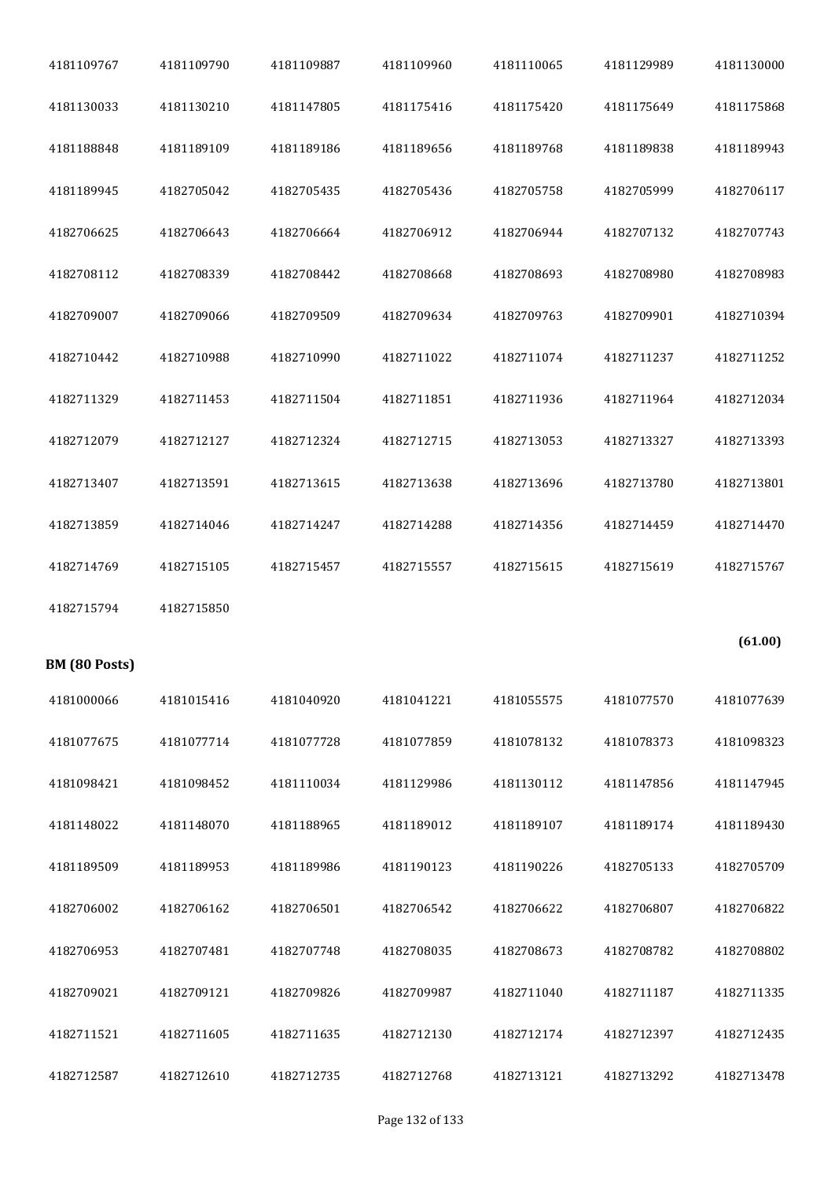| 4181109767    | 4181109790 | 4181109887 | 4181109960 | 4181110065 | 4181129989 | 4181130000 |
|---------------|------------|------------|------------|------------|------------|------------|
| 4181130033    | 4181130210 | 4181147805 | 4181175416 | 4181175420 | 4181175649 | 4181175868 |
| 4181188848    | 4181189109 | 4181189186 | 4181189656 | 4181189768 | 4181189838 | 4181189943 |
| 4181189945    | 4182705042 | 4182705435 | 4182705436 | 4182705758 | 4182705999 | 4182706117 |
| 4182706625    | 4182706643 | 4182706664 | 4182706912 | 4182706944 | 4182707132 | 4182707743 |
| 4182708112    | 4182708339 | 4182708442 | 4182708668 | 4182708693 | 4182708980 | 4182708983 |
| 4182709007    | 4182709066 | 4182709509 | 4182709634 | 4182709763 | 4182709901 | 4182710394 |
| 4182710442    | 4182710988 | 4182710990 | 4182711022 | 4182711074 | 4182711237 | 4182711252 |
| 4182711329    | 4182711453 | 4182711504 | 4182711851 | 4182711936 | 4182711964 | 4182712034 |
| 4182712079    | 4182712127 | 4182712324 | 4182712715 | 4182713053 | 4182713327 | 4182713393 |
| 4182713407    | 4182713591 | 4182713615 | 4182713638 | 4182713696 | 4182713780 | 4182713801 |
| 4182713859    | 4182714046 | 4182714247 | 4182714288 | 4182714356 | 4182714459 | 4182714470 |
|               |            |            |            |            |            |            |
| 4182714769    | 4182715105 | 4182715457 | 4182715557 | 4182715615 | 4182715619 | 4182715767 |
| 4182715794    | 4182715850 |            |            |            |            |            |
| BM (80 Posts) |            |            |            |            |            | (61.00)    |
| 4181000066    | 4181015416 | 4181040920 | 4181041221 | 4181055575 | 4181077570 | 4181077639 |
| 4181077675    | 4181077714 | 4181077728 | 4181077859 | 4181078132 | 4181078373 | 4181098323 |
| 4181098421    | 4181098452 | 4181110034 | 4181129986 | 4181130112 | 4181147856 | 4181147945 |
| 4181148022    | 4181148070 | 4181188965 | 4181189012 | 4181189107 | 4181189174 | 4181189430 |
| 4181189509    | 4181189953 | 4181189986 | 4181190123 | 4181190226 | 4182705133 | 4182705709 |
| 4182706002    | 4182706162 | 4182706501 | 4182706542 | 4182706622 | 4182706807 | 4182706822 |
| 4182706953    | 4182707481 | 4182707748 | 4182708035 | 4182708673 | 4182708782 | 4182708802 |
| 4182709021    | 4182709121 | 4182709826 | 4182709987 | 4182711040 | 4182711187 | 4182711335 |
| 4182711521    | 4182711605 | 4182711635 | 4182712130 | 4182712174 | 4182712397 | 4182712435 |